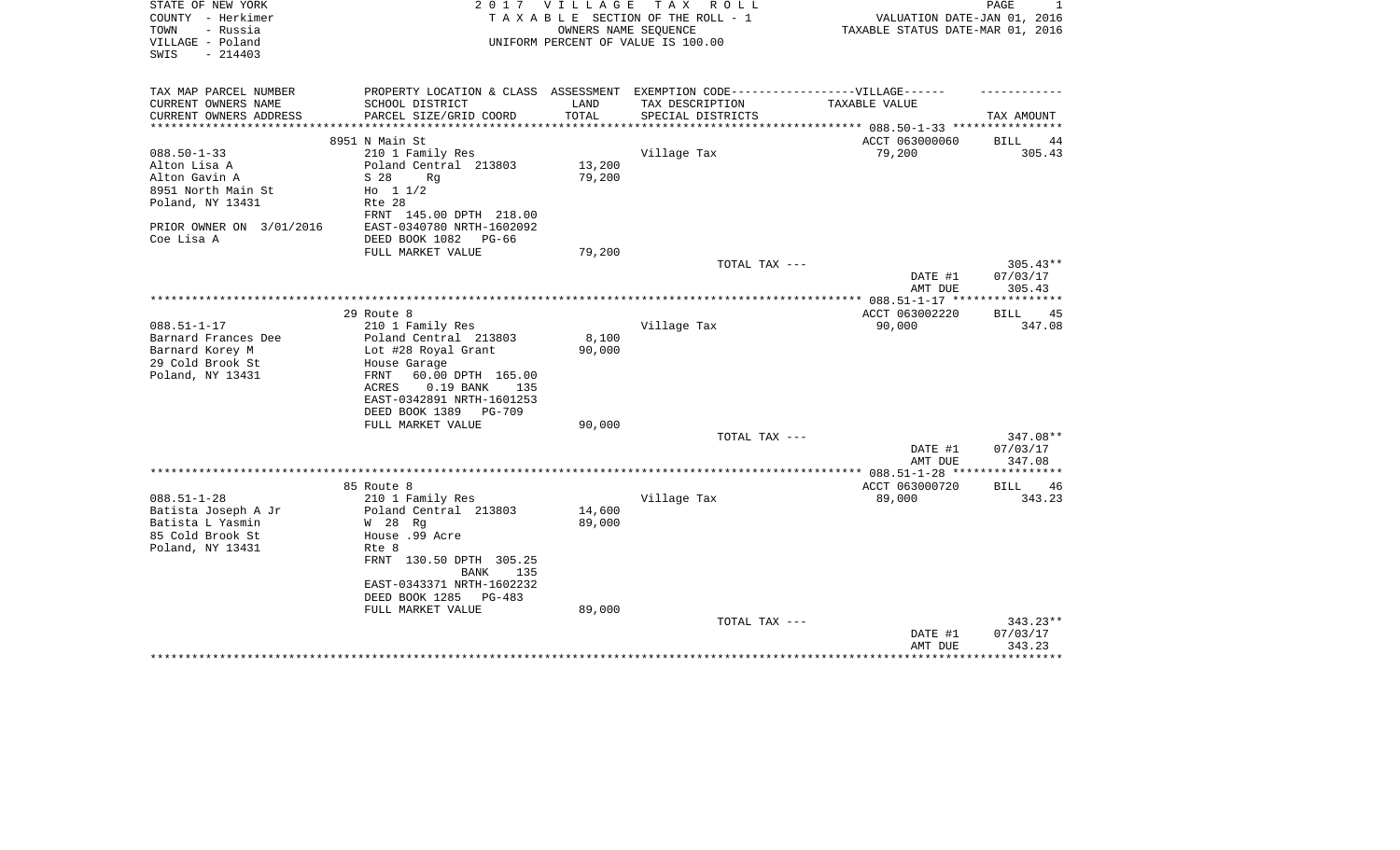| STATE OF NEW YORK<br>COUNTY - Herkimer                    | 2 0 1 7                                                                           | VILLAGE | T A X<br>R O L L<br>TAXABLE SECTION OF THE ROLL - 1        | VALUATION DATE-JAN 01, 2016                    | PAGE<br>1              |
|-----------------------------------------------------------|-----------------------------------------------------------------------------------|---------|------------------------------------------------------------|------------------------------------------------|------------------------|
| - Russia<br>TOWN<br>VILLAGE - Poland<br>$-214403$<br>SWIS |                                                                                   |         | OWNERS NAME SEQUENCE<br>UNIFORM PERCENT OF VALUE IS 100.00 | TAXABLE STATUS DATE-MAR 01, 2016               |                        |
| TAX MAP PARCEL NUMBER                                     | PROPERTY LOCATION & CLASS ASSESSMENT EXEMPTION CODE-----------------VILLAGE------ |         |                                                            |                                                |                        |
| CURRENT OWNERS NAME                                       | SCHOOL DISTRICT                                                                   | LAND    | TAX DESCRIPTION                                            | TAXABLE VALUE                                  |                        |
| CURRENT OWNERS ADDRESS                                    | PARCEL SIZE/GRID COORD                                                            | TOTAL   | SPECIAL DISTRICTS                                          |                                                | TAX AMOUNT             |
|                                                           | 8951 N Main St                                                                    |         |                                                            | *********** 088.50-1-33 ****<br>ACCT 063000060 | <b>BILL</b><br>44      |
| $088.50 - 1 - 33$                                         | 210 1 Family Res                                                                  |         | Village Tax                                                | 79,200                                         | 305.43                 |
| Alton Lisa A                                              | Poland Central 213803                                                             | 13,200  |                                                            |                                                |                        |
| Alton Gavin A                                             | S 28<br>Rg                                                                        | 79,200  |                                                            |                                                |                        |
| 8951 North Main St                                        | Ho 11/2                                                                           |         |                                                            |                                                |                        |
| Poland, NY 13431                                          | Rte 28                                                                            |         |                                                            |                                                |                        |
|                                                           | FRNT 145.00 DPTH 218.00                                                           |         |                                                            |                                                |                        |
| PRIOR OWNER ON 3/01/2016                                  | EAST-0340780 NRTH-1602092                                                         |         |                                                            |                                                |                        |
| Coe Lisa A                                                | DEED BOOK 1082<br>PG-66                                                           |         |                                                            |                                                |                        |
|                                                           | FULL MARKET VALUE                                                                 | 79,200  | TOTAL TAX ---                                              |                                                |                        |
|                                                           |                                                                                   |         |                                                            | DATE #1                                        | $305.43**$<br>07/03/17 |
|                                                           |                                                                                   |         |                                                            | AMT DUE                                        | 305.43                 |
|                                                           |                                                                                   |         |                                                            | ************ 088.51-1-17 ***                   |                        |
|                                                           | 29 Route 8                                                                        |         |                                                            | ACCT 063002220                                 | 45<br><b>BILL</b>      |
| $088.51 - 1 - 17$                                         | 210 1 Family Res                                                                  |         | Village Tax                                                | 90,000                                         | 347.08                 |
| Barnard Frances Dee                                       | Poland Central 213803                                                             | 8,100   |                                                            |                                                |                        |
| Barnard Korey M                                           | Lot #28 Royal Grant                                                               | 90,000  |                                                            |                                                |                        |
| 29 Cold Brook St                                          | House Garage<br>60.00 DPTH 165.00                                                 |         |                                                            |                                                |                        |
| Poland, NY 13431                                          | FRNT<br>$0.19$ BANK<br>ACRES<br>135                                               |         |                                                            |                                                |                        |
|                                                           | EAST-0342891 NRTH-1601253                                                         |         |                                                            |                                                |                        |
|                                                           | DEED BOOK 1389<br>PG-709                                                          |         |                                                            |                                                |                        |
|                                                           | FULL MARKET VALUE                                                                 | 90,000  |                                                            |                                                |                        |
|                                                           |                                                                                   |         | TOTAL TAX ---                                              |                                                | 347.08**               |
|                                                           |                                                                                   |         |                                                            | DATE #1                                        | 07/03/17               |
|                                                           |                                                                                   |         | *************************************                      | AMT DUE                                        | 347.08                 |
|                                                           | 85 Route 8                                                                        |         |                                                            | $* 088.51 - 1 - 28$ ***<br>ACCT 063000720      | <b>BILL</b><br>46      |
| $088.51 - 1 - 28$                                         | 210 1 Family Res                                                                  |         | Village Tax                                                | 89,000                                         | 343.23                 |
| Batista Joseph A Jr                                       | Poland Central 213803                                                             | 14,600  |                                                            |                                                |                        |
| Batista L Yasmin                                          | W 28 Rg                                                                           | 89,000  |                                                            |                                                |                        |
| 85 Cold Brook St                                          | House .99 Acre                                                                    |         |                                                            |                                                |                        |
| Poland, NY 13431                                          | Rte 8                                                                             |         |                                                            |                                                |                        |
|                                                           | FRNT 130.50 DPTH 305.25                                                           |         |                                                            |                                                |                        |
|                                                           | <b>BANK</b><br>135                                                                |         |                                                            |                                                |                        |
|                                                           | EAST-0343371 NRTH-1602232                                                         |         |                                                            |                                                |                        |
|                                                           | DEED BOOK 1285<br>PG-483                                                          |         |                                                            |                                                |                        |
|                                                           | FULL MARKET VALUE                                                                 | 89,000  | TOTAL TAX ---                                              |                                                | 343.23**               |
|                                                           |                                                                                   |         |                                                            | DATE #1                                        | 07/03/17               |
|                                                           |                                                                                   |         |                                                            | AMT DUE                                        | 343.23                 |
|                                                           |                                                                                   |         |                                                            | ********************************               |                        |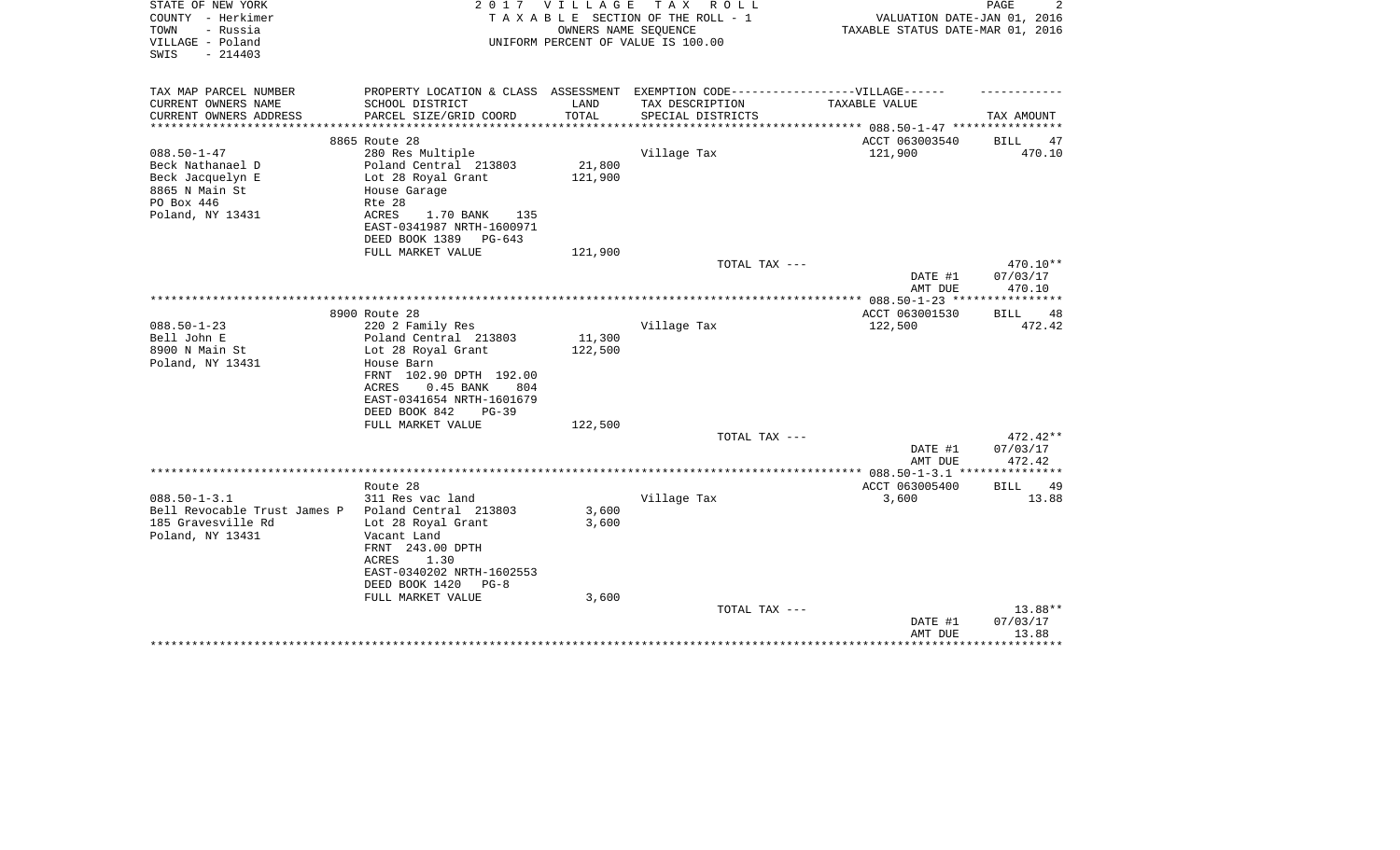| STATE OF NEW YORK<br>COUNTY - Herkimer<br>TOWN<br>- Russia<br>VILLAGE - Poland<br>$-214403$<br>SWIS |                                                                                                      | 2017 VILLAGE | TAX ROLL<br>TAXABLE SECTION OF THE ROLL - 1<br>OWNERS NAME SEQUENCE<br>UNIFORM PERCENT OF VALUE IS 100.00 | VALUATION DATE-JAN 01, 2016<br>TAXABLE STATUS DATE-MAR 01, 2016 | 2<br>PAGE            |
|-----------------------------------------------------------------------------------------------------|------------------------------------------------------------------------------------------------------|--------------|-----------------------------------------------------------------------------------------------------------|-----------------------------------------------------------------|----------------------|
| TAX MAP PARCEL NUMBER<br>CURRENT OWNERS NAME                                                        | PROPERTY LOCATION & CLASS ASSESSMENT EXEMPTION CODE-----------------VILLAGE------<br>SCHOOL DISTRICT | LAND         | TAX DESCRIPTION                                                                                           | TAXABLE VALUE                                                   |                      |
| CURRENT OWNERS ADDRESS                                                                              | PARCEL SIZE/GRID COORD                                                                               | TOTAL        | SPECIAL DISTRICTS                                                                                         |                                                                 | TAX AMOUNT           |
|                                                                                                     |                                                                                                      |              |                                                                                                           | *********** 088.50-1-47 ************                            |                      |
|                                                                                                     | 8865 Route 28                                                                                        |              |                                                                                                           | ACCT 063003540                                                  | BILL<br>47           |
| $088.50 - 1 - 47$                                                                                   | 280 Res Multiple                                                                                     |              | Village Tax                                                                                               | 121,900                                                         | 470.10               |
| Beck Nathanael D                                                                                    | Poland Central 213803                                                                                | 21,800       |                                                                                                           |                                                                 |                      |
| Beck Jacquelyn E<br>8865 N Main St                                                                  | Lot 28 Royal Grant<br>House Garage                                                                   | 121,900      |                                                                                                           |                                                                 |                      |
| PO Box 446                                                                                          | Rte 28                                                                                               |              |                                                                                                           |                                                                 |                      |
| Poland, NY 13431                                                                                    | ACRES<br>1.70 BANK<br>135                                                                            |              |                                                                                                           |                                                                 |                      |
|                                                                                                     | EAST-0341987 NRTH-1600971                                                                            |              |                                                                                                           |                                                                 |                      |
|                                                                                                     | DEED BOOK 1389<br>$PG-643$                                                                           |              |                                                                                                           |                                                                 |                      |
|                                                                                                     | FULL MARKET VALUE                                                                                    | 121,900      |                                                                                                           |                                                                 |                      |
|                                                                                                     |                                                                                                      |              | TOTAL TAX ---                                                                                             | DATE #1                                                         | 470.10**<br>07/03/17 |
|                                                                                                     |                                                                                                      |              |                                                                                                           | AMT DUE                                                         | 470.10               |
|                                                                                                     |                                                                                                      |              |                                                                                                           |                                                                 |                      |
|                                                                                                     | 8900 Route 28                                                                                        |              |                                                                                                           | ACCT 063001530                                                  | <b>BILL</b><br>48    |
| $088.50 - 1 - 23$                                                                                   | 220 2 Family Res                                                                                     |              | Village Tax                                                                                               | 122,500                                                         | 472.42               |
| Bell John E                                                                                         | Poland Central 213803                                                                                | 11,300       |                                                                                                           |                                                                 |                      |
| 8900 N Main St                                                                                      | Lot 28 Royal Grant                                                                                   | 122,500      |                                                                                                           |                                                                 |                      |
| Poland, NY 13431                                                                                    | House Barn<br>FRNT 102.90 DPTH 192.00                                                                |              |                                                                                                           |                                                                 |                      |
|                                                                                                     | ACRES<br>$0.45$ BANK<br>804                                                                          |              |                                                                                                           |                                                                 |                      |
|                                                                                                     | EAST-0341654 NRTH-1601679                                                                            |              |                                                                                                           |                                                                 |                      |
|                                                                                                     | DEED BOOK 842<br>$PG-39$                                                                             |              |                                                                                                           |                                                                 |                      |
|                                                                                                     | FULL MARKET VALUE                                                                                    | 122,500      |                                                                                                           |                                                                 |                      |
|                                                                                                     |                                                                                                      |              | TOTAL TAX ---                                                                                             |                                                                 | 472.42**             |
|                                                                                                     |                                                                                                      |              |                                                                                                           | DATE #1<br>AMT DUE                                              | 07/03/17<br>472.42   |
|                                                                                                     |                                                                                                      |              |                                                                                                           |                                                                 |                      |
|                                                                                                     | Route 28                                                                                             |              |                                                                                                           | ACCT 063005400                                                  | <b>BILL</b><br>49    |
| $088.50 - 1 - 3.1$                                                                                  | 311 Res vac land                                                                                     |              | Village Tax                                                                                               | 3,600                                                           | 13.88                |
| Bell Revocable Trust James P                                                                        | Poland Central 213803                                                                                | 3,600        |                                                                                                           |                                                                 |                      |
| 185 Gravesville Rd                                                                                  | Lot 28 Royal Grant                                                                                   | 3,600        |                                                                                                           |                                                                 |                      |
| Poland, NY 13431                                                                                    | Vacant Land<br>FRNT 243.00 DPTH                                                                      |              |                                                                                                           |                                                                 |                      |
|                                                                                                     | 1.30<br>ACRES                                                                                        |              |                                                                                                           |                                                                 |                      |
|                                                                                                     | EAST-0340202 NRTH-1602553                                                                            |              |                                                                                                           |                                                                 |                      |
|                                                                                                     | DEED BOOK 1420<br>$PG-8$                                                                             |              |                                                                                                           |                                                                 |                      |
|                                                                                                     | FULL MARKET VALUE                                                                                    | 3,600        |                                                                                                           |                                                                 |                      |
|                                                                                                     |                                                                                                      |              | TOTAL TAX ---                                                                                             |                                                                 | 13.88**              |
|                                                                                                     |                                                                                                      |              |                                                                                                           | DATE #1                                                         | 07/03/17             |
|                                                                                                     |                                                                                                      |              |                                                                                                           | AMT DUE                                                         | 13.88                |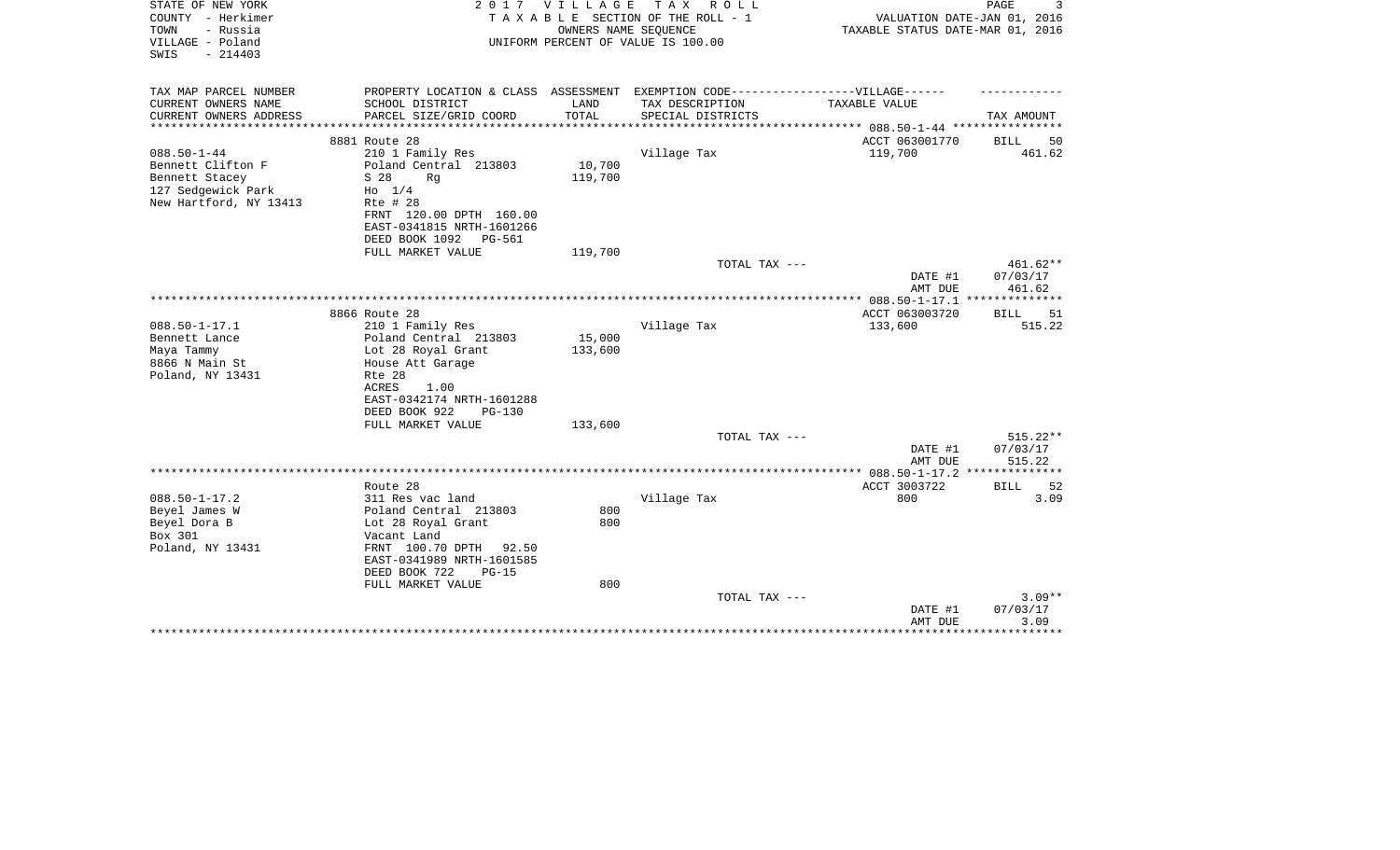| STATE OF NEW YORK<br>COUNTY - Herkimer<br>- Russia<br>TOWN<br>VILLAGE - Poland<br>$-214403$<br>SWIS | 2017                                                                                                 | VILLAGE       | TAX ROLL<br>TAXABLE SECTION OF THE ROLL - 1<br>OWNERS NAME SEQUENCE<br>UNIFORM PERCENT OF VALUE IS 100.00 | VALUATION DATE-JAN 01, 2016<br>TAXABLE STATUS DATE-MAR 01, 2016 | PAGE<br>3                      |
|-----------------------------------------------------------------------------------------------------|------------------------------------------------------------------------------------------------------|---------------|-----------------------------------------------------------------------------------------------------------|-----------------------------------------------------------------|--------------------------------|
| TAX MAP PARCEL NUMBER<br>CURRENT OWNERS NAME                                                        | PROPERTY LOCATION & CLASS ASSESSMENT EXEMPTION CODE-----------------VILLAGE------<br>SCHOOL DISTRICT | LAND          | TAX DESCRIPTION                                                                                           | TAXABLE VALUE                                                   |                                |
| CURRENT OWNERS ADDRESS                                                                              | PARCEL SIZE/GRID COORD                                                                               | TOTAL         | SPECIAL DISTRICTS                                                                                         |                                                                 | TAX AMOUNT                     |
| **************                                                                                      | *******************                                                                                  | ************* |                                                                                                           | *********** 088.50-1-44 *****************                       |                                |
|                                                                                                     | 8881 Route 28                                                                                        |               |                                                                                                           | ACCT 063001770                                                  | <b>BILL</b><br>50              |
| $088.50 - 1 - 44$                                                                                   | 210 1 Family Res                                                                                     |               | Village Tax                                                                                               | 119,700                                                         | 461.62                         |
| Bennett Clifton F<br>Bennett Stacey                                                                 | Poland Central 213803<br>S 28<br>Rq                                                                  | 10,700        |                                                                                                           |                                                                 |                                |
| 127 Sedgewick Park                                                                                  | $H_0$ 1/4                                                                                            | 119,700       |                                                                                                           |                                                                 |                                |
| New Hartford, NY 13413                                                                              | Rte # 28                                                                                             |               |                                                                                                           |                                                                 |                                |
|                                                                                                     | FRNT 120.00 DPTH 160.00                                                                              |               |                                                                                                           |                                                                 |                                |
|                                                                                                     | EAST-0341815 NRTH-1601266                                                                            |               |                                                                                                           |                                                                 |                                |
|                                                                                                     | DEED BOOK 1092<br><b>PG-561</b>                                                                      |               |                                                                                                           |                                                                 |                                |
|                                                                                                     | FULL MARKET VALUE                                                                                    | 119,700       |                                                                                                           |                                                                 |                                |
|                                                                                                     |                                                                                                      |               | TOTAL TAX ---                                                                                             | DATE #1<br>AMT DUE                                              | 461.62**<br>07/03/17<br>461.62 |
|                                                                                                     |                                                                                                      |               |                                                                                                           | $*$ 088.50-1-17.1                                               | *********                      |
|                                                                                                     | 8866 Route 28                                                                                        |               |                                                                                                           | ACCT 063003720                                                  | 51<br>BILL                     |
| $088.50 - 1 - 17.1$                                                                                 | 210 1 Family Res                                                                                     |               | Village Tax                                                                                               | 133,600                                                         | 515.22                         |
| Bennett Lance                                                                                       | Poland Central 213803                                                                                | 15,000        |                                                                                                           |                                                                 |                                |
| Maya Tammy                                                                                          | Lot 28 Royal Grant                                                                                   | 133,600       |                                                                                                           |                                                                 |                                |
| 8866 N Main St                                                                                      | House Att Garage                                                                                     |               |                                                                                                           |                                                                 |                                |
| Poland, NY 13431                                                                                    | Rte 28                                                                                               |               |                                                                                                           |                                                                 |                                |
|                                                                                                     | ACRES<br>1.00                                                                                        |               |                                                                                                           |                                                                 |                                |
|                                                                                                     | EAST-0342174 NRTH-1601288<br>DEED BOOK 922<br>$PG-130$                                               |               |                                                                                                           |                                                                 |                                |
|                                                                                                     | FULL MARKET VALUE                                                                                    | 133,600       |                                                                                                           |                                                                 |                                |
|                                                                                                     |                                                                                                      |               | TOTAL TAX ---                                                                                             |                                                                 | 515.22**                       |
|                                                                                                     |                                                                                                      |               |                                                                                                           | DATE #1                                                         | 07/03/17                       |
|                                                                                                     |                                                                                                      |               |                                                                                                           | AMT DUE                                                         | 515.22                         |
|                                                                                                     |                                                                                                      |               |                                                                                                           | ************ 088.50-1-17.2 *******                              | ******                         |
|                                                                                                     | Route 28                                                                                             |               |                                                                                                           | ACCT 3003722                                                    | 52<br>BILL                     |
| $088.50 - 1 - 17.2$                                                                                 | 311 Res vac land                                                                                     |               | Village Tax                                                                                               | 800                                                             | 3.09                           |
| Beyel James W                                                                                       | Poland Central 213803                                                                                | 800           |                                                                                                           |                                                                 |                                |
| Beyel Dora B                                                                                        | Lot 28 Royal Grant                                                                                   | 800           |                                                                                                           |                                                                 |                                |
| Box 301                                                                                             | Vacant Land<br>FRNT 100.70 DPTH 92.50                                                                |               |                                                                                                           |                                                                 |                                |
| Poland, NY 13431                                                                                    | EAST-0341989 NRTH-1601585                                                                            |               |                                                                                                           |                                                                 |                                |
|                                                                                                     | DEED BOOK 722<br>$PG-15$                                                                             |               |                                                                                                           |                                                                 |                                |
|                                                                                                     | FULL MARKET VALUE                                                                                    | 800           |                                                                                                           |                                                                 |                                |
|                                                                                                     |                                                                                                      |               | TOTAL TAX ---                                                                                             |                                                                 | $3.09**$                       |
|                                                                                                     |                                                                                                      |               |                                                                                                           | DATE #1                                                         | 07/03/17                       |
|                                                                                                     |                                                                                                      |               |                                                                                                           | AMT DUE                                                         | 3.09                           |
|                                                                                                     |                                                                                                      |               |                                                                                                           |                                                                 |                                |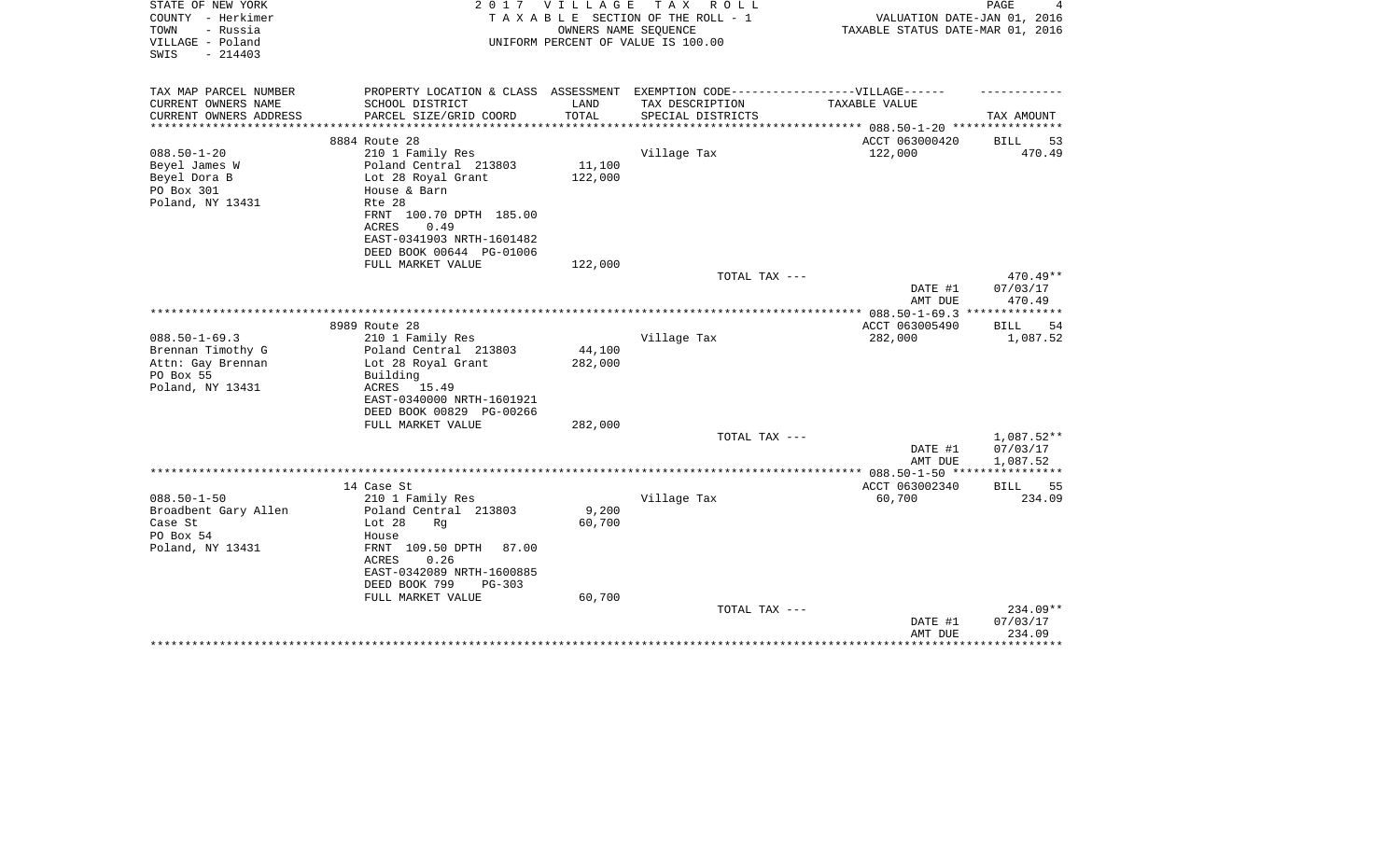| STATE OF NEW YORK<br>COUNTY - Herkimer<br>TOWN<br>- Russia<br>VILLAGE - Poland<br>SWIS<br>$-214403$ | 2017                                                                              | <b>VILLAGE</b>  | T A X<br>R O L L<br>TAXABLE SECTION OF THE ROLL - 1<br>OWNERS NAME SEQUENCE<br>UNIFORM PERCENT OF VALUE IS 100.00 | VALUATION DATE-JAN 01, 2016<br>TAXABLE STATUS DATE-MAR 01, 2016 | PAGE<br>4          |
|-----------------------------------------------------------------------------------------------------|-----------------------------------------------------------------------------------|-----------------|-------------------------------------------------------------------------------------------------------------------|-----------------------------------------------------------------|--------------------|
| TAX MAP PARCEL NUMBER                                                                               | PROPERTY LOCATION & CLASS ASSESSMENT EXEMPTION CODE-----------------VILLAGE------ |                 |                                                                                                                   |                                                                 |                    |
| CURRENT OWNERS NAME<br>CURRENT OWNERS ADDRESS                                                       | SCHOOL DISTRICT<br>PARCEL SIZE/GRID COORD                                         | LAND<br>TOTAL   | TAX DESCRIPTION<br>SPECIAL DISTRICTS                                                                              | TAXABLE VALUE                                                   | TAX AMOUNT         |
|                                                                                                     |                                                                                   |                 |                                                                                                                   | ******** 088.50-1-20 ***********                                |                    |
|                                                                                                     | 8884 Route 28                                                                     |                 |                                                                                                                   | ACCT 063000420                                                  | <b>BILL</b><br>53  |
| $088.50 - 1 - 20$                                                                                   | 210 1 Family Res                                                                  |                 | Village Tax                                                                                                       | 122,000                                                         | 470.49             |
| Beyel James W                                                                                       | Poland Central 213803                                                             | 11,100          |                                                                                                                   |                                                                 |                    |
| Beyel Dora B                                                                                        | Lot 28 Royal Grant                                                                | 122,000         |                                                                                                                   |                                                                 |                    |
| PO Box 301                                                                                          | House & Barn                                                                      |                 |                                                                                                                   |                                                                 |                    |
| Poland, NY 13431                                                                                    | Rte 28<br>FRNT 100.70 DPTH 185.00                                                 |                 |                                                                                                                   |                                                                 |                    |
|                                                                                                     | ACRES<br>0.49                                                                     |                 |                                                                                                                   |                                                                 |                    |
|                                                                                                     | EAST-0341903 NRTH-1601482                                                         |                 |                                                                                                                   |                                                                 |                    |
|                                                                                                     | DEED BOOK 00644 PG-01006                                                          |                 |                                                                                                                   |                                                                 |                    |
|                                                                                                     | FULL MARKET VALUE                                                                 | 122,000         |                                                                                                                   |                                                                 |                    |
|                                                                                                     |                                                                                   |                 | TOTAL TAX ---                                                                                                     |                                                                 | 470.49**           |
|                                                                                                     |                                                                                   |                 |                                                                                                                   | DATE #1                                                         | 07/03/17           |
|                                                                                                     |                                                                                   |                 |                                                                                                                   | AMT DUE                                                         | 470.49             |
|                                                                                                     | 8989 Route 28                                                                     |                 |                                                                                                                   | ACCT 063005490                                                  | <b>BILL</b><br>54  |
| $088.50 - 1 - 69.3$                                                                                 | 210 1 Family Res                                                                  |                 | Village Tax                                                                                                       | 282,000                                                         | 1,087.52           |
| Brennan Timothy G                                                                                   | Poland Central 213803                                                             | 44,100          |                                                                                                                   |                                                                 |                    |
| Attn: Gay Brennan                                                                                   | Lot 28 Royal Grant                                                                | 282,000         |                                                                                                                   |                                                                 |                    |
| PO Box 55                                                                                           | Building                                                                          |                 |                                                                                                                   |                                                                 |                    |
| Poland, NY 13431                                                                                    | ACRES<br>15.49                                                                    |                 |                                                                                                                   |                                                                 |                    |
|                                                                                                     | EAST-0340000 NRTH-1601921                                                         |                 |                                                                                                                   |                                                                 |                    |
|                                                                                                     | DEED BOOK 00829 PG-00266<br>FULL MARKET VALUE                                     | 282,000         |                                                                                                                   |                                                                 |                    |
|                                                                                                     |                                                                                   |                 | TOTAL TAX ---                                                                                                     |                                                                 | 1,087.52**         |
|                                                                                                     |                                                                                   |                 |                                                                                                                   | DATE #1                                                         | 07/03/17           |
|                                                                                                     |                                                                                   |                 |                                                                                                                   | AMT DUE                                                         | 1,087.52           |
|                                                                                                     |                                                                                   |                 |                                                                                                                   |                                                                 |                    |
|                                                                                                     | 14 Case St                                                                        |                 |                                                                                                                   | ACCT 063002340                                                  | BILL<br>55         |
| $088.50 - 1 - 50$                                                                                   | 210 1 Family Res                                                                  |                 | Village Tax                                                                                                       | 60,700                                                          | 234.09             |
| Broadbent Gary Allen<br>Case St                                                                     | Poland Central 213803<br>Lot $28$<br>Rq                                           | 9,200<br>60,700 |                                                                                                                   |                                                                 |                    |
| PO Box 54                                                                                           | House                                                                             |                 |                                                                                                                   |                                                                 |                    |
| Poland, NY 13431                                                                                    | FRNT 109.50 DPTH<br>87.00                                                         |                 |                                                                                                                   |                                                                 |                    |
|                                                                                                     | 0.26<br>ACRES                                                                     |                 |                                                                                                                   |                                                                 |                    |
|                                                                                                     | EAST-0342089 NRTH-1600885                                                         |                 |                                                                                                                   |                                                                 |                    |
|                                                                                                     | DEED BOOK 799<br>PG-303                                                           |                 |                                                                                                                   |                                                                 |                    |
|                                                                                                     | FULL MARKET VALUE                                                                 | 60,700          |                                                                                                                   |                                                                 |                    |
|                                                                                                     |                                                                                   |                 | TOTAL TAX ---                                                                                                     |                                                                 | 234.09**           |
|                                                                                                     |                                                                                   |                 |                                                                                                                   | DATE #1<br>AMT DUE                                              | 07/03/17<br>234.09 |
|                                                                                                     |                                                                                   |                 |                                                                                                                   |                                                                 | *******            |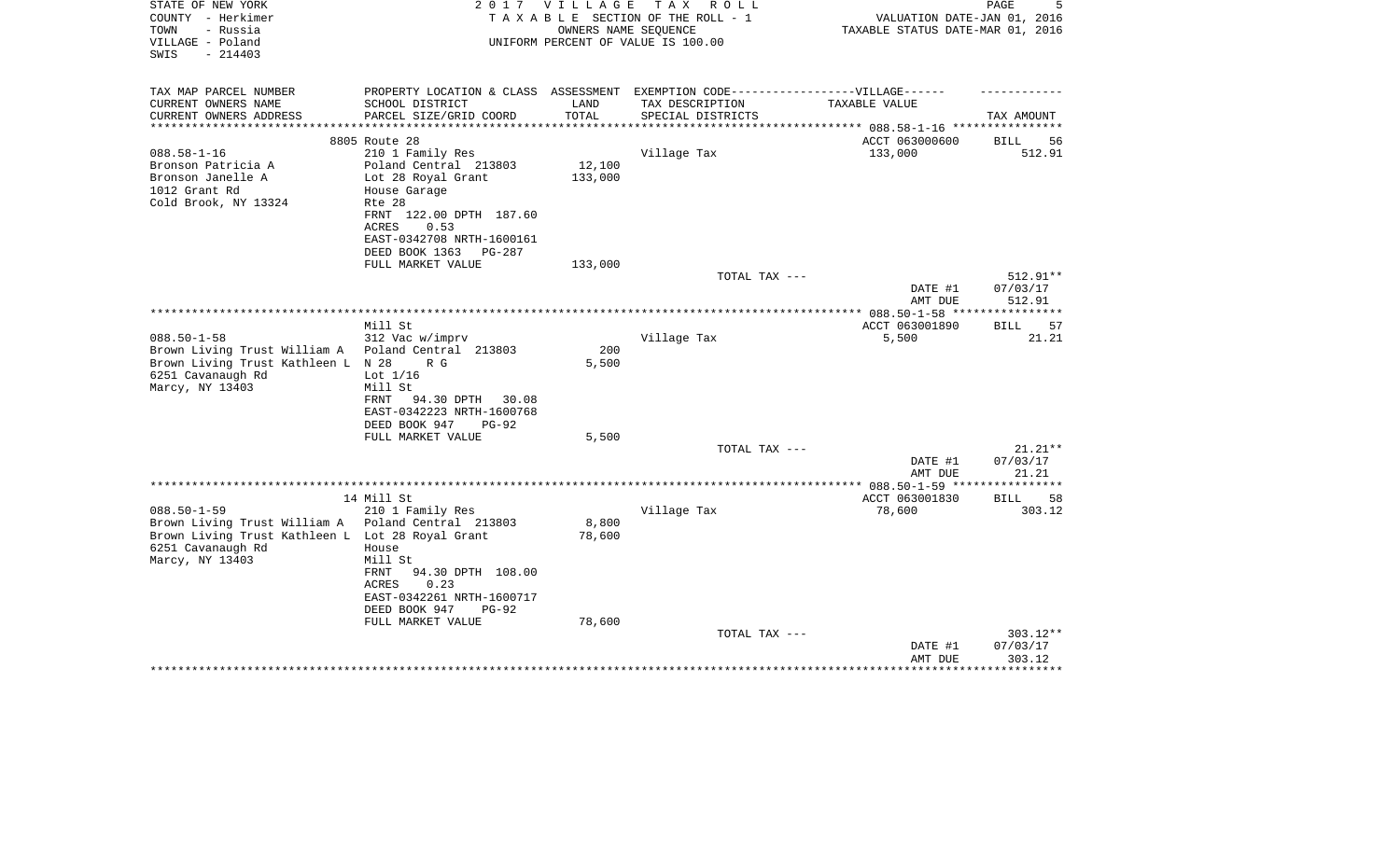| STATE OF NEW YORK<br>COUNTY - Herkimer<br>TOWN<br>- Russia<br>VILLAGE - Poland<br>$-214403$<br>SWIS                                           | 2 0 1 7                                                                                                                                                                            | VILLAGE<br>OWNERS NAME SEQUENCE | T A X<br>R O L L<br>TAXABLE SECTION OF THE ROLL - 1<br>UNIFORM PERCENT OF VALUE IS 100.00 | VALUATION DATE-JAN 01, 2016<br>TAXABLE STATUS DATE-MAR 01, 2016 | 5<br>PAGE                      |
|-----------------------------------------------------------------------------------------------------------------------------------------------|------------------------------------------------------------------------------------------------------------------------------------------------------------------------------------|---------------------------------|-------------------------------------------------------------------------------------------|-----------------------------------------------------------------|--------------------------------|
| TAX MAP PARCEL NUMBER<br>CURRENT OWNERS NAME<br>CURRENT OWNERS ADDRESS<br>**********************                                              | PROPERTY LOCATION & CLASS ASSESSMENT EXEMPTION CODE-----------------VILLAGE------<br>SCHOOL DISTRICT<br>PARCEL SIZE/GRID COORD                                                     | LAND<br>TOTAL                   | TAX DESCRIPTION<br>SPECIAL DISTRICTS                                                      | TAXABLE VALUE                                                   | TAX AMOUNT                     |
|                                                                                                                                               | 8805 Route 28                                                                                                                                                                      |                                 |                                                                                           | ACCT 063000600                                                  | <b>BILL</b><br>56              |
| $088.58 - 1 - 16$<br>Bronson Patricia A                                                                                                       | 210 1 Family Res<br>Poland Central 213803                                                                                                                                          | 12,100                          | Village Tax                                                                               | 133,000                                                         | 512.91                         |
| Bronson Janelle A<br>1012 Grant Rd<br>Cold Brook, NY 13324                                                                                    | Lot 28 Royal Grant<br>House Garage<br>Rte 28<br>FRNT 122.00 DPTH 187.60<br>ACRES<br>0.53<br>EAST-0342708 NRTH-1600161<br>DEED BOOK 1363<br>PG-287                                  | 133,000                         |                                                                                           |                                                                 |                                |
|                                                                                                                                               | FULL MARKET VALUE                                                                                                                                                                  | 133,000                         |                                                                                           |                                                                 |                                |
|                                                                                                                                               |                                                                                                                                                                                    |                                 | TOTAL TAX ---                                                                             | DATE #1<br>AMT DUE                                              | 512.91**<br>07/03/17<br>512.91 |
|                                                                                                                                               |                                                                                                                                                                                    |                                 |                                                                                           |                                                                 |                                |
| $088.50 - 1 - 58$<br>Brown Living Trust William A<br>Brown Living Trust Kathleen L N 28<br>6251 Cavanaugh Rd                                  | Mill St<br>312 Vac w/imprv<br>Poland Central 213803<br>R G<br>Lot $1/16$                                                                                                           | 200<br>5,500                    | Village Tax                                                                               | ACCT 063001890<br>5,500                                         | <b>BILL</b><br>57<br>21.21     |
| Marcy, NY 13403                                                                                                                               | Mill St<br>94.30 DPTH 30.08<br>FRNT<br>EAST-0342223 NRTH-1600768<br>DEED BOOK 947<br>$PG-92$<br>FULL MARKET VALUE                                                                  | 5,500                           |                                                                                           |                                                                 |                                |
|                                                                                                                                               |                                                                                                                                                                                    |                                 | TOTAL TAX ---                                                                             |                                                                 | $21.21**$                      |
|                                                                                                                                               |                                                                                                                                                                                    |                                 |                                                                                           | DATE #1<br>AMT DUE                                              | 07/03/17<br>21.21              |
|                                                                                                                                               |                                                                                                                                                                                    |                                 | ********************                                                                      | *** $088.50 - 1 - 59$ **                                        |                                |
| $088.50 - 1 - 59$<br>Brown Living Trust William A<br>Brown Living Trust Kathleen L Lot 28 Royal Grant<br>6251 Cavanaugh Rd<br>Marcy, NY 13403 | 14 Mill St<br>210 1 Family Res<br>Poland Central 213803<br>House<br>Mill St<br>FRNT<br>94.30 DPTH 108.00<br>0.23<br>ACRES<br>EAST-0342261 NRTH-1600717<br>DEED BOOK 947<br>$PG-92$ | 8,800<br>78,600                 | Village Tax                                                                               | ACCT 063001830<br>78,600                                        | <b>BILL</b><br>58<br>303.12    |
|                                                                                                                                               | FULL MARKET VALUE                                                                                                                                                                  | 78,600                          | TOTAL TAX ---                                                                             | DATE #1<br>AMT DUE                                              | 303.12**<br>07/03/17<br>303.12 |
|                                                                                                                                               |                                                                                                                                                                                    |                                 |                                                                                           |                                                                 |                                |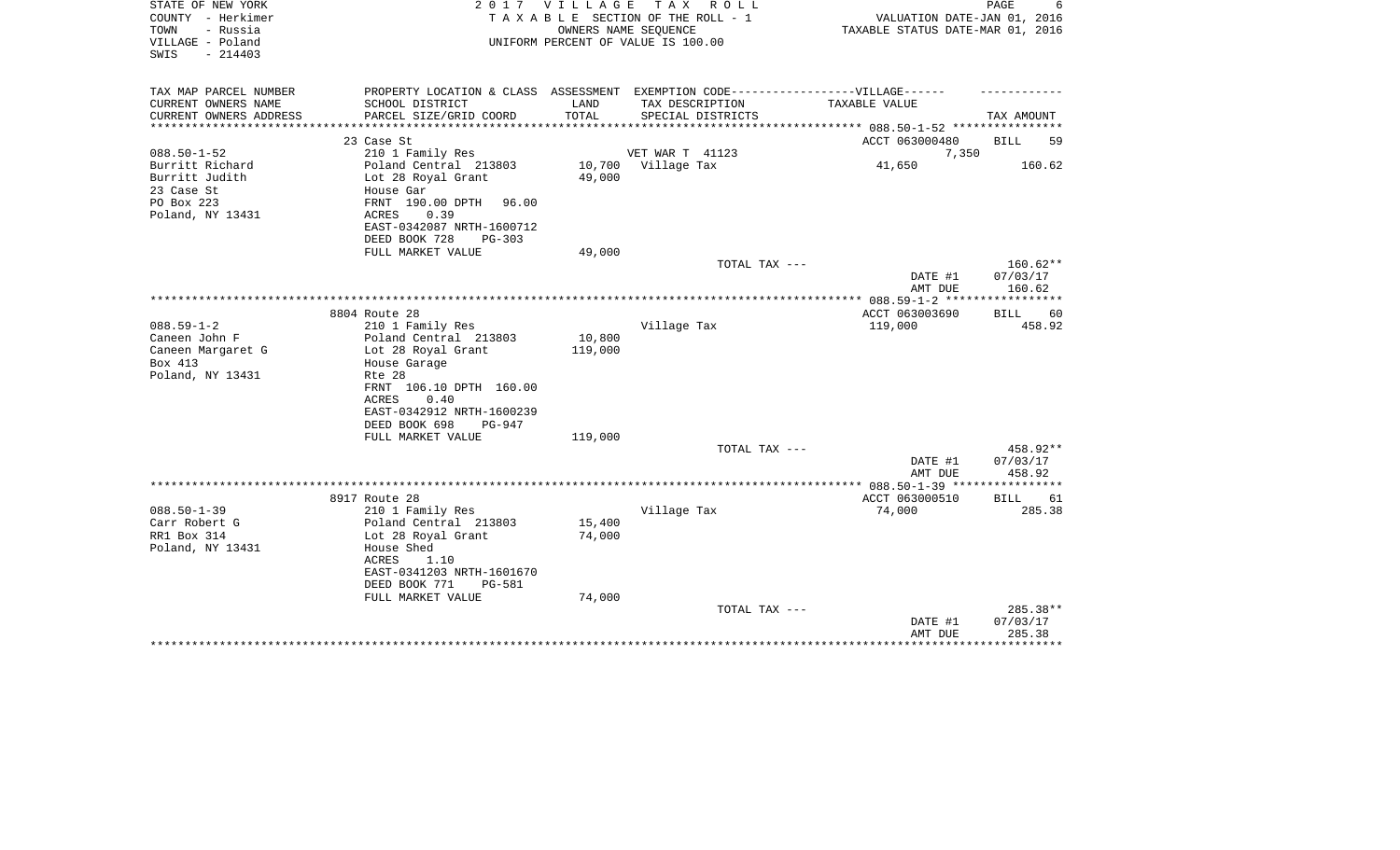| STATE OF NEW YORK<br>COUNTY - Herkimer<br>TOWN<br>- Russia<br>VILLAGE - Poland<br>SWIS<br>$-214403$ | 2 0 1 7                                                                                                | V I L L A G E     | T A X<br>R O L L<br>TAXABLE SECTION OF THE ROLL - 1<br>OWNERS NAME SEQUENCE<br>UNIFORM PERCENT OF VALUE IS 100.00 | VALUATION DATE-JAN 01, 2016<br>TAXABLE STATUS DATE-MAR 01, 2016 | PAGE               |
|-----------------------------------------------------------------------------------------------------|--------------------------------------------------------------------------------------------------------|-------------------|-------------------------------------------------------------------------------------------------------------------|-----------------------------------------------------------------|--------------------|
| TAX MAP PARCEL NUMBER                                                                               | PROPERTY LOCATION & CLASS ASSESSMENT EXEMPTION CODE-----------------VILLAGE------                      |                   |                                                                                                                   |                                                                 |                    |
| CURRENT OWNERS NAME<br>CURRENT OWNERS ADDRESS                                                       | SCHOOL DISTRICT<br>PARCEL SIZE/GRID COORD                                                              | LAND<br>TOTAL     | TAX DESCRIPTION<br>SPECIAL DISTRICTS                                                                              | TAXABLE VALUE<br>************** 088.50-1-52 ***********         | TAX AMOUNT         |
|                                                                                                     | 23 Case St                                                                                             |                   |                                                                                                                   | ACCT 063000480                                                  | <b>BILL</b><br>59  |
| $088.50 - 1 - 52$                                                                                   | 210 1 Family Res                                                                                       |                   | VET WAR T 41123                                                                                                   | 7,350                                                           |                    |
| Burritt Richard<br>Burritt Judith<br>23 Case St<br>PO Box 223<br>Poland, NY 13431                   | Poland Central 213803<br>Lot 28 Royal Grant<br>House Gar<br>96.00<br>FRNT 190.00 DPTH<br>0.39<br>ACRES | 49,000            | 10,700 Village Tax                                                                                                | 41,650                                                          | 160.62             |
|                                                                                                     | EAST-0342087 NRTH-1600712<br>DEED BOOK 728<br><b>PG-303</b>                                            |                   |                                                                                                                   |                                                                 |                    |
|                                                                                                     | FULL MARKET VALUE                                                                                      | 49,000            |                                                                                                                   |                                                                 |                    |
|                                                                                                     |                                                                                                        |                   | TOTAL TAX ---                                                                                                     |                                                                 | $160.62**$         |
|                                                                                                     |                                                                                                        |                   |                                                                                                                   | DATE #1<br>AMT DUE                                              | 07/03/17<br>160.62 |
|                                                                                                     |                                                                                                        |                   |                                                                                                                   | ************** 088.59-1-2 ******************                    |                    |
|                                                                                                     | 8804 Route 28                                                                                          |                   |                                                                                                                   | ACCT 063003690                                                  | BILL<br>60         |
| $088.59 - 1 - 2$                                                                                    | 210 1 Family Res                                                                                       |                   | Village Tax                                                                                                       | 119,000                                                         | 458.92             |
| Caneen John F                                                                                       | Poland Central 213803<br>Lot 28 Royal Grant                                                            | 10,800<br>119,000 |                                                                                                                   |                                                                 |                    |
| Caneen Margaret G<br>Box 413                                                                        |                                                                                                        |                   |                                                                                                                   |                                                                 |                    |
| Poland, NY 13431                                                                                    | House Garage<br>Rte 28                                                                                 |                   |                                                                                                                   |                                                                 |                    |
|                                                                                                     | FRNT 106.10 DPTH 160.00                                                                                |                   |                                                                                                                   |                                                                 |                    |
|                                                                                                     | 0.40<br>ACRES                                                                                          |                   |                                                                                                                   |                                                                 |                    |
|                                                                                                     | EAST-0342912 NRTH-1600239                                                                              |                   |                                                                                                                   |                                                                 |                    |
|                                                                                                     | DEED BOOK 698<br>PG-947                                                                                |                   |                                                                                                                   |                                                                 |                    |
|                                                                                                     | FULL MARKET VALUE                                                                                      | 119,000           |                                                                                                                   |                                                                 |                    |
|                                                                                                     |                                                                                                        |                   | TOTAL TAX ---                                                                                                     |                                                                 | 458.92**           |
|                                                                                                     |                                                                                                        |                   |                                                                                                                   | DATE #1                                                         | 07/03/17           |
|                                                                                                     |                                                                                                        |                   |                                                                                                                   | AMT DUE                                                         | 458.92             |
|                                                                                                     | 8917 Route 28                                                                                          |                   |                                                                                                                   | ACCT 063000510                                                  | <b>BILL</b><br>61  |
| $088.50 - 1 - 39$                                                                                   | 210 1 Family Res                                                                                       |                   | Village Tax                                                                                                       | 74,000                                                          | 285.38             |
| Carr Robert G                                                                                       | Poland Central 213803                                                                                  | 15,400            |                                                                                                                   |                                                                 |                    |
| RR1 Box 314                                                                                         | Lot 28 Royal Grant                                                                                     | 74,000            |                                                                                                                   |                                                                 |                    |
| Poland, NY 13431                                                                                    | House Shed<br>ACRES<br>1.10<br>EAST-0341203 NRTH-1601670<br>DEED BOOK 771<br>PG-581                    |                   |                                                                                                                   |                                                                 |                    |
|                                                                                                     | FULL MARKET VALUE                                                                                      | 74,000            |                                                                                                                   |                                                                 |                    |
|                                                                                                     |                                                                                                        |                   | TOTAL TAX ---                                                                                                     |                                                                 | 285.38**           |
|                                                                                                     |                                                                                                        |                   |                                                                                                                   | DATE #1                                                         | 07/03/17           |
|                                                                                                     |                                                                                                        |                   |                                                                                                                   | AMT DUE                                                         | 285.38             |
|                                                                                                     |                                                                                                        |                   |                                                                                                                   |                                                                 |                    |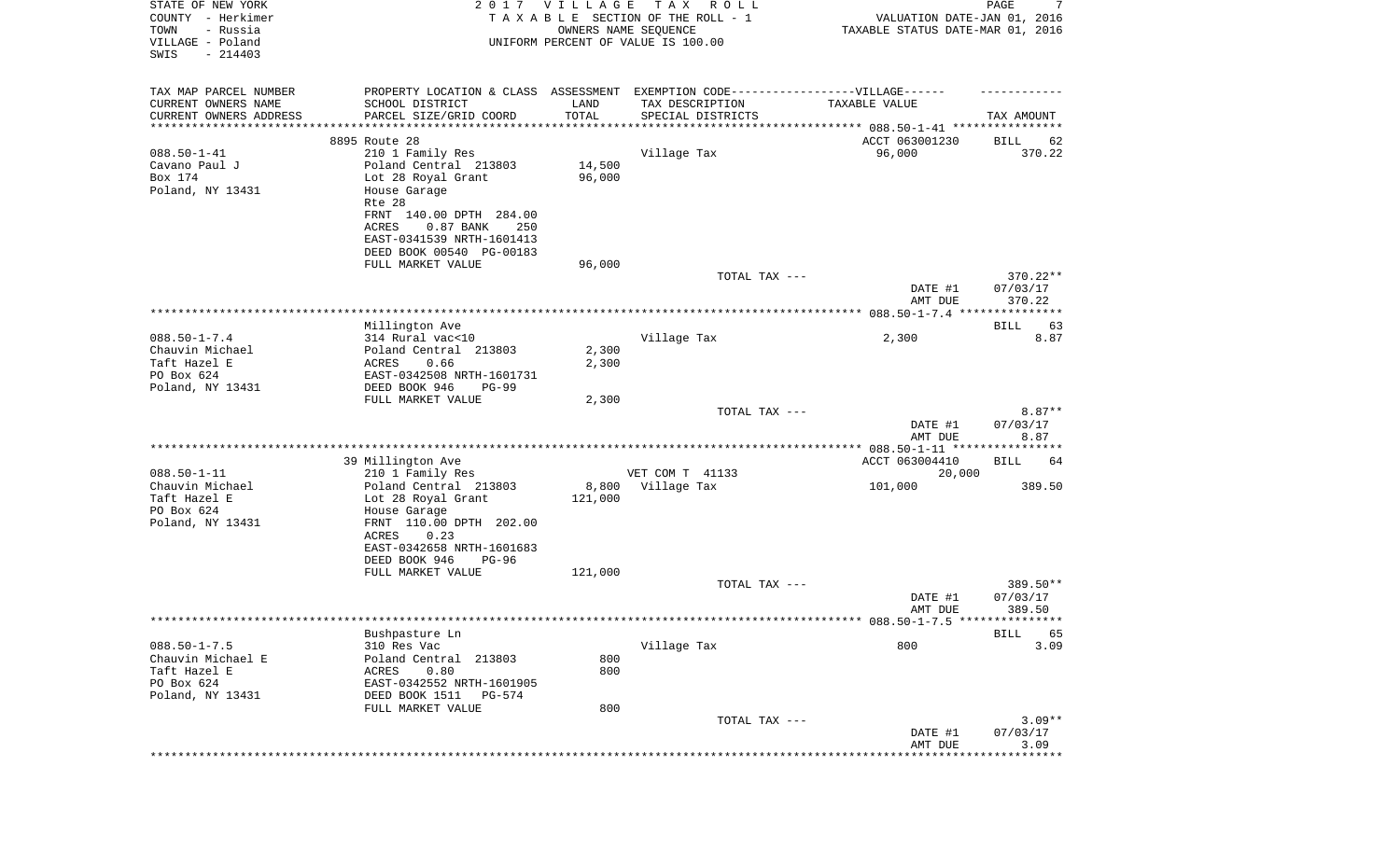| STATE OF NEW YORK<br>COUNTY - Herkimer<br>- Russia<br>TOWN<br>VILLAGE - Poland<br>SWIS<br>$-214403$ |                                                                                                      | 2017 VILLAGE<br>OWNERS NAME SEQUENCE | TAX ROLL<br>TAXABLE SECTION OF THE ROLL - 1<br>UNIFORM PERCENT OF VALUE IS 100.00 | VALUATION DATE-JAN 01, 2016<br>TAXABLE STATUS DATE-MAR 01, 2016 | PAGE<br>7          |
|-----------------------------------------------------------------------------------------------------|------------------------------------------------------------------------------------------------------|--------------------------------------|-----------------------------------------------------------------------------------|-----------------------------------------------------------------|--------------------|
|                                                                                                     |                                                                                                      |                                      |                                                                                   |                                                                 |                    |
| TAX MAP PARCEL NUMBER<br>CURRENT OWNERS NAME                                                        | PROPERTY LOCATION & CLASS ASSESSMENT EXEMPTION CODE-----------------VILLAGE------<br>SCHOOL DISTRICT | LAND                                 | TAX DESCRIPTION                                                                   | TAXABLE VALUE                                                   |                    |
| CURRENT OWNERS ADDRESS                                                                              | PARCEL SIZE/GRID COORD                                                                               | TOTAL                                | SPECIAL DISTRICTS                                                                 |                                                                 | TAX AMOUNT         |
| *******************                                                                                 | * * * * * * * * * * * * * * * *                                                                      | * * * * * * * * * * *                |                                                                                   |                                                                 |                    |
|                                                                                                     | 8895 Route 28                                                                                        |                                      |                                                                                   | ACCT 063001230                                                  | BILL<br>62         |
| $088.50 - 1 - 41$                                                                                   | 210 1 Family Res                                                                                     |                                      | Village Tax                                                                       | 96,000                                                          | 370.22             |
| Cavano Paul J                                                                                       | Poland Central 213803                                                                                | 14,500                               |                                                                                   |                                                                 |                    |
| Box 174<br>Poland, NY 13431                                                                         | Lot 28 Royal Grant<br>House Garage                                                                   | 96,000                               |                                                                                   |                                                                 |                    |
|                                                                                                     | Rte 28                                                                                               |                                      |                                                                                   |                                                                 |                    |
|                                                                                                     | FRNT 140.00 DPTH 284.00                                                                              |                                      |                                                                                   |                                                                 |                    |
|                                                                                                     | ACRES<br>$0.87$ BANK<br>250                                                                          |                                      |                                                                                   |                                                                 |                    |
|                                                                                                     | EAST-0341539 NRTH-1601413                                                                            |                                      |                                                                                   |                                                                 |                    |
|                                                                                                     | DEED BOOK 00540 PG-00183                                                                             |                                      |                                                                                   |                                                                 |                    |
|                                                                                                     | FULL MARKET VALUE                                                                                    | 96,000                               |                                                                                   |                                                                 |                    |
|                                                                                                     |                                                                                                      |                                      | TOTAL TAX ---                                                                     |                                                                 | 370.22**           |
|                                                                                                     |                                                                                                      |                                      |                                                                                   | DATE #1<br>AMT DUE                                              | 07/03/17<br>370.22 |
|                                                                                                     |                                                                                                      |                                      |                                                                                   |                                                                 |                    |
|                                                                                                     | Millington Ave                                                                                       |                                      |                                                                                   |                                                                 | BILL<br>63         |
| $088.50 - 1 - 7.4$                                                                                  | 314 Rural vac<10                                                                                     |                                      | Village Tax                                                                       | 2,300                                                           | 8.87               |
| Chauvin Michael                                                                                     | Poland Central 213803                                                                                | 2,300                                |                                                                                   |                                                                 |                    |
| Taft Hazel E                                                                                        | ACRES<br>0.66                                                                                        | 2,300                                |                                                                                   |                                                                 |                    |
| PO Box 624<br>Poland, NY 13431                                                                      | EAST-0342508 NRTH-1601731<br>DEED BOOK 946<br>$PG-99$                                                |                                      |                                                                                   |                                                                 |                    |
|                                                                                                     | FULL MARKET VALUE                                                                                    | 2,300                                |                                                                                   |                                                                 |                    |
|                                                                                                     |                                                                                                      |                                      | TOTAL TAX ---                                                                     |                                                                 | $8.87**$           |
|                                                                                                     |                                                                                                      |                                      |                                                                                   | DATE #1                                                         | 07/03/17           |
|                                                                                                     |                                                                                                      |                                      |                                                                                   | AMT DUE                                                         | 8.87               |
|                                                                                                     |                                                                                                      |                                      |                                                                                   |                                                                 |                    |
| $088.50 - 1 - 11$                                                                                   | 39 Millington Ave<br>210 1 Family Res                                                                |                                      | VET COM T 41133                                                                   | ACCT 063004410<br>20,000                                        | BILL<br>64         |
| Chauvin Michael                                                                                     | Poland Central 213803                                                                                | 8,800                                | Village Tax                                                                       | 101,000                                                         | 389.50             |
| Taft Hazel E                                                                                        | Lot 28 Royal Grant                                                                                   | 121,000                              |                                                                                   |                                                                 |                    |
| PO Box 624                                                                                          | House Garage                                                                                         |                                      |                                                                                   |                                                                 |                    |
| Poland, NY 13431                                                                                    | FRNT 110.00 DPTH 202.00                                                                              |                                      |                                                                                   |                                                                 |                    |
|                                                                                                     | ACRES<br>0.23                                                                                        |                                      |                                                                                   |                                                                 |                    |
|                                                                                                     | EAST-0342658 NRTH-1601683                                                                            |                                      |                                                                                   |                                                                 |                    |
|                                                                                                     | DEED BOOK 946<br>$PG-96$<br>FULL MARKET VALUE                                                        | 121,000                              |                                                                                   |                                                                 |                    |
|                                                                                                     |                                                                                                      |                                      | TOTAL TAX ---                                                                     |                                                                 | 389.50**           |
|                                                                                                     |                                                                                                      |                                      |                                                                                   | DATE #1                                                         | 07/03/17           |
|                                                                                                     |                                                                                                      |                                      |                                                                                   | AMT DUE                                                         | 389.50             |
|                                                                                                     |                                                                                                      |                                      |                                                                                   | ********** 088.50-1-7.5 ****************                        |                    |
|                                                                                                     | Bushpasture Ln                                                                                       |                                      |                                                                                   |                                                                 | <b>BILL</b><br>65  |
| $088.50 - 1 - 7.5$<br>Chauvin Michael E                                                             | 310 Res Vac                                                                                          |                                      | Village Tax                                                                       | 800                                                             | 3.09               |
| Taft Hazel E                                                                                        | Poland Central 213803<br>0.80<br>ACRES                                                               | 800<br>800                           |                                                                                   |                                                                 |                    |
| PO Box 624                                                                                          | EAST-0342552 NRTH-1601905                                                                            |                                      |                                                                                   |                                                                 |                    |
| Poland, NY 13431                                                                                    | DEED BOOK 1511<br>PG-574                                                                             |                                      |                                                                                   |                                                                 |                    |
|                                                                                                     | FULL MARKET VALUE                                                                                    | 800                                  |                                                                                   |                                                                 |                    |
|                                                                                                     |                                                                                                      |                                      | TOTAL TAX ---                                                                     |                                                                 | $3.09**$           |
|                                                                                                     |                                                                                                      |                                      |                                                                                   | DATE #1                                                         | 07/03/17           |
|                                                                                                     |                                                                                                      |                                      |                                                                                   | AMT DUE                                                         | 3.09<br>********** |
|                                                                                                     |                                                                                                      |                                      |                                                                                   |                                                                 |                    |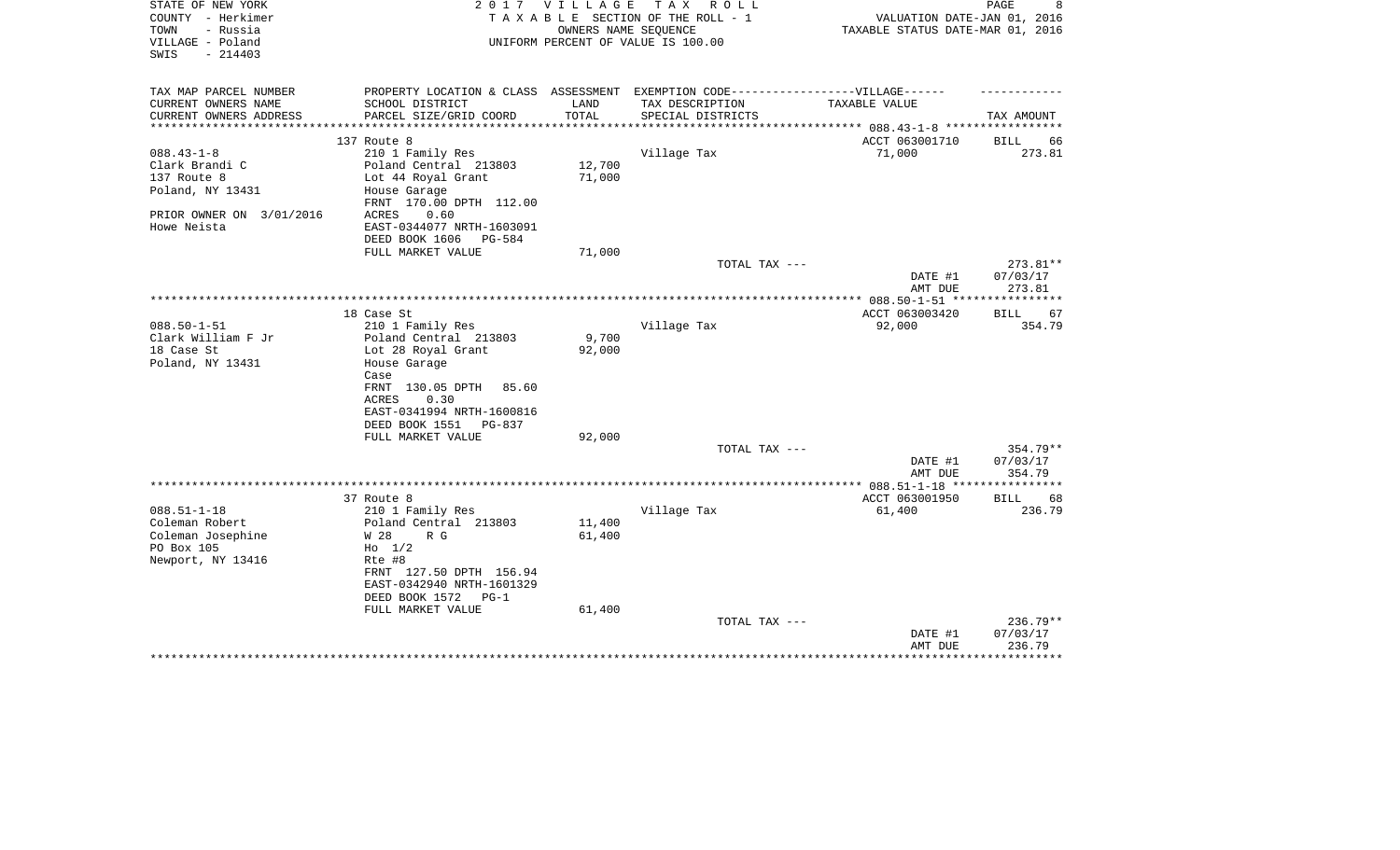| STATE OF NEW YORK<br>COUNTY - Herkimer<br>TOWN<br>- Russia<br>VILLAGE - Poland | 2 0 1 7                                                                           | VILLAGE       | TAX ROLL<br>TAXABLE SECTION OF THE ROLL - 1<br>OWNERS NAME SEQUENCE<br>UNIFORM PERCENT OF VALUE IS 100.00 | VALUATION DATE-JAN 01, 2016<br>TAXABLE STATUS DATE-MAR 01, 2016 | $\mathop{\mathtt{PAGE}}$<br>8 |
|--------------------------------------------------------------------------------|-----------------------------------------------------------------------------------|---------------|-----------------------------------------------------------------------------------------------------------|-----------------------------------------------------------------|-------------------------------|
| $-214403$<br>SWIS                                                              |                                                                                   |               |                                                                                                           |                                                                 |                               |
| TAX MAP PARCEL NUMBER                                                          | PROPERTY LOCATION & CLASS ASSESSMENT EXEMPTION CODE-----------------VILLAGE------ |               |                                                                                                           |                                                                 |                               |
| CURRENT OWNERS NAME<br>CURRENT OWNERS ADDRESS                                  | SCHOOL DISTRICT<br>PARCEL SIZE/GRID COORD                                         | LAND<br>TOTAL | TAX DESCRIPTION<br>SPECIAL DISTRICTS                                                                      | TAXABLE VALUE                                                   | TAX AMOUNT                    |
| *********************                                                          |                                                                                   |               |                                                                                                           |                                                                 |                               |
|                                                                                | 137 Route 8                                                                       |               |                                                                                                           | ACCT 063001710                                                  | BILL<br>66                    |
| $088.43 - 1 - 8$                                                               | 210 1 Family Res                                                                  |               | Village Tax                                                                                               | 71,000                                                          | 273.81                        |
| Clark Brandi C                                                                 | Poland Central 213803                                                             | 12,700        |                                                                                                           |                                                                 |                               |
| 137 Route 8                                                                    | Lot 44 Royal Grant                                                                | 71,000        |                                                                                                           |                                                                 |                               |
| Poland, NY 13431                                                               | House Garage<br>FRNT 170.00 DPTH 112.00                                           |               |                                                                                                           |                                                                 |                               |
| PRIOR OWNER ON 3/01/2016                                                       | ACRES<br>0.60                                                                     |               |                                                                                                           |                                                                 |                               |
| Howe Neista                                                                    | EAST-0344077 NRTH-1603091                                                         |               |                                                                                                           |                                                                 |                               |
|                                                                                | DEED BOOK 1606<br>PG-584                                                          |               |                                                                                                           |                                                                 |                               |
|                                                                                | FULL MARKET VALUE                                                                 | 71,000        |                                                                                                           |                                                                 |                               |
|                                                                                |                                                                                   |               | TOTAL TAX ---                                                                                             |                                                                 | 273.81**                      |
|                                                                                |                                                                                   |               |                                                                                                           | DATE #1<br>AMT DUE                                              | 07/03/17<br>273.81            |
|                                                                                |                                                                                   |               |                                                                                                           | ****************** 088.50-1-51 ***                              |                               |
|                                                                                | 18 Case St                                                                        |               |                                                                                                           | ACCT 063003420                                                  | 67<br>BILL                    |
| $088.50 - 1 - 51$                                                              | 210 1 Family Res                                                                  |               | Village Tax                                                                                               | 92,000                                                          | 354.79                        |
| Clark William F Jr                                                             | Poland Central 213803                                                             | 9,700         |                                                                                                           |                                                                 |                               |
| 18 Case St                                                                     | Lot 28 Royal Grant                                                                | 92,000        |                                                                                                           |                                                                 |                               |
| Poland, NY 13431                                                               | House Garage                                                                      |               |                                                                                                           |                                                                 |                               |
|                                                                                | Case<br>FRNT 130.05 DPTH<br>85.60                                                 |               |                                                                                                           |                                                                 |                               |
|                                                                                | 0.30<br>ACRES                                                                     |               |                                                                                                           |                                                                 |                               |
|                                                                                | EAST-0341994 NRTH-1600816                                                         |               |                                                                                                           |                                                                 |                               |
|                                                                                | DEED BOOK 1551<br>PG-837                                                          |               |                                                                                                           |                                                                 |                               |
|                                                                                | FULL MARKET VALUE                                                                 | 92,000        |                                                                                                           |                                                                 |                               |
|                                                                                |                                                                                   |               | TOTAL TAX ---                                                                                             |                                                                 | $354.79**$                    |
|                                                                                |                                                                                   |               |                                                                                                           | DATE #1                                                         | 07/03/17                      |
|                                                                                |                                                                                   |               |                                                                                                           | AMT DUE                                                         | 354.79                        |
|                                                                                | 37 Route 8                                                                        |               |                                                                                                           | ACCT 063001950                                                  | <b>BILL</b><br>68             |
| $088.51 - 1 - 18$                                                              | 210 1 Family Res                                                                  |               | Village Tax                                                                                               | 61,400                                                          | 236.79                        |
| Coleman Robert                                                                 | Poland Central 213803                                                             | 11,400        |                                                                                                           |                                                                 |                               |
| Coleman Josephine                                                              | W 28<br>R G                                                                       | 61,400        |                                                                                                           |                                                                 |                               |
| PO Box 105                                                                     | $H_0$ 1/2                                                                         |               |                                                                                                           |                                                                 |                               |
| Newport, NY 13416                                                              | Rte #8                                                                            |               |                                                                                                           |                                                                 |                               |
|                                                                                | FRNT 127.50 DPTH 156.94<br>EAST-0342940 NRTH-1601329                              |               |                                                                                                           |                                                                 |                               |
|                                                                                | DEED BOOK 1572<br>$PG-1$                                                          |               |                                                                                                           |                                                                 |                               |
|                                                                                | FULL MARKET VALUE                                                                 | 61,400        |                                                                                                           |                                                                 |                               |
|                                                                                |                                                                                   |               | TOTAL TAX ---                                                                                             |                                                                 | 236.79**                      |
|                                                                                |                                                                                   |               |                                                                                                           | DATE #1                                                         | 07/03/17                      |
|                                                                                |                                                                                   |               |                                                                                                           | AMT DUE                                                         | 236.79                        |
|                                                                                |                                                                                   |               |                                                                                                           |                                                                 |                               |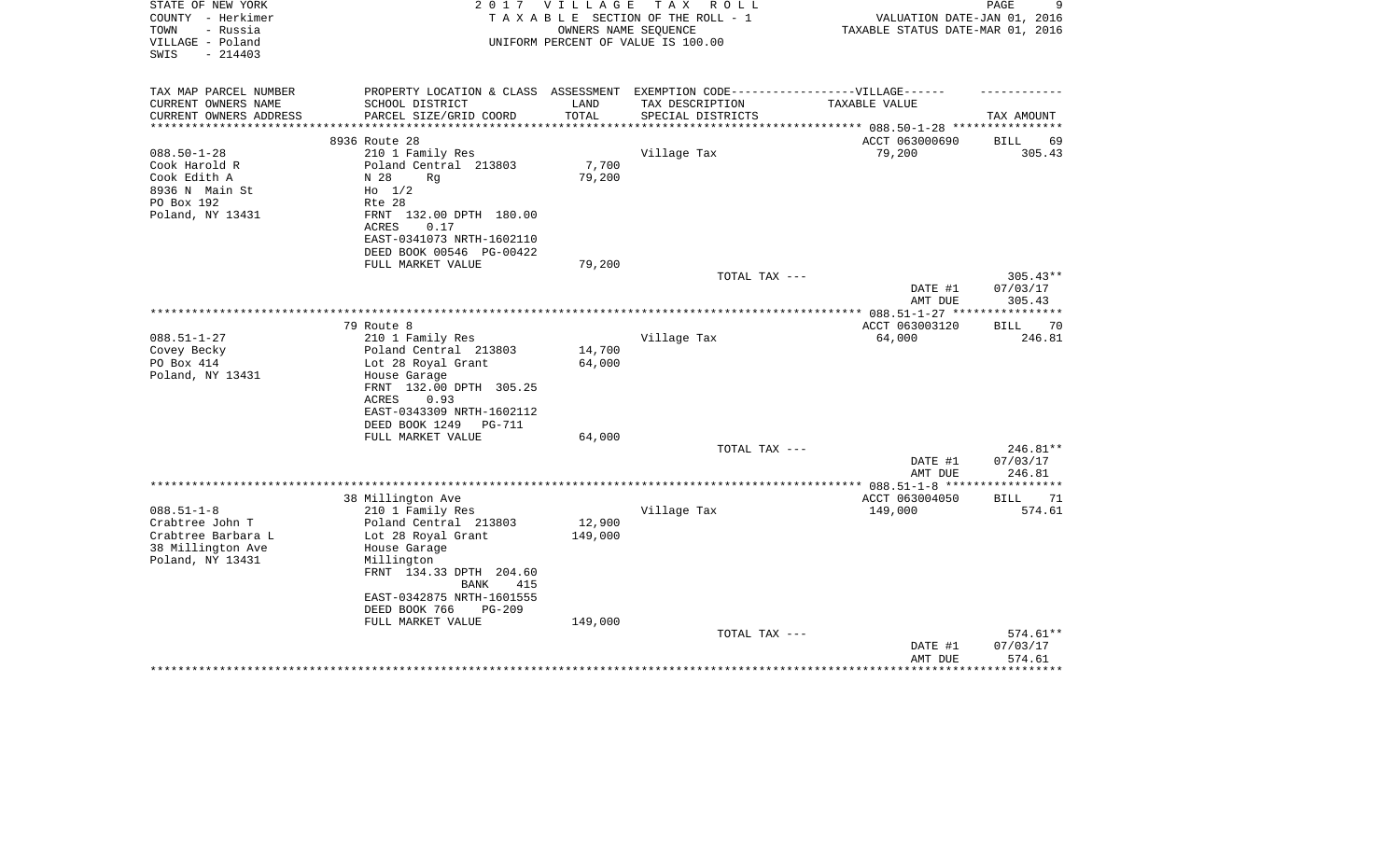| STATE OF NEW YORK<br>COUNTY - Herkimer<br>- Russia<br>TOWN | 2 0 1 7                                                                           | V I L L A G E     | T A X<br>R O L L<br>TAXABLE SECTION OF THE ROLL - 1<br>OWNERS NAME SEQUENCE | VALUATION DATE-JAN 01, 2016<br>TAXABLE STATUS DATE-MAR 01, 2016 | 9<br>PAGE            |
|------------------------------------------------------------|-----------------------------------------------------------------------------------|-------------------|-----------------------------------------------------------------------------|-----------------------------------------------------------------|----------------------|
| VILLAGE - Poland<br>SWIS<br>$-214403$                      |                                                                                   |                   | UNIFORM PERCENT OF VALUE IS 100.00                                          |                                                                 |                      |
| TAX MAP PARCEL NUMBER                                      | PROPERTY LOCATION & CLASS ASSESSMENT EXEMPTION CODE-----------------VILLAGE------ |                   |                                                                             |                                                                 |                      |
| CURRENT OWNERS NAME                                        | SCHOOL DISTRICT                                                                   | LAND              | TAX DESCRIPTION                                                             | TAXABLE VALUE                                                   |                      |
| CURRENT OWNERS ADDRESS<br>**********************           | PARCEL SIZE/GRID COORD                                                            | TOTAL             | SPECIAL DISTRICTS                                                           |                                                                 | TAX AMOUNT           |
|                                                            | 8936 Route 28                                                                     |                   |                                                                             | ACCT 063000690                                                  | BILL<br>69           |
| $088.50 - 1 - 28$                                          | 210 1 Family Res                                                                  |                   | Village Tax                                                                 | 79,200                                                          | 305.43               |
| Cook Harold R                                              | Poland Central 213803                                                             | 7,700             |                                                                             |                                                                 |                      |
| Cook Edith A                                               | N 28<br>Rq                                                                        | 79,200            |                                                                             |                                                                 |                      |
| 8936 N Main St                                             | $H_0$ 1/2                                                                         |                   |                                                                             |                                                                 |                      |
| PO Box 192                                                 | Rte 28                                                                            |                   |                                                                             |                                                                 |                      |
| Poland, NY 13431                                           | FRNT 132.00 DPTH 180.00                                                           |                   |                                                                             |                                                                 |                      |
|                                                            | <b>ACRES</b><br>0.17<br>EAST-0341073 NRTH-1602110                                 |                   |                                                                             |                                                                 |                      |
|                                                            | DEED BOOK 00546 PG-00422                                                          |                   |                                                                             |                                                                 |                      |
|                                                            | FULL MARKET VALUE                                                                 | 79,200            |                                                                             |                                                                 |                      |
|                                                            |                                                                                   |                   | TOTAL TAX ---                                                               |                                                                 | 305.43**             |
|                                                            |                                                                                   |                   |                                                                             | DATE #1                                                         | 07/03/17             |
|                                                            |                                                                                   |                   |                                                                             | AMT DUE                                                         | 305.43               |
|                                                            |                                                                                   |                   |                                                                             |                                                                 |                      |
| $088.51 - 1 - 27$                                          | 79 Route 8<br>210 1 Family Res                                                    |                   | Village Tax                                                                 | ACCT 063003120<br>64,000                                        | 70<br>BILL<br>246.81 |
| Covey Becky                                                | Poland Central 213803                                                             | 14,700            |                                                                             |                                                                 |                      |
| PO Box 414                                                 | Lot 28 Royal Grant                                                                | 64,000            |                                                                             |                                                                 |                      |
| Poland, NY 13431                                           | House Garage                                                                      |                   |                                                                             |                                                                 |                      |
|                                                            | FRNT 132.00 DPTH 305.25                                                           |                   |                                                                             |                                                                 |                      |
|                                                            | 0.93<br>ACRES                                                                     |                   |                                                                             |                                                                 |                      |
|                                                            | EAST-0343309 NRTH-1602112                                                         |                   |                                                                             |                                                                 |                      |
|                                                            | DEED BOOK 1249<br><b>PG-711</b><br>FULL MARKET VALUE                              | 64,000            |                                                                             |                                                                 |                      |
|                                                            |                                                                                   |                   | TOTAL TAX ---                                                               |                                                                 | $246.81**$           |
|                                                            |                                                                                   |                   |                                                                             | DATE #1                                                         | 07/03/17             |
|                                                            |                                                                                   |                   |                                                                             | AMT DUE                                                         | 246.81               |
|                                                            |                                                                                   |                   | ********************                                                        | ** 088.51-1-8 ***                                               |                      |
|                                                            | 38 Millington Ave                                                                 |                   |                                                                             | ACCT 063004050                                                  | 71<br>BILL           |
| $088.51 - 1 - 8$                                           | 210 1 Family Res                                                                  |                   | Village Tax                                                                 | 149,000                                                         | 574.61               |
| Crabtree John T<br>Crabtree Barbara L                      | Poland Central 213803                                                             | 12,900<br>149,000 |                                                                             |                                                                 |                      |
| 38 Millington Ave                                          | Lot 28 Royal Grant<br>House Garage                                                |                   |                                                                             |                                                                 |                      |
| Poland, NY 13431                                           | Millington                                                                        |                   |                                                                             |                                                                 |                      |
|                                                            | FRNT 134.33 DPTH 204.60                                                           |                   |                                                                             |                                                                 |                      |
|                                                            | BANK<br>415                                                                       |                   |                                                                             |                                                                 |                      |
|                                                            | EAST-0342875 NRTH-1601555                                                         |                   |                                                                             |                                                                 |                      |
|                                                            | DEED BOOK 766<br>$PG-209$                                                         |                   |                                                                             |                                                                 |                      |
|                                                            | FULL MARKET VALUE                                                                 | 149,000           |                                                                             |                                                                 |                      |
|                                                            |                                                                                   |                   | TOTAL TAX ---                                                               | DATE #1                                                         | 574.61**<br>07/03/17 |
|                                                            |                                                                                   |                   |                                                                             | AMT DUE                                                         | 574.61               |
|                                                            |                                                                                   |                   |                                                                             |                                                                 |                      |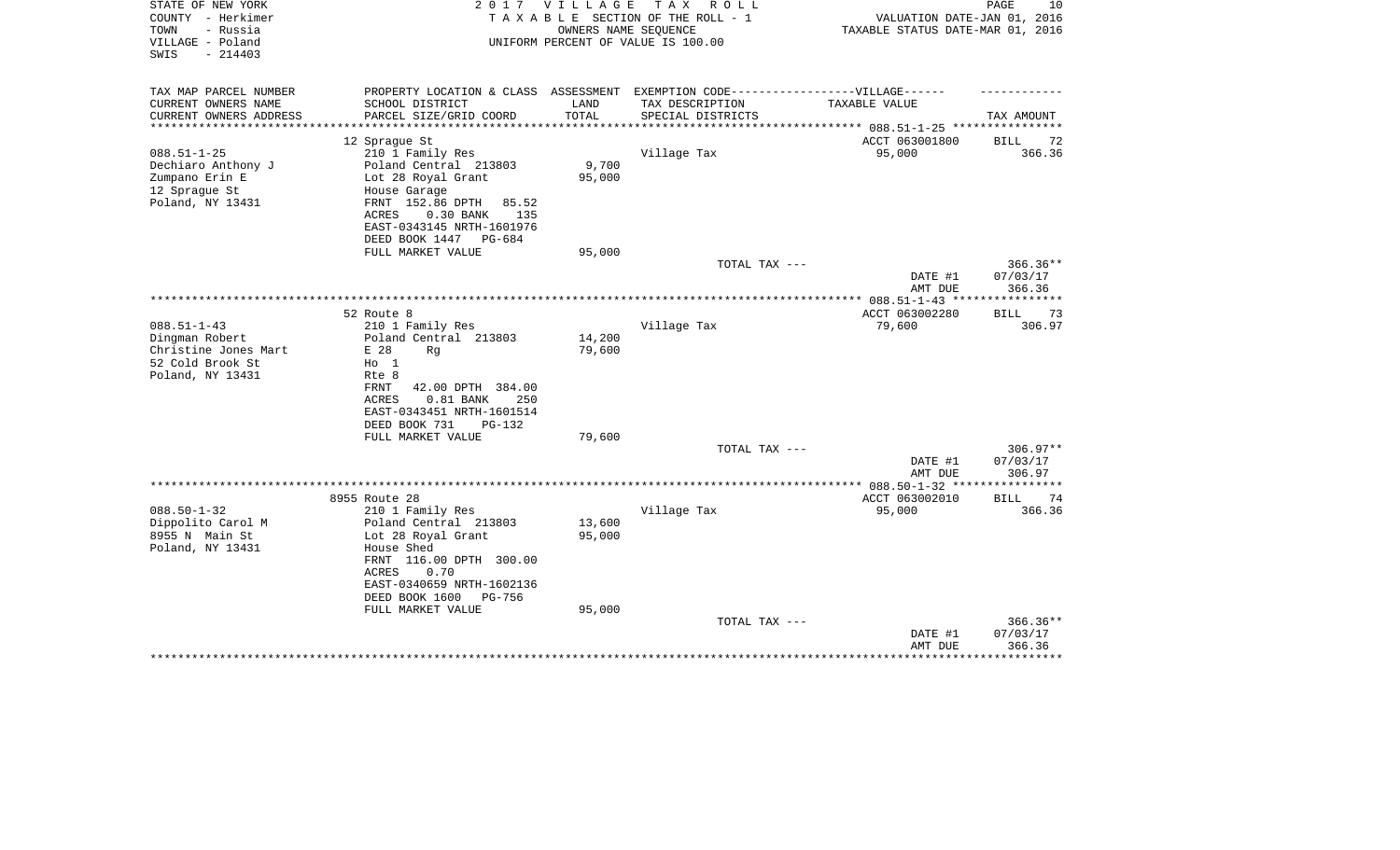| STATE OF NEW YORK<br>COUNTY - Herkimer<br>- Russia<br>TOWN<br>VILLAGE - Poland<br>$-214403$<br>SWIS | 2 0 1 7                                                                          | <b>VILLAGE</b><br>OWNERS NAME SEQUENCE | T A X<br>R O L L<br>TAXABLE SECTION OF THE ROLL - 1<br>UNIFORM PERCENT OF VALUE IS 100.00 | VALUATION DATE-JAN 01, 2016<br>TAXABLE STATUS DATE-MAR 01, 2016 | PAGE<br>10 |
|-----------------------------------------------------------------------------------------------------|----------------------------------------------------------------------------------|----------------------------------------|-------------------------------------------------------------------------------------------|-----------------------------------------------------------------|------------|
|                                                                                                     |                                                                                  |                                        |                                                                                           |                                                                 |            |
| TAX MAP PARCEL NUMBER                                                                               | PROPERTY LOCATION & CLASS ASSESSMENT EXEMPTION CODE----------------VILLAGE------ |                                        |                                                                                           |                                                                 |            |
| CURRENT OWNERS NAME                                                                                 | SCHOOL DISTRICT                                                                  | LAND                                   | TAX DESCRIPTION                                                                           | TAXABLE VALUE                                                   |            |
| CURRENT OWNERS ADDRESS                                                                              | PARCEL SIZE/GRID COORD                                                           | TOTAL                                  | SPECIAL DISTRICTS                                                                         | ********** 088.51-1-25 ****                                     | TAX AMOUNT |
|                                                                                                     | 12 Sprague St                                                                    |                                        |                                                                                           | ACCT 063001800                                                  | 72<br>BILL |
| $088.51 - 1 - 25$                                                                                   | 210 1 Family Res                                                                 |                                        | Village Tax                                                                               | 95,000                                                          | 366.36     |
| Dechiaro Anthony J                                                                                  | Poland Central 213803                                                            | 9,700                                  |                                                                                           |                                                                 |            |
| Zumpano Erin E                                                                                      | Lot 28 Royal Grant                                                               | 95,000                                 |                                                                                           |                                                                 |            |
| 12 Sprague St                                                                                       | House Garage                                                                     |                                        |                                                                                           |                                                                 |            |
| Poland, NY 13431                                                                                    | FRNT 152.86 DPTH<br>85.52                                                        |                                        |                                                                                           |                                                                 |            |
|                                                                                                     | ACRES<br>$0.30$ BANK<br>135                                                      |                                        |                                                                                           |                                                                 |            |
|                                                                                                     | EAST-0343145 NRTH-1601976                                                        |                                        |                                                                                           |                                                                 |            |
|                                                                                                     | DEED BOOK 1447<br>PG-684<br>FULL MARKET VALUE                                    | 95,000                                 |                                                                                           |                                                                 |            |
|                                                                                                     |                                                                                  |                                        | TOTAL TAX ---                                                                             |                                                                 | $366.36**$ |
|                                                                                                     |                                                                                  |                                        |                                                                                           | DATE #1                                                         | 07/03/17   |
|                                                                                                     |                                                                                  |                                        |                                                                                           | AMT DUE                                                         | 366.36     |
|                                                                                                     |                                                                                  |                                        |                                                                                           | *************** 088.51-1-43 ***                                 | ********** |
|                                                                                                     | 52 Route 8                                                                       |                                        |                                                                                           | ACCT 063002280                                                  | 73<br>BILL |
| $088.51 - 1 - 43$                                                                                   | 210 1 Family Res                                                                 |                                        | Village Tax                                                                               | 79,600                                                          | 306.97     |
| Dingman Robert                                                                                      | Poland Central 213803                                                            | 14,200                                 |                                                                                           |                                                                 |            |
| Christine Jones Mart<br>52 Cold Brook St                                                            | E 28<br>Rq<br>$H_0$ 1                                                            | 79,600                                 |                                                                                           |                                                                 |            |
| Poland, NY 13431                                                                                    | Rte 8                                                                            |                                        |                                                                                           |                                                                 |            |
|                                                                                                     | FRNT<br>42.00 DPTH 384.00                                                        |                                        |                                                                                           |                                                                 |            |
|                                                                                                     | <b>ACRES</b><br>$0.81$ BANK<br>250                                               |                                        |                                                                                           |                                                                 |            |
|                                                                                                     | EAST-0343451 NRTH-1601514                                                        |                                        |                                                                                           |                                                                 |            |
|                                                                                                     | DEED BOOK 731<br>$PG-132$                                                        |                                        |                                                                                           |                                                                 |            |
|                                                                                                     | FULL MARKET VALUE                                                                | 79,600                                 |                                                                                           |                                                                 |            |
|                                                                                                     |                                                                                  |                                        | TOTAL TAX ---                                                                             |                                                                 | 306.97**   |
|                                                                                                     |                                                                                  |                                        |                                                                                           | DATE #1                                                         | 07/03/17   |
|                                                                                                     |                                                                                  |                                        |                                                                                           | AMT DUE                                                         | 306.97     |
|                                                                                                     | 8955 Route 28                                                                    |                                        |                                                                                           | ACCT 063002010                                                  | BILL<br>74 |
| $088.50 - 1 - 32$                                                                                   | 210 1 Family Res                                                                 |                                        | Village Tax                                                                               | 95,000                                                          | 366.36     |
| Dippolito Carol M                                                                                   | Poland Central 213803                                                            | 13,600                                 |                                                                                           |                                                                 |            |
| 8955 N Main St                                                                                      | Lot 28 Royal Grant                                                               | 95,000                                 |                                                                                           |                                                                 |            |
| Poland, NY 13431                                                                                    | House Shed                                                                       |                                        |                                                                                           |                                                                 |            |
|                                                                                                     | FRNT 116.00 DPTH 300.00                                                          |                                        |                                                                                           |                                                                 |            |
|                                                                                                     | <b>ACRES</b><br>0.70                                                             |                                        |                                                                                           |                                                                 |            |
|                                                                                                     | EAST-0340659 NRTH-1602136                                                        |                                        |                                                                                           |                                                                 |            |
|                                                                                                     | DEED BOOK 1600<br>PG-756                                                         |                                        |                                                                                           |                                                                 |            |
|                                                                                                     | FULL MARKET VALUE                                                                | 95,000                                 | TOTAL TAX ---                                                                             |                                                                 | $366.36**$ |
|                                                                                                     |                                                                                  |                                        |                                                                                           | DATE #1                                                         | 07/03/17   |
|                                                                                                     |                                                                                  |                                        |                                                                                           | AMT DUE                                                         | 366.36     |
|                                                                                                     |                                                                                  |                                        |                                                                                           |                                                                 |            |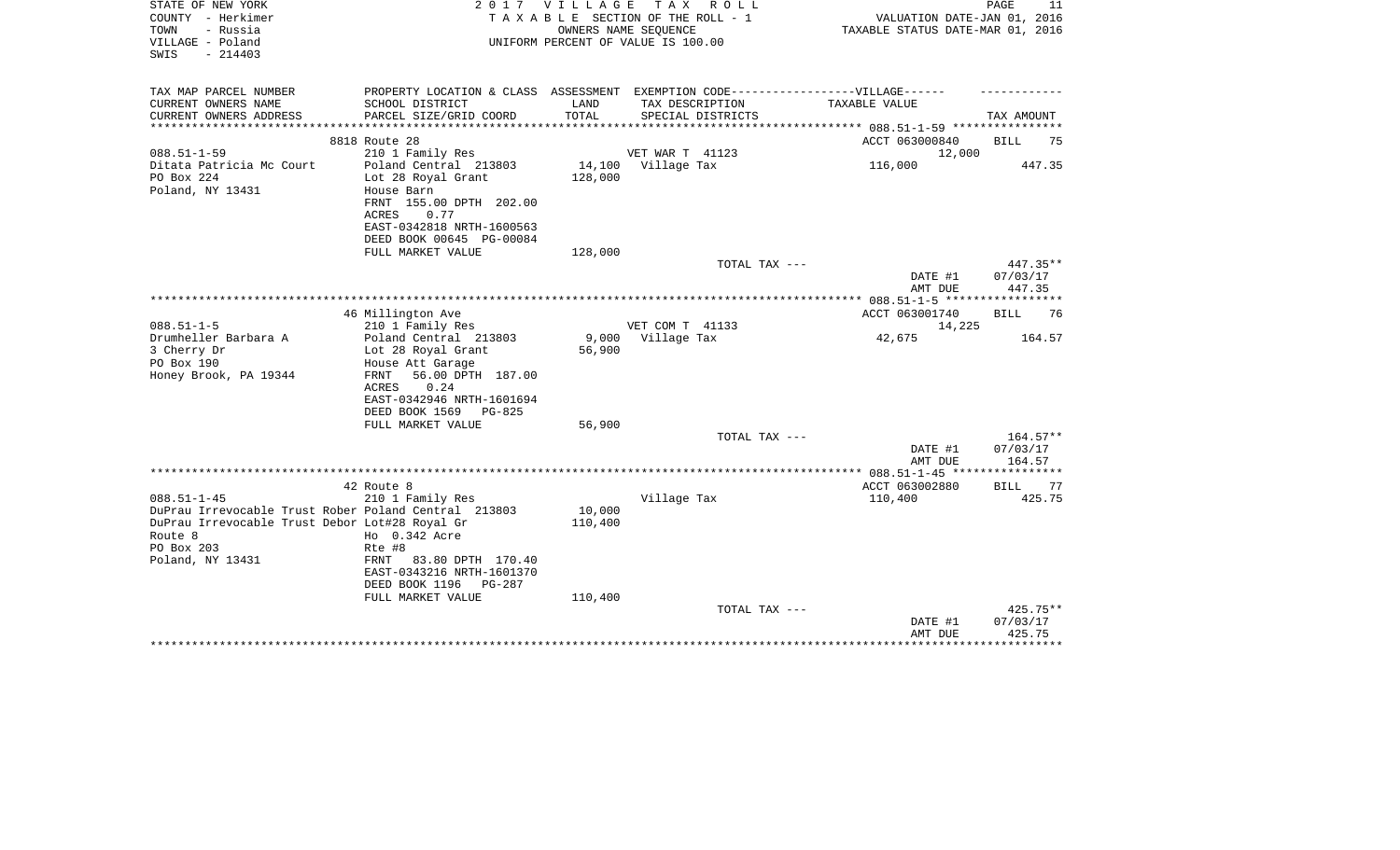| STATE OF NEW YORK<br>COUNTY - Herkimer<br>TOWN<br>- Russia<br>VILLAGE - Poland              | 2017                                                                                                                                                                          | VILLAGE                    | TAX ROLL<br>TAXABLE SECTION OF THE ROLL - 1<br>OWNERS NAME SEOUENCE<br>UNIFORM PERCENT OF VALUE IS 100.00 | VALUATION DATE-JAN 01, 2016<br>TAXABLE STATUS DATE-MAR 01, 2016 | PAGE<br>11                                 |
|---------------------------------------------------------------------------------------------|-------------------------------------------------------------------------------------------------------------------------------------------------------------------------------|----------------------------|-----------------------------------------------------------------------------------------------------------|-----------------------------------------------------------------|--------------------------------------------|
| $-214403$<br>SWIS                                                                           |                                                                                                                                                                               |                            |                                                                                                           |                                                                 |                                            |
| TAX MAP PARCEL NUMBER<br>CURRENT OWNERS NAME                                                | PROPERTY LOCATION & CLASS ASSESSMENT EXEMPTION CODE----------------VILLAGE------<br>SCHOOL DISTRICT                                                                           | LAND                       | TAX DESCRIPTION                                                                                           | TAXABLE VALUE                                                   |                                            |
| CURRENT OWNERS ADDRESS                                                                      | PARCEL SIZE/GRID COORD                                                                                                                                                        | TOTAL<br>***************** | SPECIAL DISTRICTS                                                                                         |                                                                 | TAX AMOUNT                                 |
|                                                                                             | 8818 Route 28                                                                                                                                                                 |                            |                                                                                                           | ************* 088.51-1-59 ************<br>ACCT 063000840        | BILL<br>75                                 |
| $088.51 - 1 - 59$                                                                           | 210 1 Family Res                                                                                                                                                              |                            | <b>VET WAR T 41123</b>                                                                                    | 12,000                                                          |                                            |
| Ditata Patricia Mc Court<br>PO Box 224<br>Poland, NY 13431                                  | Poland Central 213803<br>Lot 28 Royal Grant<br>House Barn<br>FRNT 155.00 DPTH 202.00<br>ACRES<br>0.77<br>EAST-0342818 NRTH-1600563<br>DEED BOOK 00645 PG-00084                | 14,100<br>128,000          | Village Tax                                                                                               | 116,000                                                         | 447.35                                     |
|                                                                                             | FULL MARKET VALUE                                                                                                                                                             | 128,000                    |                                                                                                           |                                                                 |                                            |
|                                                                                             |                                                                                                                                                                               |                            | TOTAL TAX ---                                                                                             | DATE #1<br>AMT DUE                                              | 447.35**<br>07/03/17<br>447.35             |
|                                                                                             |                                                                                                                                                                               |                            |                                                                                                           |                                                                 |                                            |
|                                                                                             | 46 Millington Ave                                                                                                                                                             |                            |                                                                                                           | ACCT 063001740                                                  | 76<br>BILL                                 |
| $088.51 - 1 - 5$                                                                            | 210 1 Family Res                                                                                                                                                              |                            | VET COM T 41133                                                                                           | 14,225                                                          |                                            |
| Drumheller Barbara A<br>3 Cherry Dr<br>PO Box 190<br>Honey Brook, PA 19344                  | Poland Central 213803<br>Lot 28 Royal Grant<br>House Att Garage<br>56.00 DPTH 187.00<br>FRNT<br>0.24<br><b>ACRES</b><br>EAST-0342946 NRTH-1601694<br>DEED BOOK 1569<br>PG-825 | 9,000<br>56,900            | Village Tax                                                                                               | 42,675                                                          | 164.57                                     |
|                                                                                             | FULL MARKET VALUE                                                                                                                                                             | 56,900                     | TOTAL TAX ---                                                                                             |                                                                 | 164.57**                                   |
|                                                                                             |                                                                                                                                                                               |                            |                                                                                                           | DATE #1<br>AMT DUE                                              | 07/03/17<br>164.57                         |
|                                                                                             |                                                                                                                                                                               |                            |                                                                                                           |                                                                 |                                            |
| $088.51 - 1 - 45$<br>DuPrau Irrevocable Trust Rober Poland Central 213803                   | 42 Route 8<br>210 1 Family Res                                                                                                                                                | 10,000                     | Village Tax                                                                                               | ACCT 063002880<br>110,400                                       | BILL<br>77<br>425.75                       |
| DuPrau Irrevocable Trust Debor Lot#28 Royal Gr<br>Route 8<br>PO Box 203<br>Poland, NY 13431 | Ho 0.342 Acre<br>Rte #8<br>83.80 DPTH 170.40<br>FRNT<br>EAST-0343216 NRTH-1601370<br>DEED BOOK 1196<br>PG-287                                                                 | 110,400                    |                                                                                                           |                                                                 |                                            |
|                                                                                             | FULL MARKET VALUE                                                                                                                                                             | 110,400                    | TOTAL TAX ---                                                                                             | DATE #1<br>AMT DUE                                              | 425.75**<br>07/03/17<br>425.75<br>******** |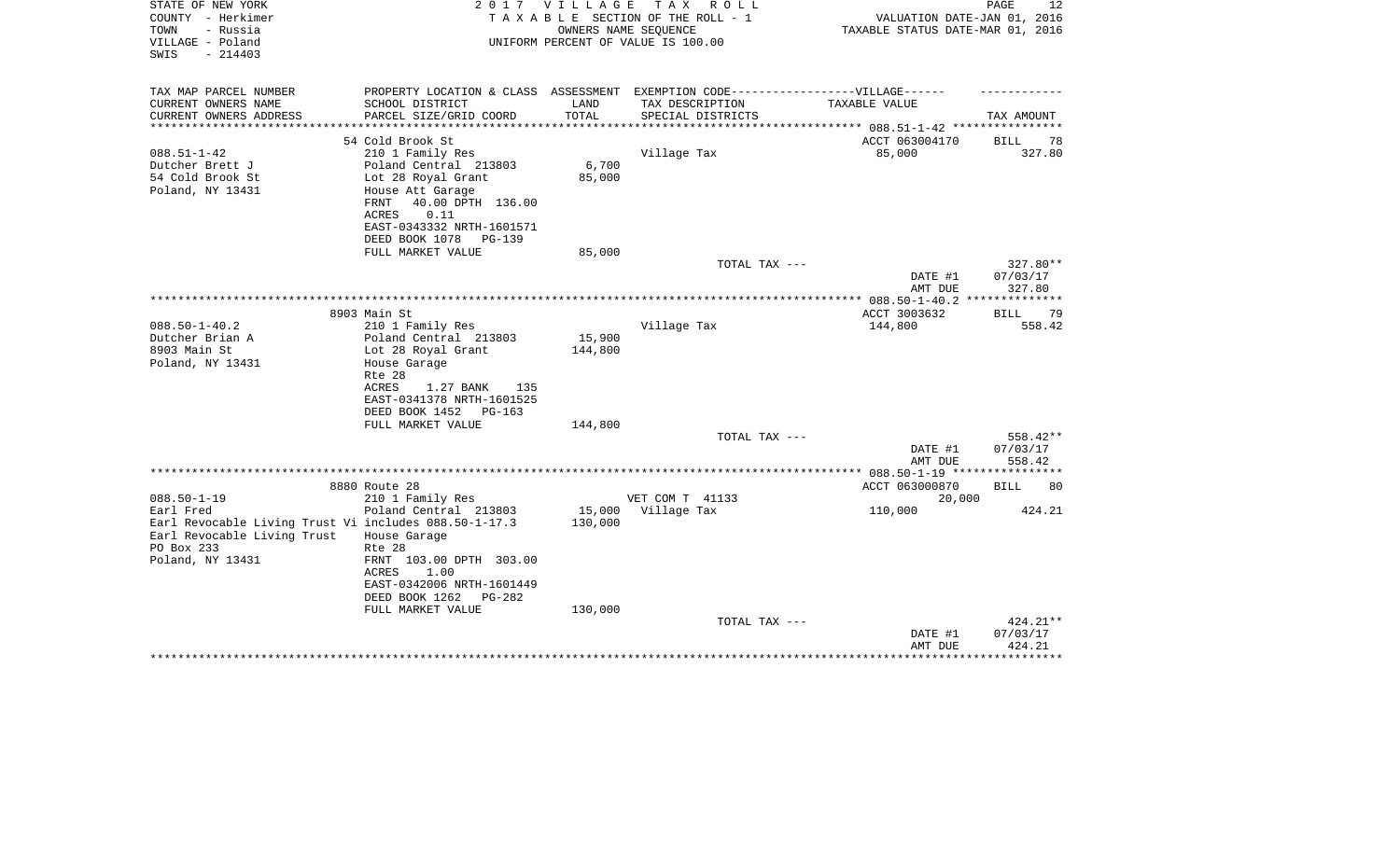| STATE OF NEW YORK<br>COUNTY - Herkimer<br>- Russia<br>TOWN<br>VILLAGE - Poland<br>SWIS<br>$-214403$ | 2017                                                                                                                                                 | V I L L A G E<br>OWNERS NAME SEQUENCE | TAX ROLL<br>TAXABLE SECTION OF THE ROLL - 1<br>UNIFORM PERCENT OF VALUE IS 100.00 | VALUATION DATE-JAN 01, 2016<br>TAXABLE STATUS DATE-MAR 01, 2016 | PAGE<br>12                       |
|-----------------------------------------------------------------------------------------------------|------------------------------------------------------------------------------------------------------------------------------------------------------|---------------------------------------|-----------------------------------------------------------------------------------|-----------------------------------------------------------------|----------------------------------|
| TAX MAP PARCEL NUMBER                                                                               | PROPERTY LOCATION & CLASS ASSESSMENT EXEMPTION CODE-----------------VILLAGE------                                                                    |                                       |                                                                                   |                                                                 |                                  |
| CURRENT OWNERS NAME<br>CURRENT OWNERS ADDRESS<br>*******************                                | SCHOOL DISTRICT<br>PARCEL SIZE/GRID COORD                                                                                                            | LAND<br>TOTAL<br>***********          | TAX DESCRIPTION<br>SPECIAL DISTRICTS                                              | TAXABLE VALUE                                                   | TAX AMOUNT                       |
|                                                                                                     | 54 Cold Brook St                                                                                                                                     |                                       |                                                                                   | ACCT 063004170                                                  | <b>BILL</b><br>78                |
| $088.51 - 1 - 42$<br>Dutcher Brett J                                                                | 210 1 Family Res<br>Poland Central 213803                                                                                                            | 6,700                                 | Village Tax                                                                       | 85,000                                                          | 327.80                           |
| 54 Cold Brook St<br>Poland, NY 13431                                                                | Lot 28 Royal Grant<br>House Att Garage<br>40.00 DPTH 136.00<br>FRNT<br>ACRES<br>0.11<br>EAST-0343332 NRTH-1601571<br>DEED BOOK 1078<br>PG-139        | 85,000                                |                                                                                   |                                                                 |                                  |
|                                                                                                     | FULL MARKET VALUE                                                                                                                                    | 85,000                                |                                                                                   |                                                                 |                                  |
|                                                                                                     |                                                                                                                                                      |                                       | TOTAL TAX ---                                                                     | DATE #1<br>AMT DUE                                              | 327.80**<br>07/03/17<br>327.80   |
|                                                                                                     |                                                                                                                                                      |                                       |                                                                                   | *************** 088.50-1-40.2 **************                    |                                  |
|                                                                                                     | 8903 Main St                                                                                                                                         |                                       |                                                                                   | ACCT 3003632                                                    | 79<br>BILL                       |
| $088.50 - 1 - 40.2$<br>Dutcher Brian A                                                              | 210 1 Family Res<br>Poland Central 213803                                                                                                            | 15,900                                | Village Tax                                                                       | 144,800                                                         | 558.42                           |
| 8903 Main St<br>Poland, NY 13431                                                                    | Lot 28 Royal Grant<br>House Garage<br>Rte 28<br>ACRES<br>1.27 BANK<br>135<br>EAST-0341378 NRTH-1601525<br>DEED BOOK 1452 PG-163<br>FULL MARKET VALUE | 144,800<br>144,800                    |                                                                                   |                                                                 |                                  |
|                                                                                                     |                                                                                                                                                      |                                       | TOTAL TAX ---                                                                     |                                                                 | 558.42**                         |
|                                                                                                     |                                                                                                                                                      |                                       |                                                                                   | DATE #1<br>AMT DUE                                              | 07/03/17<br>558.42               |
|                                                                                                     |                                                                                                                                                      |                                       |                                                                                   | ***** 088.50-1-19 *****                                         |                                  |
| $088.50 - 1 - 19$                                                                                   | 8880 Route 28<br>210 1 Family Res                                                                                                                    |                                       | VET COM T 41133                                                                   | ACCT 063000870<br>20,000                                        | <b>BILL</b><br>80                |
| Earl Fred                                                                                           | Poland Central 213803                                                                                                                                | 15,000                                | Village Tax                                                                       | 110,000                                                         | 424.21                           |
| Earl Revocable Living Trust Vi includes 088.50-1-17.3                                               |                                                                                                                                                      | 130,000                               |                                                                                   |                                                                 |                                  |
| Earl Revocable Living Trust                                                                         | House Garage                                                                                                                                         |                                       |                                                                                   |                                                                 |                                  |
| PO Box 233                                                                                          | Rte 28                                                                                                                                               |                                       |                                                                                   |                                                                 |                                  |
| Poland, NY 13431                                                                                    | FRNT 103.00 DPTH 303.00<br>1.00<br>ACRES<br>EAST-0342006 NRTH-1601449                                                                                |                                       |                                                                                   |                                                                 |                                  |
|                                                                                                     | DEED BOOK 1262<br>PG-282<br>FULL MARKET VALUE                                                                                                        | 130,000                               |                                                                                   |                                                                 |                                  |
|                                                                                                     |                                                                                                                                                      |                                       | TOTAL TAX ---                                                                     | DATE #1<br>AMT DUE                                              | $424.21**$<br>07/03/17<br>424.21 |
|                                                                                                     |                                                                                                                                                      |                                       |                                                                                   |                                                                 |                                  |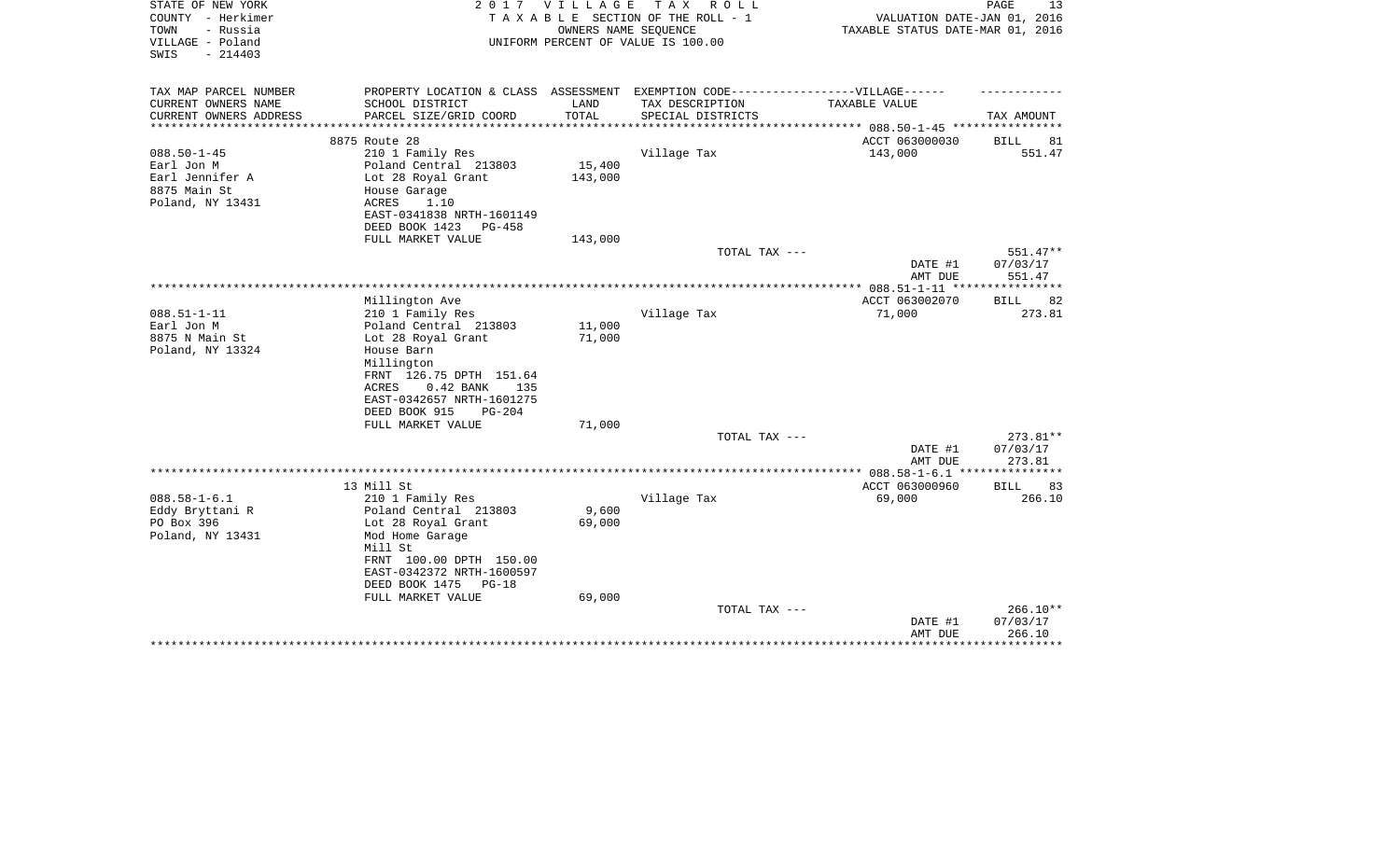| STATE OF NEW YORK                                | 2017                                                                             | V I L L A G E | T A X<br>R O L L                   |                                  | PAGE<br>13        |
|--------------------------------------------------|----------------------------------------------------------------------------------|---------------|------------------------------------|----------------------------------|-------------------|
| COUNTY - Herkimer                                |                                                                                  |               | TAXABLE SECTION OF THE ROLL - 1    | VALUATION DATE-JAN 01, 2016      |                   |
| - Russia<br>TOWN                                 |                                                                                  |               | OWNERS NAME SEQUENCE               | TAXABLE STATUS DATE-MAR 01, 2016 |                   |
| VILLAGE - Poland<br>SWIS                         |                                                                                  |               | UNIFORM PERCENT OF VALUE IS 100.00 |                                  |                   |
| $-214403$                                        |                                                                                  |               |                                    |                                  |                   |
|                                                  |                                                                                  |               |                                    |                                  |                   |
| TAX MAP PARCEL NUMBER                            | PROPERTY LOCATION & CLASS ASSESSMENT EXEMPTION CODE----------------VILLAGE------ |               |                                    |                                  |                   |
| CURRENT OWNERS NAME                              | SCHOOL DISTRICT                                                                  | LAND          | TAX DESCRIPTION                    | TAXABLE VALUE                    |                   |
| CURRENT OWNERS ADDRESS<br>********************** | PARCEL SIZE/GRID COORD                                                           | TOTAL         | SPECIAL DISTRICTS                  |                                  | TAX AMOUNT        |
|                                                  | 8875 Route 28                                                                    |               |                                    | ACCT 063000030                   | BILL<br>81        |
| $088.50 - 1 - 45$                                | 210 1 Family Res                                                                 |               | Village Tax                        | 143,000                          | 551.47            |
| Earl Jon M                                       | Poland Central 213803                                                            | 15,400        |                                    |                                  |                   |
| Earl Jennifer A                                  | Lot 28 Royal Grant                                                               | 143,000       |                                    |                                  |                   |
| 8875 Main St                                     | House Garage                                                                     |               |                                    |                                  |                   |
| Poland, NY 13431                                 | 1.10<br>ACRES                                                                    |               |                                    |                                  |                   |
|                                                  | EAST-0341838 NRTH-1601149                                                        |               |                                    |                                  |                   |
|                                                  | DEED BOOK 1423<br><b>PG-458</b>                                                  |               |                                    |                                  |                   |
|                                                  | FULL MARKET VALUE                                                                | 143,000       |                                    |                                  |                   |
|                                                  |                                                                                  |               | TOTAL TAX ---                      |                                  | $551.47**$        |
|                                                  |                                                                                  |               |                                    | DATE #1                          | 07/03/17          |
|                                                  |                                                                                  |               |                                    | AMT DUE                          | 551.47            |
|                                                  | Millington Ave                                                                   |               |                                    | ACCT 063002070                   | <b>BILL</b><br>82 |
| $088.51 - 1 - 11$                                | 210 1 Family Res                                                                 |               | Village Tax                        | 71,000                           | 273.81            |
| Earl Jon M                                       | Poland Central 213803                                                            | 11,000        |                                    |                                  |                   |
| 8875 N Main St                                   | Lot 28 Royal Grant                                                               | 71,000        |                                    |                                  |                   |
| Poland, NY 13324                                 | House Barn                                                                       |               |                                    |                                  |                   |
|                                                  | Millington                                                                       |               |                                    |                                  |                   |
|                                                  | FRNT 126.75 DPTH 151.64                                                          |               |                                    |                                  |                   |
|                                                  | $0.42$ BANK<br>ACRES<br>135                                                      |               |                                    |                                  |                   |
|                                                  | EAST-0342657 NRTH-1601275                                                        |               |                                    |                                  |                   |
|                                                  | DEED BOOK 915<br>$PG-204$                                                        |               |                                    |                                  |                   |
|                                                  | FULL MARKET VALUE                                                                | 71,000        |                                    |                                  |                   |
|                                                  |                                                                                  |               | TOTAL TAX ---                      |                                  | 273.81**          |
|                                                  |                                                                                  |               |                                    | DATE #1                          | 07/03/17          |
|                                                  |                                                                                  |               |                                    | AMT DUE                          | 273.81            |
|                                                  | 13 Mill St                                                                       |               |                                    | ACCT 063000960                   | 83<br>BILL        |
| $088.58 - 1 - 6.1$                               | 210 1 Family Res                                                                 |               | Village Tax                        | 69,000                           | 266.10            |
| Eddy Bryttani R                                  | Poland Central 213803                                                            | 9,600         |                                    |                                  |                   |
| PO Box 396                                       | Lot 28 Royal Grant                                                               | 69,000        |                                    |                                  |                   |
| Poland, NY 13431                                 | Mod Home Garage                                                                  |               |                                    |                                  |                   |
|                                                  | Mill St                                                                          |               |                                    |                                  |                   |
|                                                  | FRNT 100.00 DPTH 150.00                                                          |               |                                    |                                  |                   |
|                                                  | EAST-0342372 NRTH-1600597                                                        |               |                                    |                                  |                   |
|                                                  | DEED BOOK 1475<br>$PG-18$                                                        |               |                                    |                                  |                   |
|                                                  | FULL MARKET VALUE                                                                | 69,000        |                                    |                                  |                   |
|                                                  |                                                                                  |               | TOTAL TAX ---                      |                                  | $266.10**$        |
|                                                  |                                                                                  |               |                                    | DATE #1                          | 07/03/17          |
|                                                  |                                                                                  |               |                                    | AMT DUE                          | 266.10            |
|                                                  |                                                                                  |               |                                    |                                  | ************      |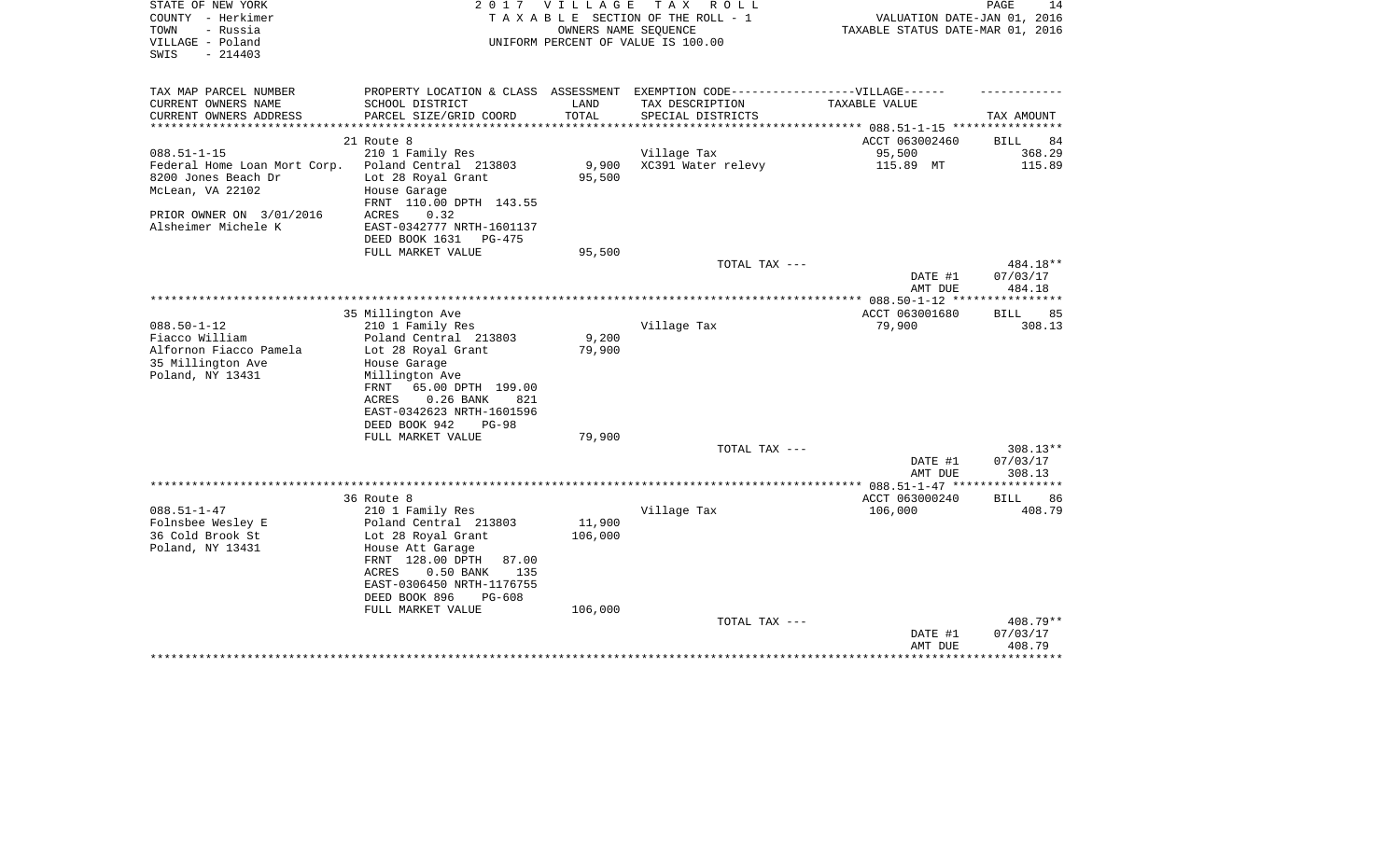| STATE OF NEW YORK<br>COUNTY - Herkimer<br>- Russia<br>TOWN<br>VILLAGE - Poland<br>$-214403$<br>SWIS | 2017                                                                              | <b>VILLAGE</b><br>OWNERS NAME SEOUENCE | T A X<br>R O L L<br>TAXABLE SECTION OF THE ROLL - 1<br>UNIFORM PERCENT OF VALUE IS 100.00 | VALUATION DATE-JAN 01, 2016<br>TAXABLE STATUS DATE-MAR 01, 2016 | PAGE<br>14         |
|-----------------------------------------------------------------------------------------------------|-----------------------------------------------------------------------------------|----------------------------------------|-------------------------------------------------------------------------------------------|-----------------------------------------------------------------|--------------------|
|                                                                                                     |                                                                                   |                                        |                                                                                           |                                                                 |                    |
| TAX MAP PARCEL NUMBER                                                                               | PROPERTY LOCATION & CLASS ASSESSMENT EXEMPTION CODE-----------------VILLAGE------ |                                        |                                                                                           |                                                                 |                    |
| CURRENT OWNERS NAME                                                                                 | SCHOOL DISTRICT                                                                   | LAND                                   | TAX DESCRIPTION                                                                           | TAXABLE VALUE                                                   |                    |
| CURRENT OWNERS ADDRESS<br>**********************                                                    | PARCEL SIZE/GRID COORD                                                            | TOTAL                                  | SPECIAL DISTRICTS                                                                         |                                                                 | TAX AMOUNT         |
|                                                                                                     | 21 Route 8                                                                        |                                        |                                                                                           | ACCT 063002460                                                  | <b>BILL</b><br>84  |
| $088.51 - 1 - 15$                                                                                   | 210 1 Family Res                                                                  |                                        | Village Tax                                                                               | 95,500                                                          | 368.29             |
| Federal Home Loan Mort Corp.                                                                        | Poland Central 213803                                                             | 9,900                                  | XC391 Water relevy                                                                        | 115.89 MT                                                       | 115.89             |
| 8200 Jones Beach Dr                                                                                 | Lot 28 Royal Grant                                                                | 95,500                                 |                                                                                           |                                                                 |                    |
| McLean, VA 22102                                                                                    | House Garage<br>FRNT 110.00 DPTH 143.55                                           |                                        |                                                                                           |                                                                 |                    |
| PRIOR OWNER ON 3/01/2016                                                                            | ACRES<br>0.32                                                                     |                                        |                                                                                           |                                                                 |                    |
| Alsheimer Michele K                                                                                 | EAST-0342777 NRTH-1601137<br>DEED BOOK 1631<br>PG-475                             |                                        |                                                                                           |                                                                 |                    |
|                                                                                                     | FULL MARKET VALUE                                                                 | 95,500                                 |                                                                                           |                                                                 |                    |
|                                                                                                     |                                                                                   |                                        | TOTAL TAX ---                                                                             |                                                                 | 484.18**           |
|                                                                                                     |                                                                                   |                                        |                                                                                           | DATE #1<br>AMT DUE                                              | 07/03/17<br>484.18 |
|                                                                                                     |                                                                                   |                                        |                                                                                           |                                                                 |                    |
|                                                                                                     | 35 Millington Ave                                                                 |                                        |                                                                                           | ACCT 063001680                                                  | 85<br>BILL         |
| $088.50 - 1 - 12$                                                                                   | 210 1 Family Res                                                                  |                                        | Village Tax                                                                               | 79,900                                                          | 308.13             |
| Fiacco William<br>Alfornon Fiacco Pamela                                                            | Poland Central 213803<br>Lot 28 Royal Grant                                       | 9,200<br>79,900                        |                                                                                           |                                                                 |                    |
| 35 Millington Ave                                                                                   | House Garage                                                                      |                                        |                                                                                           |                                                                 |                    |
| Poland, NY 13431                                                                                    | Millington Ave                                                                    |                                        |                                                                                           |                                                                 |                    |
|                                                                                                     | 65.00 DPTH 199.00<br>FRNT                                                         |                                        |                                                                                           |                                                                 |                    |
|                                                                                                     | $0.26$ BANK<br>ACRES<br>821                                                       |                                        |                                                                                           |                                                                 |                    |
|                                                                                                     | EAST-0342623 NRTH-1601596                                                         |                                        |                                                                                           |                                                                 |                    |
|                                                                                                     | DEED BOOK 942<br>$PG-98$<br>FULL MARKET VALUE                                     | 79,900                                 |                                                                                           |                                                                 |                    |
|                                                                                                     |                                                                                   |                                        | TOTAL TAX ---                                                                             |                                                                 | 308.13**           |
|                                                                                                     |                                                                                   |                                        |                                                                                           | DATE #1                                                         | 07/03/17           |
|                                                                                                     |                                                                                   |                                        |                                                                                           | AMT DUE                                                         | 308.13             |
|                                                                                                     |                                                                                   |                                        |                                                                                           |                                                                 |                    |
|                                                                                                     | 36 Route 8                                                                        |                                        |                                                                                           | ACCT 063000240                                                  | <b>BILL</b><br>86  |
| $088.51 - 1 - 47$                                                                                   | 210 1 Family Res                                                                  |                                        | Village Tax                                                                               | 106,000                                                         | 408.79             |
| Folnsbee Wesley E                                                                                   | Poland Central 213803                                                             | 11,900                                 |                                                                                           |                                                                 |                    |
| 36 Cold Brook St                                                                                    | Lot 28 Royal Grant                                                                | 106,000                                |                                                                                           |                                                                 |                    |
| Poland, NY 13431                                                                                    | House Att Garage<br>FRNT 128.00 DPTH<br>87.00                                     |                                        |                                                                                           |                                                                 |                    |
|                                                                                                     | 0.50 BANK<br>ACRES<br>135                                                         |                                        |                                                                                           |                                                                 |                    |
|                                                                                                     | EAST-0306450 NRTH-1176755                                                         |                                        |                                                                                           |                                                                 |                    |
|                                                                                                     | DEED BOOK 896<br>PG-608                                                           |                                        |                                                                                           |                                                                 |                    |
|                                                                                                     | FULL MARKET VALUE                                                                 | 106,000                                |                                                                                           |                                                                 |                    |
|                                                                                                     |                                                                                   |                                        | TOTAL TAX ---                                                                             |                                                                 | 408.79**           |
|                                                                                                     |                                                                                   |                                        |                                                                                           | DATE #1                                                         | 07/03/17           |
|                                                                                                     |                                                                                   |                                        |                                                                                           | AMT DUE                                                         | 408.79             |
|                                                                                                     |                                                                                   |                                        |                                                                                           |                                                                 |                    |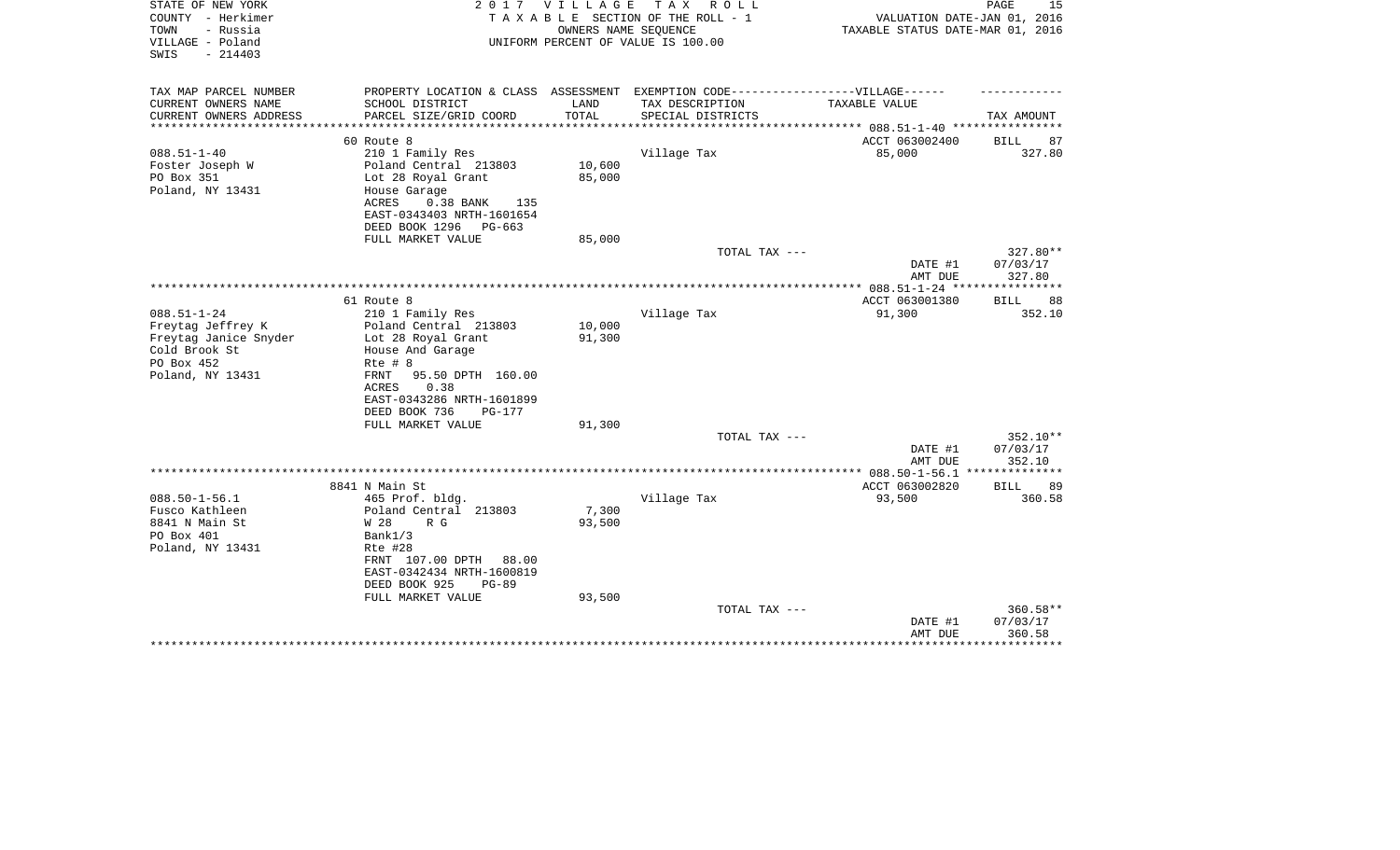| STATE OF NEW YORK<br>COUNTY - Herkimer<br>- Russia<br>TOWN<br>VILLAGE - Poland<br>SWIS<br>$-214403$ | 2017                                              | V I L L A G E         | T A X<br>R O L L<br>TAXABLE SECTION OF THE ROLL - 1<br>OWNERS NAME SEQUENCE<br>UNIFORM PERCENT OF VALUE IS 100.00 | VALUATION DATE-JAN 01, 2016<br>TAXABLE STATUS DATE-MAR 01, 2016 | 15<br>PAGE           |
|-----------------------------------------------------------------------------------------------------|---------------------------------------------------|-----------------------|-------------------------------------------------------------------------------------------------------------------|-----------------------------------------------------------------|----------------------|
| TAX MAP PARCEL NUMBER                                                                               | PROPERTY LOCATION & CLASS ASSESSMENT              |                       | EXEMPTION CODE------------------VILLAGE------                                                                     |                                                                 |                      |
| CURRENT OWNERS NAME                                                                                 | SCHOOL DISTRICT                                   | LAND                  | TAX DESCRIPTION                                                                                                   | TAXABLE VALUE                                                   |                      |
| CURRENT OWNERS ADDRESS                                                                              | PARCEL SIZE/GRID COORD                            | TOTAL                 | SPECIAL DISTRICTS                                                                                                 |                                                                 | TAX AMOUNT           |
| ***************                                                                                     |                                                   | * * * * * * * * * * * |                                                                                                                   |                                                                 |                      |
| $088.51 - 1 - 40$                                                                                   | 60 Route 8<br>210 1 Family Res                    |                       | Village Tax                                                                                                       | ACCT 063002400<br>85,000                                        | BILL<br>87<br>327.80 |
| Foster Joseph W                                                                                     | Poland Central 213803                             | 10,600                |                                                                                                                   |                                                                 |                      |
| PO Box 351                                                                                          | Lot 28 Royal Grant                                | 85,000                |                                                                                                                   |                                                                 |                      |
| Poland, NY 13431                                                                                    | House Garage                                      |                       |                                                                                                                   |                                                                 |                      |
|                                                                                                     | ACRES<br>$0.38$ BANK<br>135                       |                       |                                                                                                                   |                                                                 |                      |
|                                                                                                     | EAST-0343403 NRTH-1601654                         |                       |                                                                                                                   |                                                                 |                      |
|                                                                                                     | DEED BOOK 1296<br>PG-663                          |                       |                                                                                                                   |                                                                 |                      |
|                                                                                                     | FULL MARKET VALUE                                 | 85,000                |                                                                                                                   |                                                                 |                      |
|                                                                                                     |                                                   |                       | TOTAL TAX ---                                                                                                     | DATE #1                                                         | 327.80**<br>07/03/17 |
|                                                                                                     |                                                   |                       |                                                                                                                   | AMT DUE                                                         | 327.80               |
|                                                                                                     |                                                   |                       |                                                                                                                   |                                                                 |                      |
|                                                                                                     | 61 Route 8                                        |                       |                                                                                                                   | ACCT 063001380                                                  | BILL<br>88           |
| $088.51 - 1 - 24$                                                                                   | 210 1 Family Res                                  |                       | Village Tax                                                                                                       | 91,300                                                          | 352.10               |
| Freytag Jeffrey K                                                                                   | Poland Central 213803                             | 10,000                |                                                                                                                   |                                                                 |                      |
| Freytag Janice Snyder                                                                               | Lot 28 Royal Grant                                | 91,300                |                                                                                                                   |                                                                 |                      |
| Cold Brook St                                                                                       | House And Garage                                  |                       |                                                                                                                   |                                                                 |                      |
| PO Box 452                                                                                          | $Rte$ # $8$                                       |                       |                                                                                                                   |                                                                 |                      |
| Poland, NY 13431                                                                                    | 95.50 DPTH 160.00<br>FRNT<br>0.38<br><b>ACRES</b> |                       |                                                                                                                   |                                                                 |                      |
|                                                                                                     | EAST-0343286 NRTH-1601899                         |                       |                                                                                                                   |                                                                 |                      |
|                                                                                                     | DEED BOOK 736<br>PG-177                           |                       |                                                                                                                   |                                                                 |                      |
|                                                                                                     | FULL MARKET VALUE                                 | 91,300                |                                                                                                                   |                                                                 |                      |
|                                                                                                     |                                                   |                       | TOTAL TAX ---                                                                                                     |                                                                 | 352.10**             |
|                                                                                                     |                                                   |                       |                                                                                                                   | DATE #1                                                         | 07/03/17             |
|                                                                                                     |                                                   |                       |                                                                                                                   | AMT DUE                                                         | 352.10               |
|                                                                                                     | 8841 N Main St                                    |                       |                                                                                                                   | ************ 088.50-1-56.1 ***************<br>ACCT 063002820    | BILL<br>89           |
| $088.50 - 1 - 56.1$                                                                                 | 465 Prof. bldg.                                   |                       | Village Tax                                                                                                       | 93,500                                                          | 360.58               |
| Fusco Kathleen                                                                                      | Poland Central 213803                             | 7,300                 |                                                                                                                   |                                                                 |                      |
| 8841 N Main St                                                                                      | W 28<br>R G                                       | 93,500                |                                                                                                                   |                                                                 |                      |
| PO Box 401                                                                                          | Bank1/3                                           |                       |                                                                                                                   |                                                                 |                      |
| Poland, NY 13431                                                                                    | Rte #28                                           |                       |                                                                                                                   |                                                                 |                      |
|                                                                                                     | FRNT 107.00 DPTH<br>88.00                         |                       |                                                                                                                   |                                                                 |                      |
|                                                                                                     | EAST-0342434 NRTH-1600819                         |                       |                                                                                                                   |                                                                 |                      |
|                                                                                                     | DEED BOOK 925<br>$PG-89$                          |                       |                                                                                                                   |                                                                 |                      |
|                                                                                                     | FULL MARKET VALUE                                 | 93,500                | TOTAL TAX ---                                                                                                     |                                                                 | 360.58**             |
|                                                                                                     |                                                   |                       |                                                                                                                   | DATE #1                                                         | 07/03/17             |
|                                                                                                     |                                                   |                       |                                                                                                                   | AMT DUE                                                         | 360.58               |
|                                                                                                     |                                                   |                       |                                                                                                                   |                                                                 |                      |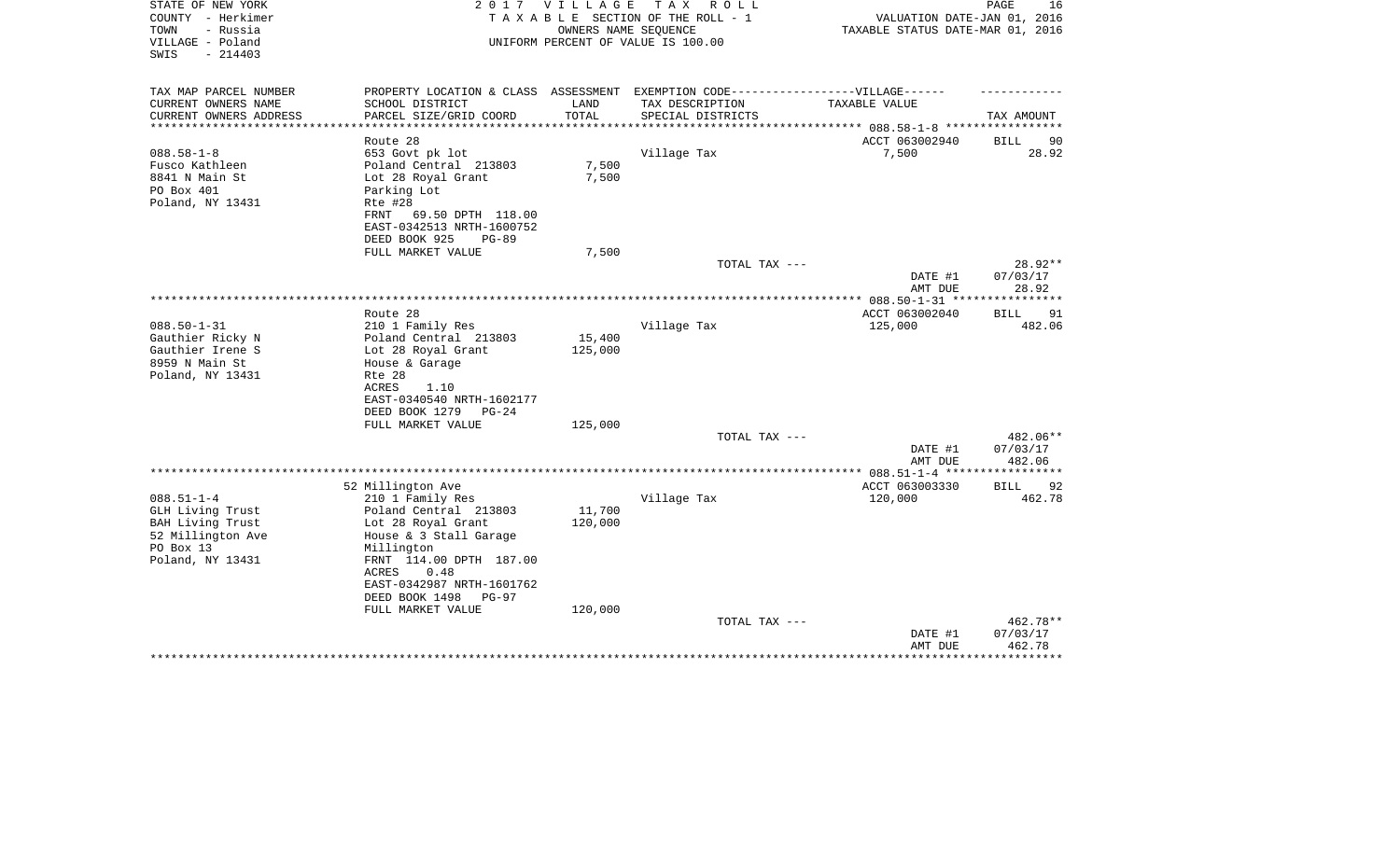| STATE OF NEW YORK<br>COUNTY - Herkimer<br>- Russia<br>TOWN<br>VILLAGE - Poland<br>$-214403$<br>SWIS | 2 0 1 7                                                                           | V I L L A G E | TAX ROLL<br>TAXABLE SECTION OF THE ROLL - 1<br>OWNERS NAME SEQUENCE<br>UNIFORM PERCENT OF VALUE IS 100.00 | VALUATION DATE-JAN 01, 2016<br>TAXABLE STATUS DATE-MAR 01, 2016 | PAGE<br>16         |
|-----------------------------------------------------------------------------------------------------|-----------------------------------------------------------------------------------|---------------|-----------------------------------------------------------------------------------------------------------|-----------------------------------------------------------------|--------------------|
| TAX MAP PARCEL NUMBER                                                                               | PROPERTY LOCATION & CLASS ASSESSMENT EXEMPTION CODE-----------------VILLAGE------ |               |                                                                                                           |                                                                 |                    |
| CURRENT OWNERS NAME                                                                                 | SCHOOL DISTRICT                                                                   | LAND          | TAX DESCRIPTION                                                                                           | TAXABLE VALUE                                                   |                    |
| CURRENT OWNERS ADDRESS                                                                              | PARCEL SIZE/GRID COORD                                                            | TOTAL         | SPECIAL DISTRICTS                                                                                         | ******************* 088.58-1-8 *****                            | TAX AMOUNT         |
|                                                                                                     | Route 28                                                                          |               |                                                                                                           | ACCT 063002940                                                  | <b>BILL</b><br>90  |
| $088.58 - 1 - 8$                                                                                    | 653 Govt pk lot                                                                   |               | Village Tax                                                                                               | 7,500                                                           | 28.92              |
| Fusco Kathleen                                                                                      | Poland Central 213803                                                             | 7,500         |                                                                                                           |                                                                 |                    |
| 8841 N Main St                                                                                      | Lot 28 Royal Grant                                                                | 7,500         |                                                                                                           |                                                                 |                    |
| PO Box 401                                                                                          | Parking Lot                                                                       |               |                                                                                                           |                                                                 |                    |
| Poland, NY 13431                                                                                    | Rte #28                                                                           |               |                                                                                                           |                                                                 |                    |
|                                                                                                     | 69.50 DPTH 118.00<br>FRNT<br>EAST-0342513 NRTH-1600752                            |               |                                                                                                           |                                                                 |                    |
|                                                                                                     | DEED BOOK 925<br>$PG-89$                                                          |               |                                                                                                           |                                                                 |                    |
|                                                                                                     | FULL MARKET VALUE                                                                 | 7,500         |                                                                                                           |                                                                 |                    |
|                                                                                                     |                                                                                   |               | TOTAL TAX ---                                                                                             |                                                                 | 28.92**            |
|                                                                                                     |                                                                                   |               |                                                                                                           | DATE #1<br>AMT DUE                                              | 07/03/17<br>28.92  |
|                                                                                                     |                                                                                   |               |                                                                                                           |                                                                 | ***********        |
|                                                                                                     | Route 28                                                                          |               |                                                                                                           | ACCT 063002040                                                  | 91<br>BILL         |
| $088.50 - 1 - 31$                                                                                   | 210 1 Family Res                                                                  |               | Village Tax                                                                                               | 125,000                                                         | 482.06             |
| Gauthier Ricky N                                                                                    | Poland Central 213803                                                             | 15,400        |                                                                                                           |                                                                 |                    |
| Gauthier Irene S<br>8959 N Main St                                                                  | Lot 28 Royal Grant<br>House & Garage                                              | 125,000       |                                                                                                           |                                                                 |                    |
| Poland, NY 13431                                                                                    | Rte 28                                                                            |               |                                                                                                           |                                                                 |                    |
|                                                                                                     | <b>ACRES</b><br>1.10                                                              |               |                                                                                                           |                                                                 |                    |
|                                                                                                     | EAST-0340540 NRTH-1602177                                                         |               |                                                                                                           |                                                                 |                    |
|                                                                                                     | DEED BOOK 1279<br>$PG-24$                                                         |               |                                                                                                           |                                                                 |                    |
|                                                                                                     | FULL MARKET VALUE                                                                 | 125,000       |                                                                                                           |                                                                 |                    |
|                                                                                                     |                                                                                   |               | TOTAL TAX ---                                                                                             |                                                                 | 482.06**           |
|                                                                                                     |                                                                                   |               |                                                                                                           | DATE #1<br>AMT DUE                                              | 07/03/17<br>482.06 |
|                                                                                                     |                                                                                   |               |                                                                                                           | * $088.51 - 1 - 4$ ****                                         |                    |
|                                                                                                     | 52 Millington Ave                                                                 |               |                                                                                                           | ACCT 063003330                                                  | 92<br><b>BILL</b>  |
| $088.51 - 1 - 4$                                                                                    | 210 1 Family Res                                                                  |               | Village Tax                                                                                               | 120,000                                                         | 462.78             |
| GLH Living Trust                                                                                    | Poland Central 213803                                                             | 11,700        |                                                                                                           |                                                                 |                    |
| BAH Living Trust                                                                                    | Lot 28 Royal Grant                                                                | 120,000       |                                                                                                           |                                                                 |                    |
| 52 Millington Ave                                                                                   | House & 3 Stall Garage                                                            |               |                                                                                                           |                                                                 |                    |
| PO Box 13<br>Poland, NY 13431                                                                       | Millington<br>FRNT 114.00 DPTH 187.00                                             |               |                                                                                                           |                                                                 |                    |
|                                                                                                     | 0.48<br>ACRES                                                                     |               |                                                                                                           |                                                                 |                    |
|                                                                                                     | EAST-0342987 NRTH-1601762                                                         |               |                                                                                                           |                                                                 |                    |
|                                                                                                     | DEED BOOK 1498<br>PG-97                                                           |               |                                                                                                           |                                                                 |                    |
|                                                                                                     | FULL MARKET VALUE                                                                 | 120,000       |                                                                                                           |                                                                 |                    |
|                                                                                                     |                                                                                   |               | TOTAL TAX ---                                                                                             |                                                                 | 462.78**           |
|                                                                                                     |                                                                                   |               |                                                                                                           | DATE #1<br>AMT DUE                                              | 07/03/17<br>462.78 |
|                                                                                                     |                                                                                   |               |                                                                                                           |                                                                 |                    |
|                                                                                                     |                                                                                   |               |                                                                                                           |                                                                 |                    |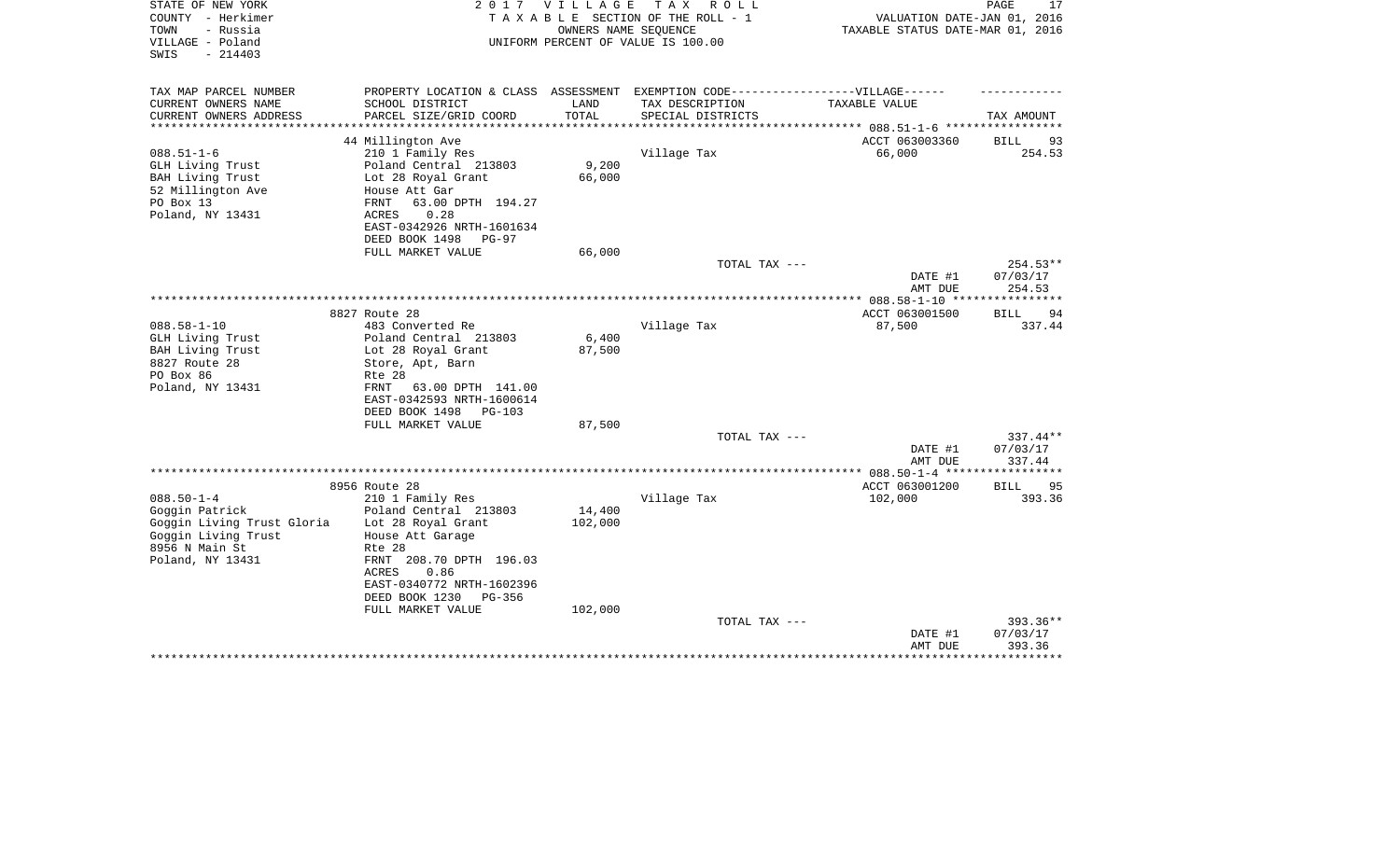| STATE OF NEW YORK          | 2 0 1 7                                                                           | V I L L A G E | TAX ROLL                           |                                  | 17<br>PAGE        |
|----------------------------|-----------------------------------------------------------------------------------|---------------|------------------------------------|----------------------------------|-------------------|
| COUNTY - Herkimer          |                                                                                   |               | TAXABLE SECTION OF THE ROLL - 1    | VALUATION DATE-JAN 01, 2016      |                   |
| - Russia<br>TOWN           |                                                                                   |               | OWNERS NAME SEQUENCE               | TAXABLE STATUS DATE-MAR 01, 2016 |                   |
| VILLAGE - Poland           |                                                                                   |               | UNIFORM PERCENT OF VALUE IS 100.00 |                                  |                   |
| SWIS<br>$-214403$          |                                                                                   |               |                                    |                                  |                   |
|                            |                                                                                   |               |                                    |                                  |                   |
|                            |                                                                                   |               |                                    |                                  |                   |
| TAX MAP PARCEL NUMBER      | PROPERTY LOCATION & CLASS ASSESSMENT EXEMPTION CODE-----------------VILLAGE------ |               |                                    |                                  |                   |
| CURRENT OWNERS NAME        | SCHOOL DISTRICT                                                                   | LAND          | TAX DESCRIPTION                    | TAXABLE VALUE                    |                   |
| CURRENT OWNERS ADDRESS     | PARCEL SIZE/GRID COORD                                                            | TOTAL         | SPECIAL DISTRICTS                  |                                  | TAX AMOUNT        |
|                            |                                                                                   | **********    |                                    |                                  |                   |
|                            | 44 Millington Ave                                                                 |               |                                    | ACCT 063003360                   | 93<br>BILL        |
| $088.51 - 1 - 6$           | 210 1 Family Res                                                                  |               | Village Tax                        | 66,000                           | 254.53            |
| GLH Living Trust           | Poland Central 213803                                                             | 9,200         |                                    |                                  |                   |
| BAH Living Trust           | Lot 28 Royal Grant                                                                | 66,000        |                                    |                                  |                   |
| 52 Millington Ave          | House Att Gar                                                                     |               |                                    |                                  |                   |
| PO Box 13                  | 63.00 DPTH 194.27<br>FRNT                                                         |               |                                    |                                  |                   |
| Poland, NY 13431           | ACRES<br>0.28                                                                     |               |                                    |                                  |                   |
|                            | EAST-0342926 NRTH-1601634                                                         |               |                                    |                                  |                   |
|                            | DEED BOOK 1498<br>PG-97                                                           |               |                                    |                                  |                   |
|                            | FULL MARKET VALUE                                                                 | 66,000        |                                    |                                  |                   |
|                            |                                                                                   |               | TOTAL TAX ---                      |                                  | $254.53**$        |
|                            |                                                                                   |               |                                    | DATE #1                          | 07/03/17          |
|                            |                                                                                   |               |                                    | AMT DUE                          | 254.53            |
|                            |                                                                                   |               |                                    |                                  |                   |
|                            | 8827 Route 28                                                                     |               |                                    | ACCT 063001500                   | <b>BILL</b><br>94 |
| $088.58 - 1 - 10$          | 483 Converted Re                                                                  |               | Village Tax                        | 87,500                           | 337.44            |
|                            |                                                                                   |               |                                    |                                  |                   |
| GLH Living Trust           | Poland Central 213803                                                             | 6,400         |                                    |                                  |                   |
| BAH Living Trust           | Lot 28 Royal Grant                                                                | 87,500        |                                    |                                  |                   |
| 8827 Route 28              | Store, Apt, Barn                                                                  |               |                                    |                                  |                   |
| PO Box 86                  | Rte 28                                                                            |               |                                    |                                  |                   |
| Poland, NY 13431           | FRNT<br>63.00 DPTH 141.00                                                         |               |                                    |                                  |                   |
|                            | EAST-0342593 NRTH-1600614                                                         |               |                                    |                                  |                   |
|                            | DEED BOOK 1498<br>PG-103                                                          |               |                                    |                                  |                   |
|                            | FULL MARKET VALUE                                                                 | 87,500        |                                    |                                  |                   |
|                            |                                                                                   |               | TOTAL TAX ---                      |                                  | 337.44**          |
|                            |                                                                                   |               |                                    | DATE #1                          | 07/03/17          |
|                            |                                                                                   |               |                                    | AMT DUE                          | 337.44            |
|                            |                                                                                   |               |                                    | ** $088.50 - 1 - 4$ ****         |                   |
|                            | 8956 Route 28                                                                     |               |                                    | ACCT 063001200                   | <b>BILL</b><br>95 |
| $088.50 - 1 - 4$           | 210 1 Family Res                                                                  |               | Village Tax                        | 102,000                          | 393.36            |
| Goggin Patrick             | Poland Central 213803                                                             | 14,400        |                                    |                                  |                   |
| Goggin Living Trust Gloria | Lot 28 Royal Grant                                                                | 102,000       |                                    |                                  |                   |
| Goggin Living Trust        | House Att Garage                                                                  |               |                                    |                                  |                   |
| 8956 N Main St             | Rte 28                                                                            |               |                                    |                                  |                   |
| Poland, NY 13431           | FRNT 208.70 DPTH 196.03                                                           |               |                                    |                                  |                   |
|                            | 0.86<br>ACRES                                                                     |               |                                    |                                  |                   |
|                            | EAST-0340772 NRTH-1602396                                                         |               |                                    |                                  |                   |
|                            | DEED BOOK 1230<br>PG-356                                                          |               |                                    |                                  |                   |
|                            | FULL MARKET VALUE                                                                 | 102,000       |                                    |                                  |                   |
|                            |                                                                                   |               | TOTAL TAX ---                      |                                  | 393.36**          |
|                            |                                                                                   |               |                                    |                                  |                   |
|                            |                                                                                   |               |                                    | DATE #1                          | 07/03/17          |
|                            |                                                                                   |               |                                    | AMT DUE                          | 393.36            |
|                            |                                                                                   |               |                                    |                                  |                   |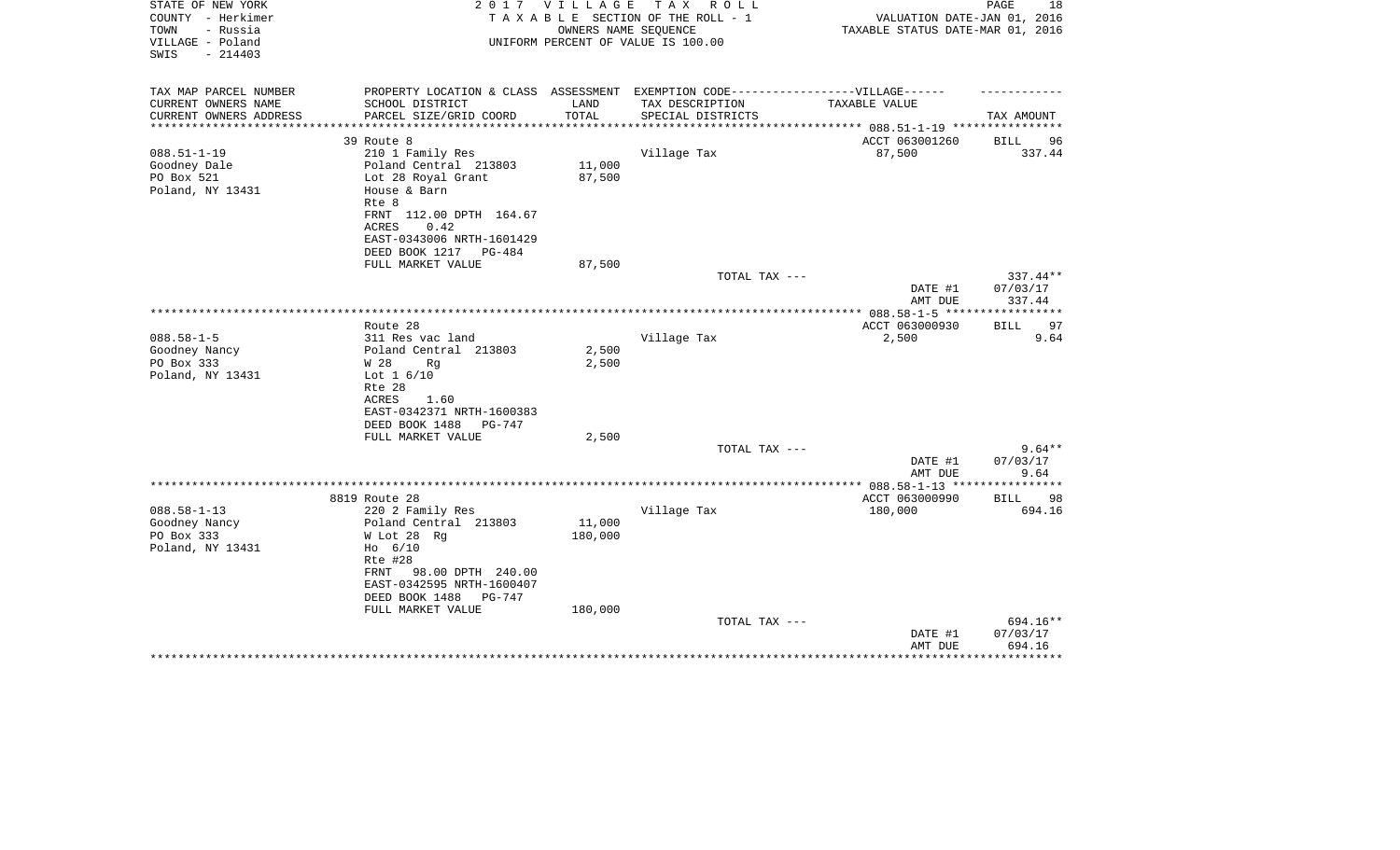| STATE OF NEW YORK<br>COUNTY - Herkimer                    |                                                                                  | 2017 VILLAGE     | TAX ROLL<br>TAXABLE SECTION OF THE ROLL - 1                | VALUATION DATE-JAN 01, 2016      | 18<br>PAGE         |
|-----------------------------------------------------------|----------------------------------------------------------------------------------|------------------|------------------------------------------------------------|----------------------------------|--------------------|
| TOWN<br>- Russia<br>VILLAGE - Poland<br>SWIS<br>$-214403$ |                                                                                  |                  | OWNERS NAME SEQUENCE<br>UNIFORM PERCENT OF VALUE IS 100.00 | TAXABLE STATUS DATE-MAR 01, 2016 |                    |
| TAX MAP PARCEL NUMBER                                     | PROPERTY LOCATION & CLASS ASSESSMENT EXEMPTION CODE----------------VILLAGE------ |                  |                                                            |                                  |                    |
| CURRENT OWNERS NAME                                       | SCHOOL DISTRICT                                                                  | LAND             | TAX DESCRIPTION                                            | TAXABLE VALUE                    |                    |
| CURRENT OWNERS ADDRESS                                    | PARCEL SIZE/GRID COORD                                                           | TOTAL            | SPECIAL DISTRICTS                                          |                                  | TAX AMOUNT         |
|                                                           |                                                                                  |                  |                                                            |                                  |                    |
|                                                           | 39 Route 8                                                                       |                  |                                                            | ACCT 063001260                   | BILL<br>96         |
| $088.51 - 1 - 19$                                         | 210 1 Family Res                                                                 |                  | Village Tax                                                | 87,500                           | 337.44             |
| Goodney Dale<br>PO Box 521                                | Poland Central 213803                                                            | 11,000<br>87,500 |                                                            |                                  |                    |
| Poland, NY 13431                                          | Lot 28 Royal Grant<br>House & Barn                                               |                  |                                                            |                                  |                    |
|                                                           | Rte 8                                                                            |                  |                                                            |                                  |                    |
|                                                           | FRNT 112.00 DPTH 164.67                                                          |                  |                                                            |                                  |                    |
|                                                           | 0.42<br>ACRES                                                                    |                  |                                                            |                                  |                    |
|                                                           | EAST-0343006 NRTH-1601429                                                        |                  |                                                            |                                  |                    |
|                                                           | DEED BOOK 1217 PG-484                                                            |                  |                                                            |                                  |                    |
|                                                           | FULL MARKET VALUE                                                                | 87,500           |                                                            |                                  |                    |
|                                                           |                                                                                  |                  | TOTAL TAX ---                                              |                                  | 337.44**           |
|                                                           |                                                                                  |                  |                                                            | DATE #1<br>AMT DUE               | 07/03/17<br>337.44 |
|                                                           |                                                                                  |                  |                                                            |                                  |                    |
|                                                           | Route 28                                                                         |                  |                                                            | ACCT 063000930                   | 97<br><b>BILL</b>  |
| $088.58 - 1 - 5$                                          | 311 Res vac land                                                                 |                  | Village Tax                                                | 2,500                            | 9.64               |
| Goodney Nancy                                             | Poland Central 213803                                                            | 2,500            |                                                            |                                  |                    |
| PO Box 333                                                | W 28<br>Rg                                                                       | 2,500            |                                                            |                                  |                    |
| Poland, NY 13431                                          | Lot $1\,6/10$                                                                    |                  |                                                            |                                  |                    |
|                                                           | Rte 28                                                                           |                  |                                                            |                                  |                    |
|                                                           | ACRES<br>1.60                                                                    |                  |                                                            |                                  |                    |
|                                                           | EAST-0342371 NRTH-1600383                                                        |                  |                                                            |                                  |                    |
|                                                           | DEED BOOK 1488<br>PG-747<br>FULL MARKET VALUE                                    | 2,500            |                                                            |                                  |                    |
|                                                           |                                                                                  |                  | TOTAL TAX ---                                              |                                  | $9.64**$           |
|                                                           |                                                                                  |                  |                                                            | DATE #1                          | 07/03/17           |
|                                                           |                                                                                  |                  |                                                            | AMT DUE                          | 9.64               |
|                                                           |                                                                                  |                  |                                                            |                                  |                    |
|                                                           | 8819 Route 28                                                                    |                  |                                                            | ACCT 063000990                   | BILL 98            |
| $088.58 - 1 - 13$                                         | 220 2 Family Res                                                                 |                  | Village Tax                                                | 180,000                          | 694.16             |
| Goodney Nancy                                             | Poland Central 213803                                                            | 11,000           |                                                            |                                  |                    |
| PO Box 333                                                | W Lot 28 Rg                                                                      | 180,000          |                                                            |                                  |                    |
| Poland, NY 13431                                          | $H_0$ 6/10                                                                       |                  |                                                            |                                  |                    |
|                                                           | Rte #28<br>FRNT<br>98.00 DPTH 240.00                                             |                  |                                                            |                                  |                    |
|                                                           | EAST-0342595 NRTH-1600407                                                        |                  |                                                            |                                  |                    |
|                                                           | DEED BOOK 1488<br>PG-747                                                         |                  |                                                            |                                  |                    |
|                                                           | FULL MARKET VALUE                                                                | 180,000          |                                                            |                                  |                    |
|                                                           |                                                                                  |                  | TOTAL TAX ---                                              |                                  | 694.16**           |
|                                                           |                                                                                  |                  |                                                            | DATE #1                          | 07/03/17           |
|                                                           |                                                                                  |                  |                                                            | AMT DUE                          | 694.16             |
|                                                           |                                                                                  |                  |                                                            |                                  |                    |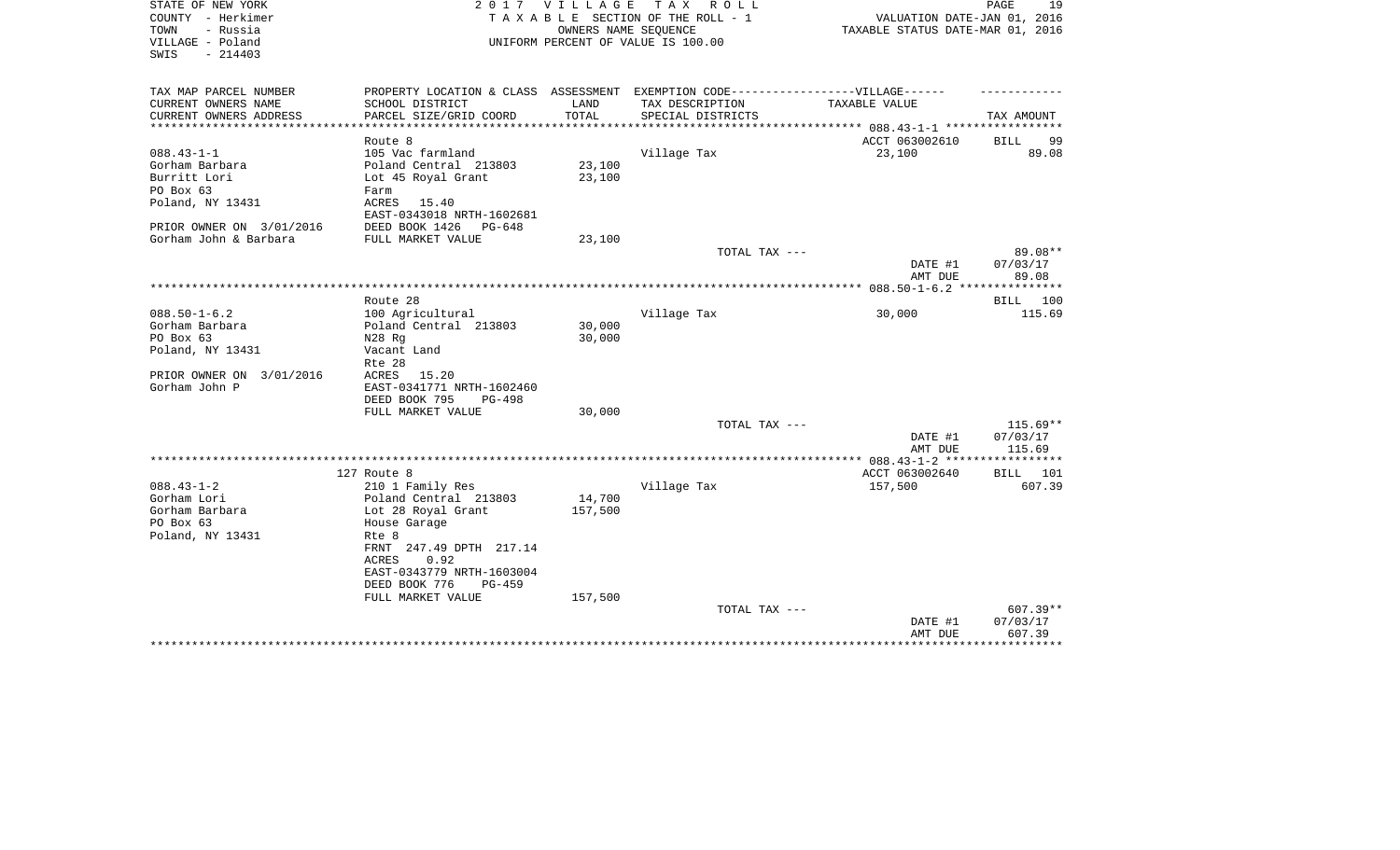| STATE OF NEW YORK<br>COUNTY - Herkimer | 2017                                                                              | VILLAGE           | T A X<br>R O L L<br>TAXABLE SECTION OF THE ROLL - 1        | VALUATION DATE-JAN 01, 2016      | PAGE<br>19  |
|----------------------------------------|-----------------------------------------------------------------------------------|-------------------|------------------------------------------------------------|----------------------------------|-------------|
| TOWN<br>- Russia<br>VILLAGE - Poland   |                                                                                   |                   | OWNERS NAME SEQUENCE<br>UNIFORM PERCENT OF VALUE IS 100.00 | TAXABLE STATUS DATE-MAR 01, 2016 |             |
| SWIS<br>$-214403$                      |                                                                                   |                   |                                                            |                                  |             |
| TAX MAP PARCEL NUMBER                  | PROPERTY LOCATION & CLASS ASSESSMENT EXEMPTION CODE-----------------VILLAGE------ |                   |                                                            |                                  |             |
| CURRENT OWNERS NAME                    | SCHOOL DISTRICT                                                                   | LAND              | TAX DESCRIPTION                                            | TAXABLE VALUE                    |             |
| CURRENT OWNERS ADDRESS                 | PARCEL SIZE/GRID COORD                                                            | TOTAL             | SPECIAL DISTRICTS                                          |                                  | TAX AMOUNT  |
|                                        | Route 8                                                                           |                   |                                                            | ACCT 063002610                   | BILL<br>99  |
| $088.43 - 1 - 1$                       | 105 Vac farmland                                                                  |                   | Village Tax                                                | 23,100                           | 89.08       |
| Gorham Barbara                         | Poland Central 213803                                                             | 23,100            |                                                            |                                  |             |
| Burritt Lori                           | Lot 45 Royal Grant                                                                | 23,100            |                                                            |                                  |             |
| PO Box 63                              | Farm                                                                              |                   |                                                            |                                  |             |
| Poland, NY 13431                       | ACRES<br>15.40<br>EAST-0343018 NRTH-1602681                                       |                   |                                                            |                                  |             |
| PRIOR OWNER ON 3/01/2016               | DEED BOOK 1426<br>$PG-648$                                                        |                   |                                                            |                                  |             |
| Gorham John & Barbara                  | FULL MARKET VALUE                                                                 | 23,100            |                                                            |                                  |             |
|                                        |                                                                                   |                   | TOTAL TAX ---                                              |                                  | 89.08**     |
|                                        |                                                                                   |                   |                                                            | DATE #1                          | 07/03/17    |
|                                        |                                                                                   |                   |                                                            | AMT DUE                          | 89.08       |
|                                        |                                                                                   |                   |                                                            |                                  |             |
|                                        | Route 28                                                                          |                   |                                                            |                                  | BILL<br>100 |
| $088.50 - 1 - 6.2$                     | 100 Agricultural                                                                  |                   | Village Tax                                                | 30,000                           | 115.69      |
| Gorham Barbara                         | Poland Central 213803                                                             | 30,000            |                                                            |                                  |             |
| PO Box 63                              | N28 Rg                                                                            | 30,000            |                                                            |                                  |             |
| Poland, NY 13431                       | Vacant Land                                                                       |                   |                                                            |                                  |             |
|                                        | Rte 28                                                                            |                   |                                                            |                                  |             |
| PRIOR OWNER ON 3/01/2016               | ACRES<br>15.20                                                                    |                   |                                                            |                                  |             |
| Gorham John P                          | EAST-0341771 NRTH-1602460<br>DEED BOOK 795<br>PG-498                              |                   |                                                            |                                  |             |
|                                        | FULL MARKET VALUE                                                                 | 30,000            |                                                            |                                  |             |
|                                        |                                                                                   |                   | TOTAL TAX ---                                              |                                  | $115.69**$  |
|                                        |                                                                                   |                   |                                                            | DATE #1                          | 07/03/17    |
|                                        |                                                                                   |                   |                                                            | AMT DUE                          | 115.69      |
|                                        |                                                                                   |                   |                                                            |                                  |             |
|                                        | 127 Route 8                                                                       |                   |                                                            | ACCT 063002640                   | 101<br>BILL |
| $088.43 - 1 - 2$<br>Gorham Lori        | 210 1 Family Res                                                                  |                   | Village Tax                                                | 157,500                          | 607.39      |
| Gorham Barbara                         | Poland Central 213803<br>Lot 28 Royal Grant                                       | 14,700<br>157,500 |                                                            |                                  |             |
| PO Box 63                              | House Garage                                                                      |                   |                                                            |                                  |             |
| Poland, NY 13431                       | Rte 8                                                                             |                   |                                                            |                                  |             |
|                                        | FRNT 247.49 DPTH 217.14                                                           |                   |                                                            |                                  |             |
|                                        | 0.92<br>ACRES<br>EAST-0343779 NRTH-1603004                                        |                   |                                                            |                                  |             |
|                                        |                                                                                   |                   |                                                            |                                  |             |
|                                        | DEED BOOK 776<br>PG-459<br>FULL MARKET VALUE                                      | 157,500           |                                                            |                                  |             |
|                                        |                                                                                   |                   | TOTAL TAX ---                                              |                                  | 607.39**    |
|                                        |                                                                                   |                   |                                                            | DATE #1                          | 07/03/17    |
|                                        |                                                                                   |                   |                                                            | AMT DUE                          | 607.39      |
|                                        |                                                                                   |                   |                                                            |                                  |             |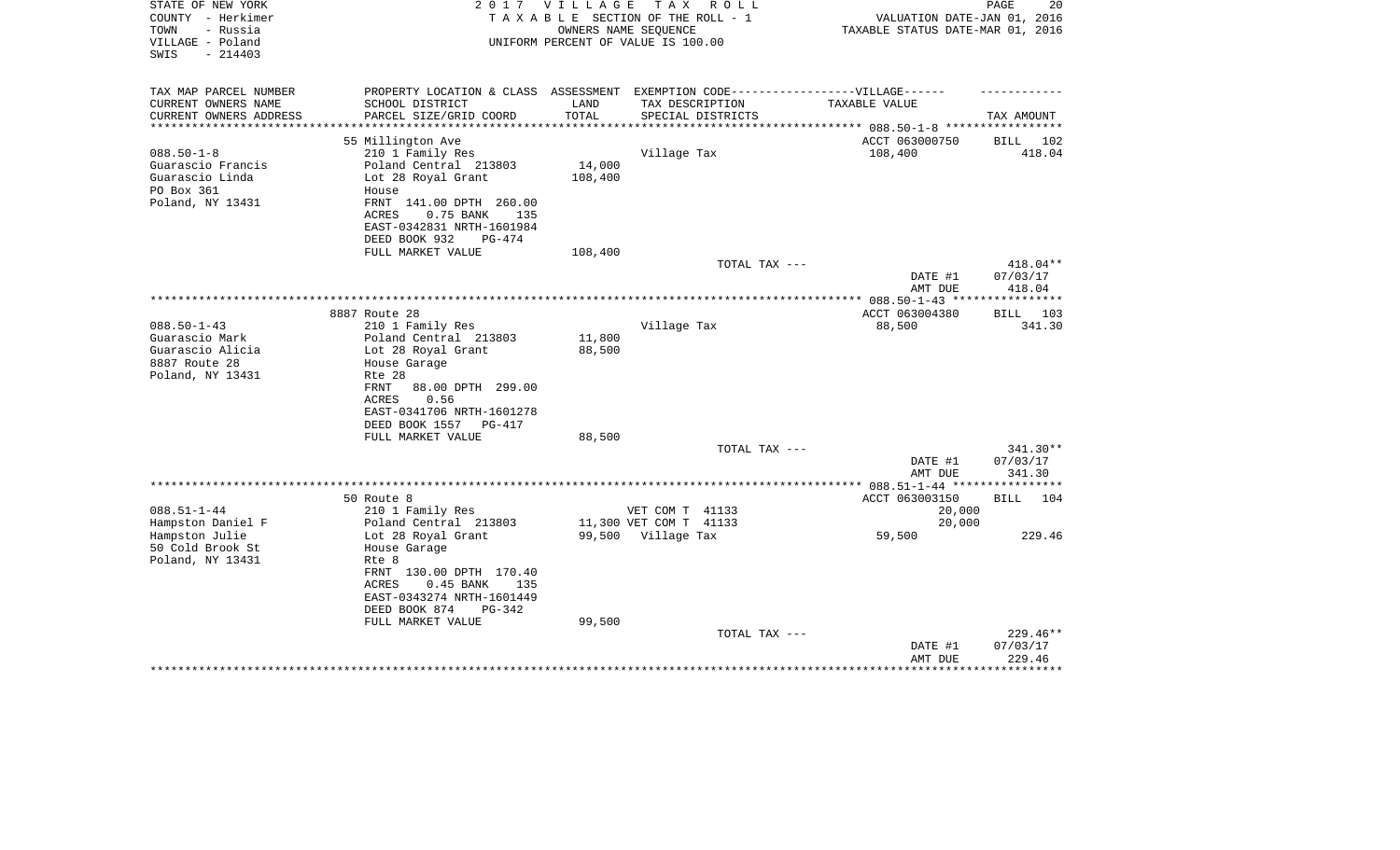| STATE OF NEW YORK<br>COUNTY - Herkimer<br>- Russia<br>TOWN | 2 0 1 7                                                                           | V I L L A G E<br>TAXABLE SECTION OF THE ROLL - 1 | T A X<br>OWNERS NAME SEQUENCE | R O L L           |                                          | VALUATION DATE-JAN 01, 2016<br>TAXABLE STATUS DATE-MAR 01, 2016 | PAGE               | 20         |
|------------------------------------------------------------|-----------------------------------------------------------------------------------|--------------------------------------------------|-------------------------------|-------------------|------------------------------------------|-----------------------------------------------------------------|--------------------|------------|
| VILLAGE - Poland<br>$-214403$<br>SWIS                      |                                                                                   | UNIFORM PERCENT OF VALUE IS 100.00               |                               |                   |                                          |                                                                 |                    |            |
| TAX MAP PARCEL NUMBER                                      | PROPERTY LOCATION & CLASS ASSESSMENT EXEMPTION CODE-----------------VILLAGE------ |                                                  |                               |                   |                                          |                                                                 |                    |            |
| CURRENT OWNERS NAME<br>SCHOOL DISTRICT                     |                                                                                   | LAND                                             | TAX DESCRIPTION               |                   | TAXABLE VALUE                            |                                                                 |                    |            |
| CURRENT OWNERS ADDRESS                                     | PARCEL SIZE/GRID COORD                                                            | TOTAL                                            |                               | SPECIAL DISTRICTS |                                          |                                                                 | TAX AMOUNT         |            |
| **********************                                     |                                                                                   |                                                  |                               |                   |                                          |                                                                 |                    |            |
| 55 Millington Ave                                          |                                                                                   |                                                  |                               |                   |                                          | ACCT 063000750                                                  | BILL 102           |            |
| $088.50 - 1 - 8$<br>210 1 Family Res                       |                                                                                   |                                                  | Village Tax                   |                   |                                          | 108,400                                                         |                    | 418.04     |
| Guarascio Francis                                          | Poland Central 213803                                                             | 14,000                                           |                               |                   |                                          |                                                                 |                    |            |
| Guarascio Linda<br>PO Box 361                              | Lot 28 Royal Grant                                                                | 108,400                                          |                               |                   |                                          |                                                                 |                    |            |
| House<br>Poland, NY 13431                                  | FRNT 141.00 DPTH 260.00                                                           |                                                  |                               |                   |                                          |                                                                 |                    |            |
| ACRES                                                      | 0.75 BANK<br>135                                                                  |                                                  |                               |                   |                                          |                                                                 |                    |            |
|                                                            | EAST-0342831 NRTH-1601984                                                         |                                                  |                               |                   |                                          |                                                                 |                    |            |
| DEED BOOK 932                                              | PG-474                                                                            |                                                  |                               |                   |                                          |                                                                 |                    |            |
|                                                            | FULL MARKET VALUE                                                                 | 108,400                                          |                               |                   |                                          |                                                                 |                    |            |
|                                                            |                                                                                   |                                                  |                               | TOTAL TAX ---     |                                          |                                                                 |                    | 418.04**   |
|                                                            |                                                                                   |                                                  |                               |                   |                                          | DATE #1                                                         | 07/03/17           |            |
|                                                            |                                                                                   |                                                  |                               |                   |                                          | AMT DUE                                                         | 418.04             |            |
|                                                            |                                                                                   |                                                  |                               |                   |                                          |                                                                 |                    | *********  |
| 8887 Route 28                                              |                                                                                   |                                                  |                               |                   |                                          | ACCT 063004380                                                  | BILL               | 103        |
| $088.50 - 1 - 43$<br>210 1 Family Res                      |                                                                                   |                                                  | Village Tax                   |                   |                                          | 88,500                                                          |                    | 341.30     |
| Guarascio Mark<br>Guarascio Alicia                         | Poland Central 213803<br>Lot 28 Royal Grant                                       | 11,800<br>88,500                                 |                               |                   |                                          |                                                                 |                    |            |
| 8887 Route 28<br>House Garage                              |                                                                                   |                                                  |                               |                   |                                          |                                                                 |                    |            |
| Poland, NY 13431<br>Rte 28                                 |                                                                                   |                                                  |                               |                   |                                          |                                                                 |                    |            |
| <b>FRNT</b>                                                | 88.00 DPTH 299.00                                                                 |                                                  |                               |                   |                                          |                                                                 |                    |            |
| ACRES                                                      | 0.56                                                                              |                                                  |                               |                   |                                          |                                                                 |                    |            |
|                                                            | EAST-0341706 NRTH-1601278                                                         |                                                  |                               |                   |                                          |                                                                 |                    |            |
| DEED BOOK 1557                                             | PG-417                                                                            |                                                  |                               |                   |                                          |                                                                 |                    |            |
|                                                            | FULL MARKET VALUE                                                                 | 88,500                                           |                               |                   |                                          |                                                                 |                    |            |
|                                                            |                                                                                   |                                                  |                               | TOTAL TAX ---     |                                          |                                                                 |                    | $341.30**$ |
|                                                            |                                                                                   |                                                  |                               |                   |                                          | DATE #1                                                         | 07/03/17           |            |
|                                                            |                                                                                   |                                                  |                               |                   |                                          | AMT DUE                                                         | 341.30             |            |
| 50 Route 8                                                 |                                                                                   |                                                  |                               |                   | ********** 088.51-1-44 ***************** | ACCT 063003150                                                  | BILL               | 104        |
| $088.51 - 1 - 44$<br>210 1 Family Res                      |                                                                                   |                                                  | VET COM T 41133               |                   |                                          | 20,000                                                          |                    |            |
| Hampston Daniel F                                          | Poland Central 213803                                                             |                                                  | 11,300 VET COM T 41133        |                   |                                          | 20,000                                                          |                    |            |
| Hampston Julie                                             | Lot 28 Royal Grant                                                                |                                                  | 99,500 Village Tax            |                   |                                          | 59,500                                                          |                    | 229.46     |
| 50 Cold Brook St<br>House Garage                           |                                                                                   |                                                  |                               |                   |                                          |                                                                 |                    |            |
| Poland, NY 13431<br>Rte 8                                  |                                                                                   |                                                  |                               |                   |                                          |                                                                 |                    |            |
|                                                            | FRNT 130.00 DPTH 170.40                                                           |                                                  |                               |                   |                                          |                                                                 |                    |            |
| ACRES                                                      | $0.45$ BANK<br>135                                                                |                                                  |                               |                   |                                          |                                                                 |                    |            |
|                                                            | EAST-0343274 NRTH-1601449                                                         |                                                  |                               |                   |                                          |                                                                 |                    |            |
| DEED BOOK 874                                              | $PG-342$                                                                          |                                                  |                               |                   |                                          |                                                                 |                    |            |
|                                                            | FULL MARKET VALUE                                                                 | 99,500                                           |                               |                   |                                          |                                                                 |                    |            |
|                                                            |                                                                                   |                                                  |                               | TOTAL TAX ---     |                                          |                                                                 |                    | $229.46**$ |
|                                                            |                                                                                   |                                                  |                               |                   |                                          | DATE #1<br>AMT DUE                                              | 07/03/17<br>229.46 |            |
|                                                            |                                                                                   |                                                  |                               |                   |                                          |                                                                 |                    |            |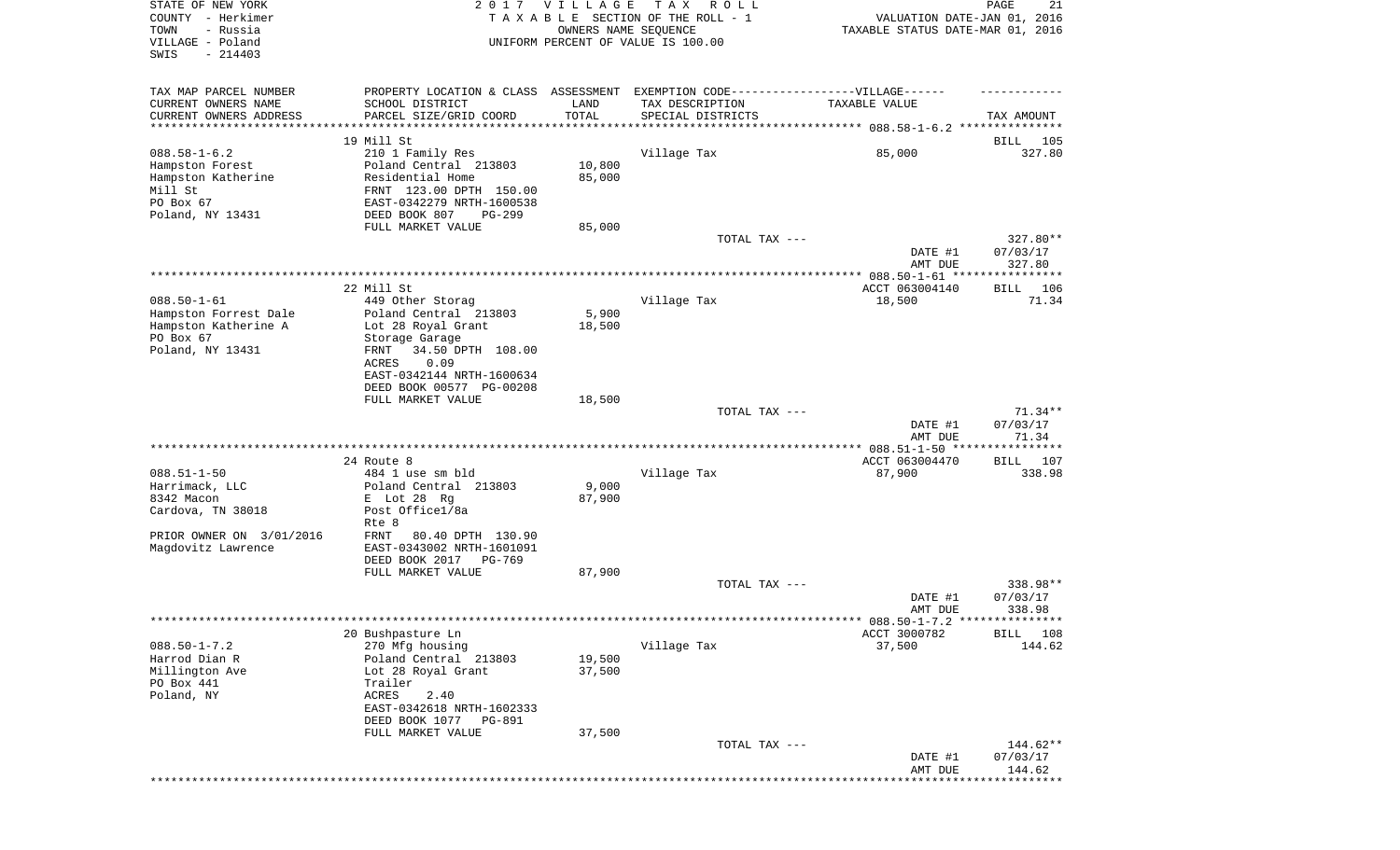| STATE OF NEW YORK<br>COUNTY - Herkimer<br>TOWN<br>- Russia<br>VILLAGE - Poland<br>SWIS<br>$-214403$                      |                                                                                                                                                                                                        | 2017 VILLAGE<br>OWNERS NAME SEQUENCE   | T A X<br>R O L L<br>TAXABLE SECTION OF THE ROLL - 1<br>UNIFORM PERCENT OF VALUE IS 100.00                                 | VALUATION DATE-JAN 01, 2016<br>TAXABLE STATUS DATE-MAR 01, 2016 | PAGE<br>21                     |
|--------------------------------------------------------------------------------------------------------------------------|--------------------------------------------------------------------------------------------------------------------------------------------------------------------------------------------------------|----------------------------------------|---------------------------------------------------------------------------------------------------------------------------|-----------------------------------------------------------------|--------------------------------|
| TAX MAP PARCEL NUMBER<br>CURRENT OWNERS NAME<br>CURRENT OWNERS ADDRESS<br>*********************                          | SCHOOL DISTRICT<br>PARCEL SIZE/GRID COORD                                                                                                                                                              | LAND<br>TOTAL<br>* * * * * * * * * * * | PROPERTY LOCATION & CLASS ASSESSMENT EXEMPTION CODE-----------------VILLAGE------<br>TAX DESCRIPTION<br>SPECIAL DISTRICTS | TAXABLE VALUE                                                   | TAX AMOUNT                     |
| $088.58 - 1 - 6.2$<br>Hampston Forest<br>Hampston Katherine<br>Mill St<br>PO Box 67<br>Poland, NY 13431                  | 19 Mill St<br>210 1 Family Res<br>Poland Central 213803<br>Residential Home<br>FRNT 123.00 DPTH 150.00<br>EAST-0342279 NRTH-1600538<br>DEED BOOK 807<br>PG-299                                         | 10,800<br>85,000                       | Village Tax                                                                                                               | 85,000                                                          | BILL<br>105<br>327.80          |
|                                                                                                                          | FULL MARKET VALUE                                                                                                                                                                                      | 85,000                                 | TOTAL TAX ---                                                                                                             | DATE #1<br>AMT DUE                                              | 327.80**<br>07/03/17<br>327.80 |
|                                                                                                                          |                                                                                                                                                                                                        |                                        |                                                                                                                           |                                                                 |                                |
| $088.50 - 1 - 61$<br>Hampston Forrest Dale<br>Hampston Katherine A<br>PO Box 67<br>Poland, NY 13431                      | 22 Mill St<br>449 Other Storag<br>Poland Central 213803<br>Lot 28 Royal Grant<br>Storage Garage<br>34.50 DPTH 108.00<br>FRNT<br>ACRES<br>0.09<br>EAST-0342144 NRTH-1600634<br>DEED BOOK 00577 PG-00208 | 5,900<br>18,500                        | Village Tax                                                                                                               | ACCT 063004140<br>18,500                                        | 106<br>BILL<br>71.34           |
|                                                                                                                          | FULL MARKET VALUE                                                                                                                                                                                      | 18,500                                 | TOTAL TAX ---                                                                                                             | DATE #1<br>AMT DUE                                              | 71.34**<br>07/03/17<br>71.34   |
| $088.51 - 1 - 50$<br>Harrimack, LLC<br>8342 Macon<br>Cardova, TN 38018<br>PRIOR OWNER ON 3/01/2016<br>Magdovitz Lawrence | 24 Route 8<br>484 1 use sm bld<br>Poland Central 213803<br>E Lot 28 Rg<br>Post Office1/8a<br>Rte 8<br>FRNT<br>80.40 DPTH 130.90<br>EAST-0343002 NRTH-1601091<br>DEED BOOK 2017<br>PG-769               | 9,000<br>87,900                        | Village Tax                                                                                                               | ACCT 063004470<br>87,900                                        | BILL 107<br>338.98             |
|                                                                                                                          | FULL MARKET VALUE                                                                                                                                                                                      | 87,900                                 | TOTAL TAX ---                                                                                                             | DATE #1                                                         | 338.98**<br>07/03/17<br>338.98 |
|                                                                                                                          |                                                                                                                                                                                                        |                                        |                                                                                                                           | AMT DUE                                                         |                                |
| $088.50 - 1 - 7.2$<br>Harrod Dian R<br>Millington Ave<br>PO Box 441<br>Poland, NY                                        | 20 Bushpasture Ln<br>270 Mfg housing<br>Poland Central 213803<br>Lot 28 Royal Grant<br>Trailer<br>ACRES<br>2.40<br>EAST-0342618 NRTH-1602333<br>DEED BOOK 1077<br>PG-891<br>FULL MARKET VALUE          | 19,500<br>37,500<br>37,500             | Village Tax                                                                                                               | ACCT 3000782<br>37,500                                          | BILL 108<br>144.62             |
|                                                                                                                          |                                                                                                                                                                                                        |                                        | TOTAL TAX ---                                                                                                             | DATE #1<br>AMT DUE                                              | 144.62**<br>07/03/17<br>144.62 |
|                                                                                                                          |                                                                                                                                                                                                        |                                        |                                                                                                                           |                                                                 |                                |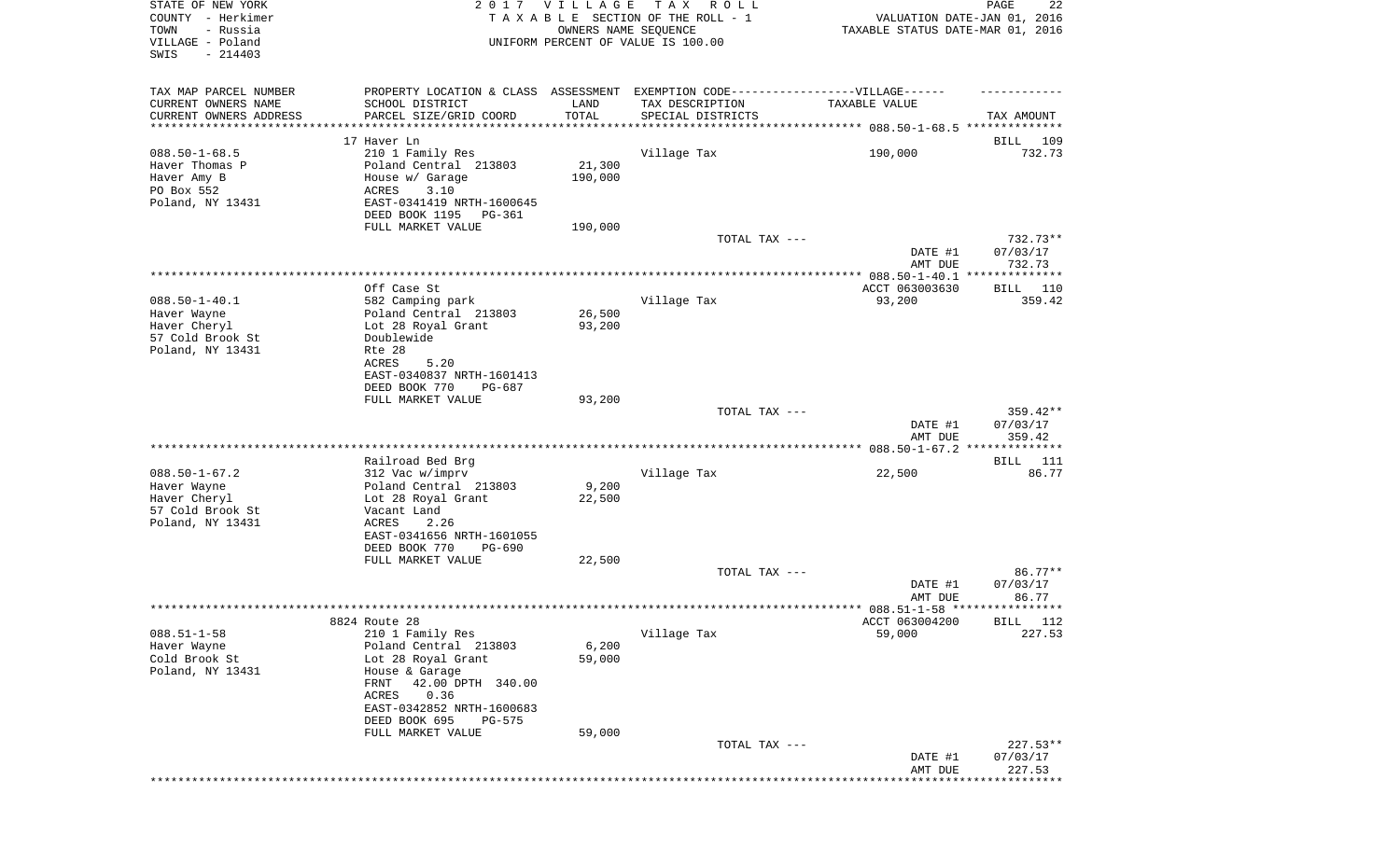| STATE OF NEW YORK<br>COUNTY - Herkimer | 2017                                                                              | VILLAGE          | TAX ROLL<br>TAXABLE SECTION OF THE ROLL - 1 | VALUATION DATE-JAN 01, 2016      | PAGE<br>22               |
|----------------------------------------|-----------------------------------------------------------------------------------|------------------|---------------------------------------------|----------------------------------|--------------------------|
| TOWN<br>- Russia                       |                                                                                   |                  | OWNERS NAME SEQUENCE                        | TAXABLE STATUS DATE-MAR 01, 2016 |                          |
| VILLAGE - Poland<br>$-214403$<br>SWIS  |                                                                                   |                  | UNIFORM PERCENT OF VALUE IS 100.00          |                                  |                          |
|                                        |                                                                                   |                  |                                             |                                  |                          |
| TAX MAP PARCEL NUMBER                  | PROPERTY LOCATION & CLASS ASSESSMENT EXEMPTION CODE-----------------VILLAGE------ |                  |                                             |                                  |                          |
| CURRENT OWNERS NAME                    | SCHOOL DISTRICT                                                                   | LAND             | TAX DESCRIPTION                             | TAXABLE VALUE                    |                          |
| CURRENT OWNERS ADDRESS                 | PARCEL SIZE/GRID COORD                                                            | TOTAL            | SPECIAL DISTRICTS                           |                                  | TAX AMOUNT               |
| *********************                  |                                                                                   | ***********      |                                             |                                  |                          |
|                                        | 17 Haver Ln                                                                       |                  |                                             |                                  | BILL<br>109              |
| $088.50 - 1 - 68.5$                    | 210 1 Family Res                                                                  |                  | Village Tax                                 | 190,000                          | 732.73                   |
| Haver Thomas P                         | Poland Central 213803                                                             | 21,300           |                                             |                                  |                          |
| Haver Amy B                            | House w/ Garage                                                                   | 190,000          |                                             |                                  |                          |
| PO Box 552                             | ACRES<br>3.10                                                                     |                  |                                             |                                  |                          |
| Poland, NY 13431                       | EAST-0341419 NRTH-1600645                                                         |                  |                                             |                                  |                          |
|                                        | DEED BOOK 1195<br>PG-361                                                          |                  |                                             |                                  |                          |
|                                        | FULL MARKET VALUE                                                                 | 190,000          |                                             |                                  |                          |
|                                        |                                                                                   |                  | TOTAL TAX ---                               |                                  | 732.73**                 |
|                                        |                                                                                   |                  |                                             | DATE #1                          | 07/03/17                 |
|                                        |                                                                                   |                  |                                             | AMT DUE                          | 732.73<br>************** |
|                                        |                                                                                   |                  |                                             |                                  |                          |
| $088.50 - 1 - 40.1$                    | Off Case St                                                                       |                  | Village Tax                                 | ACCT 063003630<br>93,200         | BILL<br>110<br>359.42    |
|                                        | 582 Camping park<br>Poland Central 213803                                         |                  |                                             |                                  |                          |
| Haver Wayne<br>Haver Cheryl            | Lot 28 Royal Grant                                                                | 26,500<br>93,200 |                                             |                                  |                          |
| 57 Cold Brook St                       | Doublewide                                                                        |                  |                                             |                                  |                          |
| Poland, NY 13431                       | Rte 28                                                                            |                  |                                             |                                  |                          |
|                                        | ACRES<br>5.20                                                                     |                  |                                             |                                  |                          |
|                                        | EAST-0340837 NRTH-1601413                                                         |                  |                                             |                                  |                          |
|                                        | DEED BOOK 770<br>PG-687                                                           |                  |                                             |                                  |                          |
|                                        | FULL MARKET VALUE                                                                 | 93,200           |                                             |                                  |                          |
|                                        |                                                                                   |                  | TOTAL TAX ---                               |                                  | $359.42**$               |
|                                        |                                                                                   |                  |                                             | DATE #1                          | 07/03/17                 |
|                                        |                                                                                   |                  |                                             | AMT DUE                          | 359.42                   |
|                                        |                                                                                   |                  |                                             |                                  |                          |
|                                        | Railroad Bed Brg                                                                  |                  |                                             |                                  | BILL 111                 |
| $088.50 - 1 - 67.2$                    | 312 Vac w/imprv                                                                   |                  | Village Tax                                 | 22,500                           | 86.77                    |
| Haver Wayne                            | Poland Central 213803                                                             | 9,200            |                                             |                                  |                          |
| Haver Cheryl<br>57 Cold Brook St       | Lot 28 Royal Grant<br>Vacant Land                                                 | 22,500           |                                             |                                  |                          |
| Poland, NY 13431                       | ACRES<br>2.26                                                                     |                  |                                             |                                  |                          |
|                                        | EAST-0341656 NRTH-1601055                                                         |                  |                                             |                                  |                          |
|                                        | DEED BOOK 770<br>PG-690                                                           |                  |                                             |                                  |                          |
|                                        | FULL MARKET VALUE                                                                 | 22,500           |                                             |                                  |                          |
|                                        |                                                                                   |                  | TOTAL TAX ---                               |                                  | 86.77**                  |
|                                        |                                                                                   |                  |                                             | DATE #1                          | 07/03/17                 |
|                                        |                                                                                   |                  |                                             | AMT DUE                          | 86.77                    |
|                                        |                                                                                   |                  |                                             |                                  |                          |
|                                        | 8824 Route 28                                                                     |                  |                                             | ACCT 063004200                   | BILL 112                 |
| $088.51 - 1 - 58$                      | 210 1 Family Res                                                                  |                  | Village Tax                                 | 59,000                           | 227.53                   |
| Haver Wayne                            | Poland Central 213803                                                             | 6,200            |                                             |                                  |                          |
| Cold Brook St                          | Lot 28 Royal Grant                                                                | 59,000           |                                             |                                  |                          |
| Poland, NY 13431                       | House & Garage                                                                    |                  |                                             |                                  |                          |
|                                        | 42.00 DPTH 340.00<br>FRNT<br>ACRES<br>0.36                                        |                  |                                             |                                  |                          |
|                                        | EAST-0342852 NRTH-1600683                                                         |                  |                                             |                                  |                          |
|                                        | DEED BOOK 695<br>PG-575                                                           |                  |                                             |                                  |                          |
|                                        | FULL MARKET VALUE                                                                 | 59,000           |                                             |                                  |                          |
|                                        |                                                                                   |                  | TOTAL TAX ---                               |                                  | $227.53**$               |
|                                        |                                                                                   |                  |                                             | DATE #1                          | 07/03/17                 |
|                                        |                                                                                   |                  |                                             | AMT DUE                          | 227.53                   |
|                                        |                                                                                   |                  |                                             |                                  |                          |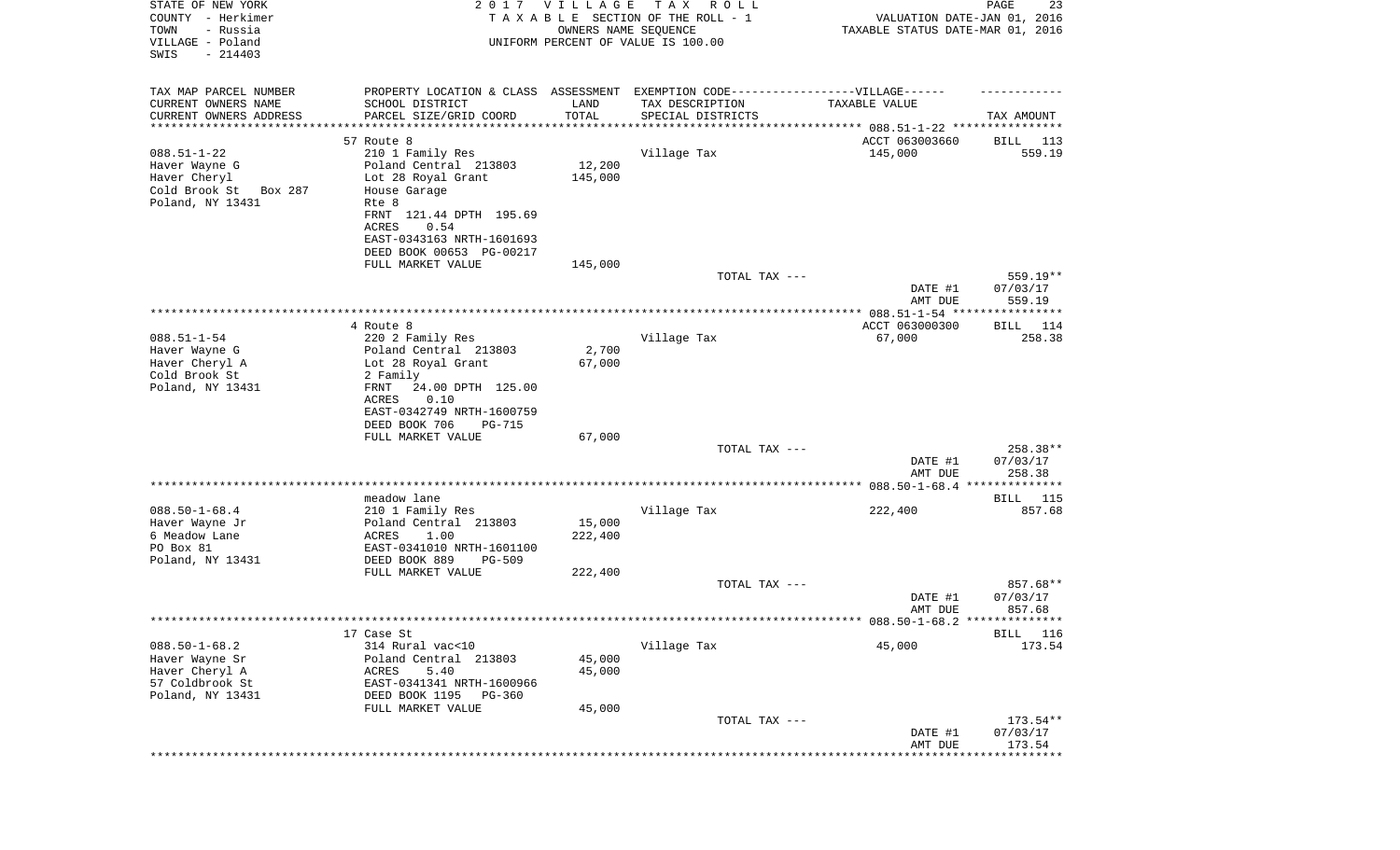| STATE OF NEW YORK<br>COUNTY - Herkimer<br>TOWN<br>- Russia<br>VILLAGE - Poland |                                                                                  | 2017 VILLAGE<br>OWNERS NAME SEQUENCE | TAX ROLL<br>TAXABLE SECTION OF THE ROLL - 1<br>UNIFORM PERCENT OF VALUE IS 100.00 | VALUATION DATE-JAN 01, 2016<br>TAXABLE STATUS DATE-MAR 01, 2016 | PAGE<br>23           |
|--------------------------------------------------------------------------------|----------------------------------------------------------------------------------|--------------------------------------|-----------------------------------------------------------------------------------|-----------------------------------------------------------------|----------------------|
| SWIS<br>$-214403$                                                              |                                                                                  |                                      |                                                                                   |                                                                 |                      |
| TAX MAP PARCEL NUMBER                                                          | PROPERTY LOCATION & CLASS ASSESSMENT EXEMPTION CODE----------------VILLAGE------ |                                      |                                                                                   |                                                                 |                      |
| CURRENT OWNERS NAME                                                            | SCHOOL DISTRICT                                                                  | LAND                                 | TAX DESCRIPTION                                                                   | TAXABLE VALUE                                                   |                      |
| CURRENT OWNERS ADDRESS<br>*********************                                | PARCEL SIZE/GRID COORD<br>*****************                                      | TOTAL                                | SPECIAL DISTRICTS                                                                 |                                                                 | TAX AMOUNT           |
|                                                                                | 57 Route 8                                                                       |                                      |                                                                                   | ACCT 063003660                                                  | BILL 113             |
| $088.51 - 1 - 22$                                                              | 210 1 Family Res                                                                 |                                      | Village Tax                                                                       | 145,000                                                         | 559.19               |
| Haver Wayne G                                                                  | Poland Central 213803                                                            | 12,200                               |                                                                                   |                                                                 |                      |
| Haver Cheryl                                                                   | Lot 28 Royal Grant                                                               | 145,000                              |                                                                                   |                                                                 |                      |
| Cold Brook St<br>Box 287                                                       | House Garage                                                                     |                                      |                                                                                   |                                                                 |                      |
| Poland, NY 13431                                                               | Rte 8<br>FRNT 121.44 DPTH 195.69                                                 |                                      |                                                                                   |                                                                 |                      |
|                                                                                | ACRES<br>0.54                                                                    |                                      |                                                                                   |                                                                 |                      |
|                                                                                | EAST-0343163 NRTH-1601693                                                        |                                      |                                                                                   |                                                                 |                      |
|                                                                                | DEED BOOK 00653 PG-00217                                                         |                                      |                                                                                   |                                                                 |                      |
|                                                                                | FULL MARKET VALUE                                                                | 145,000                              |                                                                                   |                                                                 |                      |
|                                                                                |                                                                                  |                                      | TOTAL TAX ---                                                                     | DATE #1                                                         | 559.19**<br>07/03/17 |
|                                                                                |                                                                                  |                                      |                                                                                   | AMT DUE                                                         | 559.19               |
|                                                                                |                                                                                  |                                      |                                                                                   |                                                                 |                      |
|                                                                                | 4 Route 8                                                                        |                                      |                                                                                   | ACCT 063000300                                                  | BILL 114             |
| $088.51 - 1 - 54$                                                              | 220 2 Family Res                                                                 |                                      | Village Tax                                                                       | 67,000                                                          | 258.38               |
| Haver Wayne G<br>Haver Cheryl A                                                | Poland Central 213803<br>Lot 28 Royal Grant                                      | 2,700<br>67,000                      |                                                                                   |                                                                 |                      |
| Cold Brook St                                                                  | 2 Family                                                                         |                                      |                                                                                   |                                                                 |                      |
| Poland, NY 13431                                                               | FRNT<br>24.00 DPTH 125.00                                                        |                                      |                                                                                   |                                                                 |                      |
|                                                                                | 0.10<br>ACRES                                                                    |                                      |                                                                                   |                                                                 |                      |
|                                                                                | EAST-0342749 NRTH-1600759                                                        |                                      |                                                                                   |                                                                 |                      |
|                                                                                | DEED BOOK 706<br>PG-715<br>FULL MARKET VALUE                                     | 67,000                               |                                                                                   |                                                                 |                      |
|                                                                                |                                                                                  |                                      | TOTAL TAX ---                                                                     |                                                                 | 258.38**             |
|                                                                                |                                                                                  |                                      |                                                                                   | DATE #1                                                         | 07/03/17             |
|                                                                                |                                                                                  |                                      |                                                                                   | AMT DUE                                                         | 258.38               |
|                                                                                |                                                                                  |                                      |                                                                                   | ************** 088.50-1-68.4 ****                               | **********           |
| $088.50 - 1 - 68.4$                                                            | meadow lane<br>210 1 Family Res                                                  |                                      | Village Tax                                                                       | 222,400                                                         | BILL 115<br>857.68   |
| Haver Wayne Jr                                                                 | Poland Central 213803                                                            | 15,000                               |                                                                                   |                                                                 |                      |
| 6 Meadow Lane                                                                  | ACRES<br>1.00                                                                    | 222,400                              |                                                                                   |                                                                 |                      |
| PO Box 81                                                                      | EAST-0341010 NRTH-1601100                                                        |                                      |                                                                                   |                                                                 |                      |
| Poland, NY 13431                                                               | DEED BOOK 889<br><b>PG-509</b>                                                   |                                      |                                                                                   |                                                                 |                      |
|                                                                                | FULL MARKET VALUE                                                                | 222,400                              | TOTAL TAX ---                                                                     |                                                                 | 857.68**             |
|                                                                                |                                                                                  |                                      |                                                                                   | DATE #1                                                         | 07/03/17             |
|                                                                                |                                                                                  |                                      |                                                                                   | AMT DUE                                                         | 857.68               |
|                                                                                |                                                                                  |                                      |                                                                                   |                                                                 |                      |
|                                                                                | 17 Case St                                                                       |                                      |                                                                                   |                                                                 | BILL<br>116          |
| $088.50 - 1 - 68.2$<br>Haver Wayne Sr                                          | 314 Rural vac<10<br>Poland Central 213803                                        | 45,000                               | Village Tax                                                                       | 45,000                                                          | 173.54               |
| Haver Cheryl A                                                                 | 5.40<br>ACRES                                                                    | 45,000                               |                                                                                   |                                                                 |                      |
| 57 Coldbrook St                                                                | EAST-0341341 NRTH-1600966                                                        |                                      |                                                                                   |                                                                 |                      |
| Poland, NY 13431                                                               | DEED BOOK 1195<br>$PG-360$                                                       |                                      |                                                                                   |                                                                 |                      |
|                                                                                | FULL MARKET VALUE                                                                | 45,000                               |                                                                                   |                                                                 |                      |
|                                                                                |                                                                                  |                                      | TOTAL TAX ---                                                                     |                                                                 | $173.54**$           |
|                                                                                |                                                                                  |                                      |                                                                                   | DATE #1<br>AMT DUE                                              | 07/03/17<br>173.54   |
|                                                                                |                                                                                  |                                      |                                                                                   |                                                                 | *******              |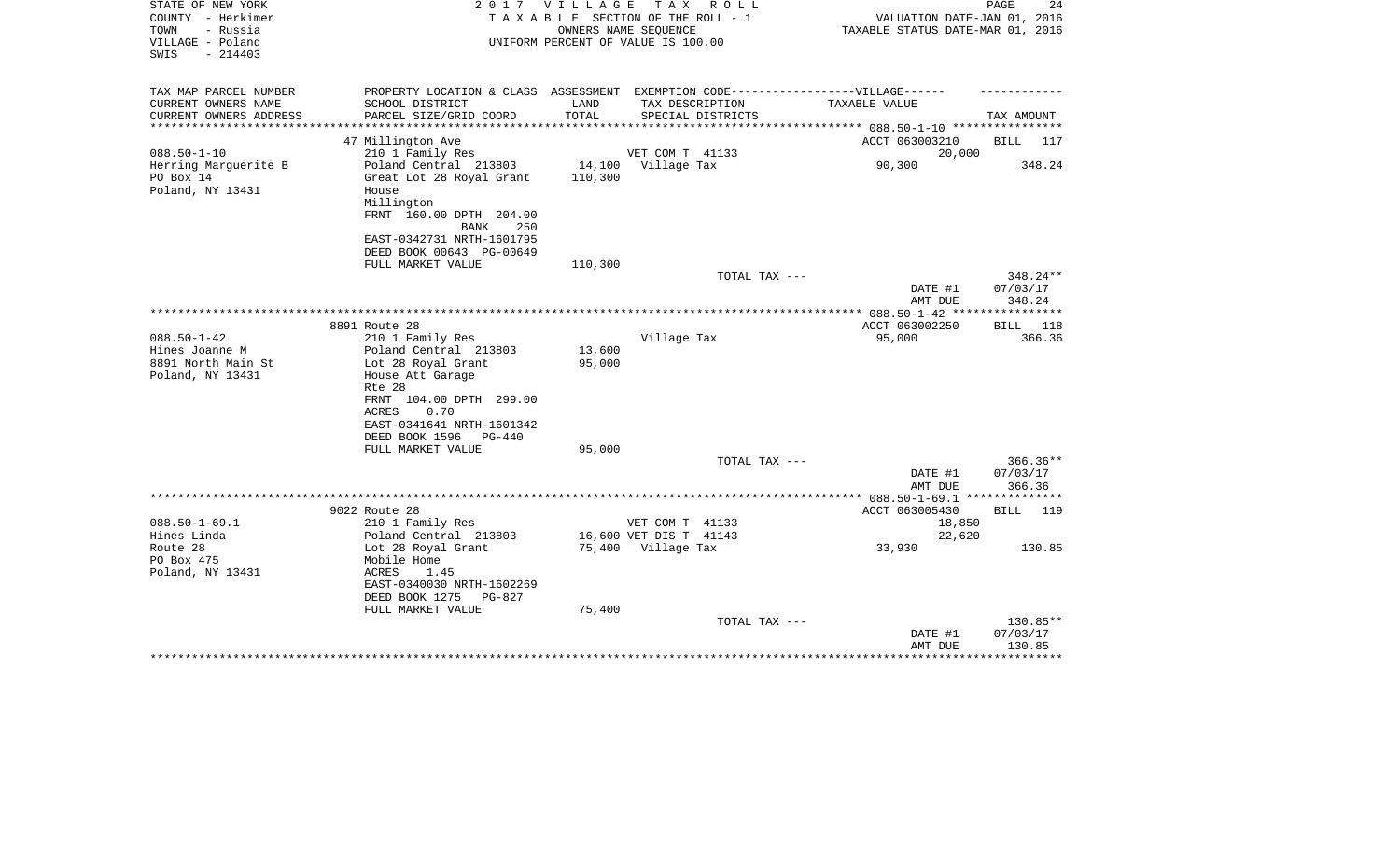| STATE OF NEW YORK<br>COUNTY - Herkimer<br>- Russia<br>TOWN<br>VILLAGE - Poland<br>$-214403$<br>SWIS | 2017                                                                                                                                                                                                                    | V I L L A G E              | T A X<br>R O L L<br>TAXABLE SECTION OF THE ROLL - 1<br>OWNERS NAME SEOUENCE<br>UNIFORM PERCENT OF VALUE IS 100.00 | VALUATION DATE-JAN 01, 2016<br>TAXABLE STATUS DATE-MAR 01, 2016 | 24<br>PAGE                     |
|-----------------------------------------------------------------------------------------------------|-------------------------------------------------------------------------------------------------------------------------------------------------------------------------------------------------------------------------|----------------------------|-------------------------------------------------------------------------------------------------------------------|-----------------------------------------------------------------|--------------------------------|
| TAX MAP PARCEL NUMBER                                                                               | PROPERTY LOCATION & CLASS ASSESSMENT                                                                                                                                                                                    |                            |                                                                                                                   | EXEMPTION CODE------------------VILLAGE------                   |                                |
| CURRENT OWNERS NAME<br>CURRENT OWNERS ADDRESS<br>**********************                             | SCHOOL DISTRICT<br>PARCEL SIZE/GRID COORD                                                                                                                                                                               | LAND<br>TOTAL              | TAX DESCRIPTION<br>SPECIAL DISTRICTS                                                                              | TAXABLE VALUE                                                   | TAX AMOUNT                     |
|                                                                                                     | 47 Millington Ave                                                                                                                                                                                                       |                            |                                                                                                                   | ACCT 063003210                                                  | BILL<br>117                    |
| $088.50 - 1 - 10$                                                                                   | 210 1 Family Res                                                                                                                                                                                                        |                            | VET COM T 41133                                                                                                   | 20,000                                                          |                                |
| Herring Marguerite B<br>PO Box 14                                                                   | Poland Central 213803                                                                                                                                                                                                   | 14,100<br>110,300          | Village Tax                                                                                                       | 90,300                                                          | 348.24                         |
| Poland, NY 13431                                                                                    | Great Lot 28 Royal Grant<br>House<br>Millington<br>FRNT 160.00 DPTH 204.00<br><b>BANK</b><br>250<br>EAST-0342731 NRTH-1601795                                                                                           |                            |                                                                                                                   |                                                                 |                                |
|                                                                                                     | DEED BOOK 00643 PG-00649<br>FULL MARKET VALUE                                                                                                                                                                           | 110,300                    |                                                                                                                   |                                                                 |                                |
|                                                                                                     |                                                                                                                                                                                                                         |                            | TOTAL TAX ---                                                                                                     | DATE #1<br>AMT DUE                                              | 348.24**<br>07/03/17<br>348.24 |
|                                                                                                     |                                                                                                                                                                                                                         |                            |                                                                                                                   |                                                                 |                                |
|                                                                                                     | 8891 Route 28                                                                                                                                                                                                           |                            |                                                                                                                   | ACCT 063002250                                                  | BILL<br>118                    |
| $088.50 - 1 - 42$<br>Hines Joanne M<br>8891 North Main St<br>Poland, NY 13431                       | 210 1 Family Res<br>Poland Central 213803<br>Lot 28 Royal Grant<br>House Att Garage<br>Rte 28<br>FRNT 104.00 DPTH 299.00<br>ACRES<br>0.70<br>EAST-0341641 NRTH-1601342<br>DEED BOOK 1596<br>PG-440<br>FULL MARKET VALUE | 13,600<br>95,000<br>95,000 | Village Tax                                                                                                       | 95,000                                                          | 366.36                         |
|                                                                                                     |                                                                                                                                                                                                                         |                            | TOTAL TAX ---                                                                                                     |                                                                 | $366.36**$                     |
|                                                                                                     |                                                                                                                                                                                                                         |                            |                                                                                                                   | DATE #1<br>AMT DUE                                              | 07/03/17<br>366.36             |
|                                                                                                     |                                                                                                                                                                                                                         |                            |                                                                                                                   |                                                                 |                                |
|                                                                                                     | 9022 Route 28                                                                                                                                                                                                           |                            |                                                                                                                   | ACCT 063005430                                                  | <b>BILL</b><br>119             |
| $088.50 - 1 - 69.1$<br>Hines Linda                                                                  | 210 1 Family Res<br>Poland Central 213803                                                                                                                                                                               |                            | VET COM T 41133<br>16,600 VET DIS T 41143                                                                         | 18,850<br>22,620                                                |                                |
| Route 28<br>PO Box 475<br>Poland, NY 13431                                                          | Lot 28 Royal Grant<br>Mobile Home<br>ACRES<br>1.45<br>EAST-0340030 NRTH-1602269<br>DEED BOOK 1275<br>PG-827<br>FULL MARKET VALUE                                                                                        | 75,400                     | 75,400 Village Tax                                                                                                | 33,930                                                          | 130.85                         |
|                                                                                                     |                                                                                                                                                                                                                         |                            | TOTAL TAX ---                                                                                                     |                                                                 | 130.85**                       |
|                                                                                                     |                                                                                                                                                                                                                         |                            |                                                                                                                   | DATE #1<br>AMT DUE                                              | 07/03/17<br>130.85             |
|                                                                                                     |                                                                                                                                                                                                                         |                            |                                                                                                                   |                                                                 |                                |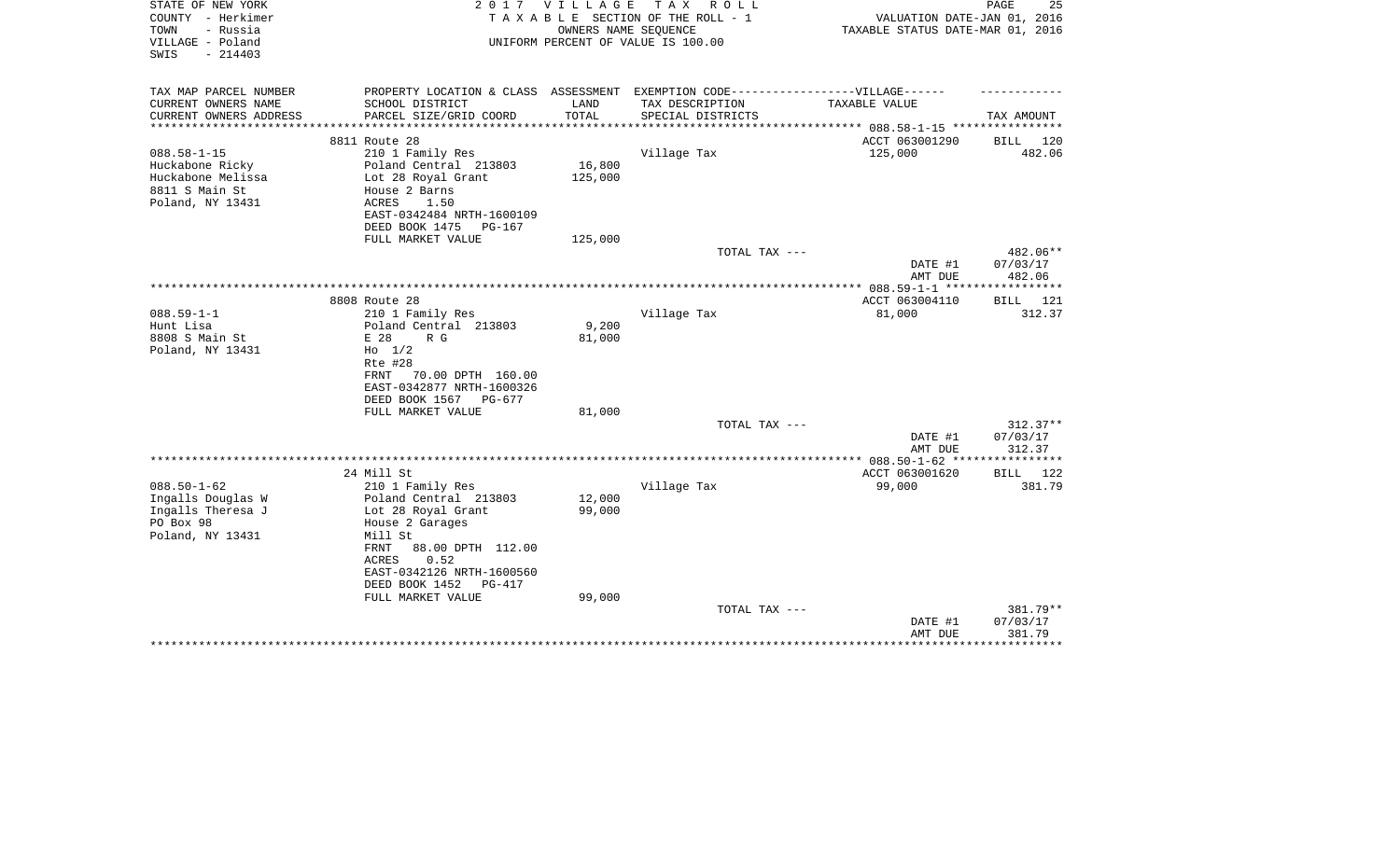| STATE OF NEW YORK<br>COUNTY - Herkimer | 2017                                      | VILLAGE                        | T A X<br>R O L L<br>TAXABLE SECTION OF THE ROLL - 1 |                                                                 | 25<br>PAGE  |
|----------------------------------------|-------------------------------------------|--------------------------------|-----------------------------------------------------|-----------------------------------------------------------------|-------------|
| - Russia<br>TOWN                       |                                           |                                | OWNERS NAME SEQUENCE                                | VALUATION DATE-JAN 01, 2016<br>TAXABLE STATUS DATE-MAR 01, 2016 |             |
| VILLAGE - Poland                       |                                           |                                | UNIFORM PERCENT OF VALUE IS 100.00                  |                                                                 |             |
| SWIS<br>$-214403$                      |                                           |                                |                                                     |                                                                 |             |
|                                        |                                           |                                |                                                     |                                                                 |             |
|                                        |                                           |                                |                                                     |                                                                 |             |
| TAX MAP PARCEL NUMBER                  | PROPERTY LOCATION & CLASS ASSESSMENT      |                                | EXEMPTION CODE------------------VILLAGE------       |                                                                 |             |
| CURRENT OWNERS NAME                    | SCHOOL DISTRICT                           | LAND                           | TAX DESCRIPTION                                     | TAXABLE VALUE                                                   |             |
| CURRENT OWNERS ADDRESS                 | PARCEL SIZE/GRID COORD                    | TOTAL<br>* * * * * * * * * * * | SPECIAL DISTRICTS                                   |                                                                 | TAX AMOUNT  |
|                                        | 8811 Route 28                             |                                |                                                     | ACCT 063001290                                                  | BILL 120    |
| $088.58 - 1 - 15$                      | 210 1 Family Res                          |                                | Village Tax                                         | 125,000                                                         | 482.06      |
| Huckabone Ricky                        | Poland Central 213803                     | 16,800                         |                                                     |                                                                 |             |
| Huckabone Melissa                      | Lot 28 Royal Grant                        | 125,000                        |                                                     |                                                                 |             |
| 8811 S Main St                         | House 2 Barns                             |                                |                                                     |                                                                 |             |
| Poland, NY 13431                       | ACRES<br>1.50                             |                                |                                                     |                                                                 |             |
|                                        | EAST-0342484 NRTH-1600109                 |                                |                                                     |                                                                 |             |
|                                        | DEED BOOK 1475<br>PG-167                  |                                |                                                     |                                                                 |             |
|                                        | FULL MARKET VALUE                         | 125,000                        |                                                     |                                                                 |             |
|                                        |                                           |                                | TOTAL TAX ---                                       |                                                                 | 482.06**    |
|                                        |                                           |                                |                                                     | DATE #1                                                         | 07/03/17    |
|                                        |                                           |                                |                                                     | AMT DUE                                                         | 482.06      |
|                                        |                                           |                                |                                                     |                                                                 |             |
|                                        | 8808 Route 28                             |                                |                                                     | ACCT 063004110                                                  | BILL<br>121 |
| $088.59 - 1 - 1$                       | 210 1 Family Res                          |                                | Village Tax                                         | 81,000                                                          | 312.37      |
| Hunt Lisa                              | Poland Central 213803                     | 9,200                          |                                                     |                                                                 |             |
| 8808 S Main St                         | E 28<br>R G                               | 81,000                         |                                                     |                                                                 |             |
| Poland, NY 13431                       | $H_0$ 1/2                                 |                                |                                                     |                                                                 |             |
|                                        | Rte #28                                   |                                |                                                     |                                                                 |             |
|                                        | 70.00 DPTH 160.00<br>FRNT                 |                                |                                                     |                                                                 |             |
|                                        | EAST-0342877 NRTH-1600326                 |                                |                                                     |                                                                 |             |
|                                        | DEED BOOK 1567<br>PG-677                  |                                |                                                     |                                                                 |             |
|                                        | FULL MARKET VALUE                         | 81,000                         |                                                     |                                                                 |             |
|                                        |                                           |                                | TOTAL TAX ---                                       |                                                                 | $312.37**$  |
|                                        |                                           |                                |                                                     | DATE #1                                                         | 07/03/17    |
|                                        |                                           |                                |                                                     | AMT DUE                                                         | 312.37      |
|                                        | 24 Mill St                                |                                |                                                     | ACCT 063001620                                                  | BILL 122    |
|                                        |                                           |                                |                                                     |                                                                 |             |
| $088.50 - 1 - 62$                      | 210 1 Family Res<br>Poland Central 213803 | 12,000                         | Village Tax                                         | 99,000                                                          | 381.79      |
| Ingalls Douglas W<br>Ingalls Theresa J |                                           | 99,000                         |                                                     |                                                                 |             |
| PO Box 98                              | Lot 28 Royal Grant<br>House 2 Garages     |                                |                                                     |                                                                 |             |
| Poland, NY 13431                       | Mill St                                   |                                |                                                     |                                                                 |             |
|                                        | 88.00 DPTH 112.00<br>FRNT                 |                                |                                                     |                                                                 |             |
|                                        | 0.52<br>ACRES                             |                                |                                                     |                                                                 |             |
|                                        | EAST-0342126 NRTH-1600560                 |                                |                                                     |                                                                 |             |
|                                        | DEED BOOK 1452<br>PG-417                  |                                |                                                     |                                                                 |             |
|                                        | FULL MARKET VALUE                         | 99,000                         |                                                     |                                                                 |             |
|                                        |                                           |                                | TOTAL TAX ---                                       |                                                                 | 381.79**    |
|                                        |                                           |                                |                                                     | DATE #1                                                         | 07/03/17    |
|                                        |                                           |                                |                                                     | AMT DUE                                                         | 381.79      |
|                                        |                                           |                                |                                                     |                                                                 |             |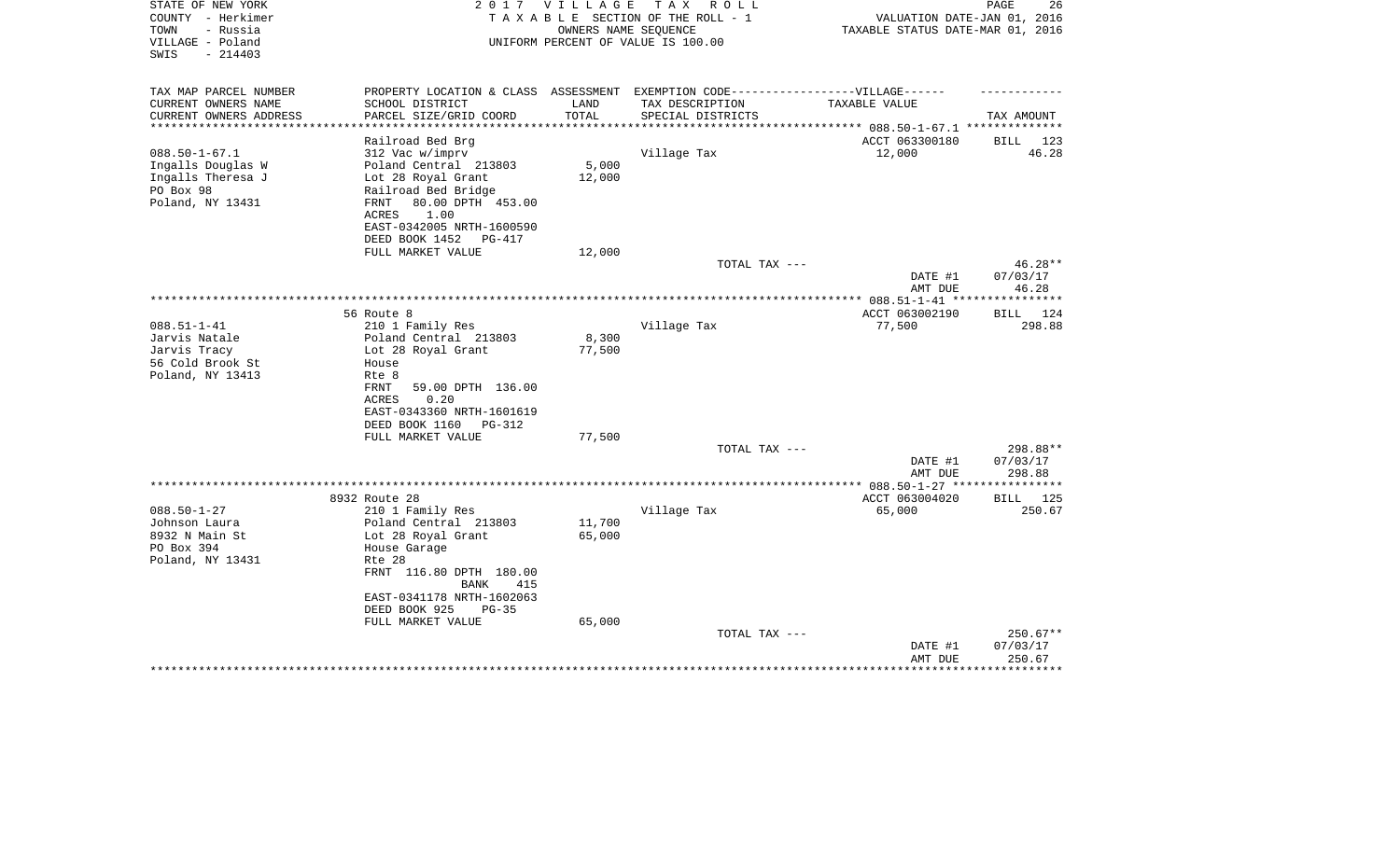| STATE OF NEW YORK<br>COUNTY - Herkimer<br>TOWN<br>- Russia<br>VILLAGE - Poland<br>$-214403$<br>SWIS |                                                                                   | 2017 VILLAGE | тах<br>R O L L<br>TAXABLE SECTION OF THE ROLL - 1<br>OWNERS NAME SEQUENCE<br>UNIFORM PERCENT OF VALUE IS 100.00 | VALUATION DATE-JAN 01, 2016<br>TAXABLE STATUS DATE-MAR 01, 2016 | 26<br>PAGE        |
|-----------------------------------------------------------------------------------------------------|-----------------------------------------------------------------------------------|--------------|-----------------------------------------------------------------------------------------------------------------|-----------------------------------------------------------------|-------------------|
| TAX MAP PARCEL NUMBER                                                                               | PROPERTY LOCATION & CLASS ASSESSMENT EXEMPTION CODE-----------------VILLAGE------ |              |                                                                                                                 |                                                                 |                   |
| CURRENT OWNERS NAME                                                                                 | SCHOOL DISTRICT                                                                   | LAND         | TAX DESCRIPTION                                                                                                 | TAXABLE VALUE                                                   |                   |
| CURRENT OWNERS ADDRESS<br>**********************                                                    | PARCEL SIZE/GRID COORD<br>***********************                                 | TOTAL        | SPECIAL DISTRICTS                                                                                               |                                                                 | TAX AMOUNT        |
|                                                                                                     |                                                                                   |              |                                                                                                                 |                                                                 |                   |
| $088.50 - 1 - 67.1$                                                                                 | Railroad Bed Brg<br>312 Vac w/imprv                                               |              | Village Tax                                                                                                     | ACCT 063300180<br>12,000                                        | BILL 123<br>46.28 |
| Ingalls Douglas W                                                                                   | Poland Central 213803                                                             | 5,000        |                                                                                                                 |                                                                 |                   |
| Ingalls Theresa J                                                                                   | Lot 28 Royal Grant                                                                | 12,000       |                                                                                                                 |                                                                 |                   |
| PO Box 98                                                                                           | Railroad Bed Bridge                                                               |              |                                                                                                                 |                                                                 |                   |
| Poland, NY 13431                                                                                    | 80.00 DPTH 453.00<br>FRNT                                                         |              |                                                                                                                 |                                                                 |                   |
|                                                                                                     | ACRES<br>1.00                                                                     |              |                                                                                                                 |                                                                 |                   |
|                                                                                                     | EAST-0342005 NRTH-1600590                                                         |              |                                                                                                                 |                                                                 |                   |
|                                                                                                     | DEED BOOK 1452<br>PG-417                                                          |              |                                                                                                                 |                                                                 |                   |
|                                                                                                     | FULL MARKET VALUE                                                                 | 12,000       |                                                                                                                 |                                                                 |                   |
|                                                                                                     |                                                                                   |              | TOTAL TAX ---                                                                                                   |                                                                 | $46.28**$         |
|                                                                                                     |                                                                                   |              |                                                                                                                 | DATE #1                                                         | 07/03/17          |
|                                                                                                     |                                                                                   |              | *************************************                                                                           | AMT DUE<br>************ 088.51-1-41 **                          | 46.28<br>******** |
|                                                                                                     | 56 Route 8                                                                        |              |                                                                                                                 | ACCT 063002190                                                  | BILL<br>124       |
| $088.51 - 1 - 41$                                                                                   | 210 1 Family Res                                                                  |              | Village Tax                                                                                                     | 77,500                                                          | 298.88            |
| Jarvis Natale                                                                                       | Poland Central 213803                                                             | 8,300        |                                                                                                                 |                                                                 |                   |
| Jarvis Tracy                                                                                        | Lot 28 Royal Grant                                                                | 77,500       |                                                                                                                 |                                                                 |                   |
| 56 Cold Brook St                                                                                    | House                                                                             |              |                                                                                                                 |                                                                 |                   |
| Poland, NY 13413                                                                                    | Rte 8                                                                             |              |                                                                                                                 |                                                                 |                   |
|                                                                                                     | <b>FRNT</b><br>59.00 DPTH 136.00                                                  |              |                                                                                                                 |                                                                 |                   |
|                                                                                                     | ACRES<br>0.20                                                                     |              |                                                                                                                 |                                                                 |                   |
|                                                                                                     | EAST-0343360 NRTH-1601619                                                         |              |                                                                                                                 |                                                                 |                   |
|                                                                                                     | DEED BOOK 1160<br>PG-312                                                          |              |                                                                                                                 |                                                                 |                   |
|                                                                                                     | FULL MARKET VALUE                                                                 | 77,500       | TOTAL TAX ---                                                                                                   |                                                                 | 298.88**          |
|                                                                                                     |                                                                                   |              |                                                                                                                 | DATE #1                                                         | 07/03/17          |
|                                                                                                     |                                                                                   |              |                                                                                                                 | AMT DUE                                                         | 298.88            |
|                                                                                                     |                                                                                   |              | ******************                                                                                              | ** 088.50-1-27 **                                               |                   |
|                                                                                                     | 8932 Route 28                                                                     |              |                                                                                                                 | ACCT 063004020                                                  | BILL 125          |
| $088.50 - 1 - 27$                                                                                   | 210 1 Family Res                                                                  |              | Village Tax                                                                                                     | 65,000                                                          | 250.67            |
| Johnson Laura                                                                                       | Poland Central 213803                                                             | 11,700       |                                                                                                                 |                                                                 |                   |
| 8932 N Main St                                                                                      | Lot 28 Royal Grant                                                                | 65,000       |                                                                                                                 |                                                                 |                   |
| PO Box 394                                                                                          | House Garage                                                                      |              |                                                                                                                 |                                                                 |                   |
| Poland, NY 13431                                                                                    | Rte 28                                                                            |              |                                                                                                                 |                                                                 |                   |
|                                                                                                     | FRNT 116.80 DPTH 180.00                                                           |              |                                                                                                                 |                                                                 |                   |
|                                                                                                     | <b>BANK</b><br>415<br>EAST-0341178 NRTH-1602063                                   |              |                                                                                                                 |                                                                 |                   |
|                                                                                                     | DEED BOOK 925<br>$PG-35$                                                          |              |                                                                                                                 |                                                                 |                   |
|                                                                                                     | FULL MARKET VALUE                                                                 | 65,000       |                                                                                                                 |                                                                 |                   |
|                                                                                                     |                                                                                   |              | TOTAL TAX ---                                                                                                   |                                                                 | 250.67**          |
|                                                                                                     |                                                                                   |              |                                                                                                                 | DATE #1                                                         | 07/03/17          |
|                                                                                                     |                                                                                   |              |                                                                                                                 | AMT DUE                                                         | 250.67            |
|                                                                                                     |                                                                                   |              |                                                                                                                 |                                                                 |                   |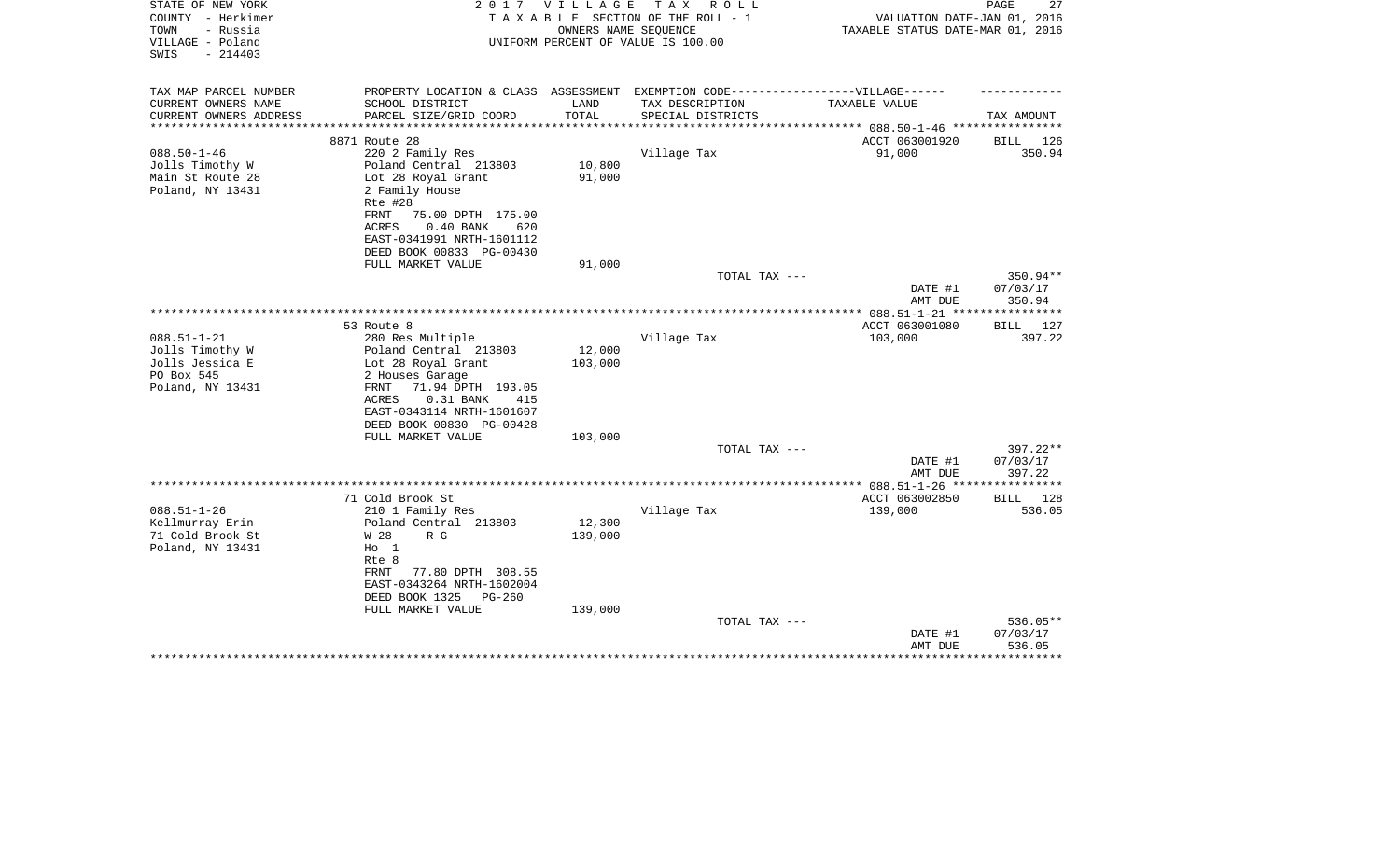| STATE OF NEW YORK<br>COUNTY - Herkimer<br>- Russia<br>TOWN<br>VILLAGE - Poland            | 2017                                                                                                                                                                                                                                        | VILLAGE                      | TAX ROLL<br>TAXABLE SECTION OF THE ROLL - 1<br>OWNERS NAME SEQUENCE<br>UNIFORM PERCENT OF VALUE IS 100.00 | VALUATION DATE-JAN 01, 2016<br>TAXABLE STATUS DATE-MAR 01, 2016 | 27<br>PAGE                                  |
|-------------------------------------------------------------------------------------------|---------------------------------------------------------------------------------------------------------------------------------------------------------------------------------------------------------------------------------------------|------------------------------|-----------------------------------------------------------------------------------------------------------|-----------------------------------------------------------------|---------------------------------------------|
| SWIS<br>$-214403$                                                                         |                                                                                                                                                                                                                                             |                              |                                                                                                           |                                                                 |                                             |
| TAX MAP PARCEL NUMBER<br>CURRENT OWNERS NAME                                              | PROPERTY LOCATION & CLASS ASSESSMENT EXEMPTION CODE-----------------VILLAGE------<br>SCHOOL DISTRICT                                                                                                                                        | LAND                         | TAX DESCRIPTION                                                                                           | TAXABLE VALUE                                                   |                                             |
| CURRENT OWNERS ADDRESS<br>*************                                                   | PARCEL SIZE/GRID COORD                                                                                                                                                                                                                      | TOTAL<br>* * * * * * * * * * | SPECIAL DISTRICTS                                                                                         | *********************** 088.50-1-46 *****************           | TAX AMOUNT                                  |
|                                                                                           | 8871 Route 28                                                                                                                                                                                                                               |                              |                                                                                                           | ACCT 063001920                                                  | BILL 126                                    |
| $088.50 - 1 - 46$<br>Jolls Timothy W<br>Main St Route 28<br>Poland, NY 13431              | 220 2 Family Res<br>Poland Central 213803<br>Lot 28 Royal Grant<br>2 Family House<br>Rte #28<br>FRNT<br>75.00 DPTH 175.00<br><b>ACRES</b><br>0.40 BANK<br>620<br>EAST-0341991 NRTH-1601112<br>DEED BOOK 00833 PG-00430<br>FULL MARKET VALUE | 10,800<br>91,000<br>91,000   | Village Tax                                                                                               | 91,000                                                          | 350.94                                      |
|                                                                                           |                                                                                                                                                                                                                                             |                              | TOTAL TAX ---                                                                                             |                                                                 | 350.94**                                    |
|                                                                                           |                                                                                                                                                                                                                                             |                              |                                                                                                           | DATE #1<br>AMT DUE                                              | 07/03/17<br>350.94                          |
|                                                                                           |                                                                                                                                                                                                                                             |                              |                                                                                                           |                                                                 |                                             |
| $088.51 - 1 - 21$<br>Jolls Timothy W<br>Jolls Jessica E<br>PO Box 545<br>Poland, NY 13431 | 53 Route 8<br>280 Res Multiple<br>Poland Central 213803<br>Lot 28 Royal Grant<br>2 Houses Garage<br>71.94 DPTH 193.05<br>FRNT<br>ACRES<br>$0.31$ BANK<br>415<br>EAST-0343114 NRTH-1601607                                                   | 12,000<br>103,000            | Village Tax                                                                                               | ACCT 063001080<br>103,000                                       | <b>BILL</b><br>127<br>397.22                |
|                                                                                           | DEED BOOK 00830 PG-00428                                                                                                                                                                                                                    |                              |                                                                                                           |                                                                 |                                             |
|                                                                                           | FULL MARKET VALUE                                                                                                                                                                                                                           | 103,000                      |                                                                                                           |                                                                 |                                             |
|                                                                                           |                                                                                                                                                                                                                                             |                              | TOTAL TAX ---                                                                                             | DATE #1<br>AMT DUE                                              | 397.22**<br>07/03/17<br>397.22              |
|                                                                                           |                                                                                                                                                                                                                                             |                              |                                                                                                           | **************** 088.51-1-26 ***                                | * * * * * * * * * * * *                     |
|                                                                                           | 71 Cold Brook St                                                                                                                                                                                                                            |                              |                                                                                                           | ACCT 063002850                                                  | BILL<br>128                                 |
| $088.51 - 1 - 26$<br>Kellmurray Erin<br>71 Cold Brook St<br>Poland, NY 13431              | 210 1 Family Res<br>Poland Central 213803<br>W 28<br>R G<br>$H_0$ 1<br>Rte 8<br>77.80 DPTH 308.55<br>FRNT<br>EAST-0343264 NRTH-1602004<br>DEED BOOK 1325<br>$PG-260$                                                                        | 12,300<br>139,000            | Village Tax                                                                                               | 139,000                                                         | 536.05                                      |
|                                                                                           | FULL MARKET VALUE                                                                                                                                                                                                                           | 139,000                      |                                                                                                           |                                                                 |                                             |
|                                                                                           |                                                                                                                                                                                                                                             |                              | TOTAL TAX ---                                                                                             | DATE #1<br>AMT DUE                                              | 536.05**<br>07/03/17<br>536.05<br>********* |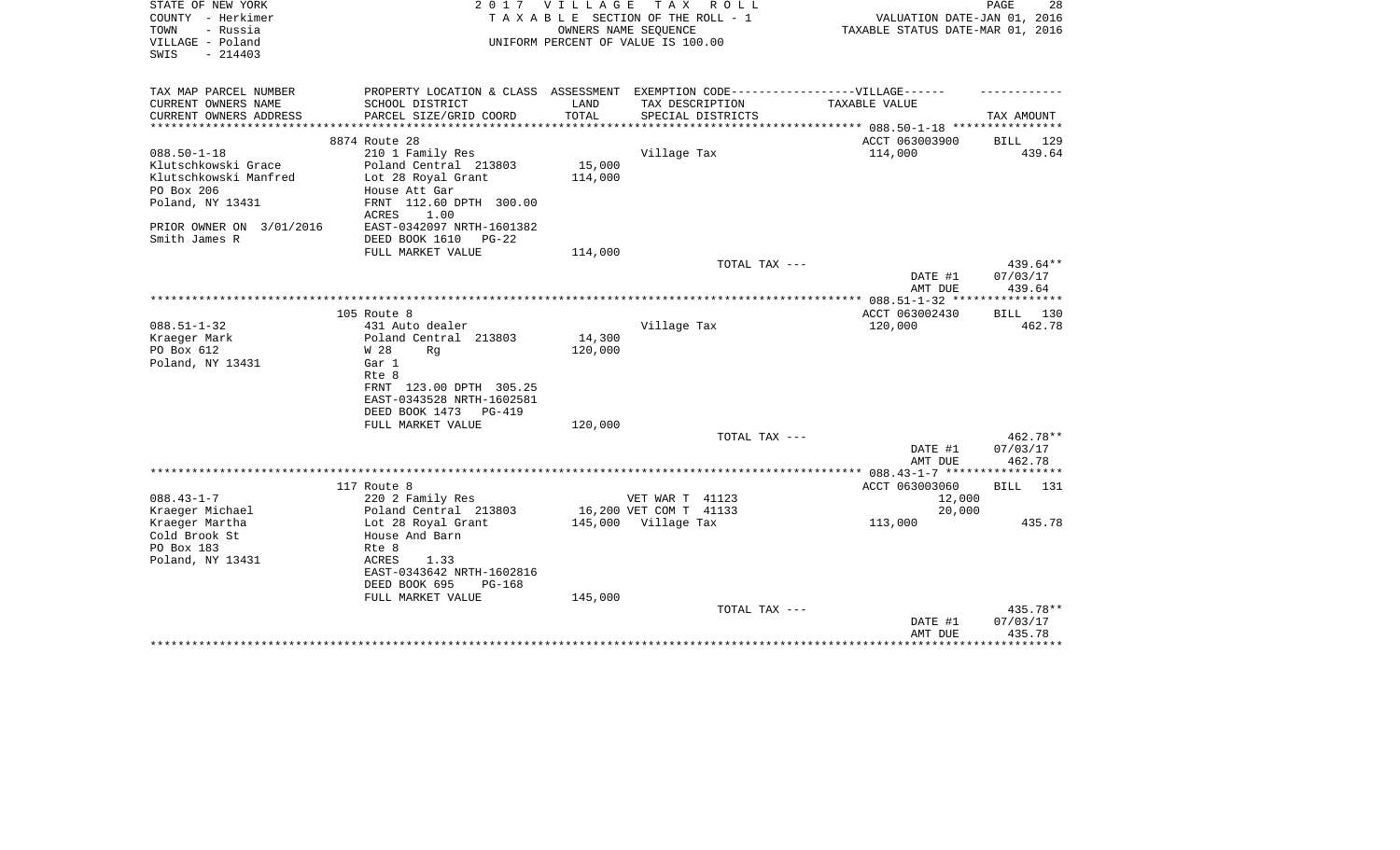| STATE OF NEW YORK<br>COUNTY - Herkimer<br>TOWN<br>- Russia | V I L L A G E<br>TAX ROLL<br>2017<br>TAXABLE SECTION OF THE ROLL - 1<br>OWNERS NAME SEOUENCE |         |                                    | 28<br>PAGE<br>VALUATION DATE-JAN 01, 2016<br>TAXABLE STATUS DATE-MAR 01, 2016 |                    |  |
|------------------------------------------------------------|----------------------------------------------------------------------------------------------|---------|------------------------------------|-------------------------------------------------------------------------------|--------------------|--|
| VILLAGE - Poland<br>$-214403$<br>SWIS                      |                                                                                              |         | UNIFORM PERCENT OF VALUE IS 100.00 |                                                                               |                    |  |
| TAX MAP PARCEL NUMBER                                      | PROPERTY LOCATION & CLASS ASSESSMENT EXEMPTION CODE-----------------VILLAGE------            |         |                                    |                                                                               |                    |  |
| CURRENT OWNERS NAME                                        | SCHOOL DISTRICT                                                                              | LAND    | TAX DESCRIPTION                    | TAXABLE VALUE                                                                 |                    |  |
| CURRENT OWNERS ADDRESS                                     | PARCEL SIZE/GRID COORD                                                                       | TOTAL   | SPECIAL DISTRICTS                  |                                                                               | TAX AMOUNT         |  |
|                                                            | 8874 Route 28                                                                                |         |                                    | ACCT 063003900                                                                | BILL 129           |  |
| $088.50 - 1 - 18$                                          | 210 1 Family Res                                                                             |         | Village Tax                        | 114,000                                                                       | 439.64             |  |
| Klutschkowski Grace                                        | Poland Central 213803                                                                        | 15,000  |                                    |                                                                               |                    |  |
| Klutschkowski Manfred                                      | Lot 28 Royal Grant                                                                           | 114,000 |                                    |                                                                               |                    |  |
| PO Box 206                                                 | House Att Gar                                                                                |         |                                    |                                                                               |                    |  |
| Poland, NY 13431                                           | FRNT 112.60 DPTH 300.00<br>1.00<br>ACRES                                                     |         |                                    |                                                                               |                    |  |
| PRIOR OWNER ON 3/01/2016                                   | EAST-0342097 NRTH-1601382                                                                    |         |                                    |                                                                               |                    |  |
| Smith James R                                              | DEED BOOK 1610<br>$PG-22$                                                                    |         |                                    |                                                                               |                    |  |
|                                                            | FULL MARKET VALUE                                                                            | 114,000 |                                    |                                                                               |                    |  |
|                                                            |                                                                                              |         | TOTAL TAX ---                      |                                                                               | 439.64**           |  |
|                                                            |                                                                                              |         |                                    | DATE #1<br>AMT DUE                                                            | 07/03/17<br>439.64 |  |
|                                                            |                                                                                              |         |                                    |                                                                               |                    |  |
|                                                            | 105 Route 8                                                                                  |         |                                    | ACCT 063002430                                                                | BILL 130           |  |
| $088.51 - 1 - 32$<br>Kraeger Mark                          | 431 Auto dealer<br>Poland Central 213803                                                     | 14,300  | Village Tax                        | 120,000                                                                       | 462.78             |  |
| PO Box 612                                                 | W 28<br>Rq                                                                                   | 120,000 |                                    |                                                                               |                    |  |
| Poland, NY 13431                                           | Gar 1                                                                                        |         |                                    |                                                                               |                    |  |
|                                                            | Rte 8                                                                                        |         |                                    |                                                                               |                    |  |
|                                                            | FRNT 123.00 DPTH 305.25                                                                      |         |                                    |                                                                               |                    |  |
|                                                            | EAST-0343528 NRTH-1602581                                                                    |         |                                    |                                                                               |                    |  |
|                                                            | DEED BOOK 1473<br>PG-419                                                                     |         |                                    |                                                                               |                    |  |
|                                                            | FULL MARKET VALUE                                                                            | 120,000 |                                    |                                                                               |                    |  |
|                                                            |                                                                                              |         | TOTAL TAX ---                      |                                                                               | 462.78**           |  |
|                                                            |                                                                                              |         |                                    | DATE #1                                                                       | 07/03/17<br>462.78 |  |
|                                                            |                                                                                              |         |                                    | AMT DUE<br>**************** 088.43-1-7 ******************                     |                    |  |
|                                                            | 117 Route 8                                                                                  |         |                                    | ACCT 063003060                                                                | BILL<br>131        |  |
| $088.43 - 1 - 7$                                           | 220 2 Family Res                                                                             |         | VET WAR T 41123                    | 12,000                                                                        |                    |  |
| Kraeger Michael                                            | Poland Central 213803                                                                        |         | 16,200 VET COM T 41133             | 20,000                                                                        |                    |  |
| Kraeger Martha                                             | Lot 28 Royal Grant                                                                           |         | 145,000 Village Tax                | 113,000                                                                       | 435.78             |  |
| Cold Brook St                                              | House And Barn                                                                               |         |                                    |                                                                               |                    |  |
| PO Box 183                                                 | Rte 8                                                                                        |         |                                    |                                                                               |                    |  |
| Poland, NY 13431                                           | 1.33<br>ACRES                                                                                |         |                                    |                                                                               |                    |  |
|                                                            | EAST-0343642 NRTH-1602816<br>DEED BOOK 695<br>$PG-168$                                       |         |                                    |                                                                               |                    |  |
|                                                            | FULL MARKET VALUE                                                                            | 145,000 |                                    |                                                                               |                    |  |
|                                                            |                                                                                              |         | TOTAL TAX ---                      |                                                                               | 435.78**           |  |
|                                                            |                                                                                              |         |                                    | DATE #1                                                                       | 07/03/17           |  |
|                                                            |                                                                                              |         |                                    | AMT DUE                                                                       | 435.78             |  |
|                                                            |                                                                                              |         |                                    |                                                                               | ***********        |  |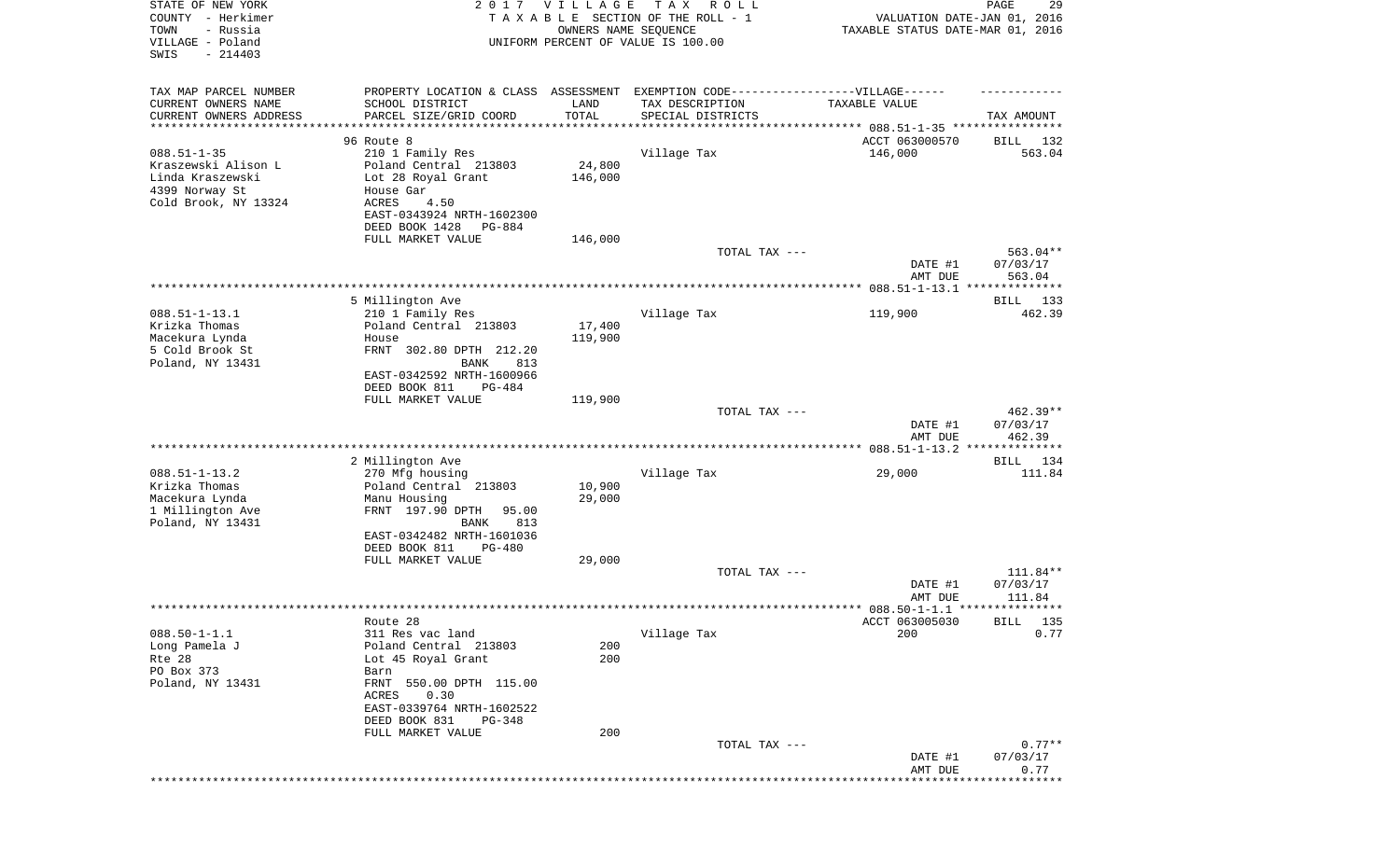| STATE OF NEW YORK<br>COUNTY - Herkimer<br>- Russia<br>TOWN<br>VILLAGE - Poland | 2017                                         | <b>VILLAGE</b><br>OWNERS NAME SEQUENCE | T A X<br>R O L L<br>TAXABLE SECTION OF THE ROLL - 1<br>UNIFORM PERCENT OF VALUE IS 100.00 | VALUATION DATE-JAN 01, 2016<br>TAXABLE STATUS DATE-MAR 01, 2016 | PAGE<br>29           |
|--------------------------------------------------------------------------------|----------------------------------------------|----------------------------------------|-------------------------------------------------------------------------------------------|-----------------------------------------------------------------|----------------------|
| SWIS<br>$-214403$                                                              |                                              |                                        |                                                                                           |                                                                 |                      |
| TAX MAP PARCEL NUMBER                                                          |                                              |                                        | PROPERTY LOCATION & CLASS ASSESSMENT EXEMPTION CODE----------------VILLAGE------          |                                                                 |                      |
| CURRENT OWNERS NAME                                                            | SCHOOL DISTRICT                              | LAND                                   | TAX DESCRIPTION                                                                           | TAXABLE VALUE                                                   |                      |
| CURRENT OWNERS ADDRESS<br>*********************                                | PARCEL SIZE/GRID COORD                       | TOTAL<br>* * * * * * * * * * *         | SPECIAL DISTRICTS                                                                         |                                                                 | TAX AMOUNT           |
|                                                                                | 96 Route 8                                   |                                        |                                                                                           | ACCT 063000570                                                  | 132<br>BILL          |
| $088.51 - 1 - 35$                                                              | 210 1 Family Res                             |                                        | Village Tax                                                                               | 146,000                                                         | 563.04               |
| Kraszewski Alison L                                                            | Poland Central 213803                        | 24,800                                 |                                                                                           |                                                                 |                      |
| Linda Kraszewski                                                               | Lot 28 Royal Grant                           | 146,000                                |                                                                                           |                                                                 |                      |
| 4399 Norway St<br>Cold Brook, NY 13324                                         | House Gar                                    |                                        |                                                                                           |                                                                 |                      |
|                                                                                | ACRES<br>4.50<br>EAST-0343924 NRTH-1602300   |                                        |                                                                                           |                                                                 |                      |
|                                                                                | DEED BOOK 1428<br>PG-884                     |                                        |                                                                                           |                                                                 |                      |
|                                                                                | FULL MARKET VALUE                            | 146,000                                |                                                                                           |                                                                 |                      |
|                                                                                |                                              |                                        | TOTAL TAX ---                                                                             |                                                                 | $563.04**$           |
|                                                                                |                                              |                                        |                                                                                           | DATE #1<br>AMT DUE                                              | 07/03/17<br>563.04   |
|                                                                                |                                              |                                        |                                                                                           |                                                                 |                      |
|                                                                                | 5 Millington Ave                             |                                        |                                                                                           |                                                                 | BILL 133             |
| $088.51 - 1 - 13.1$                                                            | 210 1 Family Res                             |                                        | Village Tax                                                                               | 119,900                                                         | 462.39               |
| Krizka Thomas                                                                  | Poland Central 213803                        | 17,400                                 |                                                                                           |                                                                 |                      |
| Macekura Lynda<br>5 Cold Brook St                                              | House<br>FRNT 302.80 DPTH 212.20             | 119,900                                |                                                                                           |                                                                 |                      |
| Poland, NY 13431                                                               | 813<br>BANK                                  |                                        |                                                                                           |                                                                 |                      |
|                                                                                | EAST-0342592 NRTH-1600966                    |                                        |                                                                                           |                                                                 |                      |
|                                                                                | DEED BOOK 811<br>PG-484                      |                                        |                                                                                           |                                                                 |                      |
|                                                                                | FULL MARKET VALUE                            | 119,900                                | TOTAL TAX ---                                                                             |                                                                 | $462.39**$           |
|                                                                                |                                              |                                        |                                                                                           | DATE #1<br>AMT DUE                                              | 07/03/17<br>462.39   |
|                                                                                |                                              |                                        |                                                                                           |                                                                 |                      |
|                                                                                | 2 Millington Ave                             |                                        |                                                                                           |                                                                 | BILL 134             |
| $088.51 - 1 - 13.2$<br>Krizka Thomas                                           | 270 Mfg housing                              | 10,900                                 | Village Tax                                                                               | 29,000                                                          | 111.84               |
| Macekura Lynda                                                                 | Poland Central 213803<br>Manu Housing        | 29,000                                 |                                                                                           |                                                                 |                      |
| 1 Millington Ave                                                               | FRNT 197.90 DPTH<br>95.00                    |                                        |                                                                                           |                                                                 |                      |
| Poland, NY 13431                                                               | 813<br>BANK                                  |                                        |                                                                                           |                                                                 |                      |
|                                                                                | EAST-0342482 NRTH-1601036                    |                                        |                                                                                           |                                                                 |                      |
|                                                                                | DEED BOOK 811<br>PG-480<br>FULL MARKET VALUE | 29,000                                 |                                                                                           |                                                                 |                      |
|                                                                                |                                              |                                        | TOTAL TAX ---                                                                             |                                                                 | 111.84**             |
|                                                                                |                                              |                                        |                                                                                           | DATE #1                                                         | 07/03/17             |
|                                                                                |                                              |                                        |                                                                                           | AMT DUE                                                         | 111.84               |
|                                                                                | Route 28                                     |                                        |                                                                                           | ACCT 063005030                                                  | BILL 135             |
| $088.50 - 1 - 1.1$                                                             | 311 Res vac land                             |                                        | Village Tax                                                                               | 200                                                             | 0.77                 |
| Long Pamela J                                                                  | Poland Central 213803                        | 200                                    |                                                                                           |                                                                 |                      |
| Rte 28                                                                         | Lot 45 Royal Grant                           | 200                                    |                                                                                           |                                                                 |                      |
| PO Box 373                                                                     | Barn                                         |                                        |                                                                                           |                                                                 |                      |
| Poland, NY 13431                                                               | 550.00 DPTH 115.00<br>FRNT<br>ACRES<br>0.30  |                                        |                                                                                           |                                                                 |                      |
|                                                                                | EAST-0339764 NRTH-1602522                    |                                        |                                                                                           |                                                                 |                      |
|                                                                                | DEED BOOK 831<br>PG-348                      |                                        |                                                                                           |                                                                 |                      |
|                                                                                | FULL MARKET VALUE                            | 200                                    |                                                                                           |                                                                 |                      |
|                                                                                |                                              |                                        | TOTAL TAX ---                                                                             | DATE #1                                                         | $0.77**$<br>07/03/17 |
|                                                                                |                                              |                                        |                                                                                           | AMT DUE                                                         | 0.77                 |
|                                                                                |                                              |                                        |                                                                                           |                                                                 |                      |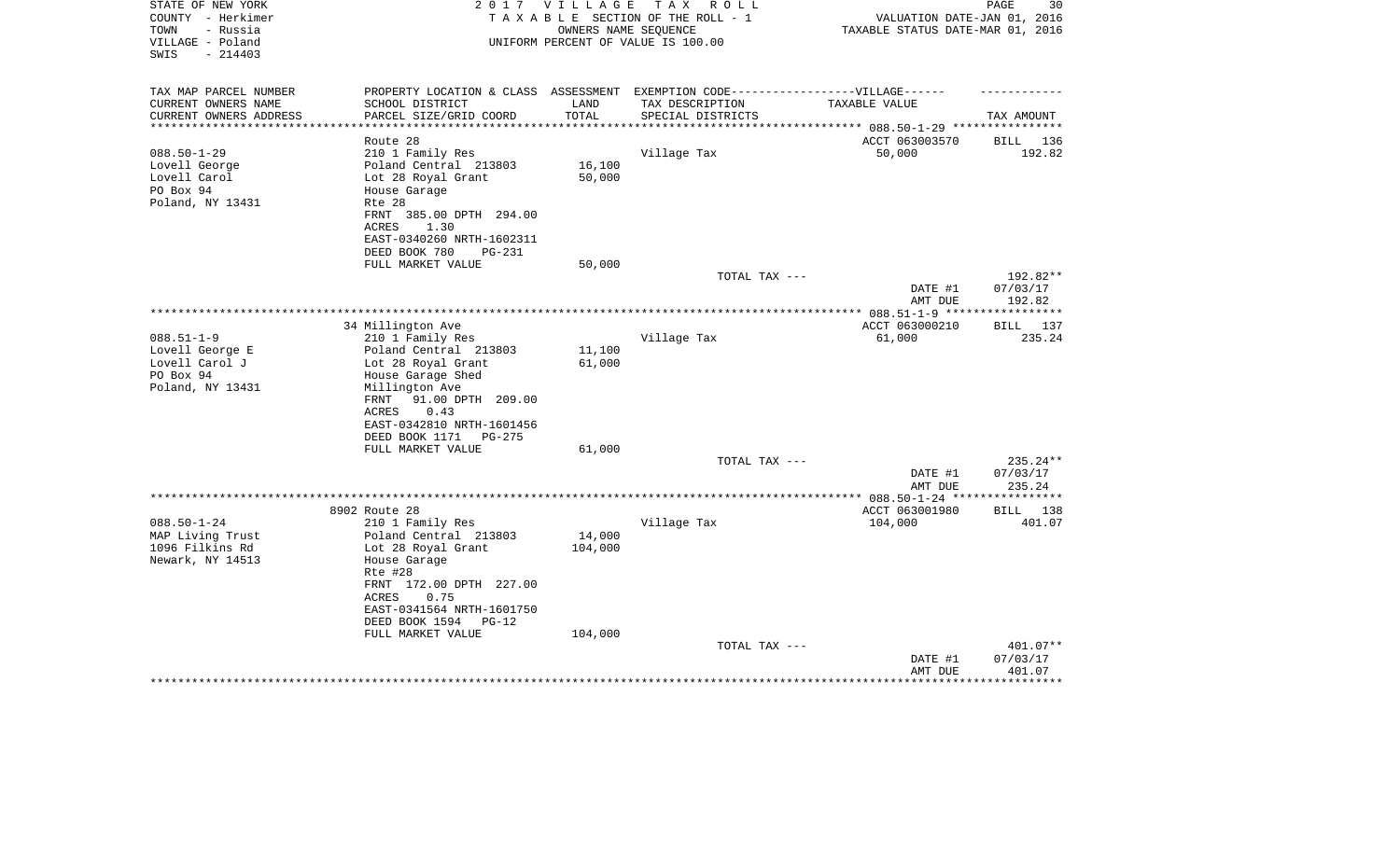| STATE OF NEW YORK<br>COUNTY - Herkimer<br>- Russia<br>TOWN<br>VILLAGE - Poland<br>SWIS<br>$-214403$ | 2 0 1 7                                                                                                                                                                                                                                | V I L L A G E                | T A X<br>R O L L<br>TAXABLE SECTION OF THE ROLL - 1<br>OWNERS NAME SEQUENCE<br>UNIFORM PERCENT OF VALUE IS 100.00        | VALUATION DATE-JAN 01, 2016<br>TAXABLE STATUS DATE-MAR 01, 2016 | PAGE<br>30                                 |
|-----------------------------------------------------------------------------------------------------|----------------------------------------------------------------------------------------------------------------------------------------------------------------------------------------------------------------------------------------|------------------------------|--------------------------------------------------------------------------------------------------------------------------|-----------------------------------------------------------------|--------------------------------------------|
| TAX MAP PARCEL NUMBER<br>CURRENT OWNERS NAME<br>CURRENT OWNERS ADDRESS                              | SCHOOL DISTRICT<br>PARCEL SIZE/GRID COORD                                                                                                                                                                                              | LAND<br>TOTAL                | PROPERTY LOCATION & CLASS ASSESSMENT EXEMPTION CODE----------------VILLAGE------<br>TAX DESCRIPTION<br>SPECIAL DISTRICTS | TAXABLE VALUE                                                   | TAX AMOUNT                                 |
|                                                                                                     | Route 28                                                                                                                                                                                                                               |                              |                                                                                                                          | ****** 088.50-1-29 ****<br>ACCT 063003570                       | 136<br>BILL                                |
| $088.50 - 1 - 29$<br>Lovell George<br>Lovell Carol<br>PO Box 94<br>Poland, NY 13431                 | 210 1 Family Res<br>Poland Central 213803<br>Lot 28 Royal Grant<br>House Garage<br>Rte 28<br>FRNT 385.00 DPTH 294.00<br><b>ACRES</b><br>1.30<br>EAST-0340260 NRTH-1602311<br>DEED BOOK 780<br>PG-231                                   | 16,100<br>50,000             | Village Tax                                                                                                              | 50,000                                                          | 192.82                                     |
|                                                                                                     | FULL MARKET VALUE                                                                                                                                                                                                                      | 50,000                       | TOTAL TAX ---                                                                                                            | DATE #1                                                         | 192.82**<br>07/03/17                       |
|                                                                                                     |                                                                                                                                                                                                                                        |                              |                                                                                                                          | AMT DUE                                                         | 192.82<br>* * * * * * * * * * * *          |
|                                                                                                     | 34 Millington Ave                                                                                                                                                                                                                      |                              |                                                                                                                          | ACCT 063000210                                                  | 137<br>BILL                                |
| $088.51 - 1 - 9$<br>Lovell George E<br>Lovell Carol J<br>PO Box 94<br>Poland, NY 13431              | 210 1 Family Res<br>Poland Central 213803<br>Lot 28 Royal Grant<br>House Garage Shed<br>Millington Ave<br>91.00 DPTH 209.00<br>FRNT<br>0.43<br>ACRES<br>EAST-0342810 NRTH-1601456<br>DEED BOOK 1171<br>PG-275                          | 11,100<br>61,000             | Village Tax                                                                                                              | 61,000                                                          | 235.24                                     |
|                                                                                                     | FULL MARKET VALUE                                                                                                                                                                                                                      | 61,000                       | TOTAL TAX ---                                                                                                            |                                                                 | 235.24**                                   |
|                                                                                                     |                                                                                                                                                                                                                                        |                              |                                                                                                                          | DATE #1<br>AMT DUE                                              | 07/03/17<br>235.24                         |
|                                                                                                     |                                                                                                                                                                                                                                        |                              |                                                                                                                          |                                                                 | * * * * * * * * *                          |
| $088.50 - 1 - 24$<br>MAP Living Trust<br>1096 Filkins Rd<br>Newark, NY 14513                        | 8902 Route 28<br>210 1 Family Res<br>Poland Central 213803<br>Lot 28 Royal Grant<br>House Garage<br>Rte #28<br>FRNT 172.00 DPTH 227.00<br>ACRES<br>0.75<br>EAST-0341564 NRTH-1601750<br>DEED BOOK 1594<br>$PG-12$<br>FULL MARKET VALUE | 14,000<br>104,000<br>104,000 | Village Tax                                                                                                              | ACCT 063001980<br>104,000                                       | 138<br>BILL<br>401.07                      |
|                                                                                                     |                                                                                                                                                                                                                                        |                              | TOTAL TAX ---                                                                                                            | DATE #1<br>AMT DUE                                              | 401.07**<br>07/03/17<br>401.07<br>******** |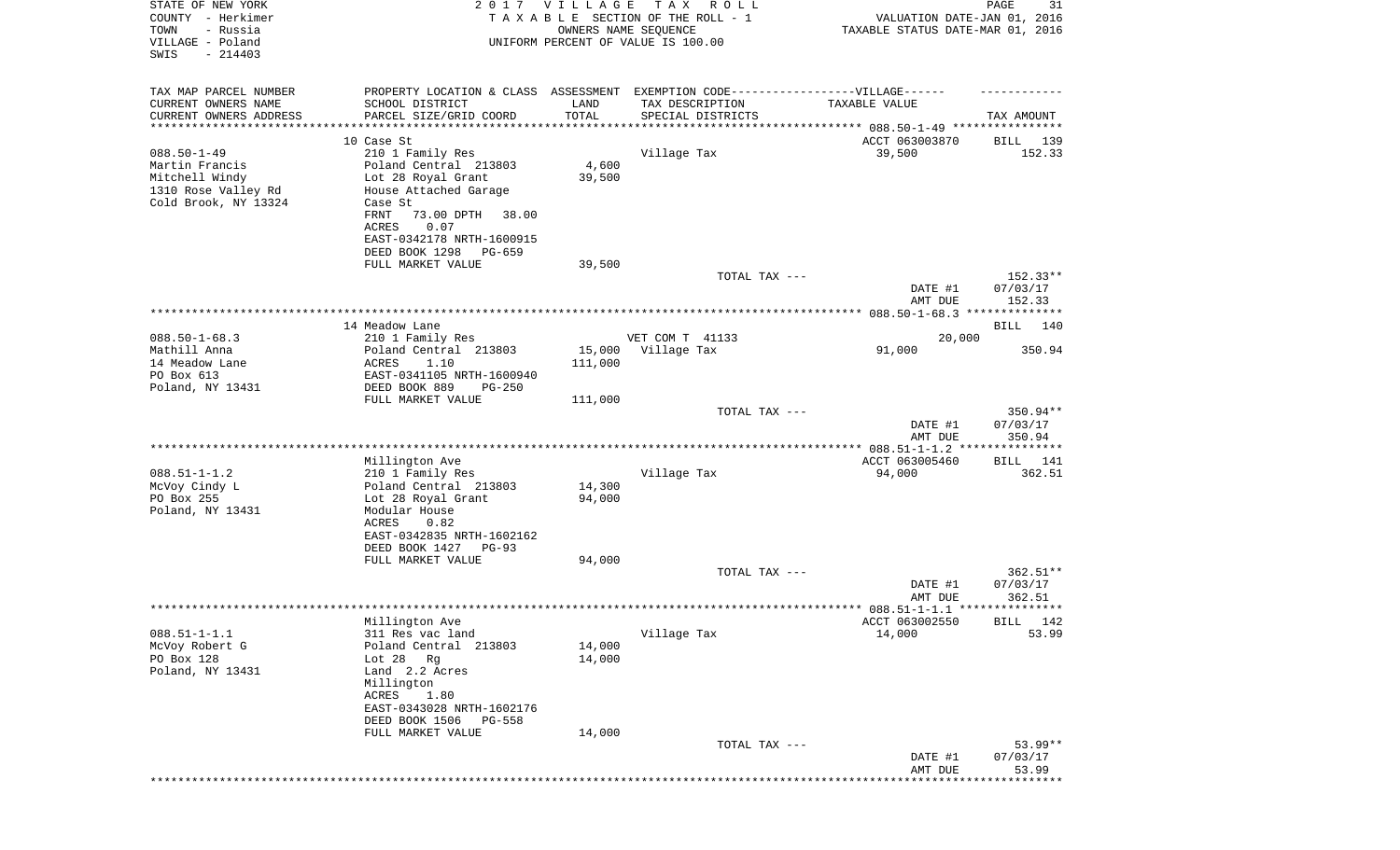| STATE OF NEW YORK<br>COUNTY - Herkimer<br>TOWN<br>- Russia<br>VILLAGE - Poland<br>SWIS<br>$-214403$  | 2 0 1 7                                                                                               | V I L L A G E     | TAX ROLL<br>TAXABLE SECTION OF THE ROLL - 1<br>OWNERS NAME SEQUENCE<br>UNIFORM PERCENT OF VALUE IS 100.00 | VALUATION DATE-JAN 01, 2016<br>TAXABLE STATUS DATE-MAR 01, 2016 | 31<br>PAGE             |
|------------------------------------------------------------------------------------------------------|-------------------------------------------------------------------------------------------------------|-------------------|-----------------------------------------------------------------------------------------------------------|-----------------------------------------------------------------|------------------------|
| TAX MAP PARCEL NUMBER                                                                                | PROPERTY LOCATION & CLASS ASSESSMENT EXEMPTION CODE-----------------VILLAGE------                     |                   |                                                                                                           |                                                                 |                        |
| CURRENT OWNERS NAME<br>CURRENT OWNERS ADDRESS                                                        | SCHOOL DISTRICT<br>PARCEL SIZE/GRID COORD                                                             | LAND<br>TOTAL     | TAX DESCRIPTION<br>SPECIAL DISTRICTS                                                                      | TAXABLE VALUE                                                   | TAX AMOUNT             |
| **********************                                                                               | *************************<br>10 Case St                                                               | ************      |                                                                                                           | ACCT 063003870                                                  | 139<br>BILL            |
| $088.50 - 1 - 49$<br>Martin Francis<br>Mitchell Windy<br>1310 Rose Valley Rd<br>Cold Brook, NY 13324 | 210 1 Family Res<br>Poland Central 213803<br>Lot 28 Royal Grant<br>House Attached Garage<br>Case St   | 4,600<br>39,500   | Village Tax                                                                                               | 39,500                                                          | 152.33                 |
|                                                                                                      | FRNT<br>73.00 DPTH<br>38.00<br>ACRES<br>0.07<br>EAST-0342178 NRTH-1600915<br>DEED BOOK 1298<br>PG-659 |                   |                                                                                                           |                                                                 |                        |
|                                                                                                      | FULL MARKET VALUE                                                                                     | 39,500            | TOTAL TAX ---                                                                                             |                                                                 | $152.33**$             |
|                                                                                                      |                                                                                                       |                   |                                                                                                           | DATE #1<br>AMT DUE                                              | 07/03/17<br>152.33     |
|                                                                                                      |                                                                                                       |                   |                                                                                                           |                                                                 |                        |
|                                                                                                      | 14 Meadow Lane                                                                                        |                   |                                                                                                           |                                                                 | BILL 140               |
| $088.50 - 1 - 68.3$                                                                                  | 210 1 Family Res                                                                                      |                   | VET COM T 41133                                                                                           | 20,000                                                          |                        |
| Mathill Anna<br>14 Meadow Lane                                                                       | Poland Central 213803<br>ACRES<br>1.10                                                                | 15,000<br>111,000 | Village Tax                                                                                               | 91,000                                                          | 350.94                 |
| PO Box 613                                                                                           | EAST-0341105 NRTH-1600940                                                                             |                   |                                                                                                           |                                                                 |                        |
| Poland, NY 13431                                                                                     | DEED BOOK 889<br>$PG-250$                                                                             |                   |                                                                                                           |                                                                 |                        |
|                                                                                                      | FULL MARKET VALUE                                                                                     | 111,000           |                                                                                                           |                                                                 |                        |
|                                                                                                      |                                                                                                       |                   | TOTAL TAX ---                                                                                             | DATE #1                                                         | $350.94**$<br>07/03/17 |
|                                                                                                      |                                                                                                       |                   |                                                                                                           | AMT DUE                                                         | 350.94                 |
|                                                                                                      | Millington Ave                                                                                        |                   |                                                                                                           | ACCT 063005460                                                  | BILL 141               |
| $088.51 - 1 - 1.2$                                                                                   | 210 1 Family Res                                                                                      |                   | Village Tax                                                                                               | 94,000                                                          | 362.51                 |
| McVoy Cindy L                                                                                        | Poland Central 213803                                                                                 | 14,300            |                                                                                                           |                                                                 |                        |
| PO Box 255<br>Poland, NY 13431                                                                       | Lot 28 Royal Grant<br>Modular House                                                                   | 94,000            |                                                                                                           |                                                                 |                        |
|                                                                                                      | ACRES<br>0.82<br>EAST-0342835 NRTH-1602162                                                            |                   |                                                                                                           |                                                                 |                        |
|                                                                                                      | DEED BOOK 1427<br>$PG-93$<br>FULL MARKET VALUE                                                        | 94,000            |                                                                                                           |                                                                 |                        |
|                                                                                                      |                                                                                                       |                   | TOTAL TAX ---                                                                                             |                                                                 | $362.51**$             |
|                                                                                                      |                                                                                                       |                   |                                                                                                           | DATE #1<br>AMT DUE                                              | 07/03/17<br>362.51     |
|                                                                                                      |                                                                                                       |                   |                                                                                                           |                                                                 |                        |
|                                                                                                      | Millington Ave                                                                                        |                   |                                                                                                           | ACCT 063002550                                                  | BILL 142               |
| $088.51 - 1 - 1.1$                                                                                   | 311 Res vac land                                                                                      |                   | Village Tax                                                                                               | 14,000                                                          | 53.99                  |
| McVoy Robert G<br>PO Box 128                                                                         | Poland Central 213803<br>Lot $28$ Rg                                                                  | 14,000<br>14,000  |                                                                                                           |                                                                 |                        |
| Poland, NY 13431                                                                                     | Land 2.2 Acres<br>Millington                                                                          |                   |                                                                                                           |                                                                 |                        |
|                                                                                                      | ACRES<br>1.80<br>EAST-0343028 NRTH-1602176                                                            |                   |                                                                                                           |                                                                 |                        |
|                                                                                                      | DEED BOOK 1506<br>PG-558                                                                              |                   |                                                                                                           |                                                                 |                        |
|                                                                                                      | FULL MARKET VALUE                                                                                     | 14,000            | TOTAL TAX ---                                                                                             |                                                                 | $53.99**$              |
|                                                                                                      |                                                                                                       |                   |                                                                                                           | DATE #1<br>AMT DUE                                              | 07/03/17<br>53.99      |
|                                                                                                      |                                                                                                       |                   |                                                                                                           |                                                                 |                        |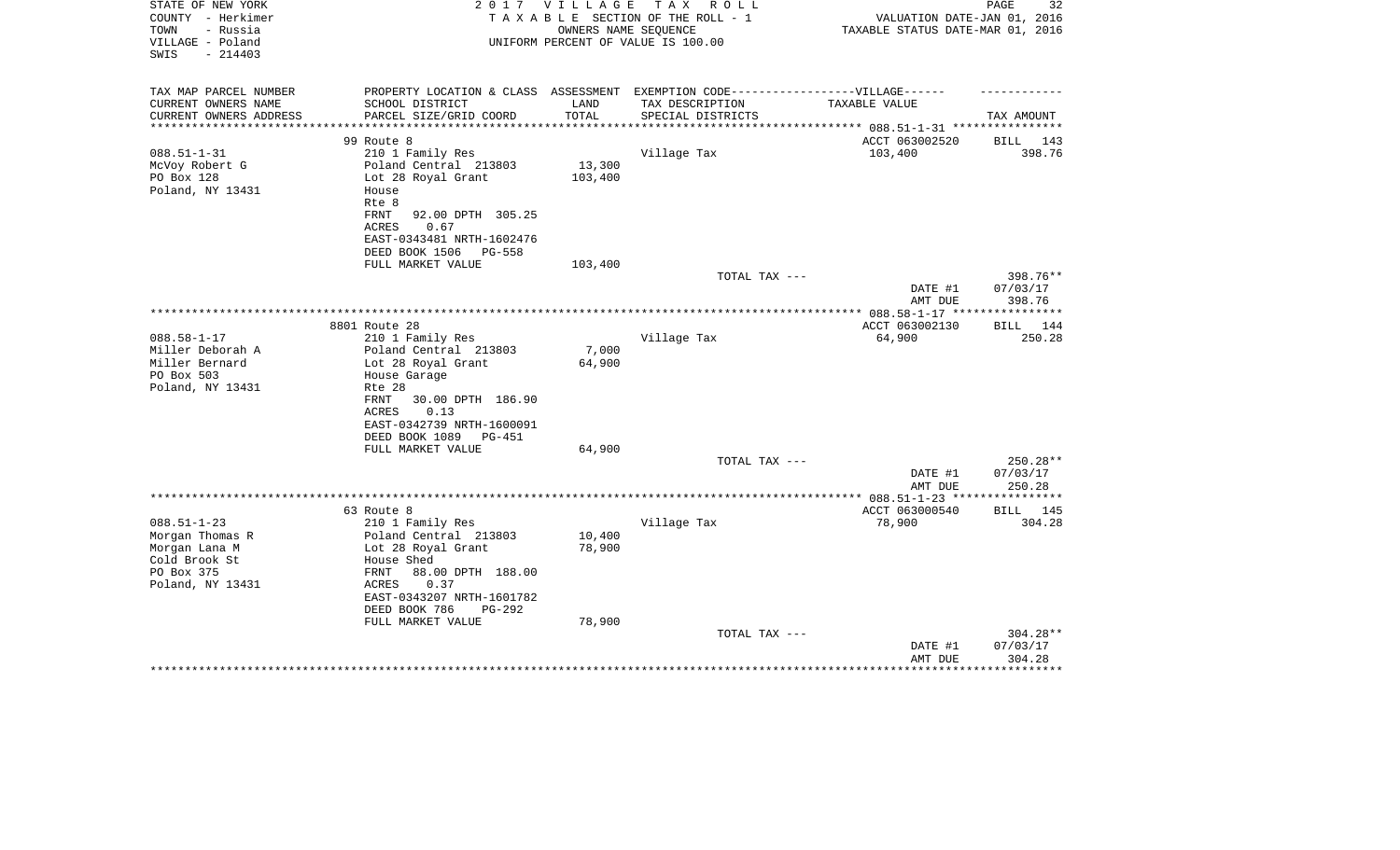| STATE OF NEW YORK<br>COUNTY - Herkimer<br>TOWN<br>- Russia<br>VILLAGE - Poland<br>$-214403$<br>SWIS | 2 0 1 7                                                                           | VILLAGE              | T A X<br>R O L L<br>TAXABLE SECTION OF THE ROLL - 1<br>OWNERS NAME SEQUENCE<br>UNIFORM PERCENT OF VALUE IS 100.00 | VALUATION DATE-JAN 01, 2016<br>TAXABLE STATUS DATE-MAR 01, 2016 | 32<br>PAGE           |
|-----------------------------------------------------------------------------------------------------|-----------------------------------------------------------------------------------|----------------------|-------------------------------------------------------------------------------------------------------------------|-----------------------------------------------------------------|----------------------|
| TAX MAP PARCEL NUMBER                                                                               | PROPERTY LOCATION & CLASS ASSESSMENT EXEMPTION CODE-----------------VILLAGE------ |                      |                                                                                                                   |                                                                 |                      |
| CURRENT OWNERS NAME                                                                                 | SCHOOL DISTRICT                                                                   | LAND                 | TAX DESCRIPTION                                                                                                   | TAXABLE VALUE                                                   |                      |
| CURRENT OWNERS ADDRESS<br>*********************                                                     | PARCEL SIZE/GRID COORD<br>**************************                              | TOTAL<br>*********** | SPECIAL DISTRICTS<br>*********************                                                                        |                                                                 | TAX AMOUNT           |
|                                                                                                     |                                                                                   |                      |                                                                                                                   | ********** 088.51-1-31 *****************                        |                      |
| $088.51 - 1 - 31$                                                                                   | 99 Route 8<br>210 1 Family Res                                                    |                      | Village Tax                                                                                                       | ACCT 063002520<br>103,400                                       | BILL 143<br>398.76   |
| McVoy Robert G                                                                                      | Poland Central 213803                                                             | 13,300               |                                                                                                                   |                                                                 |                      |
| PO Box 128                                                                                          | Lot 28 Royal Grant                                                                | 103,400              |                                                                                                                   |                                                                 |                      |
| Poland, NY 13431                                                                                    | House                                                                             |                      |                                                                                                                   |                                                                 |                      |
|                                                                                                     | Rte 8                                                                             |                      |                                                                                                                   |                                                                 |                      |
|                                                                                                     | FRNT<br>92.00 DPTH 305.25                                                         |                      |                                                                                                                   |                                                                 |                      |
|                                                                                                     | ACRES<br>0.67                                                                     |                      |                                                                                                                   |                                                                 |                      |
|                                                                                                     | EAST-0343481 NRTH-1602476                                                         |                      |                                                                                                                   |                                                                 |                      |
|                                                                                                     | DEED BOOK 1506<br>PG-558                                                          |                      |                                                                                                                   |                                                                 |                      |
|                                                                                                     | FULL MARKET VALUE                                                                 | 103,400              |                                                                                                                   |                                                                 |                      |
|                                                                                                     |                                                                                   |                      | TOTAL TAX ---                                                                                                     | DATE #1                                                         | 398.76**<br>07/03/17 |
|                                                                                                     |                                                                                   |                      |                                                                                                                   | AMT DUE                                                         | 398.76               |
|                                                                                                     |                                                                                   |                      |                                                                                                                   |                                                                 |                      |
|                                                                                                     | 8801 Route 28                                                                     |                      |                                                                                                                   | ACCT 063002130                                                  | 144<br>BILL          |
| $088.58 - 1 - 17$                                                                                   | 210 1 Family Res                                                                  |                      | Village Tax                                                                                                       | 64,900                                                          | 250.28               |
| Miller Deborah A                                                                                    | Poland Central 213803                                                             | 7,000                |                                                                                                                   |                                                                 |                      |
| Miller Bernard                                                                                      | Lot 28 Royal Grant                                                                | 64,900               |                                                                                                                   |                                                                 |                      |
| PO Box 503                                                                                          | House Garage                                                                      |                      |                                                                                                                   |                                                                 |                      |
| Poland, NY 13431                                                                                    | Rte 28                                                                            |                      |                                                                                                                   |                                                                 |                      |
|                                                                                                     | 30.00 DPTH 186.90<br>FRNT                                                         |                      |                                                                                                                   |                                                                 |                      |
|                                                                                                     | 0.13<br>ACRES<br>EAST-0342739 NRTH-1600091                                        |                      |                                                                                                                   |                                                                 |                      |
|                                                                                                     | DEED BOOK 1089<br>PG-451                                                          |                      |                                                                                                                   |                                                                 |                      |
|                                                                                                     | FULL MARKET VALUE                                                                 | 64,900               |                                                                                                                   |                                                                 |                      |
|                                                                                                     |                                                                                   |                      | TOTAL TAX ---                                                                                                     |                                                                 | 250.28**             |
|                                                                                                     |                                                                                   |                      |                                                                                                                   | DATE #1                                                         | 07/03/17             |
|                                                                                                     |                                                                                   |                      |                                                                                                                   | AMT DUE                                                         | 250.28               |
|                                                                                                     |                                                                                   |                      |                                                                                                                   |                                                                 |                      |
|                                                                                                     | 63 Route 8                                                                        |                      |                                                                                                                   | ACCT 063000540                                                  | <b>BILL</b><br>145   |
| $088.51 - 1 - 23$                                                                                   | 210 1 Family Res                                                                  |                      | Village Tax                                                                                                       | 78,900                                                          | 304.28               |
| Morgan Thomas R                                                                                     | Poland Central 213803                                                             | 10,400<br>78,900     |                                                                                                                   |                                                                 |                      |
| Morgan Lana M<br>Cold Brook St                                                                      | Lot 28 Royal Grant<br>House Shed                                                  |                      |                                                                                                                   |                                                                 |                      |
| PO Box 375                                                                                          | FRNT<br>88.00 DPTH 188.00                                                         |                      |                                                                                                                   |                                                                 |                      |
| Poland, NY 13431                                                                                    | 0.37<br>ACRES                                                                     |                      |                                                                                                                   |                                                                 |                      |
|                                                                                                     | EAST-0343207 NRTH-1601782                                                         |                      |                                                                                                                   |                                                                 |                      |
|                                                                                                     | DEED BOOK 786<br>$PG-292$                                                         |                      |                                                                                                                   |                                                                 |                      |
|                                                                                                     | FULL MARKET VALUE                                                                 | 78,900               |                                                                                                                   |                                                                 |                      |
|                                                                                                     |                                                                                   |                      | TOTAL TAX ---                                                                                                     |                                                                 | 304.28**             |
|                                                                                                     |                                                                                   |                      |                                                                                                                   | DATE #1                                                         | 07/03/17             |
|                                                                                                     |                                                                                   |                      |                                                                                                                   | AMT DUE                                                         | 304.28               |
|                                                                                                     |                                                                                   |                      |                                                                                                                   |                                                                 |                      |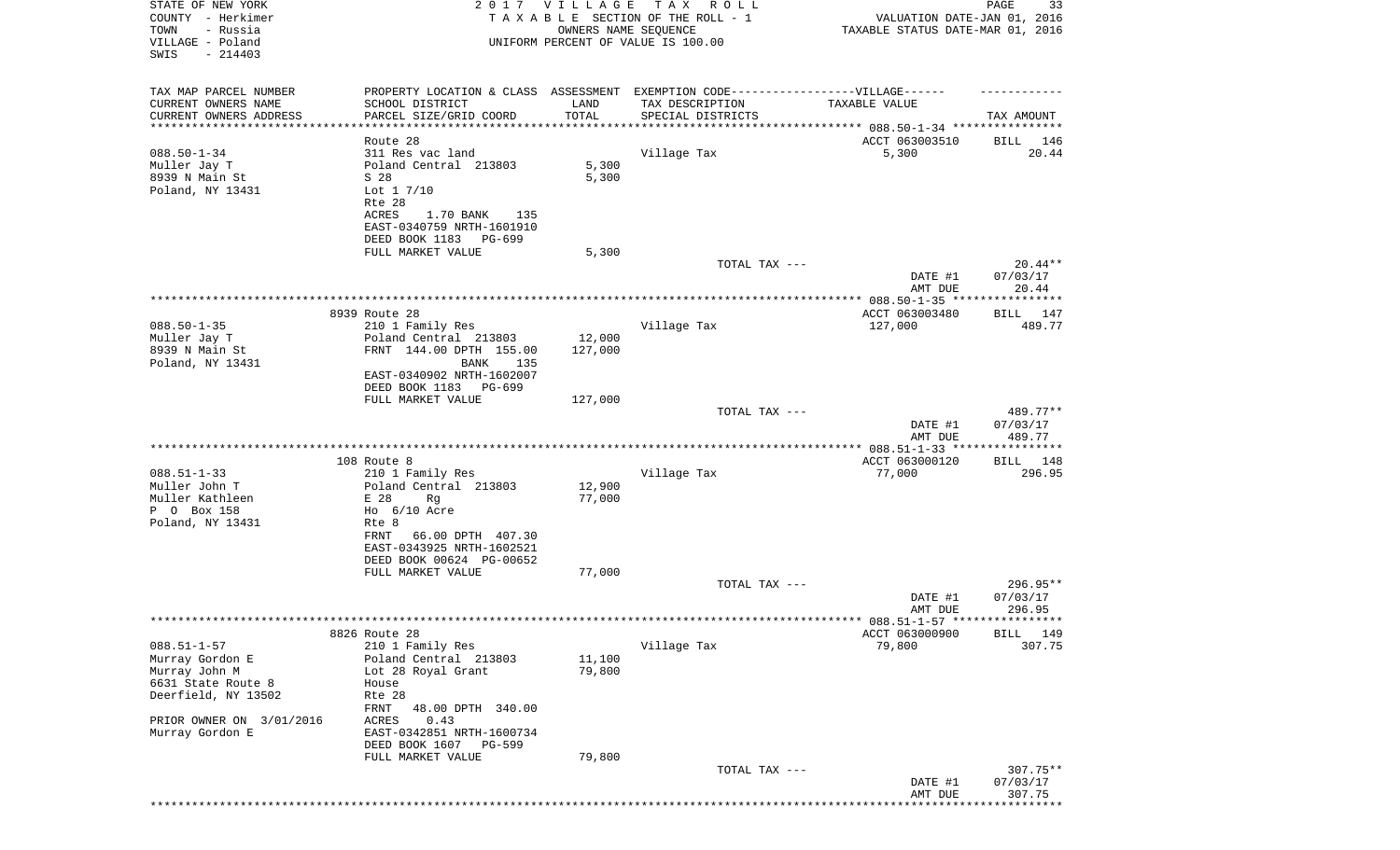| COUNTY - Herkimer<br>TOWN<br>- Russia<br>VILLAGE - Poland<br>$-214403$<br>SWIS<br>TAX MAP PARCEL NUMBER<br>*********************** | PROPERTY LOCATION & CLASS ASSESSMENT EXEMPTION CODE----------------VILLAGE------ |         | TAXABLE SECTION OF THE ROLL - 1<br>OWNERS NAME SEQUENCE<br>UNIFORM PERCENT OF VALUE IS 100.00 | VALUATION DATE-JAN 01, 2016<br>TAXABLE STATUS DATE-MAR 01, 2016 |                    |
|------------------------------------------------------------------------------------------------------------------------------------|----------------------------------------------------------------------------------|---------|-----------------------------------------------------------------------------------------------|-----------------------------------------------------------------|--------------------|
|                                                                                                                                    |                                                                                  |         |                                                                                               |                                                                 |                    |
|                                                                                                                                    |                                                                                  |         |                                                                                               |                                                                 |                    |
|                                                                                                                                    |                                                                                  |         |                                                                                               |                                                                 |                    |
|                                                                                                                                    |                                                                                  |         |                                                                                               |                                                                 |                    |
| CURRENT OWNERS NAME<br>CURRENT OWNERS ADDRESS                                                                                      |                                                                                  |         |                                                                                               |                                                                 |                    |
|                                                                                                                                    |                                                                                  |         |                                                                                               |                                                                 |                    |
|                                                                                                                                    | SCHOOL DISTRICT                                                                  | LAND    | TAX DESCRIPTION                                                                               | <b>TAXABLE VALUE</b>                                            |                    |
|                                                                                                                                    | PARCEL SIZE/GRID COORD                                                           | TOTAL   | SPECIAL DISTRICTS                                                                             |                                                                 | TAX AMOUNT         |
|                                                                                                                                    |                                                                                  |         |                                                                                               |                                                                 |                    |
|                                                                                                                                    | Route 28                                                                         |         |                                                                                               | ACCT 063003510                                                  | BILL<br>146        |
| $088.50 - 1 - 34$                                                                                                                  | 311 Res vac land                                                                 |         | Village Tax                                                                                   | 5,300                                                           | 20.44              |
| Muller Jay T                                                                                                                       | Poland Central 213803                                                            | 5,300   |                                                                                               |                                                                 |                    |
| 8939 N Main St                                                                                                                     | S 28                                                                             | 5,300   |                                                                                               |                                                                 |                    |
| Poland, NY 13431                                                                                                                   | Lot $1 \frac{7}{10}$<br>Rte 28                                                   |         |                                                                                               |                                                                 |                    |
|                                                                                                                                    | ACRES<br>1.70 BANK<br>135                                                        |         |                                                                                               |                                                                 |                    |
|                                                                                                                                    | EAST-0340759 NRTH-1601910                                                        |         |                                                                                               |                                                                 |                    |
|                                                                                                                                    | DEED BOOK 1183<br>PG-699                                                         |         |                                                                                               |                                                                 |                    |
|                                                                                                                                    | FULL MARKET VALUE                                                                | 5,300   |                                                                                               |                                                                 |                    |
|                                                                                                                                    |                                                                                  |         | TOTAL TAX ---                                                                                 |                                                                 | $20.44**$          |
|                                                                                                                                    |                                                                                  |         |                                                                                               | DATE #1                                                         | 07/03/17           |
|                                                                                                                                    |                                                                                  |         |                                                                                               | AMT DUE                                                         | 20.44              |
|                                                                                                                                    |                                                                                  |         |                                                                                               |                                                                 | ***********        |
|                                                                                                                                    | 8939 Route 28                                                                    |         |                                                                                               | ACCT 063003480                                                  | BILL 147           |
| $088.50 - 1 - 35$                                                                                                                  | 210 1 Family Res                                                                 |         | Village Tax                                                                                   | 127,000                                                         | 489.77             |
| Muller Jay T                                                                                                                       | Poland Central 213803                                                            | 12,000  |                                                                                               |                                                                 |                    |
| 8939 N Main St                                                                                                                     | FRNT 144.00 DPTH 155.00                                                          | 127,000 |                                                                                               |                                                                 |                    |
| Poland, NY 13431                                                                                                                   | BANK<br>135                                                                      |         |                                                                                               |                                                                 |                    |
|                                                                                                                                    | EAST-0340902 NRTH-1602007                                                        |         |                                                                                               |                                                                 |                    |
|                                                                                                                                    | DEED BOOK 1183 PG-699                                                            |         |                                                                                               |                                                                 |                    |
|                                                                                                                                    | FULL MARKET VALUE                                                                | 127,000 |                                                                                               |                                                                 |                    |
|                                                                                                                                    |                                                                                  |         | TOTAL TAX ---                                                                                 |                                                                 | 489.77**           |
|                                                                                                                                    |                                                                                  |         |                                                                                               | DATE #1                                                         | 07/03/17           |
|                                                                                                                                    |                                                                                  |         |                                                                                               | AMT DUE                                                         | 489.77             |
|                                                                                                                                    |                                                                                  |         |                                                                                               |                                                                 |                    |
|                                                                                                                                    | 108 Route 8                                                                      |         |                                                                                               | ACCT 063000120                                                  | BILL 148           |
| $088.51 - 1 - 33$                                                                                                                  | 210 1 Family Res                                                                 |         | Village Tax                                                                                   | 77,000                                                          | 296.95             |
| Muller John T                                                                                                                      | Poland Central 213803                                                            | 12,900  |                                                                                               |                                                                 |                    |
| Muller Kathleen                                                                                                                    | E 28<br>Rg                                                                       | 77,000  |                                                                                               |                                                                 |                    |
| P 0 Box 158                                                                                                                        | Ho $6/10$ Acre                                                                   |         |                                                                                               |                                                                 |                    |
| Poland, NY 13431                                                                                                                   | Rte 8                                                                            |         |                                                                                               |                                                                 |                    |
|                                                                                                                                    | FRNT<br>66.00 DPTH 407.30                                                        |         |                                                                                               |                                                                 |                    |
|                                                                                                                                    | EAST-0343925 NRTH-1602521                                                        |         |                                                                                               |                                                                 |                    |
|                                                                                                                                    | DEED BOOK 00624 PG-00652                                                         | 77,000  |                                                                                               |                                                                 |                    |
|                                                                                                                                    | FULL MARKET VALUE                                                                |         | TOTAL TAX ---                                                                                 |                                                                 | 296.95**           |
|                                                                                                                                    |                                                                                  |         |                                                                                               | DATE #1                                                         | 07/03/17           |
|                                                                                                                                    |                                                                                  |         |                                                                                               | AMT DUE                                                         | 296.95             |
|                                                                                                                                    |                                                                                  |         |                                                                                               | *********** 088.51-1-57 *****************                       |                    |
|                                                                                                                                    | 8826 Route 28                                                                    |         |                                                                                               | ACCT 063000900                                                  | <b>BILL</b><br>149 |
| $088.51 - 1 - 57$                                                                                                                  | 210 1 Family Res                                                                 |         | Village Tax                                                                                   | 79,800                                                          | 307.75             |
| Murray Gordon E                                                                                                                    | Poland Central 213803                                                            | 11,100  |                                                                                               |                                                                 |                    |
| Murray John M                                                                                                                      | Lot 28 Royal Grant                                                               | 79,800  |                                                                                               |                                                                 |                    |
| 6631 State Route 8                                                                                                                 | House                                                                            |         |                                                                                               |                                                                 |                    |
| Deerfield, NY 13502                                                                                                                | Rte 28                                                                           |         |                                                                                               |                                                                 |                    |
|                                                                                                                                    | FRNT<br>48.00 DPTH 340.00                                                        |         |                                                                                               |                                                                 |                    |
| PRIOR OWNER ON 3/01/2016                                                                                                           | ACRES<br>0.43                                                                    |         |                                                                                               |                                                                 |                    |
| Murray Gordon E                                                                                                                    | EAST-0342851 NRTH-1600734                                                        |         |                                                                                               |                                                                 |                    |
|                                                                                                                                    | DEED BOOK 1607<br>PG-599                                                         |         |                                                                                               |                                                                 |                    |
|                                                                                                                                    | FULL MARKET VALUE                                                                | 79,800  |                                                                                               |                                                                 |                    |
|                                                                                                                                    |                                                                                  |         | TOTAL TAX ---                                                                                 |                                                                 | 307.75**           |
|                                                                                                                                    |                                                                                  |         |                                                                                               |                                                                 |                    |
|                                                                                                                                    |                                                                                  |         |                                                                                               | DATE #1                                                         | 07/03/17<br>307.75 |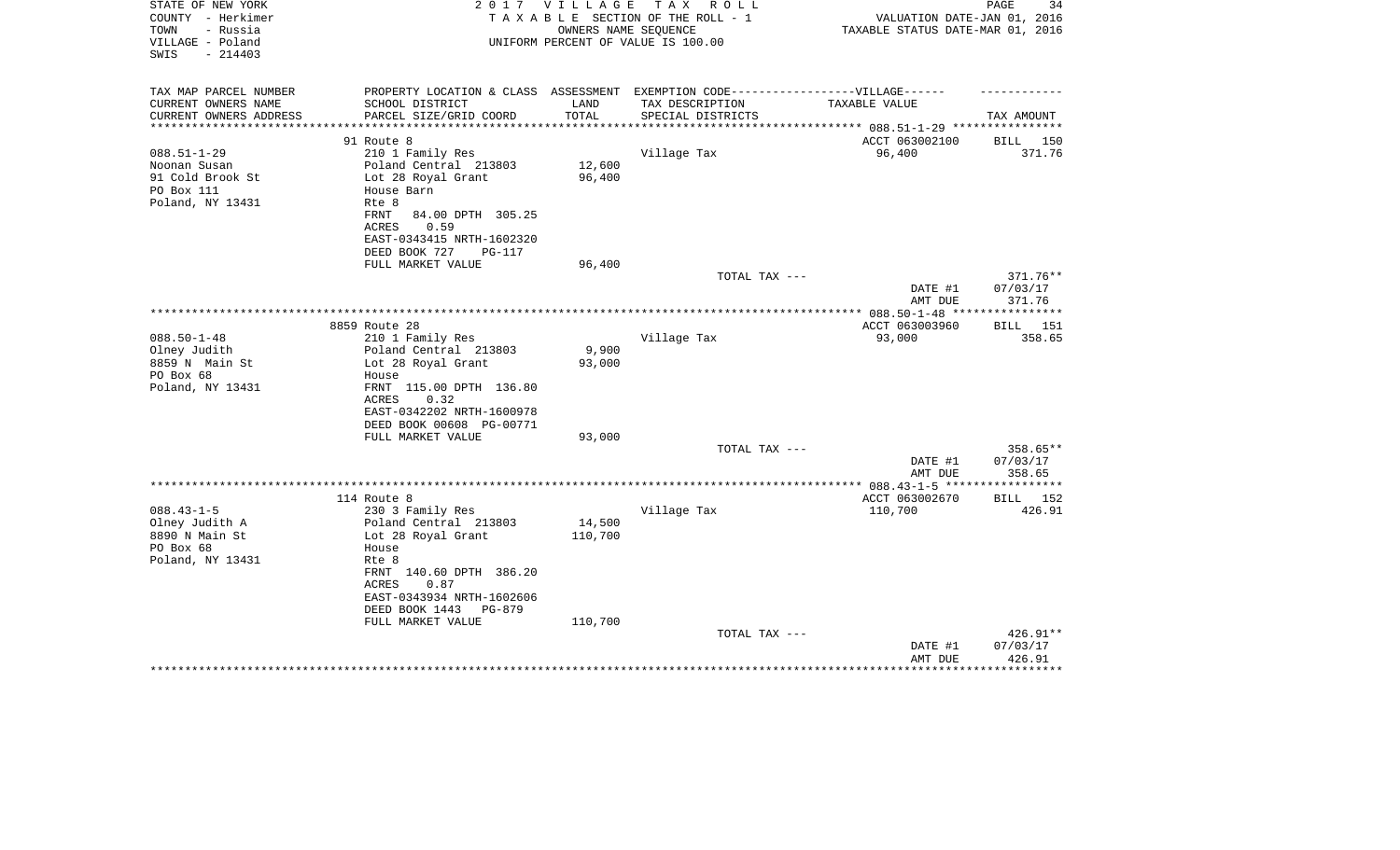| STATE OF NEW YORK<br>2 0 1 7<br>COUNTY - Herkimer         |                                                                                  | V I L L A G E | T A X<br>R O L L<br>TAXABLE SECTION OF THE ROLL - 1        | VALUATION DATE-JAN 01, 2016      | 34<br>PAGE      |
|-----------------------------------------------------------|----------------------------------------------------------------------------------|---------------|------------------------------------------------------------|----------------------------------|-----------------|
| - Russia<br>TOWN<br>VILLAGE - Poland<br>SWIS<br>$-214403$ |                                                                                  |               | OWNERS NAME SEOUENCE<br>UNIFORM PERCENT OF VALUE IS 100.00 | TAXABLE STATUS DATE-MAR 01, 2016 |                 |
| TAX MAP PARCEL NUMBER                                     | PROPERTY LOCATION & CLASS ASSESSMENT EXEMPTION CODE----------------VILLAGE------ |               |                                                            |                                  |                 |
| CURRENT OWNERS NAME                                       | SCHOOL DISTRICT                                                                  | LAND          | TAX DESCRIPTION                                            | <b>TAXABLE VALUE</b>             |                 |
| CURRENT OWNERS ADDRESS                                    | PARCEL SIZE/GRID COORD                                                           | TOTAL         | SPECIAL DISTRICTS                                          |                                  | TAX AMOUNT      |
| **********************                                    |                                                                                  |               |                                                            |                                  |                 |
|                                                           | 91 Route 8                                                                       |               |                                                            | ACCT 063002100                   | BILL 150        |
| $088.51 - 1 - 29$                                         | 210 1 Family Res                                                                 |               | Village Tax                                                | 96,400                           | 371.76          |
| Noonan Susan                                              | Poland Central 213803                                                            | 12,600        |                                                            |                                  |                 |
| 91 Cold Brook St                                          | Lot 28 Royal Grant                                                               | 96,400        |                                                            |                                  |                 |
| PO Box 111                                                | House Barn                                                                       |               |                                                            |                                  |                 |
| Poland, NY 13431                                          | Rte 8<br>FRNT                                                                    |               |                                                            |                                  |                 |
|                                                           | 84.00 DPTH 305.25<br>ACRES<br>0.59                                               |               |                                                            |                                  |                 |
|                                                           | EAST-0343415 NRTH-1602320                                                        |               |                                                            |                                  |                 |
|                                                           | DEED BOOK 727<br>PG-117                                                          |               |                                                            |                                  |                 |
|                                                           | FULL MARKET VALUE                                                                | 96,400        |                                                            |                                  |                 |
|                                                           |                                                                                  |               | TOTAL TAX ---                                              |                                  | 371.76**        |
|                                                           |                                                                                  |               |                                                            | DATE #1                          | 07/03/17        |
|                                                           |                                                                                  |               |                                                            | AMT DUE                          | 371.76          |
|                                                           |                                                                                  |               |                                                            |                                  |                 |
|                                                           | 8859 Route 28                                                                    |               |                                                            | ACCT 063003960                   | BILL 151        |
| $088.50 - 1 - 48$                                         | 210 1 Family Res                                                                 |               | Village Tax                                                | 93,000                           | 358.65          |
| Olney Judith                                              | Poland Central 213803                                                            | 9,900         |                                                            |                                  |                 |
| 8859 N Main St                                            | Lot 28 Royal Grant                                                               | 93,000        |                                                            |                                  |                 |
| PO Box 68                                                 | House                                                                            |               |                                                            |                                  |                 |
| Poland, NY 13431                                          | FRNT 115.00 DPTH 136.80<br>ACRES<br>0.32                                         |               |                                                            |                                  |                 |
|                                                           | EAST-0342202 NRTH-1600978                                                        |               |                                                            |                                  |                 |
|                                                           | DEED BOOK 00608 PG-00771                                                         |               |                                                            |                                  |                 |
|                                                           | FULL MARKET VALUE                                                                | 93,000        |                                                            |                                  |                 |
|                                                           |                                                                                  |               | TOTAL TAX ---                                              |                                  | 358.65**        |
|                                                           |                                                                                  |               |                                                            | DATE #1                          | 07/03/17        |
|                                                           |                                                                                  |               |                                                            | AMT DUE                          | 358.65          |
|                                                           |                                                                                  |               |                                                            |                                  | ************    |
|                                                           | 114 Route 8                                                                      |               |                                                            | ACCT 063002670                   | <b>BILL</b> 152 |
| $088.43 - 1 - 5$                                          | 230 3 Family Res                                                                 |               | Village Tax                                                | 110,700                          | 426.91          |
| Olney Judith A                                            | Poland Central 213803                                                            | 14,500        |                                                            |                                  |                 |
| 8890 N Main St                                            | Lot 28 Royal Grant                                                               | 110,700       |                                                            |                                  |                 |
| PO Box 68                                                 | House                                                                            |               |                                                            |                                  |                 |
| Poland, NY 13431                                          | Rte 8<br>FRNT 140.60 DPTH 386.20                                                 |               |                                                            |                                  |                 |
|                                                           | 0.87<br>ACRES                                                                    |               |                                                            |                                  |                 |
|                                                           | EAST-0343934 NRTH-1602606                                                        |               |                                                            |                                  |                 |
|                                                           | DEED BOOK 1443<br>PG-879                                                         |               |                                                            |                                  |                 |
|                                                           | FULL MARKET VALUE                                                                | 110,700       |                                                            |                                  |                 |
|                                                           |                                                                                  |               | TOTAL TAX ---                                              |                                  | 426.91**        |
|                                                           |                                                                                  |               |                                                            | DATE #1                          | 07/03/17        |
|                                                           |                                                                                  |               |                                                            | AMT DUE                          | 426.91          |
|                                                           |                                                                                  |               |                                                            |                                  | **********      |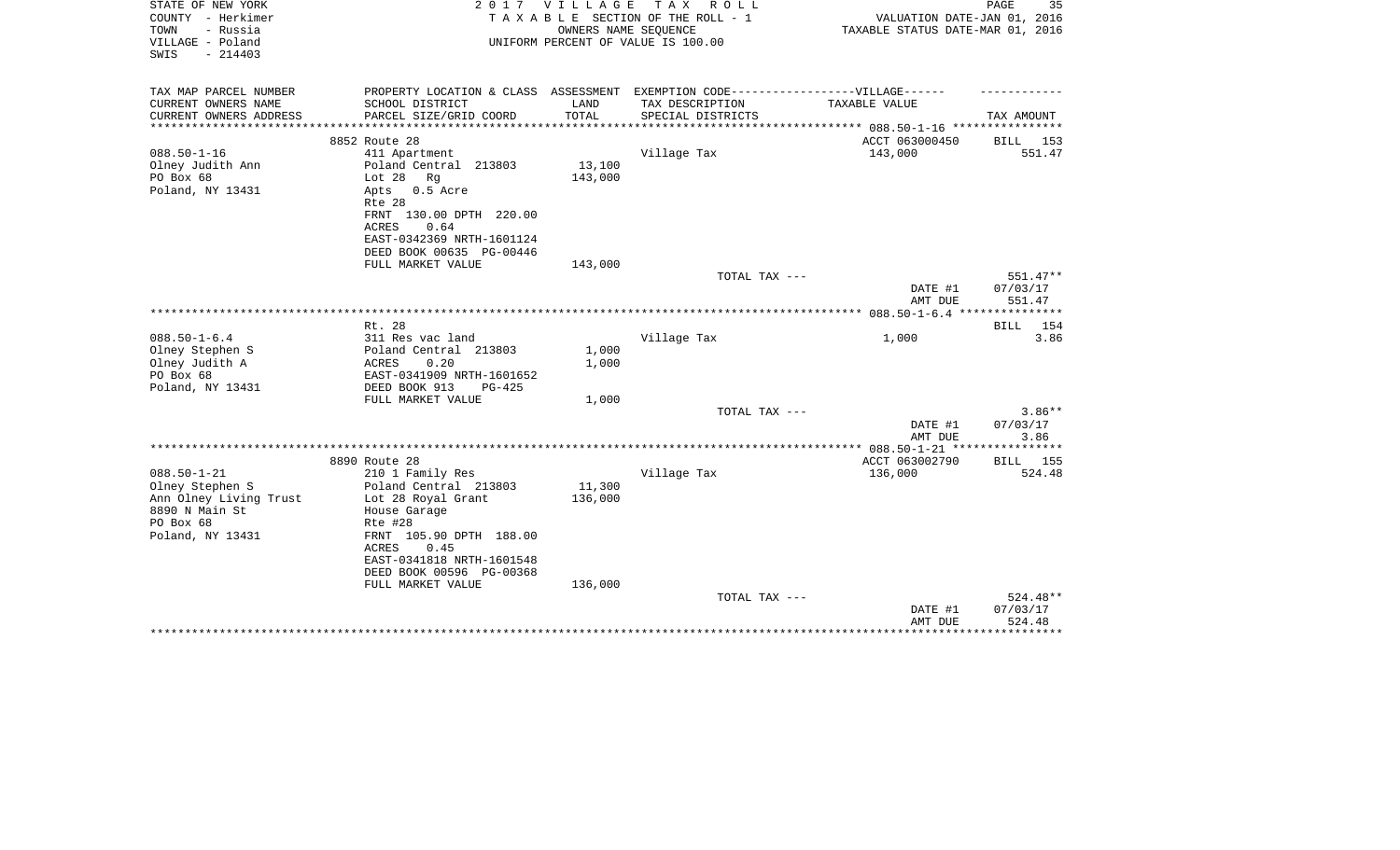| STATE OF NEW YORK<br>COUNTY - Herkimer<br>TOWN<br>- Russia<br>VILLAGE - Poland<br>$-214403$<br>SWIS | 2 0 1 7                                                                                              | VILLAGE<br>OWNERS NAME SEQUENCE | T A X<br>R O L L<br>TAXABLE SECTION OF THE ROLL - 1<br>UNIFORM PERCENT OF VALUE IS 100.00 | VALUATION DATE-JAN 01, 2016<br>TAXABLE STATUS DATE-MAR 01, 2016 | PAGE<br>35             |
|-----------------------------------------------------------------------------------------------------|------------------------------------------------------------------------------------------------------|---------------------------------|-------------------------------------------------------------------------------------------|-----------------------------------------------------------------|------------------------|
| TAX MAP PARCEL NUMBER<br>CURRENT OWNERS NAME                                                        | PROPERTY LOCATION & CLASS ASSESSMENT EXEMPTION CODE-----------------VILLAGE------<br>SCHOOL DISTRICT | LAND                            | TAX DESCRIPTION                                                                           | TAXABLE VALUE                                                   |                        |
| CURRENT OWNERS ADDRESS                                                                              | PARCEL SIZE/GRID COORD                                                                               | TOTAL                           | SPECIAL DISTRICTS                                                                         |                                                                 | TAX AMOUNT             |
| **********************                                                                              |                                                                                                      |                                 |                                                                                           |                                                                 |                        |
|                                                                                                     | 8852 Route 28                                                                                        |                                 |                                                                                           | ACCT 063000450                                                  | 153<br>BILL            |
| $088.50 - 1 - 16$                                                                                   | 411 Apartment                                                                                        |                                 | Village Tax                                                                               | 143,000                                                         | 551.47                 |
| Olney Judith Ann                                                                                    | Poland Central 213803                                                                                | 13,100                          |                                                                                           |                                                                 |                        |
| PO Box 68                                                                                           | Lot $28$<br>Rq                                                                                       | 143,000                         |                                                                                           |                                                                 |                        |
| Poland, NY 13431                                                                                    | $0.5$ Acre<br>Apts<br>Rte 28                                                                         |                                 |                                                                                           |                                                                 |                        |
|                                                                                                     | FRNT 130.00 DPTH 220.00                                                                              |                                 |                                                                                           |                                                                 |                        |
|                                                                                                     | <b>ACRES</b><br>0.64                                                                                 |                                 |                                                                                           |                                                                 |                        |
|                                                                                                     | EAST-0342369 NRTH-1601124                                                                            |                                 |                                                                                           |                                                                 |                        |
|                                                                                                     | DEED BOOK 00635 PG-00446                                                                             |                                 |                                                                                           |                                                                 |                        |
|                                                                                                     | FULL MARKET VALUE                                                                                    | 143,000                         |                                                                                           |                                                                 |                        |
|                                                                                                     |                                                                                                      |                                 | TOTAL TAX ---                                                                             | DATE #1                                                         | $551.47**$<br>07/03/17 |
|                                                                                                     |                                                                                                      |                                 |                                                                                           | AMT DUE                                                         | 551.47                 |
|                                                                                                     |                                                                                                      |                                 |                                                                                           | ************** 088.50-1-6.4                                     |                        |
|                                                                                                     | Rt. 28                                                                                               |                                 |                                                                                           |                                                                 | 154<br>BILL            |
| $088.50 - 1 - 6.4$                                                                                  | 311 Res vac land                                                                                     |                                 | Village Tax                                                                               | 1,000                                                           | 3.86                   |
| Olney Stephen S                                                                                     | Poland Central 213803                                                                                | 1,000                           |                                                                                           |                                                                 |                        |
| Olney Judith A                                                                                      | 0.20<br>ACRES                                                                                        | 1,000                           |                                                                                           |                                                                 |                        |
| PO Box 68                                                                                           | EAST-0341909 NRTH-1601652                                                                            |                                 |                                                                                           |                                                                 |                        |
| Poland, NY 13431                                                                                    | DEED BOOK 913<br>$PG-425$                                                                            |                                 |                                                                                           |                                                                 |                        |
|                                                                                                     | FULL MARKET VALUE                                                                                    | 1,000                           | TOTAL TAX ---                                                                             |                                                                 | $3.86**$               |
|                                                                                                     |                                                                                                      |                                 |                                                                                           | DATE #1                                                         | 07/03/17               |
|                                                                                                     |                                                                                                      |                                 |                                                                                           | AMT DUE                                                         | 3.86                   |
|                                                                                                     |                                                                                                      |                                 |                                                                                           |                                                                 |                        |
|                                                                                                     | 8890 Route 28                                                                                        |                                 |                                                                                           | ACCT 063002790                                                  | BILL 155               |
| $088.50 - 1 - 21$                                                                                   | 210 1 Family Res                                                                                     |                                 | Village Tax                                                                               | 136,000                                                         | 524.48                 |
| Olney Stephen S                                                                                     | Poland Central 213803                                                                                | 11,300                          |                                                                                           |                                                                 |                        |
| Ann Olney Living Trust                                                                              | Lot 28 Royal Grant                                                                                   | 136,000                         |                                                                                           |                                                                 |                        |
| 8890 N Main St                                                                                      | House Garage                                                                                         |                                 |                                                                                           |                                                                 |                        |
| PO Box 68                                                                                           | Rte #28                                                                                              |                                 |                                                                                           |                                                                 |                        |
| Poland, NY 13431                                                                                    | FRNT 105.90 DPTH 188.00<br><b>ACRES</b><br>0.45                                                      |                                 |                                                                                           |                                                                 |                        |
|                                                                                                     | EAST-0341818 NRTH-1601548                                                                            |                                 |                                                                                           |                                                                 |                        |
|                                                                                                     | DEED BOOK 00596 PG-00368                                                                             |                                 |                                                                                           |                                                                 |                        |
|                                                                                                     | FULL MARKET VALUE                                                                                    | 136,000                         |                                                                                           |                                                                 |                        |
|                                                                                                     |                                                                                                      |                                 | TOTAL TAX ---                                                                             |                                                                 | 524.48**               |
|                                                                                                     |                                                                                                      |                                 |                                                                                           | DATE #1                                                         | 07/03/17               |
|                                                                                                     |                                                                                                      |                                 |                                                                                           | AMT DUE                                                         | 524.48                 |
|                                                                                                     |                                                                                                      |                                 |                                                                                           |                                                                 |                        |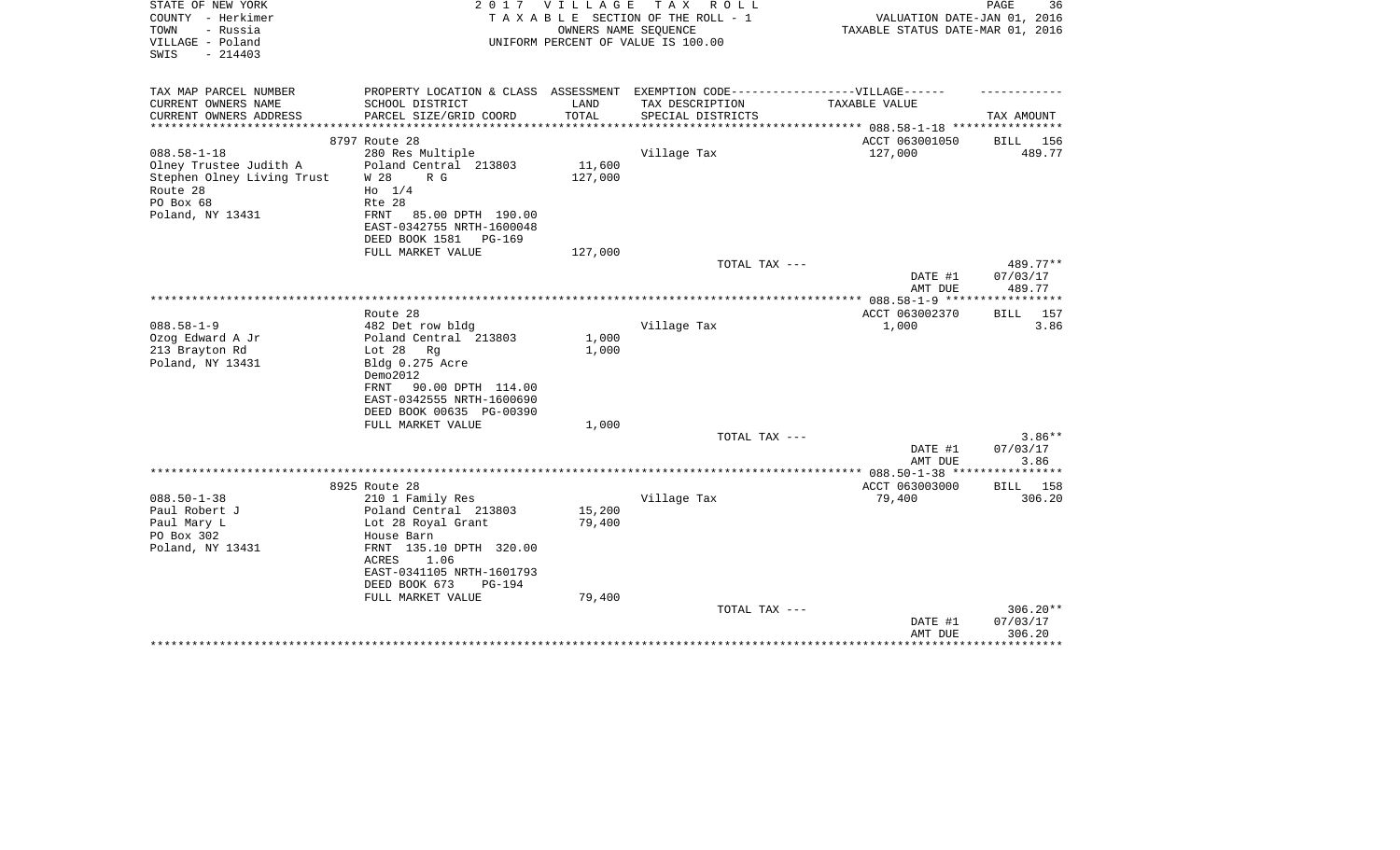| STATE OF NEW YORK<br>COUNTY - Herkimer<br>TOWN<br>- Russia<br>VILLAGE - Poland<br>$-214403$<br>SWIS | 2017                                                                              | VILLAGE | TAX ROLL<br>TAXABLE SECTION OF THE ROLL - 1<br>OWNERS NAME SEQUENCE<br>UNIFORM PERCENT OF VALUE IS 100.00 | VALUATION DATE-JAN 01, 2016<br>TAXABLE STATUS DATE-MAR 01, 2016 | PAGE<br>36          |
|-----------------------------------------------------------------------------------------------------|-----------------------------------------------------------------------------------|---------|-----------------------------------------------------------------------------------------------------------|-----------------------------------------------------------------|---------------------|
| TAX MAP PARCEL NUMBER                                                                               | PROPERTY LOCATION & CLASS ASSESSMENT EXEMPTION CODE-----------------VILLAGE------ |         |                                                                                                           |                                                                 |                     |
| CURRENT OWNERS NAME                                                                                 | SCHOOL DISTRICT                                                                   | LAND    | TAX DESCRIPTION                                                                                           | TAXABLE VALUE                                                   |                     |
| CURRENT OWNERS ADDRESS<br>**********************                                                    | PARCEL SIZE/GRID COORD                                                            | TOTAL   | SPECIAL DISTRICTS                                                                                         |                                                                 | TAX AMOUNT          |
|                                                                                                     | 8797 Route 28                                                                     |         |                                                                                                           | ACCT 063001050                                                  | BILL 156            |
| $088.58 - 1 - 18$                                                                                   | 280 Res Multiple                                                                  |         | Village Tax                                                                                               | 127,000                                                         | 489.77              |
| Olney Trustee Judith A                                                                              | Poland Central 213803<br>W 28<br>R G                                              | 11,600  |                                                                                                           |                                                                 |                     |
| Stephen Olney Living Trust<br>Route 28                                                              | $H_0$ 1/4                                                                         | 127,000 |                                                                                                           |                                                                 |                     |
| PO Box 68                                                                                           | Rte 28                                                                            |         |                                                                                                           |                                                                 |                     |
| Poland, NY 13431                                                                                    | 85.00 DPTH 190.00<br>FRNT                                                         |         |                                                                                                           |                                                                 |                     |
|                                                                                                     | EAST-0342755 NRTH-1600048                                                         |         |                                                                                                           |                                                                 |                     |
|                                                                                                     | DEED BOOK 1581<br>$PG-169$                                                        |         |                                                                                                           |                                                                 |                     |
|                                                                                                     | FULL MARKET VALUE                                                                 | 127,000 | TOTAL TAX ---                                                                                             |                                                                 | 489.77**            |
|                                                                                                     |                                                                                   |         |                                                                                                           | DATE #1                                                         | 07/03/17            |
|                                                                                                     |                                                                                   |         |                                                                                                           | AMT DUE                                                         | 489.77              |
|                                                                                                     | Route 28                                                                          |         |                                                                                                           | ACCT 063002370                                                  | 157<br>BILL         |
| $088.58 - 1 - 9$                                                                                    | 482 Det row bldg                                                                  |         | Village Tax                                                                                               | 1,000                                                           | 3.86                |
| Ozog Edward A Jr                                                                                    | Poland Central 213803                                                             | 1,000   |                                                                                                           |                                                                 |                     |
| 213 Brayton Rd                                                                                      | Rq<br>Lot $28$                                                                    | 1,000   |                                                                                                           |                                                                 |                     |
| Poland, NY 13431                                                                                    | Bldg 0.275 Acre                                                                   |         |                                                                                                           |                                                                 |                     |
|                                                                                                     | Demo2012<br>90.00 DPTH 114.00<br>FRNT                                             |         |                                                                                                           |                                                                 |                     |
|                                                                                                     | EAST-0342555 NRTH-1600690                                                         |         |                                                                                                           |                                                                 |                     |
|                                                                                                     | DEED BOOK 00635 PG-00390                                                          |         |                                                                                                           |                                                                 |                     |
|                                                                                                     | FULL MARKET VALUE                                                                 | 1,000   |                                                                                                           |                                                                 |                     |
|                                                                                                     |                                                                                   |         | TOTAL TAX ---                                                                                             |                                                                 | $3.86**$            |
|                                                                                                     |                                                                                   |         |                                                                                                           | DATE #1                                                         | 07/03/17            |
|                                                                                                     |                                                                                   |         |                                                                                                           | AMT DUE<br>************ 088.50-1-38 ***                         | 3.86<br>*********** |
|                                                                                                     | 8925 Route 28                                                                     |         |                                                                                                           | ACCT 063003000                                                  | BILL 158            |
| $088.50 - 1 - 38$                                                                                   | 210 1 Family Res                                                                  |         | Village Tax                                                                                               | 79,400                                                          | 306.20              |
| Paul Robert J                                                                                       | Poland Central 213803                                                             | 15,200  |                                                                                                           |                                                                 |                     |
| Paul Mary L                                                                                         | Lot 28 Royal Grant                                                                | 79,400  |                                                                                                           |                                                                 |                     |
| PO Box 302<br>Poland, NY 13431                                                                      | House Barn<br>FRNT 135.10 DPTH 320.00                                             |         |                                                                                                           |                                                                 |                     |
|                                                                                                     | 1.06<br>ACRES                                                                     |         |                                                                                                           |                                                                 |                     |
|                                                                                                     | EAST-0341105 NRTH-1601793                                                         |         |                                                                                                           |                                                                 |                     |
|                                                                                                     | DEED BOOK 673<br>$PG-194$                                                         |         |                                                                                                           |                                                                 |                     |
|                                                                                                     | FULL MARKET VALUE                                                                 | 79,400  |                                                                                                           |                                                                 |                     |
|                                                                                                     |                                                                                   |         | TOTAL TAX ---                                                                                             |                                                                 | 306.20**            |
|                                                                                                     |                                                                                   |         |                                                                                                           | DATE #1<br>AMT DUE                                              | 07/03/17<br>306.20  |
|                                                                                                     |                                                                                   |         |                                                                                                           |                                                                 | ********            |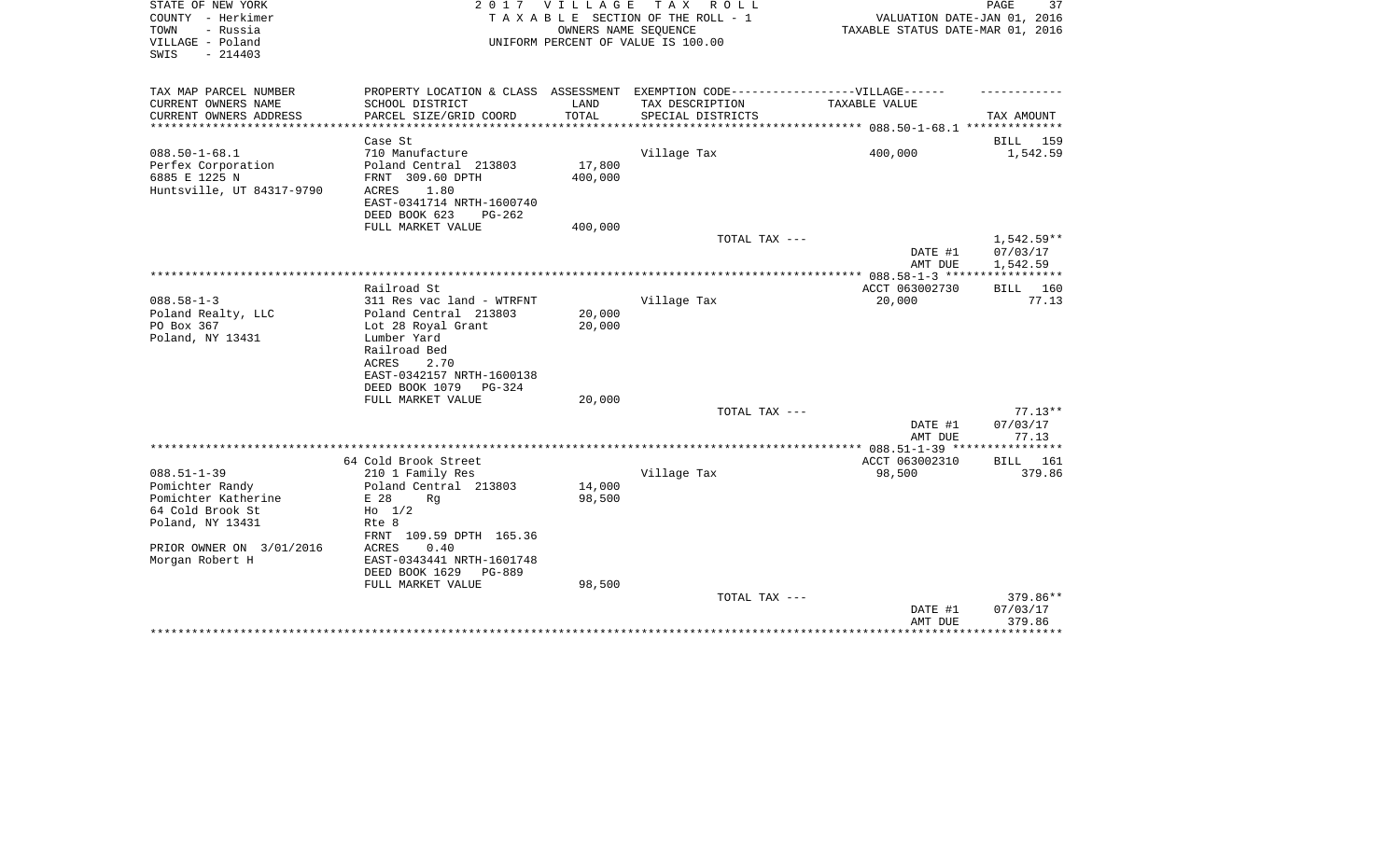| STATE OF NEW YORK<br>COUNTY - Herkimer<br>TOWN<br>- Russia<br>VILLAGE - Poland<br>$-214403$<br>SWIS                             | 2017                                                                                                                                                  | V I L L A G E     | T A X<br>R O L L<br>TAXABLE SECTION OF THE ROLL - 1<br>OWNERS NAME SEQUENCE<br>UNIFORM PERCENT OF VALUE IS 100.00 | VALUATION DATE-JAN 01, 2016<br>TAXABLE STATUS DATE-MAR 01, 2016 | PAGE<br>37                                 |
|---------------------------------------------------------------------------------------------------------------------------------|-------------------------------------------------------------------------------------------------------------------------------------------------------|-------------------|-------------------------------------------------------------------------------------------------------------------|-----------------------------------------------------------------|--------------------------------------------|
| TAX MAP PARCEL NUMBER<br>CURRENT OWNERS NAME                                                                                    | PROPERTY LOCATION & CLASS ASSESSMENT EXEMPTION CODE----------------VILLAGE------<br>SCHOOL DISTRICT                                                   | LAND              | TAX DESCRIPTION                                                                                                   | TAXABLE VALUE                                                   |                                            |
| CURRENT OWNERS ADDRESS                                                                                                          | PARCEL SIZE/GRID COORD                                                                                                                                | TOTAL             | SPECIAL DISTRICTS                                                                                                 |                                                                 | TAX AMOUNT                                 |
|                                                                                                                                 | Case St                                                                                                                                               |                   |                                                                                                                   |                                                                 | BILL 159                                   |
| $088.50 - 1 - 68.1$<br>Perfex Corporation<br>6885 E 1225 N<br>Huntsville, UT 84317-9790                                         | 710 Manufacture<br>Poland Central 213803<br>FRNT 309.60 DPTH<br>ACRES<br>1.80<br>EAST-0341714 NRTH-1600740<br>DEED BOOK 623<br>$PG-262$               | 17,800<br>400,000 | Village Tax                                                                                                       | 400,000                                                         | 1,542.59                                   |
|                                                                                                                                 | FULL MARKET VALUE                                                                                                                                     | 400,000           | TOTAL TAX ---                                                                                                     | DATE #1<br>AMT DUE                                              | $1,542.59**$<br>07/03/17<br>1,542.59       |
|                                                                                                                                 |                                                                                                                                                       |                   |                                                                                                                   | **************** 088.58-1-3 *****                               |                                            |
|                                                                                                                                 | Railroad St                                                                                                                                           |                   |                                                                                                                   | ACCT 063002730                                                  | 160<br>BILL                                |
| $088.58 - 1 - 3$<br>Poland Realty, LLC<br>PO Box 367<br>Poland, NY 13431                                                        | 311 Res vac land - WTRFNT<br>Poland Central 213803<br>Lot 28 Royal Grant<br>Lumber Yard<br>Railroad Bed<br>ACRES<br>2.70<br>EAST-0342157 NRTH-1600138 | 20,000<br>20,000  | Village Tax                                                                                                       | 20,000                                                          | 77.13                                      |
|                                                                                                                                 | DEED BOOK 1079<br><b>PG-324</b>                                                                                                                       |                   |                                                                                                                   |                                                                 |                                            |
|                                                                                                                                 | FULL MARKET VALUE                                                                                                                                     | 20,000            | TOTAL TAX ---                                                                                                     | DATE #1                                                         | $77.13**$<br>07/03/17                      |
|                                                                                                                                 |                                                                                                                                                       |                   |                                                                                                                   | AMT DUE                                                         | 77.13                                      |
|                                                                                                                                 | 64 Cold Brook Street                                                                                                                                  |                   |                                                                                                                   | ACCT 063002310                                                  | BILL 161                                   |
| $088.51 - 1 - 39$<br>Pomichter Randy<br>Pomichter Katherine<br>64 Cold Brook St<br>Poland, NY 13431<br>PRIOR OWNER ON 3/01/2016 | 210 1 Family Res<br>Poland Central 213803<br>E 28<br>Rq<br>$H_0$ 1/2<br>Rte 8<br>FRNT 109.59 DPTH 165.36<br><b>ACRES</b><br>0.40                      | 14,000<br>98,500  | Village Tax                                                                                                       | 98,500                                                          | 379.86                                     |
| Morgan Robert H                                                                                                                 | EAST-0343441 NRTH-1601748<br>DEED BOOK 1629<br>PG-889<br>FULL MARKET VALUE                                                                            | 98,500            |                                                                                                                   |                                                                 |                                            |
|                                                                                                                                 |                                                                                                                                                       |                   | TOTAL TAX ---                                                                                                     | DATE #1<br>AMT DUE                                              | 379.86**<br>07/03/17<br>379.86<br>******** |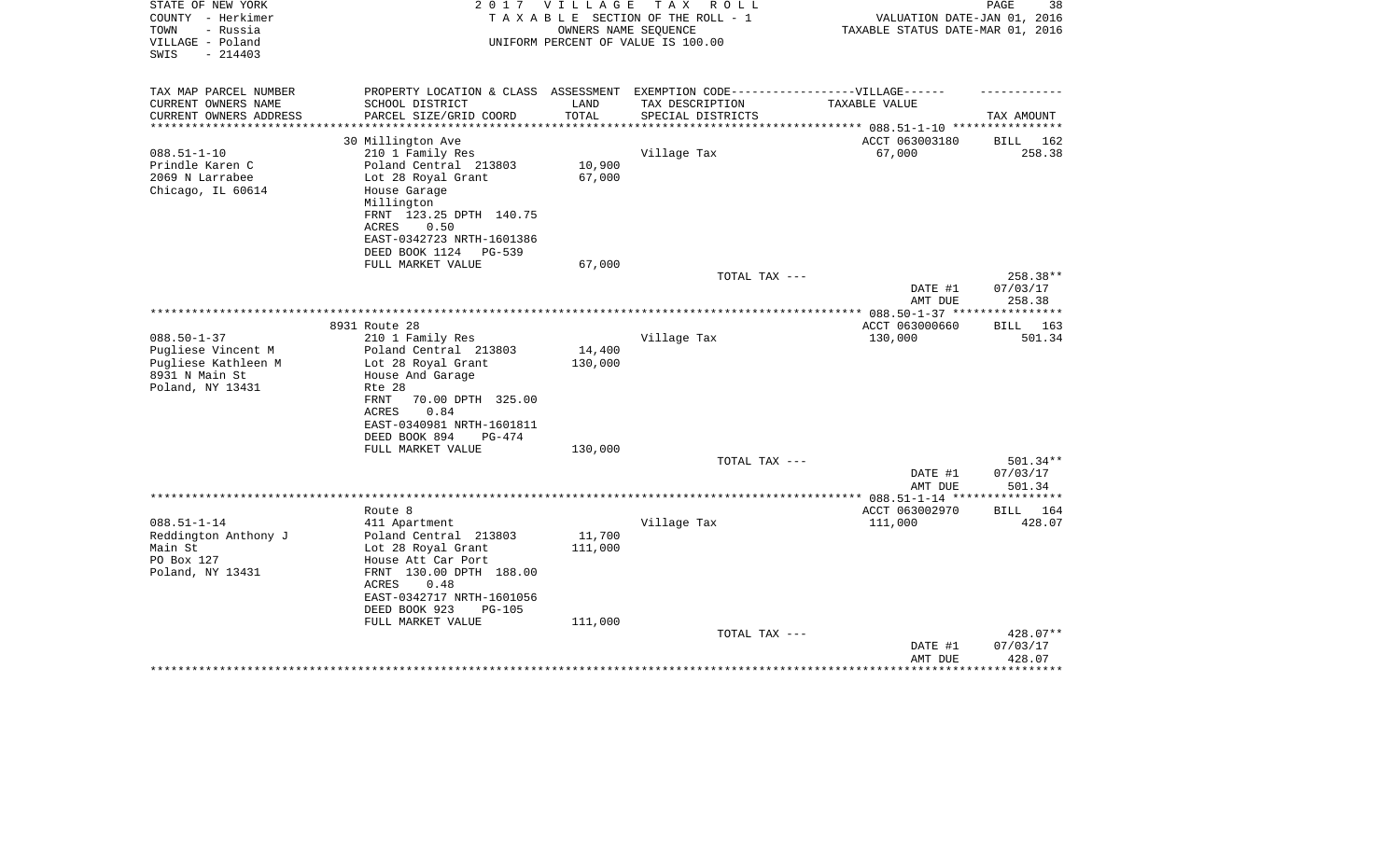| STATE OF NEW YORK      | 2 0 1 7                                                                           | VILLAGE | T A X<br>R O L L                   |                                  | 38<br>PAGE         |
|------------------------|-----------------------------------------------------------------------------------|---------|------------------------------------|----------------------------------|--------------------|
| COUNTY - Herkimer      |                                                                                   |         | TAXABLE SECTION OF THE ROLL - 1    | VALUATION DATE-JAN 01, 2016      |                    |
| - Russia<br>TOWN       |                                                                                   |         | OWNERS NAME SEQUENCE               | TAXABLE STATUS DATE-MAR 01, 2016 |                    |
| VILLAGE - Poland       |                                                                                   |         | UNIFORM PERCENT OF VALUE IS 100.00 |                                  |                    |
| $-214403$<br>SWIS      |                                                                                   |         |                                    |                                  |                    |
|                        |                                                                                   |         |                                    |                                  |                    |
| TAX MAP PARCEL NUMBER  | PROPERTY LOCATION & CLASS ASSESSMENT EXEMPTION CODE-----------------VILLAGE------ |         |                                    |                                  |                    |
| CURRENT OWNERS NAME    | SCHOOL DISTRICT                                                                   | LAND    | TAX DESCRIPTION                    | TAXABLE VALUE                    |                    |
| CURRENT OWNERS ADDRESS | PARCEL SIZE/GRID COORD                                                            | TOTAL   | SPECIAL DISTRICTS                  |                                  | TAX AMOUNT         |
| *********************  |                                                                                   |         |                                    |                                  |                    |
|                        | 30 Millington Ave                                                                 |         |                                    | ACCT 063003180                   | BILL 162           |
| $088.51 - 1 - 10$      | 210 1 Family Res                                                                  |         | Village Tax                        | 67,000                           | 258.38             |
| Prindle Karen C        | Poland Central 213803                                                             | 10,900  |                                    |                                  |                    |
| 2069 N Larrabee        | Lot 28 Royal Grant                                                                | 67,000  |                                    |                                  |                    |
| Chicago, IL 60614      | House Garage                                                                      |         |                                    |                                  |                    |
|                        | Millington                                                                        |         |                                    |                                  |                    |
|                        | FRNT 123.25 DPTH 140.75                                                           |         |                                    |                                  |                    |
|                        | <b>ACRES</b><br>0.50                                                              |         |                                    |                                  |                    |
|                        | EAST-0342723 NRTH-1601386                                                         |         |                                    |                                  |                    |
|                        | DEED BOOK 1124<br>PG-539                                                          |         |                                    |                                  |                    |
|                        | FULL MARKET VALUE                                                                 | 67,000  |                                    |                                  |                    |
|                        |                                                                                   |         | TOTAL TAX ---                      |                                  | 258.38**           |
|                        |                                                                                   |         |                                    | DATE #1                          | 07/03/17           |
|                        |                                                                                   |         |                                    | AMT DUE                          | 258.38             |
|                        |                                                                                   |         |                                    | *************** 088.50-1-37 **** | ***********        |
|                        | 8931 Route 28                                                                     |         |                                    | ACCT 063000660                   | 163<br>BILL        |
| $088.50 - 1 - 37$      | 210 1 Family Res                                                                  |         | Village Tax                        | 130,000                          | 501.34             |
| Pugliese Vincent M     | Poland Central 213803                                                             | 14,400  |                                    |                                  |                    |
| Pugliese Kathleen M    | Lot 28 Royal Grant                                                                | 130,000 |                                    |                                  |                    |
| 8931 N Main St         | House And Garage                                                                  |         |                                    |                                  |                    |
| Poland, NY 13431       | Rte 28                                                                            |         |                                    |                                  |                    |
|                        | 70.00 DPTH 325.00<br>FRNT                                                         |         |                                    |                                  |                    |
|                        | 0.84<br>ACRES                                                                     |         |                                    |                                  |                    |
|                        | EAST-0340981 NRTH-1601811                                                         |         |                                    |                                  |                    |
|                        | DEED BOOK 894<br>PG-474                                                           |         |                                    |                                  |                    |
|                        | FULL MARKET VALUE                                                                 | 130,000 |                                    |                                  |                    |
|                        |                                                                                   |         | TOTAL TAX ---                      |                                  | 501.34**           |
|                        |                                                                                   |         |                                    | DATE #1                          | 07/03/17           |
|                        |                                                                                   |         |                                    | AMT DUE                          | 501.34             |
|                        |                                                                                   |         | ********************               | *** $088.51 - 1 - 14$ **         | * * * * * * * *    |
|                        | Route 8                                                                           |         |                                    | ACCT 063002970                   | <b>BILL</b><br>164 |
| $088.51 - 1 - 14$      | 411 Apartment                                                                     |         | Village Tax                        | 111,000                          | 428.07             |
| Reddington Anthony J   | Poland Central 213803                                                             | 11,700  |                                    |                                  |                    |
| Main St                | Lot 28 Royal Grant                                                                | 111,000 |                                    |                                  |                    |
| PO Box 127             | House Att Car Port                                                                |         |                                    |                                  |                    |
| Poland, NY 13431       | FRNT 130.00 DPTH 188.00                                                           |         |                                    |                                  |                    |
|                        | 0.48<br>ACRES                                                                     |         |                                    |                                  |                    |
|                        | EAST-0342717 NRTH-1601056                                                         |         |                                    |                                  |                    |
|                        | DEED BOOK 923<br><b>PG-105</b>                                                    |         |                                    |                                  |                    |
|                        | FULL MARKET VALUE                                                                 | 111,000 |                                    |                                  |                    |
|                        |                                                                                   |         | TOTAL TAX ---                      |                                  | 428.07**           |
|                        |                                                                                   |         |                                    | DATE #1                          | 07/03/17           |
|                        |                                                                                   |         |                                    | AMT DUE                          | 428.07             |
|                        |                                                                                   |         |                                    |                                  |                    |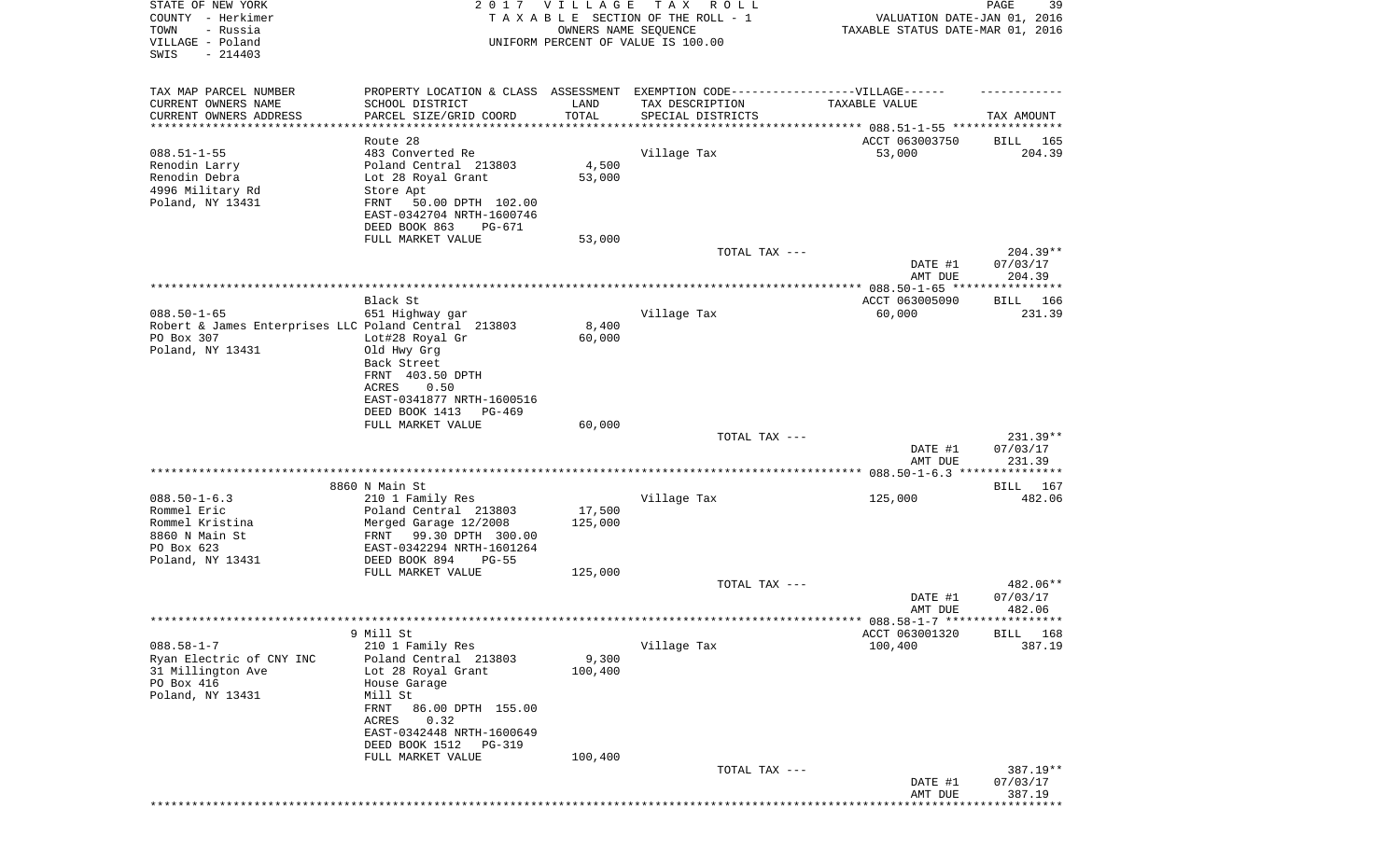| STATE OF NEW YORK                                    |                                                                                   | 2017 VILLAGE  | TAX ROLL                                                |                                                                 | PAGE<br>39             |
|------------------------------------------------------|-----------------------------------------------------------------------------------|---------------|---------------------------------------------------------|-----------------------------------------------------------------|------------------------|
| COUNTY - Herkimer<br>TOWN<br>- Russia                |                                                                                   |               | TAXABLE SECTION OF THE ROLL - 1<br>OWNERS NAME SEQUENCE | VALUATION DATE-JAN 01, 2016<br>TAXABLE STATUS DATE-MAR 01, 2016 |                        |
| VILLAGE - Poland                                     |                                                                                   |               | UNIFORM PERCENT OF VALUE IS 100.00                      |                                                                 |                        |
| $-214403$<br>SWIS                                    |                                                                                   |               |                                                         |                                                                 |                        |
|                                                      |                                                                                   |               |                                                         |                                                                 |                        |
| TAX MAP PARCEL NUMBER                                | PROPERTY LOCATION & CLASS ASSESSMENT EXEMPTION CODE-----------------VILLAGE------ |               |                                                         |                                                                 |                        |
| CURRENT OWNERS NAME<br>CURRENT OWNERS ADDRESS        | SCHOOL DISTRICT<br>PARCEL SIZE/GRID COORD                                         | LAND<br>TOTAL | TAX DESCRIPTION<br>SPECIAL DISTRICTS                    | TAXABLE VALUE                                                   |                        |
| *********************                                |                                                                                   |               |                                                         |                                                                 | TAX AMOUNT             |
|                                                      | Route 28                                                                          |               |                                                         | ACCT 063003750                                                  | BILL 165               |
| $088.51 - 1 - 55$                                    | 483 Converted Re                                                                  |               | Village Tax                                             | 53,000                                                          | 204.39                 |
| Renodin Larry                                        | Poland Central 213803                                                             | 4,500         |                                                         |                                                                 |                        |
| Renodin Debra                                        | Lot 28 Royal Grant                                                                | 53,000        |                                                         |                                                                 |                        |
| 4996 Military Rd                                     | Store Apt                                                                         |               |                                                         |                                                                 |                        |
| Poland, NY 13431                                     | 50.00 DPTH 102.00<br>FRNT                                                         |               |                                                         |                                                                 |                        |
|                                                      | EAST-0342704 NRTH-1600746                                                         |               |                                                         |                                                                 |                        |
|                                                      | DEED BOOK 863<br>PG-671<br>FULL MARKET VALUE                                      | 53,000        |                                                         |                                                                 |                        |
|                                                      |                                                                                   |               | TOTAL TAX ---                                           |                                                                 | $204.39**$             |
|                                                      |                                                                                   |               |                                                         | DATE #1                                                         | 07/03/17               |
|                                                      |                                                                                   |               |                                                         | AMT DUE                                                         | 204.39                 |
|                                                      |                                                                                   |               |                                                         |                                                                 |                        |
|                                                      | Black St                                                                          |               |                                                         | ACCT 063005090                                                  | <b>BILL</b> 166        |
| $088.50 - 1 - 65$                                    | 651 Highway gar                                                                   |               | Village Tax                                             | 60,000                                                          | 231.39                 |
| Robert & James Enterprises LLC Poland Central 213803 |                                                                                   | 8,400         |                                                         |                                                                 |                        |
| PO Box 307<br>Poland, NY 13431                       | Lot#28 Royal Gr<br>Old Hwy Grg                                                    | 60,000        |                                                         |                                                                 |                        |
|                                                      | Back Street                                                                       |               |                                                         |                                                                 |                        |
|                                                      | FRNT 403.50 DPTH                                                                  |               |                                                         |                                                                 |                        |
|                                                      | 0.50<br>ACRES                                                                     |               |                                                         |                                                                 |                        |
|                                                      | EAST-0341877 NRTH-1600516                                                         |               |                                                         |                                                                 |                        |
|                                                      | DEED BOOK 1413<br>PG-469                                                          |               |                                                         |                                                                 |                        |
|                                                      | FULL MARKET VALUE                                                                 | 60,000        |                                                         |                                                                 |                        |
|                                                      |                                                                                   |               | TOTAL TAX ---                                           | DATE #1                                                         | $231.39**$<br>07/03/17 |
|                                                      |                                                                                   |               |                                                         | AMT DUE                                                         | 231.39                 |
|                                                      |                                                                                   |               |                                                         |                                                                 |                        |
|                                                      | 8860 N Main St                                                                    |               |                                                         |                                                                 | BILL 167               |
| $088.50 - 1 - 6.3$                                   | 210 1 Family Res                                                                  |               | Village Tax                                             | 125,000                                                         | 482.06                 |
| Rommel Eric                                          | Poland Central 213803                                                             | 17,500        |                                                         |                                                                 |                        |
| Rommel Kristina                                      | Merged Garage 12/2008                                                             | 125,000       |                                                         |                                                                 |                        |
| 8860 N Main St<br>PO Box 623                         | 99.30 DPTH 300.00<br>FRNT<br>EAST-0342294 NRTH-1601264                            |               |                                                         |                                                                 |                        |
| Poland, NY 13431                                     | DEED BOOK 894<br>$PG-55$                                                          |               |                                                         |                                                                 |                        |
|                                                      | FULL MARKET VALUE                                                                 | 125,000       |                                                         |                                                                 |                        |
|                                                      |                                                                                   |               | TOTAL TAX ---                                           |                                                                 | $482.06**$             |
|                                                      |                                                                                   |               |                                                         | DATE #1                                                         | 07/03/17               |
|                                                      |                                                                                   |               |                                                         | AMT DUE                                                         | 482.06                 |
|                                                      |                                                                                   |               |                                                         |                                                                 |                        |
|                                                      | 9 Mill St                                                                         |               |                                                         | ACCT 063001320                                                  | BILL 168               |
| $088.58 - 1 - 7$<br>Ryan Electric of CNY INC         | 210 1 Family Res<br>Poland Central 213803                                         | 9,300         | Village Tax                                             | 100,400                                                         | 387.19                 |
| 31 Millington Ave                                    | Lot 28 Royal Grant                                                                | 100,400       |                                                         |                                                                 |                        |
| PO Box 416                                           | House Garage                                                                      |               |                                                         |                                                                 |                        |
| Poland, NY 13431                                     | Mill St                                                                           |               |                                                         |                                                                 |                        |
|                                                      | FRNT<br>86.00 DPTH 155.00                                                         |               |                                                         |                                                                 |                        |
|                                                      | 0.32<br>ACRES                                                                     |               |                                                         |                                                                 |                        |
|                                                      | EAST-0342448 NRTH-1600649                                                         |               |                                                         |                                                                 |                        |
|                                                      | DEED BOOK 1512<br>PG-319                                                          |               |                                                         |                                                                 |                        |
|                                                      | FULL MARKET VALUE                                                                 | 100,400       | TOTAL TAX ---                                           |                                                                 | 387.19**               |
|                                                      |                                                                                   |               |                                                         | DATE #1                                                         | 07/03/17               |
|                                                      |                                                                                   |               |                                                         | AMT DUE                                                         | 387.19                 |
|                                                      |                                                                                   |               |                                                         |                                                                 |                        |
|                                                      |                                                                                   |               |                                                         |                                                                 |                        |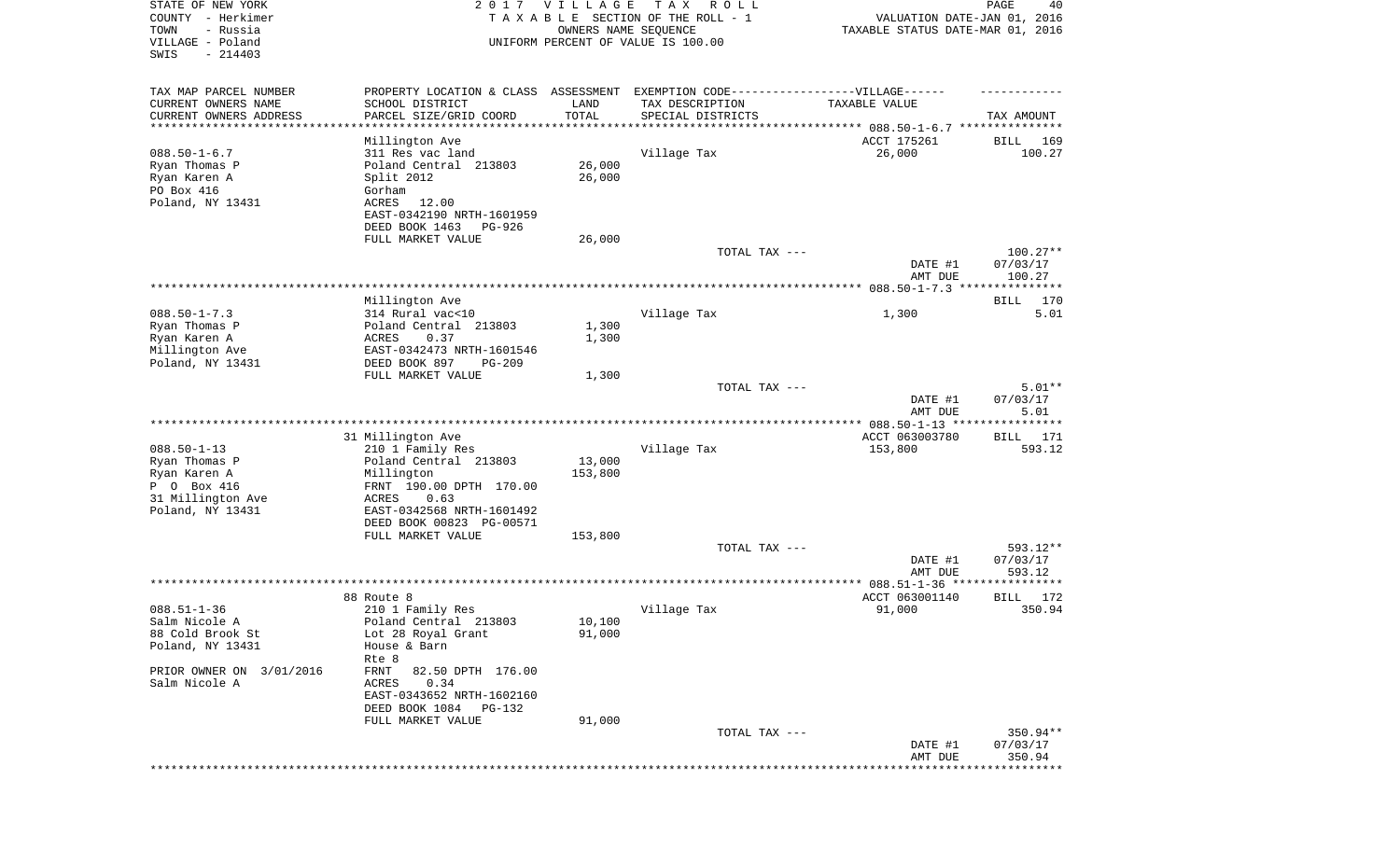| STATE OF NEW YORK<br>COUNTY - Herkimer<br>TOWN<br>- Russia | 2 0 1 7                                     | <b>VILLAGE</b> | T A X<br>R O L L<br>TAXABLE SECTION OF THE ROLL - 1<br>OWNERS NAME SEQUENCE | VALUATION DATE-JAN 01, 2016<br>TAXABLE STATUS DATE-MAR 01, 2016 | PAGE<br>40           |
|------------------------------------------------------------|---------------------------------------------|----------------|-----------------------------------------------------------------------------|-----------------------------------------------------------------|----------------------|
| VILLAGE - Poland<br>SWIS<br>$-214403$                      |                                             |                | UNIFORM PERCENT OF VALUE IS 100.00                                          |                                                                 |                      |
| TAX MAP PARCEL NUMBER                                      | PROPERTY LOCATION & CLASS                   | ASSESSMENT     |                                                                             |                                                                 |                      |
| CURRENT OWNERS NAME<br>CURRENT OWNERS ADDRESS              | SCHOOL DISTRICT<br>PARCEL SIZE/GRID COORD   | LAND<br>TOTAL  | TAX DESCRIPTION<br>SPECIAL DISTRICTS                                        | TAXABLE VALUE                                                   | TAX AMOUNT           |
| ********************                                       |                                             |                |                                                                             | ***************************** 088.50-1-6.7 ***************      |                      |
|                                                            | Millington Ave                              |                |                                                                             | ACCT 175261                                                     | 169<br>BILL          |
| $088.50 - 1 - 6.7$                                         | 311 Res vac land                            |                | Village Tax                                                                 | 26,000                                                          | 100.27               |
| Ryan Thomas P                                              | Poland Central 213803                       | 26,000         |                                                                             |                                                                 |                      |
| Ryan Karen A                                               | Split 2012                                  | 26,000         |                                                                             |                                                                 |                      |
| PO Box 416                                                 | Gorham                                      |                |                                                                             |                                                                 |                      |
| Poland, NY 13431                                           | ACRES<br>12.00<br>EAST-0342190 NRTH-1601959 |                |                                                                             |                                                                 |                      |
|                                                            | DEED BOOK 1463<br>PG-926                    |                |                                                                             |                                                                 |                      |
|                                                            | FULL MARKET VALUE                           | 26,000         |                                                                             |                                                                 |                      |
|                                                            |                                             |                | TOTAL TAX ---                                                               |                                                                 | $100.27**$           |
|                                                            |                                             |                |                                                                             | DATE #1                                                         | 07/03/17             |
|                                                            |                                             |                |                                                                             | AMT DUE                                                         | 100.27               |
|                                                            |                                             |                |                                                                             |                                                                 |                      |
|                                                            | Millington Ave                              |                |                                                                             |                                                                 | 170<br>BILL          |
| $088.50 - 1 - 7.3$                                         | 314 Rural vac<10                            |                | Village Tax                                                                 | 1,300                                                           | 5.01                 |
| Ryan Thomas P                                              | Poland Central 213803                       | 1,300          |                                                                             |                                                                 |                      |
| Ryan Karen A                                               | 0.37<br>ACRES                               | 1,300          |                                                                             |                                                                 |                      |
| Millington Ave                                             | EAST-0342473 NRTH-1601546                   |                |                                                                             |                                                                 |                      |
| Poland, NY 13431                                           | DEED BOOK 897<br>$PG-209$                   |                |                                                                             |                                                                 |                      |
|                                                            | FULL MARKET VALUE                           | 1,300          | TOTAL TAX ---                                                               |                                                                 | $5.01**$             |
|                                                            |                                             |                |                                                                             | DATE #1                                                         | 07/03/17             |
|                                                            |                                             |                |                                                                             | AMT DUE                                                         | 5.01                 |
|                                                            |                                             |                |                                                                             |                                                                 |                      |
|                                                            | 31 Millington Ave                           |                |                                                                             | ACCT 063003780                                                  | BILL 171             |
| $088.50 - 1 - 13$                                          | 210 1 Family Res                            |                | Village Tax                                                                 | 153,800                                                         | 593.12               |
| Ryan Thomas P                                              | Poland Central 213803                       | 13,000         |                                                                             |                                                                 |                      |
| Ryan Karen A                                               | Millington                                  | 153,800        |                                                                             |                                                                 |                      |
| P 0 Box 416                                                | FRNT 190.00 DPTH 170.00                     |                |                                                                             |                                                                 |                      |
| 31 Millington Ave                                          | ACRES<br>0.63                               |                |                                                                             |                                                                 |                      |
| Poland, NY 13431                                           | EAST-0342568 NRTH-1601492                   |                |                                                                             |                                                                 |                      |
|                                                            | DEED BOOK 00823 PG-00571                    |                |                                                                             |                                                                 |                      |
|                                                            | FULL MARKET VALUE                           | 153,800        |                                                                             |                                                                 |                      |
|                                                            |                                             |                | TOTAL TAX ---                                                               | DATE #1                                                         | 593.12**<br>07/03/17 |
|                                                            |                                             |                |                                                                             | AMT DUE                                                         | 593.12               |
|                                                            |                                             |                |                                                                             | ************ 088.51-1-36 *****                                  | ***********          |
|                                                            | 88 Route 8                                  |                |                                                                             | ACCT 063001140                                                  | BILL<br>172          |
| $088.51 - 1 - 36$                                          | 210 1 Family Res                            |                | Village Tax                                                                 | 91,000                                                          | 350.94               |
| Salm Nicole A                                              | Poland Central 213803                       | 10,100         |                                                                             |                                                                 |                      |
| 88 Cold Brook St                                           | Lot 28 Royal Grant                          | 91,000         |                                                                             |                                                                 |                      |
| Poland, NY 13431                                           | House & Barn                                |                |                                                                             |                                                                 |                      |
|                                                            | Rte 8                                       |                |                                                                             |                                                                 |                      |
| PRIOR OWNER ON 3/01/2016                                   | 82.50 DPTH 176.00<br>FRNT                   |                |                                                                             |                                                                 |                      |
| Salm Nicole A                                              | ACRES 0.34                                  |                |                                                                             |                                                                 |                      |
|                                                            | EAST-0343652 NRTH-1602160                   |                |                                                                             |                                                                 |                      |
|                                                            | DEED BOOK 1084 PG-132<br>FULL MARKET VALUE  | 91,000         |                                                                             |                                                                 |                      |
|                                                            |                                             |                | TOTAL TAX ---                                                               |                                                                 | 350.94**             |
|                                                            |                                             |                |                                                                             | DATE #1                                                         | 07/03/17             |
|                                                            |                                             |                |                                                                             | AMT DUE                                                         | 350.94               |
|                                                            |                                             |                |                                                                             |                                                                 |                      |
|                                                            |                                             |                |                                                                             |                                                                 |                      |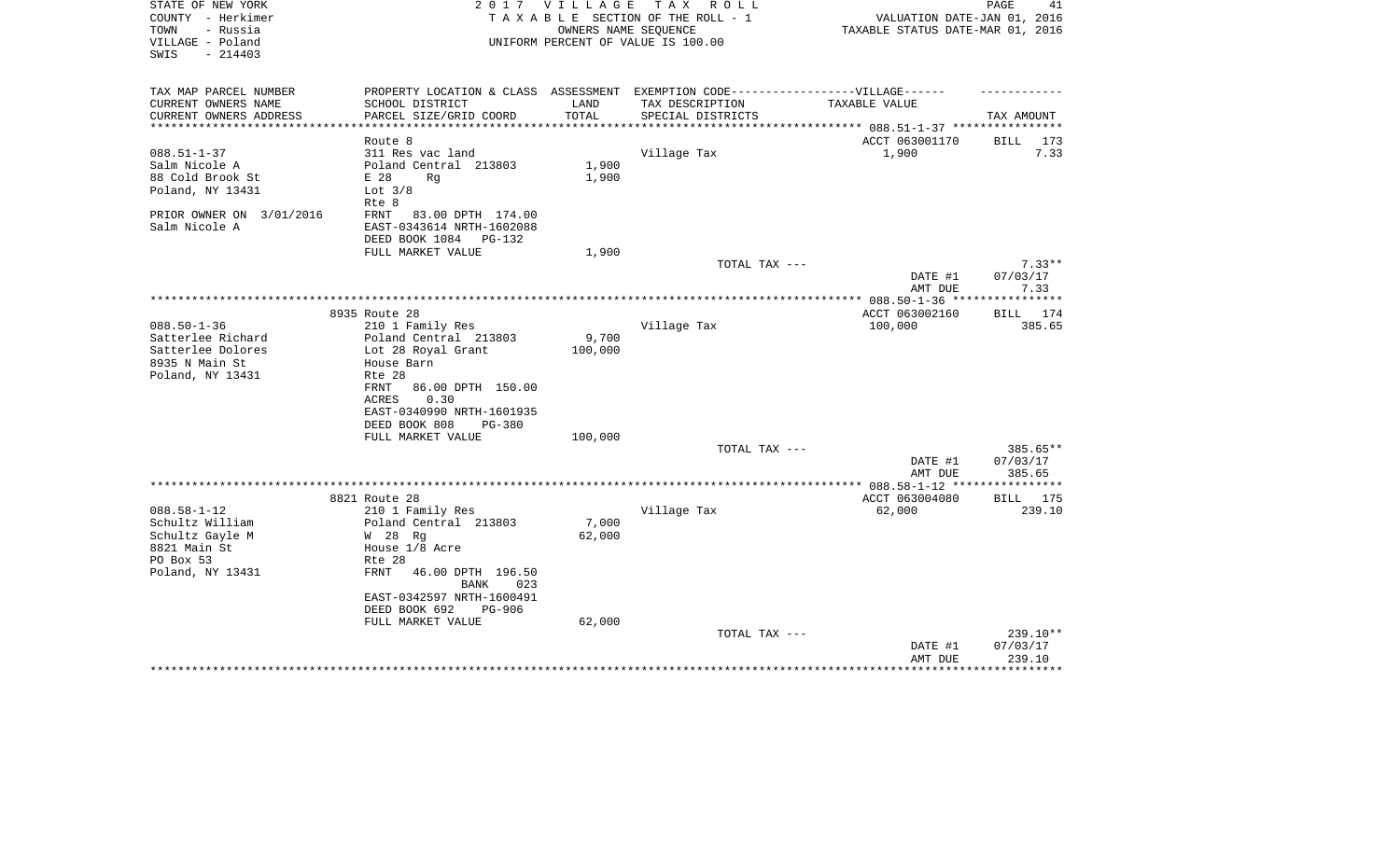| STATE OF NEW YORK<br>COUNTY - Herkimer<br>TOWN<br>- Russia | 2017                                                                              | VILLAGE       | TAX ROLL<br>TAXABLE SECTION OF THE ROLL - 1<br>OWNERS NAME SEQUENCE | VALUATION DATE-JAN 01, 2016<br>TAXABLE STATUS DATE-MAR 01, 2016 | PAGE<br>41           |
|------------------------------------------------------------|-----------------------------------------------------------------------------------|---------------|---------------------------------------------------------------------|-----------------------------------------------------------------|----------------------|
| VILLAGE - Poland<br>SWIS<br>$-214403$                      |                                                                                   |               | UNIFORM PERCENT OF VALUE IS 100.00                                  |                                                                 |                      |
| TAX MAP PARCEL NUMBER                                      | PROPERTY LOCATION & CLASS ASSESSMENT EXEMPTION CODE-----------------VILLAGE------ |               |                                                                     |                                                                 |                      |
| CURRENT OWNERS NAME<br>CURRENT OWNERS ADDRESS              | SCHOOL DISTRICT<br>PARCEL SIZE/GRID COORD                                         | LAND<br>TOTAL | TAX DESCRIPTION<br>SPECIAL DISTRICTS                                | TAXABLE VALUE                                                   | TAX AMOUNT           |
| **********************                                     |                                                                                   |               |                                                                     |                                                                 |                      |
|                                                            | Route 8                                                                           |               |                                                                     | ACCT 063001170                                                  | <b>BILL</b><br>173   |
| $088.51 - 1 - 37$                                          | 311 Res vac land                                                                  |               | Village Tax                                                         | 1,900                                                           | 7.33                 |
| Salm Nicole A                                              | Poland Central 213803                                                             | 1,900         |                                                                     |                                                                 |                      |
| 88 Cold Brook St                                           | E 28<br>Rg                                                                        | 1,900         |                                                                     |                                                                 |                      |
| Poland, NY 13431                                           | Lot $3/8$<br>Rte 8                                                                |               |                                                                     |                                                                 |                      |
| PRIOR OWNER ON 3/01/2016                                   | FRNT<br>83.00 DPTH 174.00                                                         |               |                                                                     |                                                                 |                      |
| Salm Nicole A                                              | EAST-0343614 NRTH-1602088                                                         |               |                                                                     |                                                                 |                      |
|                                                            | DEED BOOK 1084<br>PG-132                                                          |               |                                                                     |                                                                 |                      |
|                                                            | FULL MARKET VALUE                                                                 | 1,900         |                                                                     |                                                                 |                      |
|                                                            |                                                                                   |               | TOTAL TAX ---                                                       | DATE #1                                                         | $7.33**$<br>07/03/17 |
|                                                            |                                                                                   |               |                                                                     | AMT DUE                                                         | 7.33                 |
|                                                            |                                                                                   |               |                                                                     |                                                                 |                      |
|                                                            | 8935 Route 28                                                                     |               |                                                                     | ACCT 063002160                                                  | BILL 174             |
| $088.50 - 1 - 36$                                          | 210 1 Family Res                                                                  |               | Village Tax                                                         | 100,000                                                         | 385.65               |
| Satterlee Richard                                          | Poland Central 213803                                                             | 9,700         |                                                                     |                                                                 |                      |
| Satterlee Dolores                                          | Lot 28 Royal Grant                                                                | 100,000       |                                                                     |                                                                 |                      |
| 8935 N Main St<br>Poland, NY 13431                         | House Barn<br>Rte 28                                                              |               |                                                                     |                                                                 |                      |
|                                                            | FRNT<br>86.00 DPTH 150.00                                                         |               |                                                                     |                                                                 |                      |
|                                                            | 0.30<br>ACRES                                                                     |               |                                                                     |                                                                 |                      |
|                                                            | EAST-0340990 NRTH-1601935                                                         |               |                                                                     |                                                                 |                      |
|                                                            | DEED BOOK 808<br><b>PG-380</b>                                                    |               |                                                                     |                                                                 |                      |
|                                                            | FULL MARKET VALUE                                                                 | 100,000       |                                                                     |                                                                 |                      |
|                                                            |                                                                                   |               | TOTAL TAX ---                                                       |                                                                 | $385.65**$           |
|                                                            |                                                                                   |               |                                                                     | DATE #1<br>AMT DUE                                              | 07/03/17<br>385.65   |
|                                                            |                                                                                   |               |                                                                     |                                                                 |                      |
|                                                            | 8821 Route 28                                                                     |               |                                                                     | ACCT 063004080                                                  | BILL 175             |
| $088.58 - 1 - 12$                                          | 210 1 Family Res                                                                  |               | Village Tax                                                         | 62,000                                                          | 239.10               |
| Schultz William                                            | Poland Central 213803                                                             | 7,000         |                                                                     |                                                                 |                      |
| Schultz Gayle M<br>8821 Main St                            | W 28 Rg                                                                           | 62,000        |                                                                     |                                                                 |                      |
| PO Box 53                                                  | House 1/8 Acre<br>Rte 28                                                          |               |                                                                     |                                                                 |                      |
| Poland, NY 13431                                           | <b>FRNT</b><br>46.00 DPTH 196.50                                                  |               |                                                                     |                                                                 |                      |
|                                                            | BANK<br>023                                                                       |               |                                                                     |                                                                 |                      |
|                                                            | EAST-0342597 NRTH-1600491                                                         |               |                                                                     |                                                                 |                      |
|                                                            | DEED BOOK 692<br>PG-906                                                           |               |                                                                     |                                                                 |                      |
|                                                            | FULL MARKET VALUE                                                                 | 62,000        |                                                                     |                                                                 |                      |
|                                                            |                                                                                   |               | TOTAL TAX ---                                                       |                                                                 | 239.10**             |
|                                                            |                                                                                   |               |                                                                     | DATE #1                                                         | 07/03/17<br>239.10   |
|                                                            |                                                                                   |               |                                                                     | AMT DUE                                                         | ********             |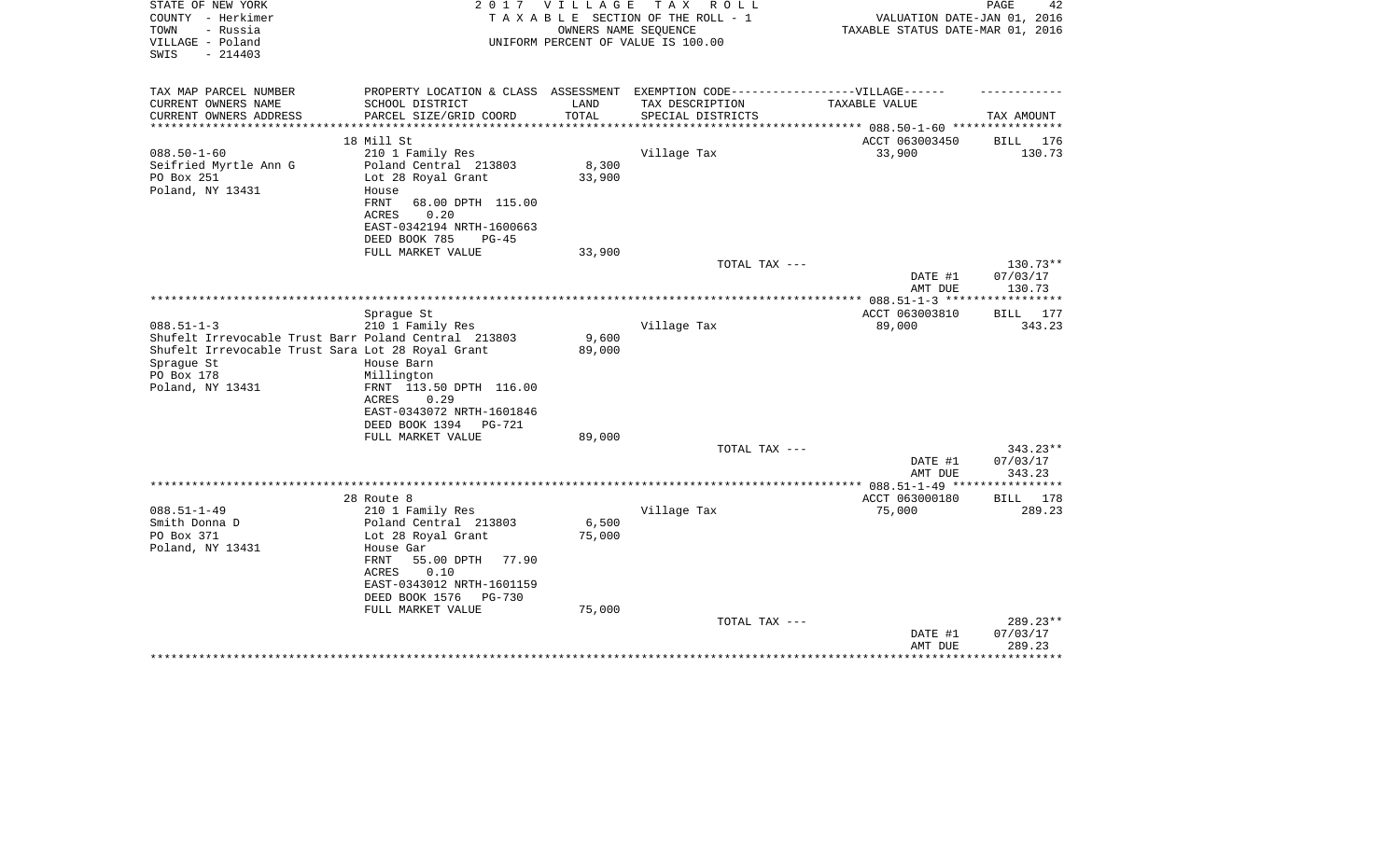| STATE OF NEW YORK<br>COUNTY - Herkimer<br>- Russia<br>TOWN<br>VILLAGE - Poland<br>$-214403$<br>SWIS                                                                           | 2 0 1 7                                                                                                                      | VILLAGE         | TAX ROLL<br>TAXABLE SECTION OF THE ROLL - 1<br>OWNERS NAME SEOUENCE<br>UNIFORM PERCENT OF VALUE IS 100.00 | VALUATION DATE-JAN 01, 2016<br>TAXABLE STATUS DATE-MAR 01, 2016 | PAGE<br>42                     |
|-------------------------------------------------------------------------------------------------------------------------------------------------------------------------------|------------------------------------------------------------------------------------------------------------------------------|-----------------|-----------------------------------------------------------------------------------------------------------|-----------------------------------------------------------------|--------------------------------|
| TAX MAP PARCEL NUMBER                                                                                                                                                         |                                                                                                                              |                 | PROPERTY LOCATION & CLASS ASSESSMENT EXEMPTION CODE-----------------VILLAGE------                         |                                                                 |                                |
| CURRENT OWNERS NAME<br>CURRENT OWNERS ADDRESS                                                                                                                                 | SCHOOL DISTRICT<br>PARCEL SIZE/GRID COORD                                                                                    | LAND<br>TOTAL   | TAX DESCRIPTION<br>SPECIAL DISTRICTS                                                                      | TAXABLE VALUE                                                   | TAX AMOUNT                     |
|                                                                                                                                                                               |                                                                                                                              |                 |                                                                                                           | *********** 088.50-1-60 *********                               |                                |
| $088.50 - 1 - 60$<br>Seifried Myrtle Ann G<br>PO Box 251                                                                                                                      | 18 Mill St<br>210 1 Family Res<br>Poland Central 213803<br>Lot 28 Royal Grant                                                | 8,300<br>33,900 | Village Tax                                                                                               | ACCT 063003450<br>33,900                                        | 176<br>BILL<br>130.73          |
| Poland, NY 13431                                                                                                                                                              | House<br>68.00 DPTH 115.00<br>FRNT<br>0.20<br>ACRES<br>EAST-0342194 NRTH-1600663                                             |                 |                                                                                                           |                                                                 |                                |
|                                                                                                                                                                               | DEED BOOK 785<br>$PG-45$<br>FULL MARKET VALUE                                                                                | 33,900          |                                                                                                           |                                                                 |                                |
|                                                                                                                                                                               |                                                                                                                              |                 | TOTAL TAX ---                                                                                             | DATE #1<br>AMT DUE                                              | 130.73**<br>07/03/17<br>130.73 |
|                                                                                                                                                                               |                                                                                                                              |                 |                                                                                                           |                                                                 | ***********                    |
|                                                                                                                                                                               | Spraque St                                                                                                                   |                 |                                                                                                           | ACCT 063003810                                                  | <b>BILL</b> 177                |
| $088.51 - 1 - 3$<br>Shufelt Irrevocable Trust Barr Poland Central 213803<br>Shufelt Irrevocable Trust Sara Lot 28 Royal Grant<br>Spraque St<br>PO Box 178<br>Poland, NY 13431 | 210 1 Family Res<br>House Barn<br>Millington<br>FRNT 113.50 DPTH 116.00<br><b>ACRES</b><br>0.29<br>EAST-0343072 NRTH-1601846 | 9,600<br>89,000 | Village Tax                                                                                               | 89,000                                                          | 343.23                         |
|                                                                                                                                                                               | DEED BOOK 1394<br>PG-721                                                                                                     |                 |                                                                                                           |                                                                 |                                |
|                                                                                                                                                                               | FULL MARKET VALUE                                                                                                            | 89,000          |                                                                                                           |                                                                 |                                |
|                                                                                                                                                                               |                                                                                                                              |                 | TOTAL TAX ---                                                                                             | DATE #1<br>AMT DUE                                              | 343.23**<br>07/03/17<br>343.23 |
|                                                                                                                                                                               |                                                                                                                              |                 |                                                                                                           |                                                                 |                                |
| $088.51 - 1 - 49$                                                                                                                                                             | 28 Route 8<br>210 1 Family Res                                                                                               |                 | Village Tax                                                                                               | ACCT 063000180<br>75,000                                        | BILL 178<br>289.23             |
| Smith Donna D                                                                                                                                                                 | Poland Central 213803                                                                                                        | 6,500           |                                                                                                           |                                                                 |                                |
| PO Box 371                                                                                                                                                                    | Lot 28 Royal Grant                                                                                                           | 75,000          |                                                                                                           |                                                                 |                                |
| Poland, NY 13431                                                                                                                                                              | House Gar<br>FRNT<br>55.00 DPTH<br>77.90<br>0.10<br>ACRES<br>EAST-0343012 NRTH-1601159<br>DEED BOOK 1576<br>PG-730           |                 |                                                                                                           |                                                                 |                                |
|                                                                                                                                                                               | FULL MARKET VALUE                                                                                                            | 75,000          | TOTAL TAX ---                                                                                             | DATE #1<br>AMT DUE                                              | 289.23**<br>07/03/17<br>289.23 |
|                                                                                                                                                                               |                                                                                                                              |                 |                                                                                                           |                                                                 |                                |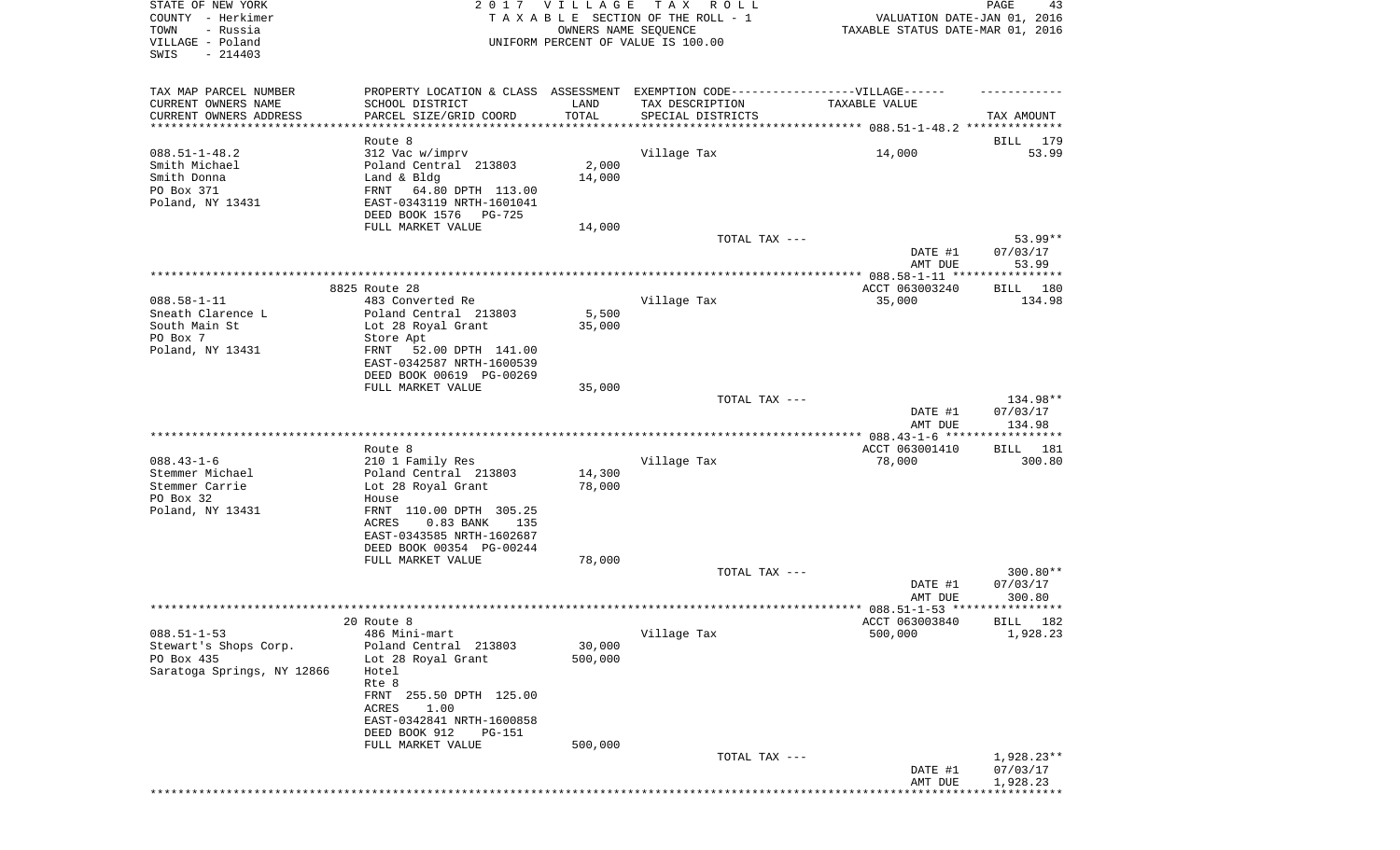| STATE OF NEW YORK<br>COUNTY - Herkimer<br>- Russia<br>TOWN<br>VILLAGE - Poland | 2017                                                   | <b>VILLAGE</b><br>OWNERS NAME SEQUENCE | T A X<br>R O L L<br>TAXABLE SECTION OF THE ROLL - 1<br>UNIFORM PERCENT OF VALUE IS 100.00 | VALUATION DATE-JAN 01, 2016<br>TAXABLE STATUS DATE-MAR 01, 2016 | PAGE<br>43               |
|--------------------------------------------------------------------------------|--------------------------------------------------------|----------------------------------------|-------------------------------------------------------------------------------------------|-----------------------------------------------------------------|--------------------------|
| SWIS<br>$-214403$                                                              |                                                        |                                        |                                                                                           |                                                                 |                          |
| TAX MAP PARCEL NUMBER                                                          |                                                        |                                        | PROPERTY LOCATION & CLASS ASSESSMENT EXEMPTION CODE----------------VILLAGE------          |                                                                 |                          |
| CURRENT OWNERS NAME                                                            | SCHOOL DISTRICT                                        | LAND                                   | TAX DESCRIPTION                                                                           | TAXABLE VALUE                                                   |                          |
| CURRENT OWNERS ADDRESS                                                         | PARCEL SIZE/GRID COORD                                 | TOTAL                                  | SPECIAL DISTRICTS                                                                         |                                                                 | TAX AMOUNT               |
| **********************                                                         | ******************                                     |                                        |                                                                                           |                                                                 |                          |
|                                                                                | Route 8                                                |                                        |                                                                                           |                                                                 | 179<br>BILL              |
| $088.51 - 1 - 48.2$                                                            | 312 Vac w/imprv                                        |                                        | Village Tax                                                                               | 14,000                                                          | 53.99                    |
| Smith Michael                                                                  | Poland Central 213803<br>Land & Bldg                   | 2,000                                  |                                                                                           |                                                                 |                          |
| Smith Donna<br>PO Box 371                                                      | FRNT<br>64.80 DPTH 113.00                              | 14,000                                 |                                                                                           |                                                                 |                          |
| Poland, NY 13431                                                               | EAST-0343119 NRTH-1601041                              |                                        |                                                                                           |                                                                 |                          |
|                                                                                | DEED BOOK 1576<br>PG-725                               |                                        |                                                                                           |                                                                 |                          |
|                                                                                | FULL MARKET VALUE                                      | 14,000                                 |                                                                                           |                                                                 |                          |
|                                                                                |                                                        |                                        | TOTAL TAX ---                                                                             |                                                                 | 53.99**                  |
|                                                                                |                                                        |                                        |                                                                                           | DATE #1<br>AMT DUE                                              | 07/03/17<br>53.99        |
|                                                                                |                                                        |                                        |                                                                                           | ACCT 063003240                                                  |                          |
| $088.58 - 1 - 11$                                                              | 8825 Route 28<br>483 Converted Re                      |                                        | Village Tax                                                                               | 35,000                                                          | BILL<br>180<br>134.98    |
| Sneath Clarence L                                                              | Poland Central 213803                                  | 5,500                                  |                                                                                           |                                                                 |                          |
| South Main St                                                                  | Lot 28 Royal Grant                                     | 35,000                                 |                                                                                           |                                                                 |                          |
| PO Box 7                                                                       | Store Apt                                              |                                        |                                                                                           |                                                                 |                          |
| Poland, NY 13431                                                               | 52.00 DPTH 141.00<br>FRNT                              |                                        |                                                                                           |                                                                 |                          |
|                                                                                | EAST-0342587 NRTH-1600539                              |                                        |                                                                                           |                                                                 |                          |
|                                                                                | DEED BOOK 00619 PG-00269                               |                                        |                                                                                           |                                                                 |                          |
|                                                                                | FULL MARKET VALUE                                      | 35,000                                 |                                                                                           |                                                                 |                          |
|                                                                                |                                                        |                                        | TOTAL TAX ---                                                                             |                                                                 | 134.98**<br>07/03/17     |
|                                                                                |                                                        |                                        |                                                                                           | DATE #1<br>AMT DUE                                              | 134.98                   |
|                                                                                |                                                        |                                        |                                                                                           | ************ 088.43-1-6 ******************                      |                          |
|                                                                                | Route 8                                                |                                        |                                                                                           | ACCT 063001410                                                  | 181<br>BILL              |
| $088.43 - 1 - 6$                                                               | 210 1 Family Res                                       |                                        | Village Tax                                                                               | 78,000                                                          | 300.80                   |
| Stemmer Michael                                                                | Poland Central 213803                                  | 14,300                                 |                                                                                           |                                                                 |                          |
| Stemmer Carrie                                                                 | Lot 28 Royal Grant                                     | 78,000                                 |                                                                                           |                                                                 |                          |
| PO Box 32                                                                      | House                                                  |                                        |                                                                                           |                                                                 |                          |
| Poland, NY 13431                                                               | FRNT 110.00 DPTH 305.25                                |                                        |                                                                                           |                                                                 |                          |
|                                                                                | 0.83 BANK<br>ACRES<br>135<br>EAST-0343585 NRTH-1602687 |                                        |                                                                                           |                                                                 |                          |
|                                                                                | DEED BOOK 00354 PG-00244                               |                                        |                                                                                           |                                                                 |                          |
|                                                                                | FULL MARKET VALUE                                      | 78,000                                 |                                                                                           |                                                                 |                          |
|                                                                                |                                                        |                                        | TOTAL TAX ---                                                                             |                                                                 | 300.80**                 |
|                                                                                |                                                        |                                        |                                                                                           | DATE #1                                                         | 07/03/17                 |
|                                                                                |                                                        |                                        |                                                                                           | AMT DUE                                                         | 300.80                   |
|                                                                                |                                                        |                                        |                                                                                           |                                                                 |                          |
|                                                                                | 20 Route 8                                             |                                        |                                                                                           | ACCT 063003840                                                  | BILL 182                 |
| $088.51 - 1 - 53$                                                              | 486 Mini-mart                                          |                                        | Village Tax                                                                               | 500,000                                                         | 1,928.23                 |
| Stewart's Shops Corp.<br>PO Box 435                                            | Poland Central 213803<br>Lot 28 Royal Grant            | 30,000<br>500,000                      |                                                                                           |                                                                 |                          |
| Saratoga Springs, NY 12866                                                     | Hotel                                                  |                                        |                                                                                           |                                                                 |                          |
|                                                                                | Rte 8                                                  |                                        |                                                                                           |                                                                 |                          |
|                                                                                | FRNT 255.50 DPTH 125.00                                |                                        |                                                                                           |                                                                 |                          |
|                                                                                | 1.00<br><b>ACRES</b>                                   |                                        |                                                                                           |                                                                 |                          |
|                                                                                | EAST-0342841 NRTH-1600858                              |                                        |                                                                                           |                                                                 |                          |
|                                                                                | DEED BOOK 912<br><b>PG-151</b>                         |                                        |                                                                                           |                                                                 |                          |
|                                                                                | FULL MARKET VALUE                                      | 500,000                                |                                                                                           |                                                                 |                          |
|                                                                                |                                                        |                                        | TOTAL TAX ---                                                                             | DATE #1                                                         | $1,928.23**$<br>07/03/17 |
|                                                                                |                                                        |                                        |                                                                                           | AMT DUE                                                         | 1,928.23                 |
|                                                                                |                                                        |                                        |                                                                                           |                                                                 |                          |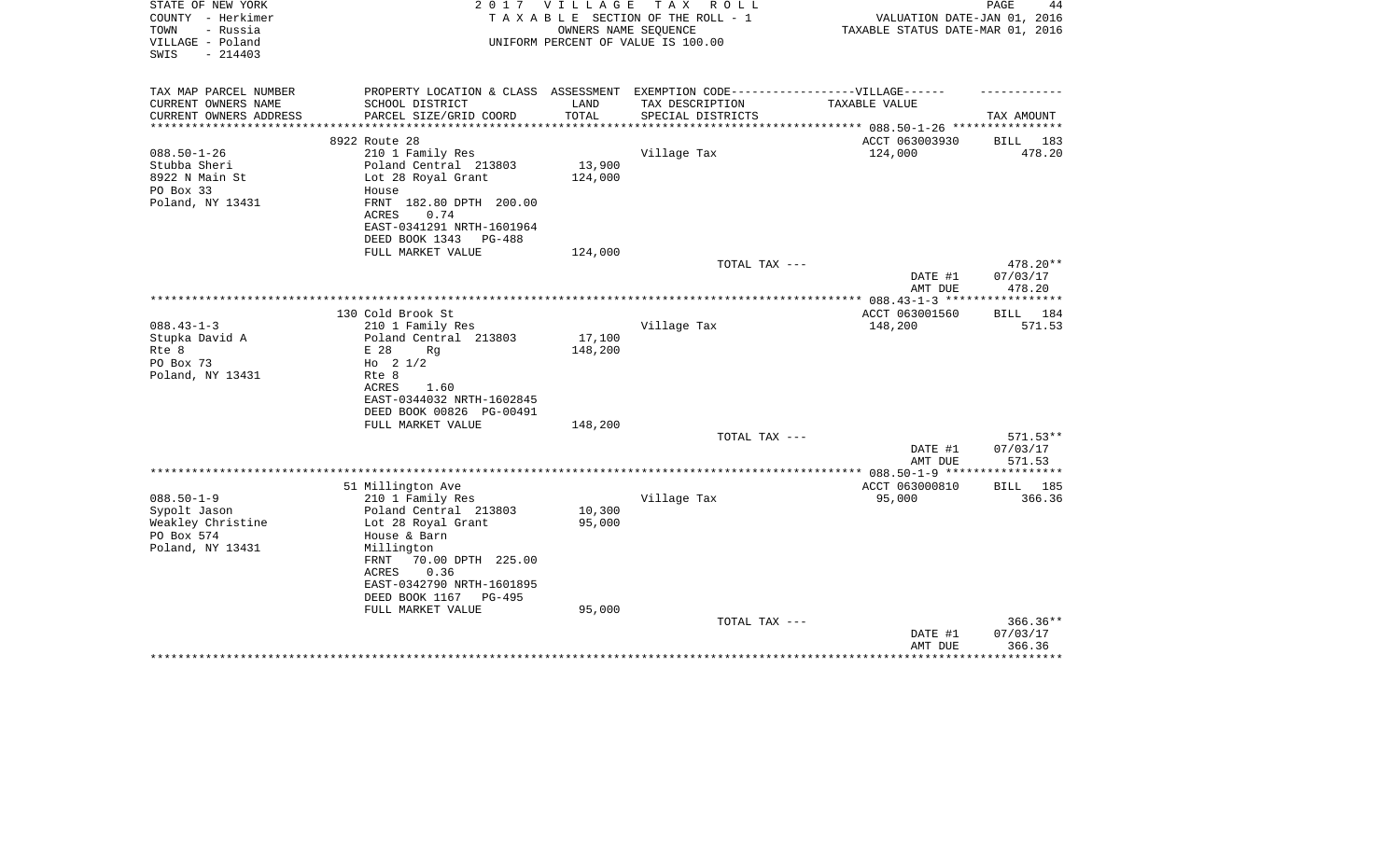| STATE OF NEW YORK<br>COUNTY - Herkimer<br>- Russia<br>TOWN<br>VILLAGE - Poland<br>$-214403$<br>SWIS | 2 0 1 7                                                                                                                                                                                       | V I L L A G E     | T A X<br>R O L L<br>TAXABLE SECTION OF THE ROLL - 1<br>OWNERS NAME SEQUENCE<br>UNIFORM PERCENT OF VALUE IS 100.00 | VALUATION DATE-JAN 01, 2016<br>TAXABLE STATUS DATE-MAR 01, 2016 | PAGE<br>44                                                  |
|-----------------------------------------------------------------------------------------------------|-----------------------------------------------------------------------------------------------------------------------------------------------------------------------------------------------|-------------------|-------------------------------------------------------------------------------------------------------------------|-----------------------------------------------------------------|-------------------------------------------------------------|
| TAX MAP PARCEL NUMBER<br>CURRENT OWNERS NAME                                                        | PROPERTY LOCATION & CLASS ASSESSMENT EXEMPTION CODE-----------------VILLAGE------<br>SCHOOL DISTRICT                                                                                          | LAND              | TAX DESCRIPTION                                                                                                   | TAXABLE VALUE                                                   |                                                             |
| CURRENT OWNERS ADDRESS                                                                              | PARCEL SIZE/GRID COORD                                                                                                                                                                        | TOTAL             | SPECIAL DISTRICTS                                                                                                 |                                                                 | TAX AMOUNT                                                  |
|                                                                                                     | 8922 Route 28                                                                                                                                                                                 |                   |                                                                                                                   | ********** 088.50-1-26 ****<br>ACCT 063003930                   | BILL<br>183                                                 |
| $088.50 - 1 - 26$<br>Stubba Sheri<br>8922 N Main St<br>PO Box 33<br>Poland, NY 13431                | 210 1 Family Res<br>Poland Central 213803<br>Lot 28 Royal Grant<br>House<br>FRNT 182.80 DPTH 200.00<br>ACRES<br>0.74                                                                          | 13,900<br>124,000 | Village Tax                                                                                                       | 124,000                                                         | 478.20                                                      |
|                                                                                                     | EAST-0341291 NRTH-1601964<br>DEED BOOK 1343<br>PG-488<br>FULL MARKET VALUE                                                                                                                    |                   |                                                                                                                   |                                                                 |                                                             |
|                                                                                                     |                                                                                                                                                                                               | 124,000           | TOTAL TAX ---                                                                                                     | DATE #1<br>AMT DUE                                              | 478.20**<br>07/03/17<br>478.20                              |
|                                                                                                     |                                                                                                                                                                                               |                   | *************************************                                                                             | ************** 088.43-1-3 ***                                   | * * * * * * * * * *                                         |
|                                                                                                     | 130 Cold Brook St                                                                                                                                                                             |                   |                                                                                                                   | ACCT 063001560                                                  | BILL 184                                                    |
| $088.43 - 1 - 3$<br>Stupka David A<br>Rte 8<br>PO Box 73<br>Poland, NY 13431                        | 210 1 Family Res<br>Poland Central 213803<br>E 28<br>Rq<br>Ho $2 \frac{1}{2}$<br>Rte 8<br><b>ACRES</b><br>1.60<br>EAST-0344032 NRTH-1602845<br>DEED BOOK 00826 PG-00491                       | 17,100<br>148,200 | Village Tax                                                                                                       | 148,200                                                         | 571.53                                                      |
|                                                                                                     | FULL MARKET VALUE                                                                                                                                                                             | 148,200           | TOTAL TAX ---                                                                                                     |                                                                 | 571.53**                                                    |
|                                                                                                     |                                                                                                                                                                                               |                   |                                                                                                                   | DATE #1<br>AMT DUE                                              | 07/03/17<br>571.53                                          |
|                                                                                                     |                                                                                                                                                                                               |                   |                                                                                                                   |                                                                 | ************                                                |
| $088.50 - 1 - 9$<br>Sypolt Jason<br>Weakley Christine<br>PO Box 574<br>Poland, NY 13431             | 51 Millington Ave<br>210 1 Family Res<br>Poland Central 213803<br>Lot 28 Royal Grant<br>House & Barn<br>Millington<br>70.00 DPTH 225.00<br>FRNT<br>0.36<br>ACRES<br>EAST-0342790 NRTH-1601895 | 10,300<br>95,000  | Village Tax                                                                                                       | ACCT 063000810<br>95,000                                        | <b>BILL</b><br>185<br>366.36                                |
|                                                                                                     | DEED BOOK 1167<br>PG-495                                                                                                                                                                      | 95,000            |                                                                                                                   |                                                                 |                                                             |
|                                                                                                     | FULL MARKET VALUE                                                                                                                                                                             |                   | TOTAL TAX ---                                                                                                     | DATE #1<br>AMT DUE<br>*******************                       | $366.36**$<br>07/03/17<br>366.36<br>* * * * * * * * * * * * |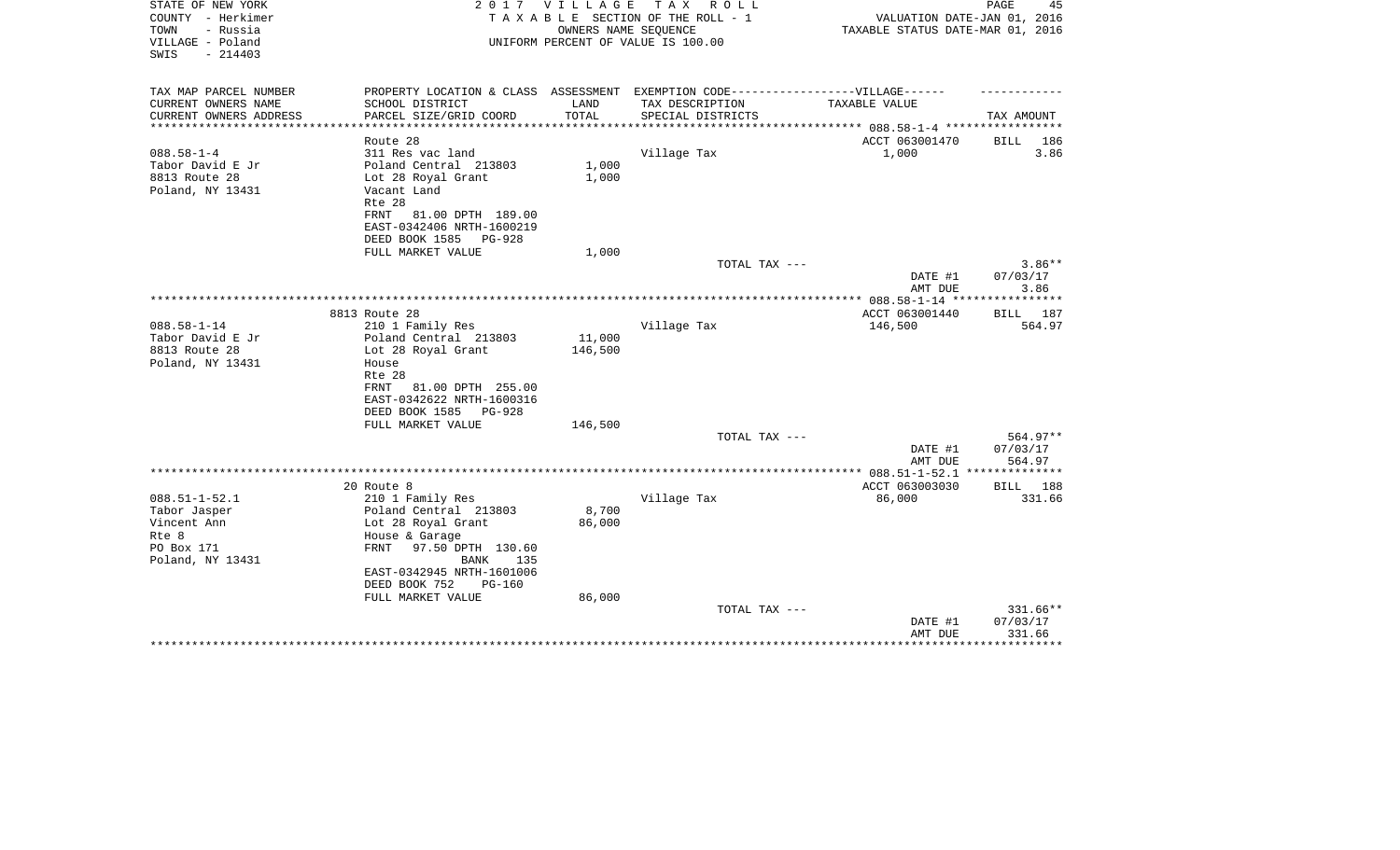| STATE OF NEW YORK<br>COUNTY - Herkimer<br>- Russia<br>TOWN<br>VILLAGE - Poland<br>$-214403$<br>SWIS | 2 0 1 7                                                                           | V I L L A G E   | T A X<br>R O L L<br>TAXABLE SECTION OF THE ROLL - 1<br>OWNERS NAME SEQUENCE<br>UNIFORM PERCENT OF VALUE IS 100.00 | VALUATION DATE-JAN 01, 2016<br>TAXABLE STATUS DATE-MAR 01, 2016 | PAGE<br>45           |
|-----------------------------------------------------------------------------------------------------|-----------------------------------------------------------------------------------|-----------------|-------------------------------------------------------------------------------------------------------------------|-----------------------------------------------------------------|----------------------|
| TAX MAP PARCEL NUMBER                                                                               | PROPERTY LOCATION & CLASS ASSESSMENT EXEMPTION CODE-----------------VILLAGE------ |                 |                                                                                                                   |                                                                 |                      |
| CURRENT OWNERS NAME                                                                                 | SCHOOL DISTRICT                                                                   | LAND            | TAX DESCRIPTION                                                                                                   | TAXABLE VALUE                                                   |                      |
| CURRENT OWNERS ADDRESS                                                                              | PARCEL SIZE/GRID COORD                                                            | TOTAL           | SPECIAL DISTRICTS                                                                                                 |                                                                 | TAX AMOUNT           |
|                                                                                                     | Route 28                                                                          |                 |                                                                                                                   | ACCT 063001470                                                  | BILL<br>186          |
| $088.58 - 1 - 4$                                                                                    | 311 Res vac land                                                                  |                 | Village Tax                                                                                                       | 1,000                                                           | 3.86                 |
| Tabor David E Jr                                                                                    | Poland Central 213803                                                             | 1,000           |                                                                                                                   |                                                                 |                      |
| 8813 Route 28                                                                                       | Lot 28 Royal Grant                                                                | 1,000           |                                                                                                                   |                                                                 |                      |
| Poland, NY 13431                                                                                    | Vacant Land                                                                       |                 |                                                                                                                   |                                                                 |                      |
|                                                                                                     | Rte 28                                                                            |                 |                                                                                                                   |                                                                 |                      |
|                                                                                                     | 81.00 DPTH 189.00<br>FRNT                                                         |                 |                                                                                                                   |                                                                 |                      |
|                                                                                                     | EAST-0342406 NRTH-1600219                                                         |                 |                                                                                                                   |                                                                 |                      |
|                                                                                                     | DEED BOOK 1585<br>PG-928                                                          |                 |                                                                                                                   |                                                                 |                      |
|                                                                                                     | FULL MARKET VALUE                                                                 | 1,000           | TOTAL TAX ---                                                                                                     |                                                                 | $3.86**$             |
|                                                                                                     |                                                                                   |                 |                                                                                                                   | DATE #1                                                         | 07/03/17             |
|                                                                                                     |                                                                                   |                 |                                                                                                                   | AMT DUE                                                         | 3.86                 |
|                                                                                                     |                                                                                   |                 |                                                                                                                   |                                                                 |                      |
|                                                                                                     | 8813 Route 28                                                                     |                 |                                                                                                                   | ACCT 063001440                                                  | BILL 187             |
| $088.58 - 1 - 14$                                                                                   | 210 1 Family Res                                                                  |                 | Village Tax                                                                                                       | 146,500                                                         | 564.97               |
| Tabor David E Jr                                                                                    | Poland Central 213803                                                             | 11,000          |                                                                                                                   |                                                                 |                      |
| 8813 Route 28                                                                                       | Lot 28 Royal Grant                                                                | 146,500         |                                                                                                                   |                                                                 |                      |
| Poland, NY 13431                                                                                    | House                                                                             |                 |                                                                                                                   |                                                                 |                      |
|                                                                                                     | Rte 28<br>81.00 DPTH 255.00<br>FRNT                                               |                 |                                                                                                                   |                                                                 |                      |
|                                                                                                     | EAST-0342622 NRTH-1600316                                                         |                 |                                                                                                                   |                                                                 |                      |
|                                                                                                     | DEED BOOK 1585<br><b>PG-928</b>                                                   |                 |                                                                                                                   |                                                                 |                      |
|                                                                                                     | FULL MARKET VALUE                                                                 | 146,500         |                                                                                                                   |                                                                 |                      |
|                                                                                                     |                                                                                   |                 | TOTAL TAX ---                                                                                                     |                                                                 | 564.97**             |
|                                                                                                     |                                                                                   |                 |                                                                                                                   | DATE #1                                                         | 07/03/17             |
|                                                                                                     |                                                                                   |                 |                                                                                                                   | AMT DUE                                                         | 564.97               |
|                                                                                                     |                                                                                   |                 |                                                                                                                   |                                                                 | **************       |
|                                                                                                     | 20 Route 8                                                                        |                 |                                                                                                                   | ACCT 063003030                                                  | 188<br>BILL          |
| $088.51 - 1 - 52.1$                                                                                 | 210 1 Family Res                                                                  |                 | Village Tax                                                                                                       | 86,000                                                          | 331.66               |
| Tabor Jasper<br>Vincent Ann                                                                         | Poland Central 213803<br>Lot 28 Royal Grant                                       | 8,700<br>86,000 |                                                                                                                   |                                                                 |                      |
| Rte 8                                                                                               | House & Garage                                                                    |                 |                                                                                                                   |                                                                 |                      |
| PO Box 171                                                                                          | 97.50 DPTH 130.60<br>FRNT                                                         |                 |                                                                                                                   |                                                                 |                      |
| Poland, NY 13431                                                                                    | <b>BANK</b><br>135                                                                |                 |                                                                                                                   |                                                                 |                      |
|                                                                                                     | EAST-0342945 NRTH-1601006                                                         |                 |                                                                                                                   |                                                                 |                      |
|                                                                                                     | DEED BOOK 752<br>$PG-160$                                                         |                 |                                                                                                                   |                                                                 |                      |
|                                                                                                     | FULL MARKET VALUE                                                                 | 86,000          |                                                                                                                   |                                                                 |                      |
|                                                                                                     |                                                                                   |                 | TOTAL TAX ---                                                                                                     |                                                                 | 331.66**             |
|                                                                                                     |                                                                                   |                 |                                                                                                                   | DATE #1                                                         | 07/03/17             |
|                                                                                                     |                                                                                   |                 |                                                                                                                   | AMT DUE                                                         | 331.66<br>********** |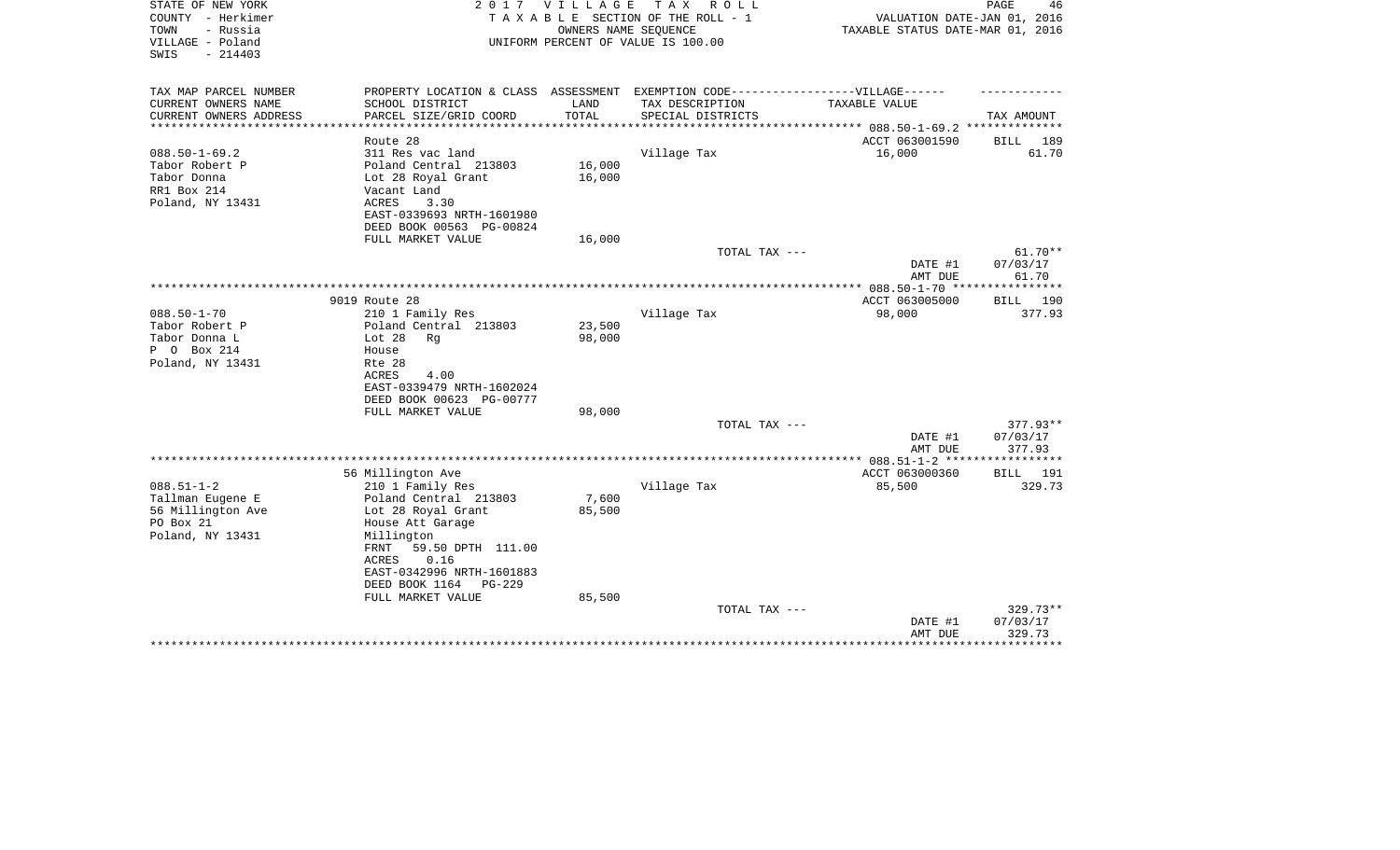| STATE OF NEW YORK<br>COUNTY - Herkimer<br>- Russia<br>TOWN<br>VILLAGE - Poland | 2 0 1 7                                                                           | VILLAGE | T A X<br>R O L L<br>TAXABLE SECTION OF THE ROLL - 1<br>OWNERS NAME SEQUENCE<br>UNIFORM PERCENT OF VALUE IS 100.00 | VALUATION DATE-JAN 01, 2016<br>TAXABLE STATUS DATE-MAR 01, 2016 | PAGE<br>46         |
|--------------------------------------------------------------------------------|-----------------------------------------------------------------------------------|---------|-------------------------------------------------------------------------------------------------------------------|-----------------------------------------------------------------|--------------------|
| SWIS<br>$-214403$                                                              |                                                                                   |         |                                                                                                                   |                                                                 |                    |
| TAX MAP PARCEL NUMBER                                                          | PROPERTY LOCATION & CLASS ASSESSMENT EXEMPTION CODE-----------------VILLAGE------ |         |                                                                                                                   |                                                                 |                    |
| CURRENT OWNERS NAME                                                            | SCHOOL DISTRICT                                                                   | LAND    | TAX DESCRIPTION                                                                                                   | TAXABLE VALUE                                                   |                    |
| CURRENT OWNERS ADDRESS<br>*********************                                | PARCEL SIZE/GRID COORD                                                            | TOTAL   | SPECIAL DISTRICTS                                                                                                 |                                                                 | TAX AMOUNT         |
|                                                                                | Route 28                                                                          |         |                                                                                                                   | ACCT 063001590                                                  | BILL 189           |
| $088.50 - 1 - 69.2$                                                            | 311 Res vac land                                                                  |         | Village Tax                                                                                                       | 16,000                                                          | 61.70              |
| Tabor Robert P                                                                 | Poland Central 213803                                                             | 16,000  |                                                                                                                   |                                                                 |                    |
| Tabor Donna                                                                    | Lot 28 Royal Grant                                                                | 16,000  |                                                                                                                   |                                                                 |                    |
| RR1 Box 214                                                                    | Vacant Land                                                                       |         |                                                                                                                   |                                                                 |                    |
| Poland, NY 13431                                                               | ACRES<br>3.30                                                                     |         |                                                                                                                   |                                                                 |                    |
|                                                                                | EAST-0339693 NRTH-1601980                                                         |         |                                                                                                                   |                                                                 |                    |
|                                                                                | DEED BOOK 00563 PG-00824                                                          |         |                                                                                                                   |                                                                 |                    |
|                                                                                | FULL MARKET VALUE                                                                 | 16,000  |                                                                                                                   |                                                                 |                    |
|                                                                                |                                                                                   |         | TOTAL TAX ---                                                                                                     |                                                                 | $61.70**$          |
|                                                                                |                                                                                   |         |                                                                                                                   | DATE #1<br>AMT DUE                                              | 07/03/17<br>61.70  |
|                                                                                |                                                                                   |         |                                                                                                                   |                                                                 |                    |
|                                                                                | 9019 Route 28                                                                     |         |                                                                                                                   | ACCT 063005000                                                  | 190<br>BILL        |
| $088.50 - 1 - 70$                                                              | 210 1 Family Res                                                                  |         | Village Tax                                                                                                       | 98,000                                                          | 377.93             |
| Tabor Robert P                                                                 | Poland Central 213803                                                             | 23,500  |                                                                                                                   |                                                                 |                    |
| Tabor Donna L                                                                  | Lot $28$<br>Rq                                                                    | 98,000  |                                                                                                                   |                                                                 |                    |
| P 0 Box 214                                                                    | House                                                                             |         |                                                                                                                   |                                                                 |                    |
| Poland, NY 13431                                                               | Rte 28                                                                            |         |                                                                                                                   |                                                                 |                    |
|                                                                                | ACRES<br>4.00                                                                     |         |                                                                                                                   |                                                                 |                    |
|                                                                                | EAST-0339479 NRTH-1602024                                                         |         |                                                                                                                   |                                                                 |                    |
|                                                                                | DEED BOOK 00623 PG-00777                                                          |         |                                                                                                                   |                                                                 |                    |
|                                                                                | FULL MARKET VALUE                                                                 | 98,000  |                                                                                                                   |                                                                 |                    |
|                                                                                |                                                                                   |         | TOTAL TAX ---                                                                                                     |                                                                 | $377.93**$         |
|                                                                                |                                                                                   |         |                                                                                                                   | DATE #1                                                         | 07/03/17           |
|                                                                                |                                                                                   |         |                                                                                                                   | AMT DUE                                                         | 377.93             |
|                                                                                | 56 Millington Ave                                                                 |         |                                                                                                                   | ACCT 063000360                                                  | <b>BILL</b><br>191 |
| $088.51 - 1 - 2$                                                               | 210 1 Family Res                                                                  |         | Village Tax                                                                                                       | 85,500                                                          | 329.73             |
| Tallman Eugene E                                                               | Poland Central 213803                                                             | 7,600   |                                                                                                                   |                                                                 |                    |
| 56 Millington Ave                                                              | Lot 28 Royal Grant                                                                | 85,500  |                                                                                                                   |                                                                 |                    |
| PO Box 21                                                                      | House Att Garage                                                                  |         |                                                                                                                   |                                                                 |                    |
| Poland, NY 13431                                                               | Millington                                                                        |         |                                                                                                                   |                                                                 |                    |
|                                                                                | FRNT<br>59.50 DPTH 111.00                                                         |         |                                                                                                                   |                                                                 |                    |
|                                                                                | 0.16<br>ACRES                                                                     |         |                                                                                                                   |                                                                 |                    |
|                                                                                | EAST-0342996 NRTH-1601883                                                         |         |                                                                                                                   |                                                                 |                    |
|                                                                                | DEED BOOK 1164<br>PG-229                                                          |         |                                                                                                                   |                                                                 |                    |
|                                                                                | FULL MARKET VALUE                                                                 | 85,500  |                                                                                                                   |                                                                 |                    |
|                                                                                |                                                                                   |         | TOTAL TAX ---                                                                                                     |                                                                 | 329.73**           |
|                                                                                |                                                                                   |         |                                                                                                                   | DATE #1                                                         | 07/03/17           |
|                                                                                |                                                                                   |         |                                                                                                                   | AMT DUE                                                         | 329.73             |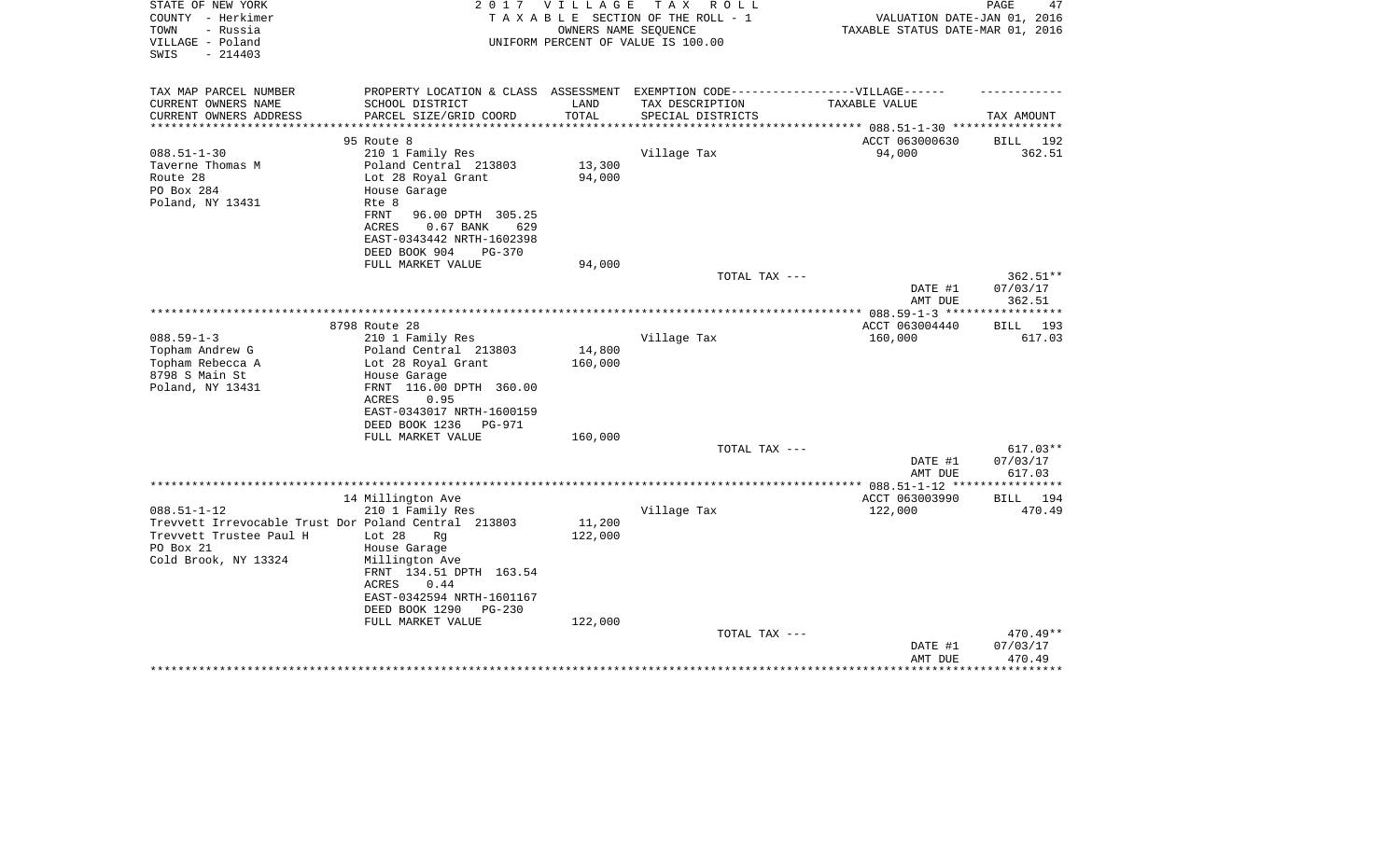| STATE OF NEW YORK<br>COUNTY - Herkimer<br>TOWN<br>- Russia | 2 0 1 7                                       | <b>VILLAGE</b> | TAX ROLL<br>TAXABLE SECTION OF THE ROLL - 1<br>OWNERS NAME SEQUENCE | VALUATION DATE-JAN 01, 2016<br>TAXABLE STATUS DATE-MAR 01, 2016 | PAGE<br>47             |
|------------------------------------------------------------|-----------------------------------------------|----------------|---------------------------------------------------------------------|-----------------------------------------------------------------|------------------------|
| VILLAGE - Poland<br>$-214403$<br>SWIS                      |                                               |                | UNIFORM PERCENT OF VALUE IS 100.00                                  |                                                                 |                        |
| TAX MAP PARCEL NUMBER                                      | PROPERTY LOCATION & CLASS ASSESSMENT          |                |                                                                     | EXEMPTION CODE-----------------VILLAGE------                    |                        |
| CURRENT OWNERS NAME                                        | SCHOOL DISTRICT                               | LAND           | TAX DESCRIPTION                                                     | TAXABLE VALUE                                                   |                        |
| CURRENT OWNERS ADDRESS<br>**********************           | PARCEL SIZE/GRID COORD                        | TOTAL          | SPECIAL DISTRICTS                                                   |                                                                 | TAX AMOUNT             |
|                                                            |                                               |                |                                                                     |                                                                 |                        |
| $088.51 - 1 - 30$                                          | 95 Route 8<br>210 1 Family Res                |                | Village Tax                                                         | ACCT 063000630<br>94,000                                        | BILL 192<br>362.51     |
| Taverne Thomas M                                           | Poland Central 213803                         | 13,300         |                                                                     |                                                                 |                        |
| Route 28                                                   | Lot 28 Royal Grant                            | 94,000         |                                                                     |                                                                 |                        |
| PO Box 284                                                 | House Garage                                  |                |                                                                     |                                                                 |                        |
| Poland, NY 13431                                           | Rte 8                                         |                |                                                                     |                                                                 |                        |
|                                                            | FRNT<br>96.00 DPTH 305.25                     |                |                                                                     |                                                                 |                        |
|                                                            | <b>ACRES</b><br>629<br>$0.67$ BANK            |                |                                                                     |                                                                 |                        |
|                                                            | EAST-0343442 NRTH-1602398                     |                |                                                                     |                                                                 |                        |
|                                                            | DEED BOOK 904<br>PG-370                       |                |                                                                     |                                                                 |                        |
|                                                            | FULL MARKET VALUE                             | 94,000         |                                                                     |                                                                 |                        |
|                                                            |                                               |                | TOTAL TAX ---                                                       |                                                                 | $362.51**$<br>07/03/17 |
|                                                            |                                               |                |                                                                     | DATE #1<br>AMT DUE                                              | 362.51                 |
|                                                            |                                               |                |                                                                     |                                                                 |                        |
|                                                            | 8798 Route 28                                 |                |                                                                     | ACCT 063004440                                                  | BILL<br>193            |
| $088.59 - 1 - 3$                                           | 210 1 Family Res                              |                | Village Tax                                                         | 160,000                                                         | 617.03                 |
| Topham Andrew G                                            | Poland Central 213803                         | 14,800         |                                                                     |                                                                 |                        |
| Topham Rebecca A                                           | Lot 28 Royal Grant                            | 160,000        |                                                                     |                                                                 |                        |
| 8798 S Main St                                             | House Garage                                  |                |                                                                     |                                                                 |                        |
| Poland, NY 13431                                           | FRNT 116.00 DPTH 360.00                       |                |                                                                     |                                                                 |                        |
|                                                            | ACRES<br>0.95                                 |                |                                                                     |                                                                 |                        |
|                                                            | EAST-0343017 NRTH-1600159                     |                |                                                                     |                                                                 |                        |
|                                                            | DEED BOOK 1236<br>PG-971<br>FULL MARKET VALUE | 160,000        |                                                                     |                                                                 |                        |
|                                                            |                                               |                | TOTAL TAX ---                                                       |                                                                 | $617.03**$             |
|                                                            |                                               |                |                                                                     | DATE #1                                                         | 07/03/17               |
|                                                            |                                               |                |                                                                     | AMT DUE                                                         | 617.03                 |
|                                                            |                                               |                |                                                                     | **** 088.51-1-12 **                                             | * * * * * * * * *      |
|                                                            | 14 Millington Ave                             |                |                                                                     | ACCT 063003990                                                  | 194<br>BILL            |
| $088.51 - 1 - 12$                                          | 210 1 Family Res                              |                | Village Tax                                                         | 122,000                                                         | 470.49                 |
| Trevvett Irrevocable Trust Dor Poland Central 213803       |                                               | 11,200         |                                                                     |                                                                 |                        |
| Trevvett Trustee Paul H                                    | Lot $28$<br>Rq                                | 122,000        |                                                                     |                                                                 |                        |
| PO Box 21<br>Cold Brook, NY 13324                          | House Garage<br>Millington Ave                |                |                                                                     |                                                                 |                        |
|                                                            | FRNT 134.51 DPTH 163.54                       |                |                                                                     |                                                                 |                        |
|                                                            | ACRES<br>0.44                                 |                |                                                                     |                                                                 |                        |
|                                                            | EAST-0342594 NRTH-1601167                     |                |                                                                     |                                                                 |                        |
|                                                            | DEED BOOK 1290<br><b>PG-230</b>               |                |                                                                     |                                                                 |                        |
|                                                            | FULL MARKET VALUE                             | 122,000        |                                                                     |                                                                 |                        |
|                                                            |                                               |                | TOTAL TAX ---                                                       |                                                                 | 470.49**               |
|                                                            |                                               |                |                                                                     | DATE #1                                                         | 07/03/17               |
|                                                            |                                               |                |                                                                     | AMT DUE                                                         | 470.49<br>***********  |
|                                                            |                                               |                |                                                                     |                                                                 |                        |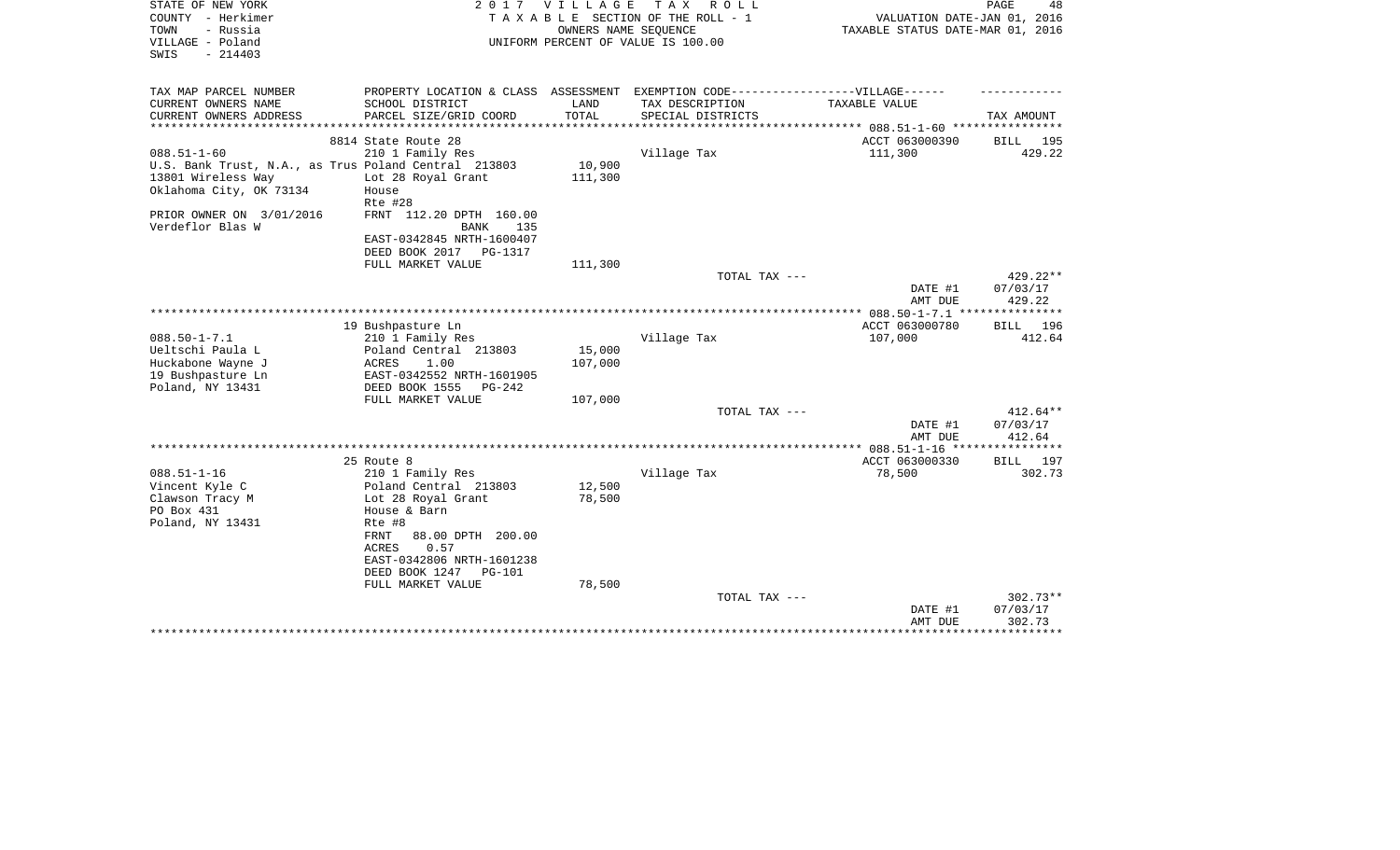| STATE OF NEW YORK<br>COUNTY - Herkimer<br>- Russia<br>TOWN<br>VILLAGE - Poland<br>$-214403$<br>SWIS                        | VILLAGE<br>2017<br>TAXABLE SECTION OF THE ROLL - 1<br>UNIFORM PERCENT OF VALUE IS 100.00                                             | PAGE<br>48<br>VALUATION DATE-JAN 01, 2016<br>TAXABLE STATUS DATE-MAR 01, 2016 |                                                                                                      |                                          |                                  |
|----------------------------------------------------------------------------------------------------------------------------|--------------------------------------------------------------------------------------------------------------------------------------|-------------------------------------------------------------------------------|------------------------------------------------------------------------------------------------------|------------------------------------------|----------------------------------|
| TAX MAP PARCEL NUMBER<br>CURRENT OWNERS NAME                                                                               | SCHOOL DISTRICT                                                                                                                      | LAND                                                                          | PROPERTY LOCATION & CLASS ASSESSMENT EXEMPTION CODE-----------------VILLAGE------<br>TAX DESCRIPTION | TAXABLE VALUE                            |                                  |
| CURRENT OWNERS ADDRESS<br>************************                                                                         | PARCEL SIZE/GRID COORD                                                                                                               | TOTAL                                                                         | SPECIAL DISTRICTS                                                                                    |                                          | TAX AMOUNT                       |
|                                                                                                                            | 8814 State Route 28                                                                                                                  |                                                                               |                                                                                                      | ACCT 063000390                           | 195<br>BILL                      |
| $088.51 - 1 - 60$<br>U.S. Bank Trust, N.A., as Trus Poland Central 213803<br>13801 Wireless Way<br>Oklahoma City, OK 73134 | 210 1 Family Res<br>Lot 28 Royal Grant<br>House<br>Rte #28                                                                           | 10,900<br>111,300                                                             | Village Tax                                                                                          | 111,300                                  | 429.22                           |
| PRIOR OWNER ON 3/01/2016<br>Verdeflor Blas W                                                                               | FRNT 112.20 DPTH 160.00<br>BANK<br>135<br>EAST-0342845 NRTH-1600407<br>DEED BOOK 2017<br><b>PG-1317</b>                              |                                                                               |                                                                                                      |                                          |                                  |
|                                                                                                                            | FULL MARKET VALUE                                                                                                                    | 111,300                                                                       | TOTAL TAX ---                                                                                        | DATE #1                                  | $429.22**$<br>07/03/17<br>429.22 |
|                                                                                                                            |                                                                                                                                      |                                                                               |                                                                                                      | AMT DUE<br>************ 088.50-1-7.1 *** | ***********                      |
|                                                                                                                            | 19 Bushpasture Ln                                                                                                                    |                                                                               |                                                                                                      | ACCT 063000780                           | BILL 196                         |
| $088.50 - 1 - 7.1$<br>Ueltschi Paula L<br>Huckabone Wayne J<br>19 Bushpasture Ln<br>Poland, NY 13431                       | 210 1 Family Res<br>Poland Central 213803<br>ACRES<br>1.00<br>EAST-0342552 NRTH-1601905<br>DEED BOOK 1555<br>$PG-242$                | 15,000<br>107,000                                                             | Village Tax                                                                                          | 107,000                                  | 412.64                           |
|                                                                                                                            | FULL MARKET VALUE                                                                                                                    | 107,000                                                                       |                                                                                                      |                                          |                                  |
|                                                                                                                            |                                                                                                                                      |                                                                               | TOTAL TAX ---                                                                                        | DATE #1<br>AMT DUE                       | $412.64**$<br>07/03/17<br>412.64 |
|                                                                                                                            |                                                                                                                                      |                                                                               |                                                                                                      |                                          | ************                     |
| $088.51 - 1 - 16$<br>Vincent Kyle C<br>Clawson Tracy M<br>PO Box 431<br>Poland, NY 13431                                   | 25 Route 8<br>210 1 Family Res<br>Poland Central 213803<br>Lot 28 Royal Grant<br>House & Barn<br>Rte #8<br>FRNT<br>88.00 DPTH 200.00 | 12,500<br>78,500                                                              | Village Tax                                                                                          | ACCT 063000330<br>78,500                 | BILL 197<br>302.73               |
|                                                                                                                            | <b>ACRES</b><br>0.57<br>EAST-0342806 NRTH-1601238<br>DEED BOOK 1247<br><b>PG-101</b><br>FULL MARKET VALUE                            | 78,500                                                                        | TOTAL TAX ---                                                                                        | DATE #1<br>AMT DUE                       | 302.73**<br>07/03/17<br>302.73   |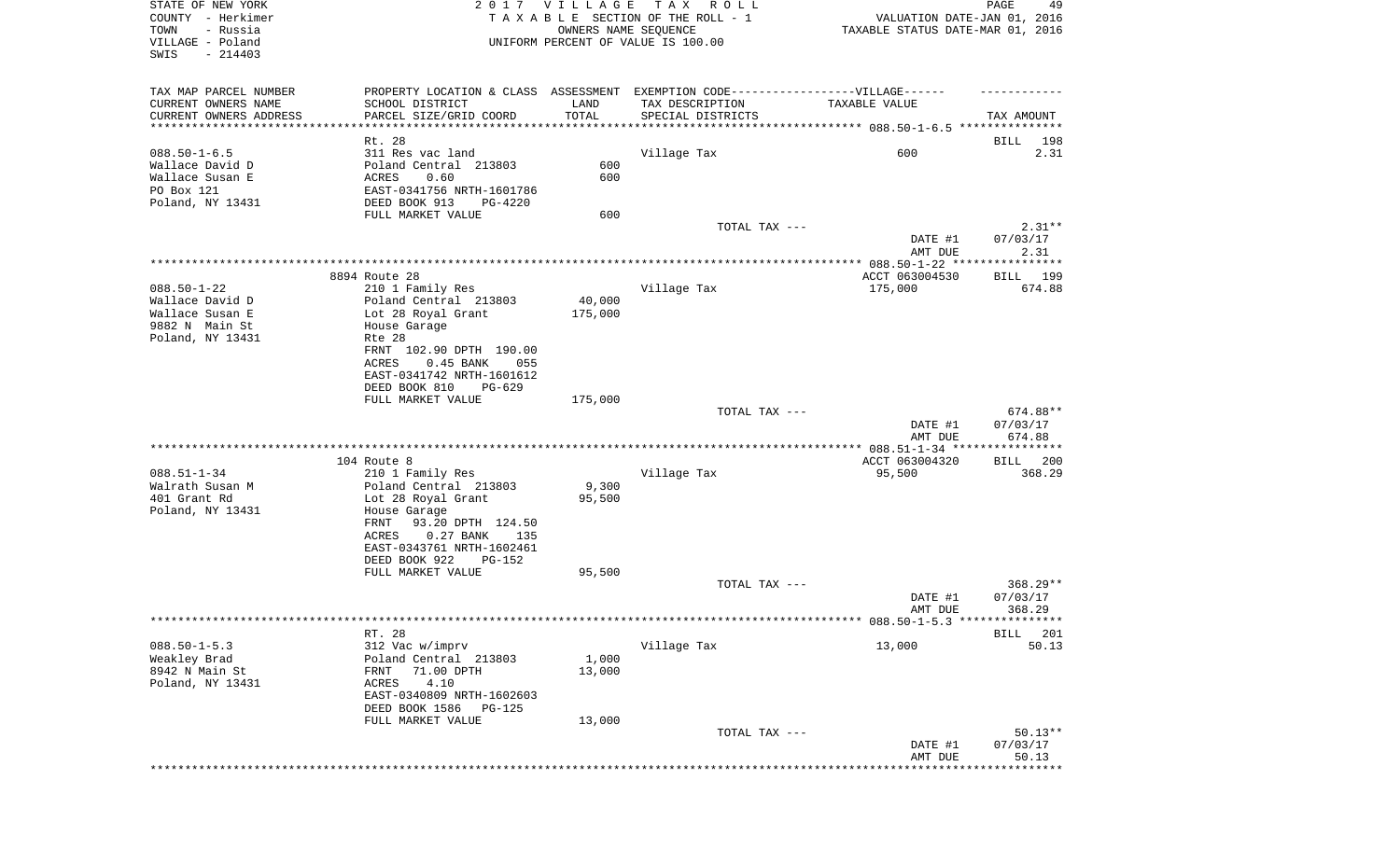| STATE OF NEW YORK<br>COUNTY - Herkimer<br>TOWN<br>- Russia<br>VILLAGE - Poland<br>SWIS<br>$-214403$ | 2017 VILLAGE<br>TAX ROLL<br>TAXABLE SECTION OF THE ROLL - 1<br>OWNERS NAME SEQUENCE<br>UNIFORM PERCENT OF VALUE IS 100.00 |                   |                                                                                   | PAGE<br>49<br>VALUATION DATE-JAN 01, 2016<br>TAXABLE STATUS DATE-MAR 01, 2016 |                        |  |
|-----------------------------------------------------------------------------------------------------|---------------------------------------------------------------------------------------------------------------------------|-------------------|-----------------------------------------------------------------------------------|-------------------------------------------------------------------------------|------------------------|--|
| TAX MAP PARCEL NUMBER                                                                               |                                                                                                                           |                   | PROPERTY LOCATION & CLASS ASSESSMENT EXEMPTION CODE-----------------VILLAGE------ |                                                                               |                        |  |
| CURRENT OWNERS NAME                                                                                 | SCHOOL DISTRICT                                                                                                           | LAND              | TAX DESCRIPTION                                                                   | TAXABLE VALUE                                                                 |                        |  |
| CURRENT OWNERS ADDRESS<br>***********************                                                   | PARCEL SIZE/GRID COORD                                                                                                    | TOTAL             | SPECIAL DISTRICTS                                                                 |                                                                               | TAX AMOUNT             |  |
|                                                                                                     | Rt. 28                                                                                                                    |                   |                                                                                   |                                                                               | 198<br>BILL            |  |
| $088.50 - 1 - 6.5$                                                                                  | 311 Res vac land                                                                                                          |                   | Village Tax                                                                       | 600                                                                           | 2.31                   |  |
| Wallace David D                                                                                     | Poland Central 213803                                                                                                     | 600               |                                                                                   |                                                                               |                        |  |
| Wallace Susan E<br>PO Box 121                                                                       | ACRES<br>0.60<br>EAST-0341756 NRTH-1601786                                                                                | 600               |                                                                                   |                                                                               |                        |  |
| Poland, NY 13431                                                                                    | DEED BOOK 913<br>PG-4220                                                                                                  |                   |                                                                                   |                                                                               |                        |  |
|                                                                                                     | FULL MARKET VALUE                                                                                                         | 600               |                                                                                   |                                                                               |                        |  |
|                                                                                                     |                                                                                                                           |                   | TOTAL TAX ---                                                                     |                                                                               | $2.31**$               |  |
|                                                                                                     |                                                                                                                           |                   |                                                                                   | DATE #1<br>AMT DUE                                                            | 07/03/17<br>2.31       |  |
|                                                                                                     |                                                                                                                           |                   |                                                                                   |                                                                               |                        |  |
|                                                                                                     | 8894 Route 28                                                                                                             |                   |                                                                                   | ACCT 063004530                                                                | BILL 199               |  |
| $088.50 - 1 - 22$                                                                                   | 210 1 Family Res                                                                                                          |                   | Village Tax                                                                       | 175,000                                                                       | 674.88                 |  |
| Wallace David D<br>Wallace Susan E                                                                  | Poland Central 213803<br>Lot 28 Royal Grant                                                                               | 40,000<br>175,000 |                                                                                   |                                                                               |                        |  |
| 9882 N Main St                                                                                      | House Garage                                                                                                              |                   |                                                                                   |                                                                               |                        |  |
| Poland, NY 13431                                                                                    | Rte 28                                                                                                                    |                   |                                                                                   |                                                                               |                        |  |
|                                                                                                     | FRNT 102.90 DPTH 190.00<br><b>ACRES</b><br>$0.45$ BANK<br>055                                                             |                   |                                                                                   |                                                                               |                        |  |
|                                                                                                     | EAST-0341742 NRTH-1601612                                                                                                 |                   |                                                                                   |                                                                               |                        |  |
|                                                                                                     | DEED BOOK 810<br>$PG-629$                                                                                                 |                   |                                                                                   |                                                                               |                        |  |
|                                                                                                     | FULL MARKET VALUE                                                                                                         | 175,000           |                                                                                   |                                                                               |                        |  |
|                                                                                                     |                                                                                                                           |                   | TOTAL TAX ---                                                                     | DATE #1                                                                       | 674.88**<br>07/03/17   |  |
|                                                                                                     |                                                                                                                           |                   |                                                                                   | AMT DUE                                                                       | 674.88                 |  |
|                                                                                                     |                                                                                                                           |                   |                                                                                   |                                                                               |                        |  |
|                                                                                                     | 104 Route 8                                                                                                               |                   |                                                                                   | ACCT 063004320                                                                | BILL 200               |  |
| $088.51 - 1 - 34$<br>Walrath Susan M                                                                | 210 1 Family Res<br>Poland Central 213803                                                                                 | 9,300             | Village Tax                                                                       | 95,500                                                                        | 368.29                 |  |
| 401 Grant Rd                                                                                        | Lot 28 Royal Grant                                                                                                        | 95,500            |                                                                                   |                                                                               |                        |  |
| Poland, NY 13431                                                                                    | House Garage                                                                                                              |                   |                                                                                   |                                                                               |                        |  |
|                                                                                                     | 93.20 DPTH 124.50<br>FRNT                                                                                                 |                   |                                                                                   |                                                                               |                        |  |
|                                                                                                     | $0.27$ BANK<br>ACRES<br>135<br>EAST-0343761 NRTH-1602461                                                                  |                   |                                                                                   |                                                                               |                        |  |
|                                                                                                     | DEED BOOK 922<br>$PG-152$                                                                                                 |                   |                                                                                   |                                                                               |                        |  |
|                                                                                                     | FULL MARKET VALUE                                                                                                         | 95,500            |                                                                                   |                                                                               |                        |  |
|                                                                                                     |                                                                                                                           |                   | TOTAL TAX ---                                                                     |                                                                               | $368.29**$<br>07/03/17 |  |
|                                                                                                     |                                                                                                                           |                   |                                                                                   | DATE #1<br>AMT DUE                                                            | 368.29                 |  |
|                                                                                                     |                                                                                                                           |                   |                                                                                   |                                                                               |                        |  |
|                                                                                                     | RT. 28                                                                                                                    |                   |                                                                                   |                                                                               | 201<br><b>BILL</b>     |  |
| $088.50 - 1 - 5.3$<br>Weakley Brad                                                                  | 312 Vac w/imprv<br>Poland Central 213803                                                                                  | 1,000             | Village Tax                                                                       | 13,000                                                                        | 50.13                  |  |
| 8942 N Main St                                                                                      | 71.00 DPTH<br>FRNT                                                                                                        | 13,000            |                                                                                   |                                                                               |                        |  |
| Poland, NY 13431                                                                                    | 4.10<br><b>ACRES</b>                                                                                                      |                   |                                                                                   |                                                                               |                        |  |
|                                                                                                     | EAST-0340809 NRTH-1602603                                                                                                 |                   |                                                                                   |                                                                               |                        |  |
|                                                                                                     | DEED BOOK 1586<br>PG-125<br>FULL MARKET VALUE                                                                             | 13,000            |                                                                                   |                                                                               |                        |  |
|                                                                                                     |                                                                                                                           |                   | TOTAL TAX ---                                                                     |                                                                               | $50.13**$              |  |
|                                                                                                     |                                                                                                                           |                   |                                                                                   | DATE #1                                                                       | 07/03/17               |  |
|                                                                                                     |                                                                                                                           |                   |                                                                                   | AMT DUE                                                                       | 50.13<br>*******       |  |
|                                                                                                     |                                                                                                                           |                   |                                                                                   |                                                                               |                        |  |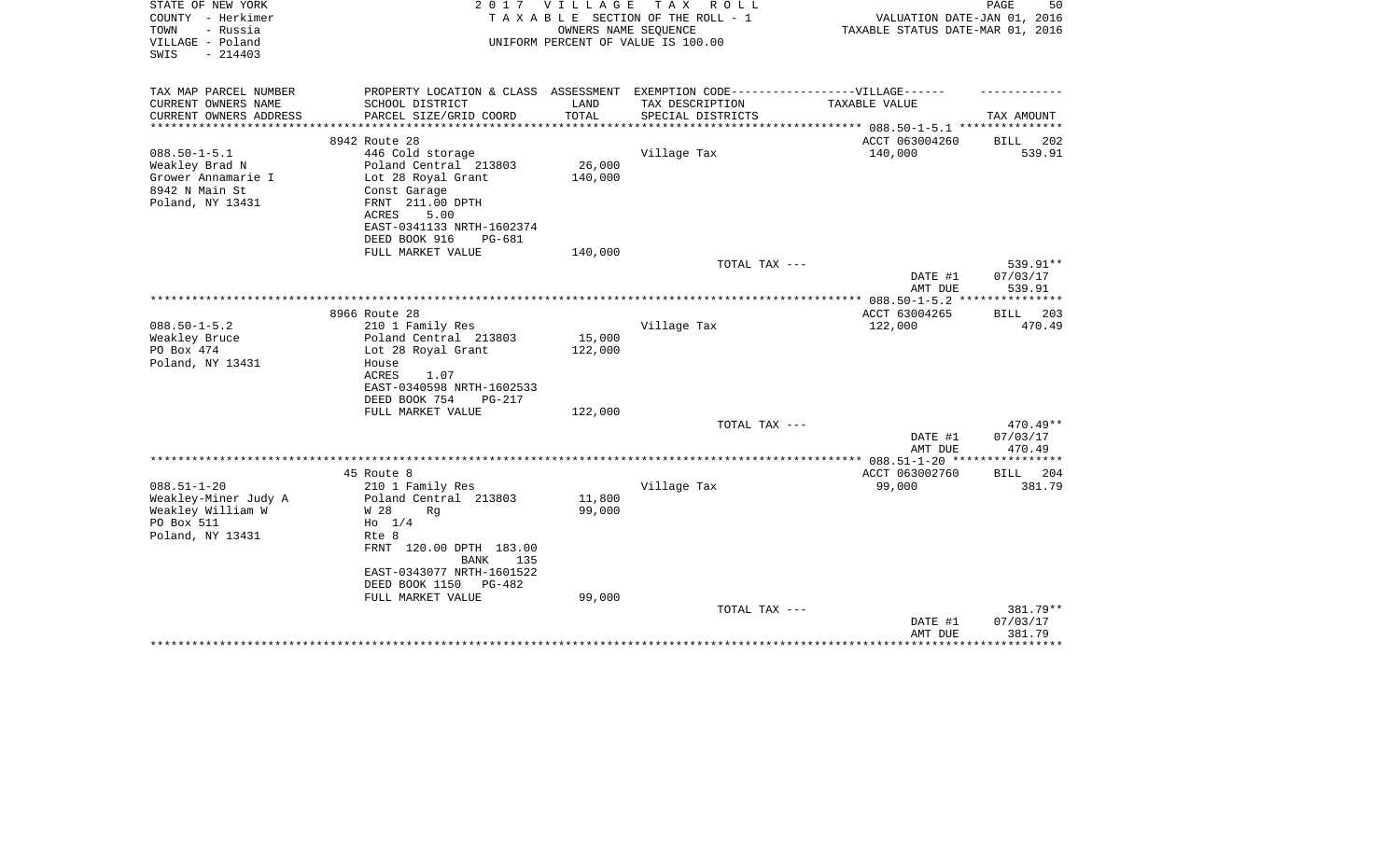| STATE OF NEW YORK<br>COUNTY - Herkimer<br>- Russia<br>TOWN | 2017<br>VILLAGE<br>TAXABLE SECTION OF THE ROLL - 1                                | 50<br>PAGE<br>VALUATION DATE-JAN 01, 2016<br>TAXABLE STATUS DATE-MAR 01, 2016 |                                                            |                      |                        |
|------------------------------------------------------------|-----------------------------------------------------------------------------------|-------------------------------------------------------------------------------|------------------------------------------------------------|----------------------|------------------------|
| VILLAGE - Poland<br>$-214403$<br>SWIS                      |                                                                                   |                                                                               | OWNERS NAME SEQUENCE<br>UNIFORM PERCENT OF VALUE IS 100.00 |                      |                        |
| TAX MAP PARCEL NUMBER                                      | PROPERTY LOCATION & CLASS ASSESSMENT EXEMPTION CODE-----------------VILLAGE------ |                                                                               |                                                            |                      |                        |
| CURRENT OWNERS NAME                                        | SCHOOL DISTRICT                                                                   | LAND                                                                          | TAX DESCRIPTION                                            | <b>TAXABLE VALUE</b> |                        |
| CURRENT OWNERS ADDRESS                                     | PARCEL SIZE/GRID COORD                                                            | TOTAL                                                                         | SPECIAL DISTRICTS                                          |                      | TAX AMOUNT             |
|                                                            | 8942 Route 28                                                                     |                                                                               |                                                            | ACCT 063004260       | 202<br>BILL            |
| $088.50 - 1 - 5.1$                                         | 446 Cold storage                                                                  |                                                                               | Village Tax                                                | 140,000              | 539.91                 |
| Weakley Brad N                                             | Poland Central 213803                                                             | 26,000                                                                        |                                                            |                      |                        |
| Grower Annamarie I                                         | Lot 28 Royal Grant                                                                | 140,000                                                                       |                                                            |                      |                        |
| 8942 N Main St<br>Poland, NY 13431                         | Const Garage<br>FRNT 211.00 DPTH                                                  |                                                                               |                                                            |                      |                        |
|                                                            | 5.00<br>ACRES                                                                     |                                                                               |                                                            |                      |                        |
|                                                            | EAST-0341133 NRTH-1602374                                                         |                                                                               |                                                            |                      |                        |
|                                                            | DEED BOOK 916<br>$PG-681$                                                         |                                                                               |                                                            |                      |                        |
|                                                            | FULL MARKET VALUE                                                                 | 140,000                                                                       |                                                            |                      |                        |
|                                                            |                                                                                   |                                                                               | TOTAL TAX ---                                              |                      | 539.91**               |
|                                                            |                                                                                   |                                                                               |                                                            | DATE #1<br>AMT DUE   | 07/03/17<br>539.91     |
|                                                            |                                                                                   |                                                                               |                                                            |                      |                        |
|                                                            | 8966 Route 28                                                                     |                                                                               |                                                            | ACCT 63004265        | 203<br><b>BILL</b>     |
| $088.50 - 1 - 5.2$                                         | 210 1 Family Res                                                                  |                                                                               | Village Tax                                                | 122,000              | 470.49                 |
| Weakley Bruce                                              | Poland Central 213803                                                             | 15,000                                                                        |                                                            |                      |                        |
| PO Box 474<br>Poland, NY 13431                             | Lot 28 Royal Grant<br>House                                                       | 122,000                                                                       |                                                            |                      |                        |
|                                                            | ACRES<br>1.07                                                                     |                                                                               |                                                            |                      |                        |
|                                                            | EAST-0340598 NRTH-1602533                                                         |                                                                               |                                                            |                      |                        |
|                                                            | DEED BOOK 754<br><b>PG-217</b>                                                    |                                                                               |                                                            |                      |                        |
|                                                            | FULL MARKET VALUE                                                                 | 122,000                                                                       |                                                            |                      |                        |
|                                                            |                                                                                   |                                                                               | TOTAL TAX ---                                              |                      | $470.49**$<br>07/03/17 |
|                                                            |                                                                                   |                                                                               |                                                            | DATE #1<br>AMT DUE   | 470.49                 |
|                                                            |                                                                                   |                                                                               |                                                            |                      |                        |
|                                                            | 45 Route 8                                                                        |                                                                               |                                                            | ACCT 063002760       | <b>BILL</b><br>204     |
| $088.51 - 1 - 20$                                          | 210 1 Family Res                                                                  |                                                                               | Village Tax                                                | 99,000               | 381.79                 |
| Weakley-Miner Judy A                                       | Poland Central 213803                                                             | 11,800                                                                        |                                                            |                      |                        |
| Weakley William W<br>PO Box 511                            | W 28<br>Rq<br>$H_0$ 1/4                                                           | 99,000                                                                        |                                                            |                      |                        |
| Poland, NY 13431                                           | Rte 8                                                                             |                                                                               |                                                            |                      |                        |
|                                                            | FRNT 120.00 DPTH 183.00<br><b>BANK</b><br>135                                     |                                                                               |                                                            |                      |                        |
|                                                            | EAST-0343077 NRTH-1601522                                                         |                                                                               |                                                            |                      |                        |
|                                                            | DEED BOOK 1150<br>PG-482                                                          |                                                                               |                                                            |                      |                        |
|                                                            | FULL MARKET VALUE                                                                 | 99,000                                                                        | TOTAL TAX ---                                              |                      | 381.79**               |
|                                                            |                                                                                   |                                                                               |                                                            | DATE #1              | 07/03/17               |
|                                                            |                                                                                   |                                                                               |                                                            | AMT DUE              | 381.79                 |
|                                                            |                                                                                   |                                                                               |                                                            |                      |                        |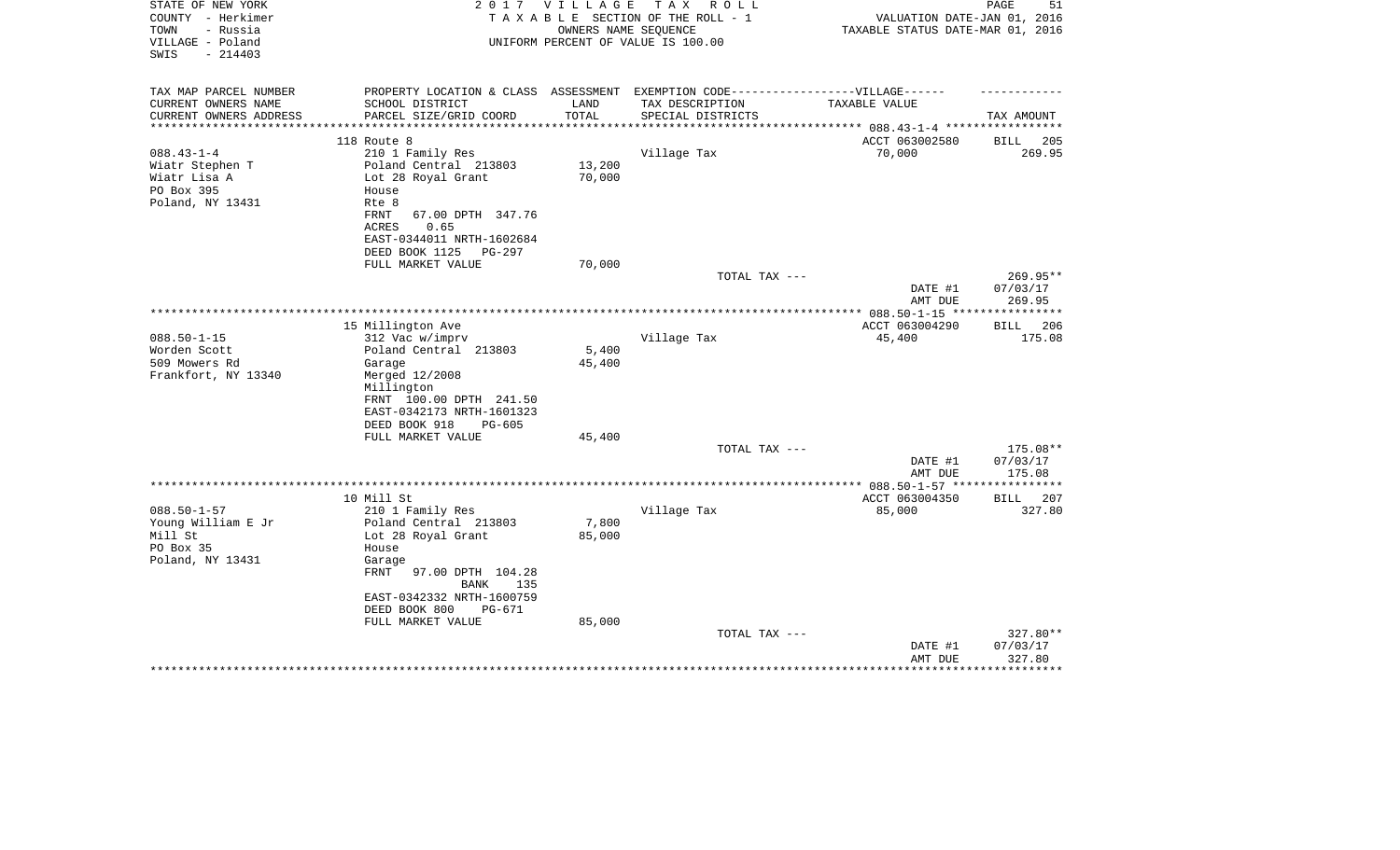| STATE OF NEW YORK<br>COUNTY - Herkimer<br>- Russia<br>TOWN | 2 0 1 7                                                                           | VILLAGE                | T A X<br>R O L L<br>TAXABLE SECTION OF THE ROLL - 1<br>OWNERS NAME SEQUENCE | VALUATION DATE-JAN 01, 2016<br>TAXABLE STATUS DATE-MAR 01, 2016 | 51<br>PAGE           |
|------------------------------------------------------------|-----------------------------------------------------------------------------------|------------------------|-----------------------------------------------------------------------------|-----------------------------------------------------------------|----------------------|
| VILLAGE - Poland<br>SWIS<br>$-214403$                      |                                                                                   |                        | UNIFORM PERCENT OF VALUE IS 100.00                                          |                                                                 |                      |
| TAX MAP PARCEL NUMBER                                      | PROPERTY LOCATION & CLASS ASSESSMENT EXEMPTION CODE-----------------VILLAGE------ |                        |                                                                             |                                                                 |                      |
| CURRENT OWNERS NAME                                        | SCHOOL DISTRICT                                                                   | LAND                   | TAX DESCRIPTION                                                             | TAXABLE VALUE                                                   |                      |
| CURRENT OWNERS ADDRESS<br>*********************            | PARCEL SIZE/GRID COORD<br>**************************                              | TOTAL<br>************* | SPECIAL DISTRICTS                                                           |                                                                 | TAX AMOUNT           |
|                                                            |                                                                                   |                        |                                                                             | ACCT 063002580                                                  | 205<br>BILL          |
| $088.43 - 1 - 4$                                           | 118 Route 8<br>210 1 Family Res                                                   |                        | Village Tax                                                                 | 70,000                                                          | 269.95               |
| Wiatr Stephen T                                            | Poland Central 213803                                                             | 13,200                 |                                                                             |                                                                 |                      |
| Wiatr Lisa A                                               | Lot 28 Royal Grant                                                                | 70,000                 |                                                                             |                                                                 |                      |
| PO Box 395                                                 | House                                                                             |                        |                                                                             |                                                                 |                      |
| Poland, NY 13431                                           | Rte 8                                                                             |                        |                                                                             |                                                                 |                      |
|                                                            | FRNT<br>67.00 DPTH 347.76                                                         |                        |                                                                             |                                                                 |                      |
|                                                            | <b>ACRES</b><br>0.65                                                              |                        |                                                                             |                                                                 |                      |
|                                                            | EAST-0344011 NRTH-1602684                                                         |                        |                                                                             |                                                                 |                      |
|                                                            | DEED BOOK 1125<br>PG-297                                                          |                        |                                                                             |                                                                 |                      |
|                                                            | FULL MARKET VALUE                                                                 | 70,000                 |                                                                             |                                                                 |                      |
|                                                            |                                                                                   |                        | TOTAL TAX ---                                                               | DATE #1                                                         | 269.95**<br>07/03/17 |
|                                                            |                                                                                   |                        |                                                                             | AMT DUE                                                         | 269.95               |
|                                                            |                                                                                   |                        |                                                                             |                                                                 |                      |
|                                                            | 15 Millington Ave                                                                 |                        |                                                                             | ACCT 063004290                                                  | 206<br>BILL          |
| $088.50 - 1 - 15$                                          | 312 Vac w/imprv                                                                   |                        | Village Tax                                                                 | 45,400                                                          | 175.08               |
| Worden Scott                                               | Poland Central 213803                                                             | 5,400                  |                                                                             |                                                                 |                      |
| 509 Mowers Rd                                              | Garage                                                                            | 45,400                 |                                                                             |                                                                 |                      |
| Frankfort, NY 13340                                        | Merged 12/2008                                                                    |                        |                                                                             |                                                                 |                      |
|                                                            | Millington                                                                        |                        |                                                                             |                                                                 |                      |
|                                                            | FRNT 100.00 DPTH 241.50                                                           |                        |                                                                             |                                                                 |                      |
|                                                            | EAST-0342173 NRTH-1601323<br>DEED BOOK 918<br>$PG-605$                            |                        |                                                                             |                                                                 |                      |
|                                                            | FULL MARKET VALUE                                                                 | 45,400                 |                                                                             |                                                                 |                      |
|                                                            |                                                                                   |                        | TOTAL TAX ---                                                               |                                                                 | 175.08**             |
|                                                            |                                                                                   |                        |                                                                             | DATE #1                                                         | 07/03/17             |
|                                                            |                                                                                   |                        |                                                                             | AMT DUE                                                         | 175.08               |
|                                                            |                                                                                   |                        |                                                                             | *************** 088.50-1-57 ***                                 | **********           |
|                                                            | 10 Mill St                                                                        |                        |                                                                             | ACCT 063004350                                                  | 207<br>BILL          |
| $088.50 - 1 - 57$                                          | 210 1 Family Res                                                                  |                        | Village Tax                                                                 | 85,000                                                          | 327.80               |
| Young William E Jr                                         | Poland Central 213803                                                             | 7,800                  |                                                                             |                                                                 |                      |
| Mill St                                                    | Lot 28 Royal Grant                                                                | 85,000                 |                                                                             |                                                                 |                      |
| PO Box 35                                                  | House                                                                             |                        |                                                                             |                                                                 |                      |
| Poland, NY 13431                                           | Garage<br>FRNT<br>97.00 DPTH 104.28                                               |                        |                                                                             |                                                                 |                      |
|                                                            | 135<br>BANK                                                                       |                        |                                                                             |                                                                 |                      |
|                                                            | EAST-0342332 NRTH-1600759                                                         |                        |                                                                             |                                                                 |                      |
|                                                            | DEED BOOK 800<br>PG-671                                                           |                        |                                                                             |                                                                 |                      |
|                                                            | FULL MARKET VALUE                                                                 | 85,000                 |                                                                             |                                                                 |                      |
|                                                            |                                                                                   |                        | TOTAL TAX ---                                                               |                                                                 | 327.80**             |
|                                                            |                                                                                   |                        |                                                                             | DATE #1                                                         | 07/03/17             |
|                                                            |                                                                                   |                        |                                                                             | AMT DUE                                                         | 327.80<br>********   |
|                                                            |                                                                                   |                        |                                                                             |                                                                 |                      |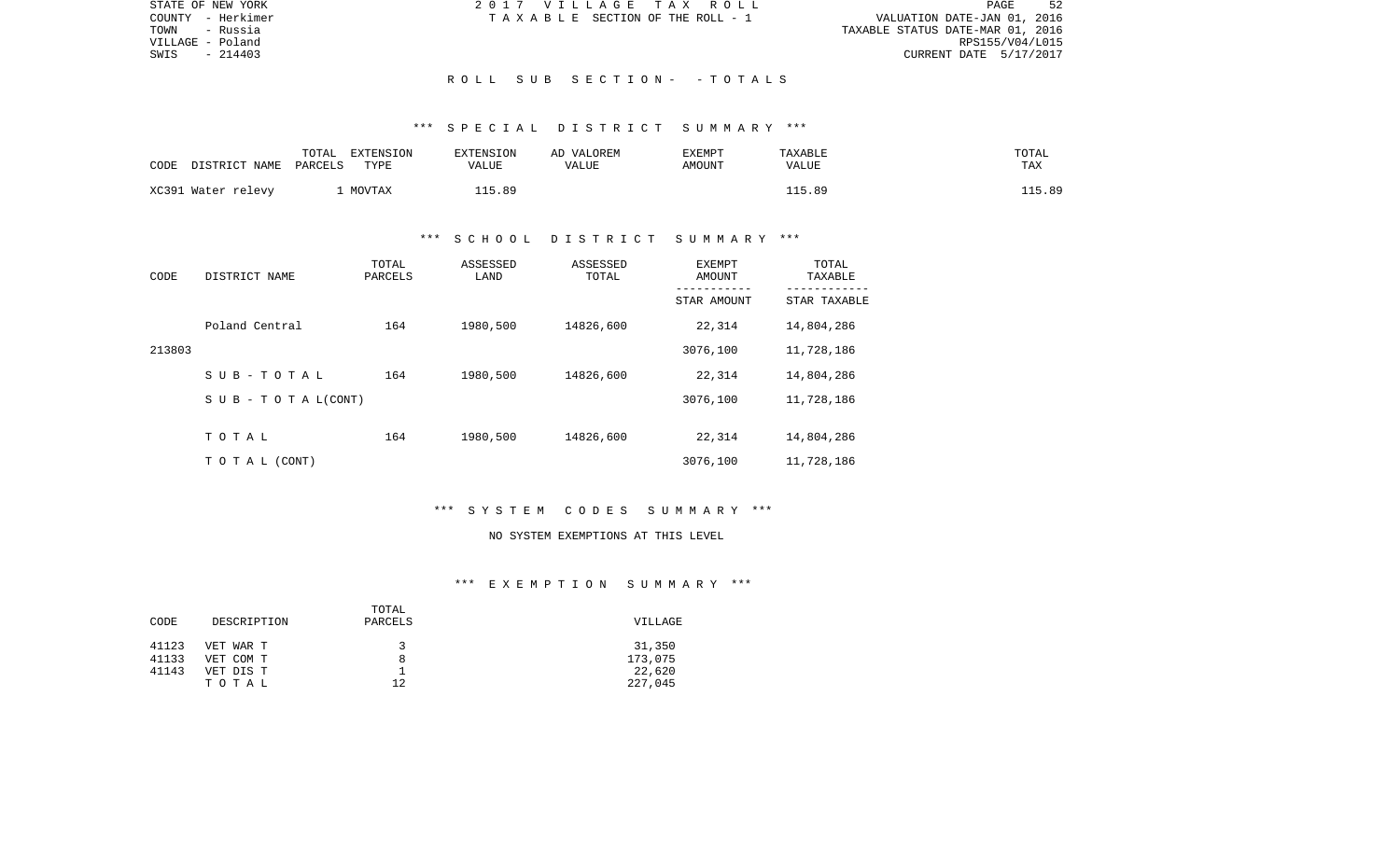| STATE OF NEW YORK | 2017 VILLAGE TAX ROLL           | 52<br>PAGE                       |
|-------------------|---------------------------------|----------------------------------|
| COUNTY - Herkimer | TAXABLE SECTION OF THE ROLL - 1 | VALUATION DATE-JAN 01, 2016      |
| - Russia<br>TOWN  |                                 | TAXABLE STATUS DATE-MAR 01, 2016 |
| VILLAGE - Poland  |                                 | RPS155/V04/L015                  |
| $-214403$<br>SWIS |                                 | CURRENT DATE 5/17/2017           |
|                   |                                 |                                  |
|                   | ROLL SUB SECTION- - TOTALS      |                                  |

| CODE | DISTRICT NAME      | TOTAL<br>EXTENSION<br>PARCELS<br>TYPE | EXTENSION<br>VALUE | AD VALOREM<br>VALUE | EXEMPT<br>AMOUNT | TAXABLE<br>VALUE | TOTAL<br>TAX |
|------|--------------------|---------------------------------------|--------------------|---------------------|------------------|------------------|--------------|
|      | XC391 Water relevy | MOVTAX                                | 115.89             |                     |                  | 115.89           | ⊥15.89       |

# \*\*\* S C H O O L D I S T R I C T S U M M A R Y \*\*\*

| CODE   | DISTRICT NAME                    | TOTAL<br>PARCELS | ASSESSED<br>LAND | ASSESSED<br>TOTAL | EXEMPT<br>AMOUNT<br>----------- | TOTAL<br>TAXABLE<br>----------- |
|--------|----------------------------------|------------------|------------------|-------------------|---------------------------------|---------------------------------|
|        |                                  |                  |                  |                   | STAR AMOUNT                     | STAR TAXABLE                    |
|        | Poland Central                   | 164              | 1980,500         | 14826,600         | 22,314                          | 14,804,286                      |
| 213803 |                                  |                  |                  |                   | 3076,100                        | 11,728,186                      |
|        | SUB-TOTAL                        | 164              | 1980,500         | 14826,600         | 22,314                          | 14,804,286                      |
|        | $S \cup B - T \cup T A L (CONT)$ |                  |                  |                   | 3076,100                        | 11,728,186                      |
|        |                                  |                  |                  |                   |                                 |                                 |
|        | TOTAL                            | 164              | 1980,500         | 14826,600         | 22,314                          | 14,804,286                      |
|        | T O T A L (CONT)                 |                  |                  |                   | 3076,100                        | 11,728,186                      |

# \*\*\* S Y S T E M C O D E S S U M M A R Y \*\*\*

#### NO SYSTEM EXEMPTIONS AT THIS LEVEL

| CODE  | DESCRIPTION | TOTAL<br>PARCELS | VILLAGE |  |
|-------|-------------|------------------|---------|--|
| 41123 | VET WAR T   |                  | 31,350  |  |
| 41133 | VET COM T   | 8                | 173,075 |  |
| 41143 | VET DIS T   |                  | 22,620  |  |
|       | TOTAL       | 12               | 227,045 |  |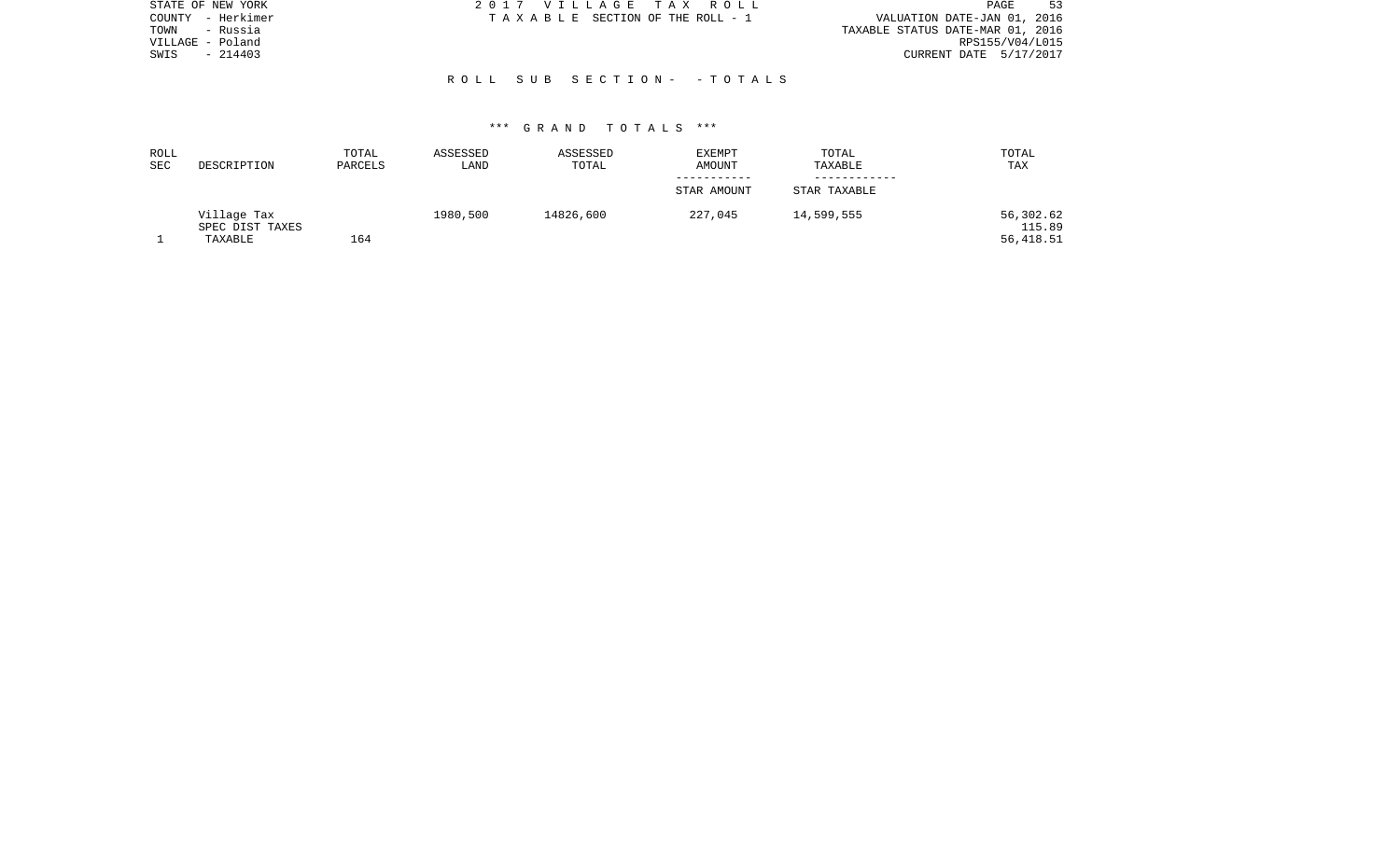| STATE OF NEW YORK | 2017 VILLAGE TAX ROLL           | -53<br>PAGE                      |
|-------------------|---------------------------------|----------------------------------|
| COUNTY - Herkimer | TAXABLE SECTION OF THE ROLL - 1 | VALUATION DATE-JAN 01, 2016      |
| TOWN<br>- Russia  |                                 | TAXABLE STATUS DATE-MAR 01, 2016 |
| VILLAGE - Poland  |                                 | RPS155/V04/L015                  |
| $-214403$<br>SWIS |                                 | CURRENT DATE 5/17/2017           |
|                   |                                 |                                  |
|                   | ROLL SUB SECTION- -TOTALS       |                                  |

| ROLL<br><b>SEC</b> | DESCRIPTION                               | TOTAL<br>PARCELS | ASSESSED<br>LAND | ASSESSED<br>TOTAL | EXEMPT<br>AMOUNT | TOTAL<br>TAXABLE | TOTAL<br>TAX                     |
|--------------------|-------------------------------------------|------------------|------------------|-------------------|------------------|------------------|----------------------------------|
|                    |                                           |                  |                  |                   | STAR AMOUNT      | STAR TAXABLE     |                                  |
|                    | Village Tax<br>SPEC DIST TAXES<br>TAXABLE | 164              | 1980,500         | 14826,600         | 227,045          | 14,599,555       | 56,302.62<br>115.89<br>56,418.51 |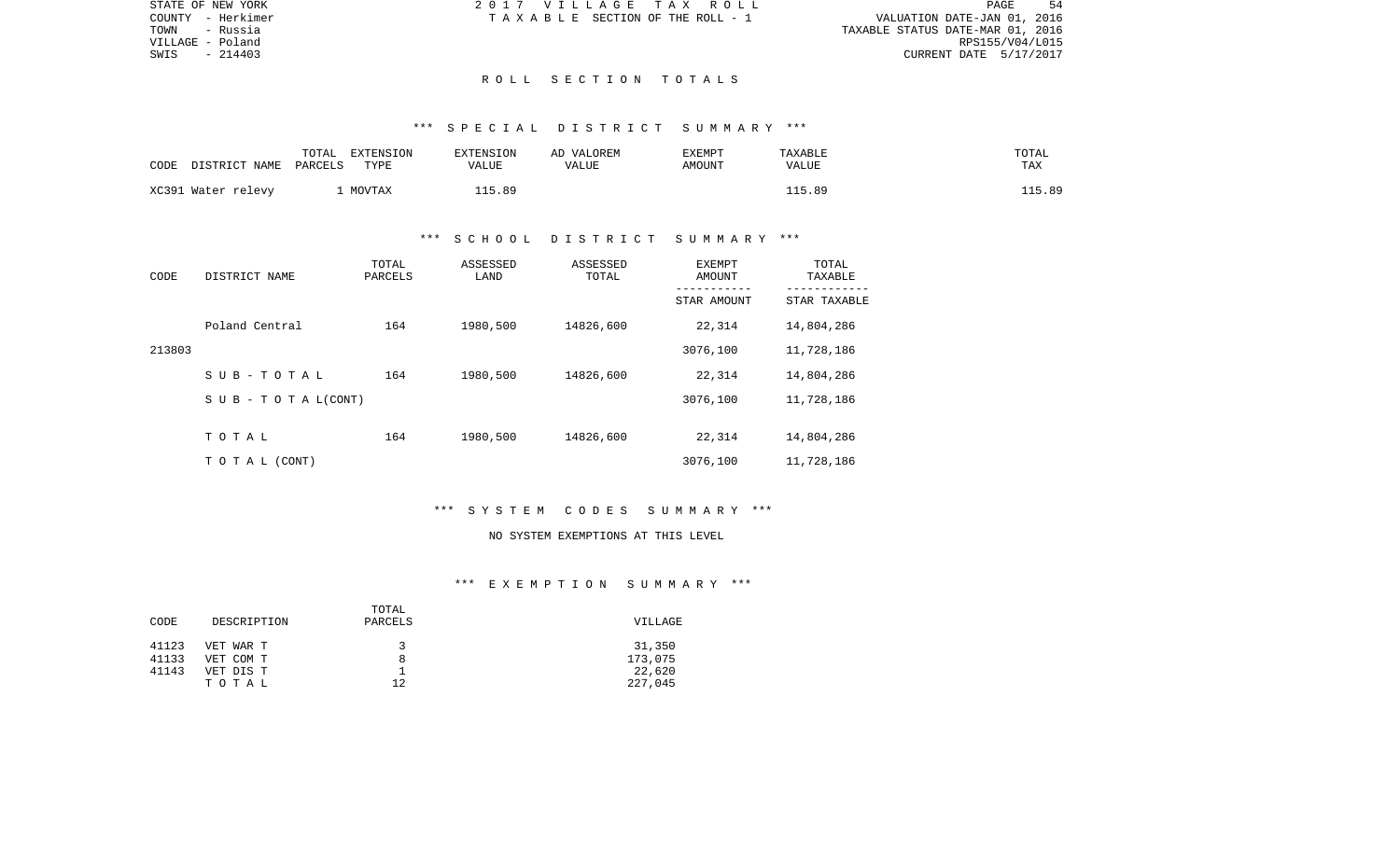| STATE OF NEW YORK | 2017 VILLAGE TAX ROLL                 | PAGE<br>54                       |
|-------------------|---------------------------------------|----------------------------------|
| COUNTY - Herkimer | T A X A B L E SECTION OF THE ROLL - 1 | VALUATION DATE-JAN 01, 2016      |
| - Russia<br>TOWN  |                                       | TAXABLE STATUS DATE-MAR 01, 2016 |
| VILLAGE - Poland  |                                       | RPS155/V04/L015                  |
| $-214403$<br>SWIS |                                       | CURRENT DATE 5/17/2017           |
|                   |                                       |                                  |

## R O L L S E C T I O N T O T A L S

## \*\*\* S P E C I A L D I S T R I C T S U M M A R Y \*\*\*

| CODE | DISTRICT NAME      | TOTAL<br>EXTENSION<br>TYPE<br>PARCELS | <b>EXTENSION</b><br>VALUE | AD VALOREM<br>VALUE | EXEMPT<br>AMOUNT | <b>TAXABLE</b><br>VALUE | TOTAL<br>TAX |
|------|--------------------|---------------------------------------|---------------------------|---------------------|------------------|-------------------------|--------------|
|      | XC391 Water relevy | MOVTAX                                | 115.89                    |                     |                  | 115.89                  | 115.89       |

# \*\*\* S C H O O L D I S T R I C T S U M M A R Y \*\*\*

| CODE   | DISTRICT NAME                    | TOTAL<br>PARCELS | ASSESSED<br>LAND | ASSESSED<br>TOTAL | EXEMPT<br>AMOUNT<br>----------- | TOTAL<br>TAXABLE<br>----------- |
|--------|----------------------------------|------------------|------------------|-------------------|---------------------------------|---------------------------------|
|        |                                  |                  |                  |                   | STAR AMOUNT                     | STAR TAXABLE                    |
|        | Poland Central                   | 164              | 1980,500         | 14826,600         | 22,314                          | 14,804,286                      |
| 213803 |                                  |                  |                  |                   | 3076,100                        | 11,728,186                      |
|        | SUB-TOTAL                        | 164              | 1980,500         | 14826,600         | 22,314                          | 14,804,286                      |
|        | $S \cup B - T \cup T A L (CONT)$ |                  |                  |                   | 3076,100                        | 11,728,186                      |
|        |                                  |                  |                  |                   |                                 |                                 |
|        | TOTAL                            | 164              | 1980,500         | 14826,600         | 22,314                          | 14,804,286                      |
|        | T O T A L (CONT)                 |                  |                  |                   | 3076,100                        | 11,728,186                      |

## \*\*\* S Y S T E M C O D E S S U M M A R Y \*\*\*

#### NO SYSTEM EXEMPTIONS AT THIS LEVEL

| CODE  | DESCRIPTION | TOTAL<br>PARCELS | VILLAGE |  |
|-------|-------------|------------------|---------|--|
| 41123 | VET WAR T   | ₹                | 31,350  |  |
| 41133 | VET COM T   | 8                | 173,075 |  |
| 41143 | VET DIS T   |                  | 22,620  |  |
|       | TOTAL       | 12               | 227,045 |  |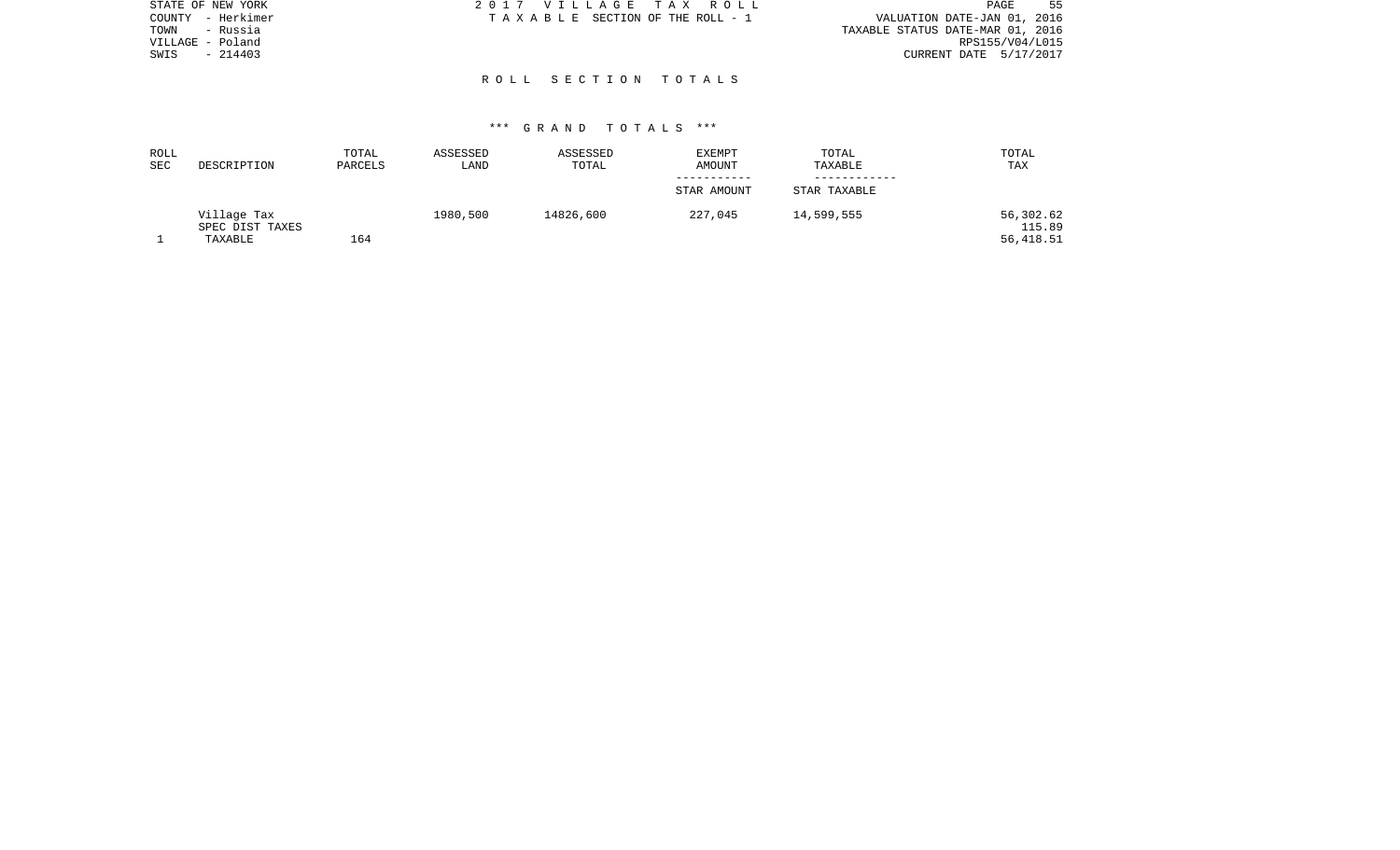| STATE OF NEW YORK | 2017 VILLAGE TAX ROLL           | -55<br>PAGE                      |
|-------------------|---------------------------------|----------------------------------|
| COUNTY - Herkimer | TAXABLE SECTION OF THE ROLL - 1 | VALUATION DATE-JAN 01, 2016      |
| - Russia<br>TOWN  |                                 | TAXABLE STATUS DATE-MAR 01, 2016 |
| VILLAGE - Poland  |                                 | RPS155/V04/L015                  |
| $-214403$<br>SWIS |                                 | CURRENT DATE 5/17/2017           |
|                   |                                 |                                  |
|                   | ROLL SECTION TOTALS             |                                  |

| ROLL<br>SEC | DESCRIPTION                               | TOTAL<br>PARCELS | ASSESSED<br>LAND | ASSESSED<br>TOTAL | <b>EXEMPT</b><br>AMOUNT | TOTAL<br>TAXABLE | TOTAL<br>TAX                     |
|-------------|-------------------------------------------|------------------|------------------|-------------------|-------------------------|------------------|----------------------------------|
|             |                                           |                  |                  |                   | STAR AMOUNT             | STAR TAXABLE     |                                  |
|             | Village Tax<br>SPEC DIST TAXES<br>TAXABLE | 164              | 1980,500         | 14826,600         | 227,045                 | 14,599,555       | 56,302.62<br>115.89<br>56,418.51 |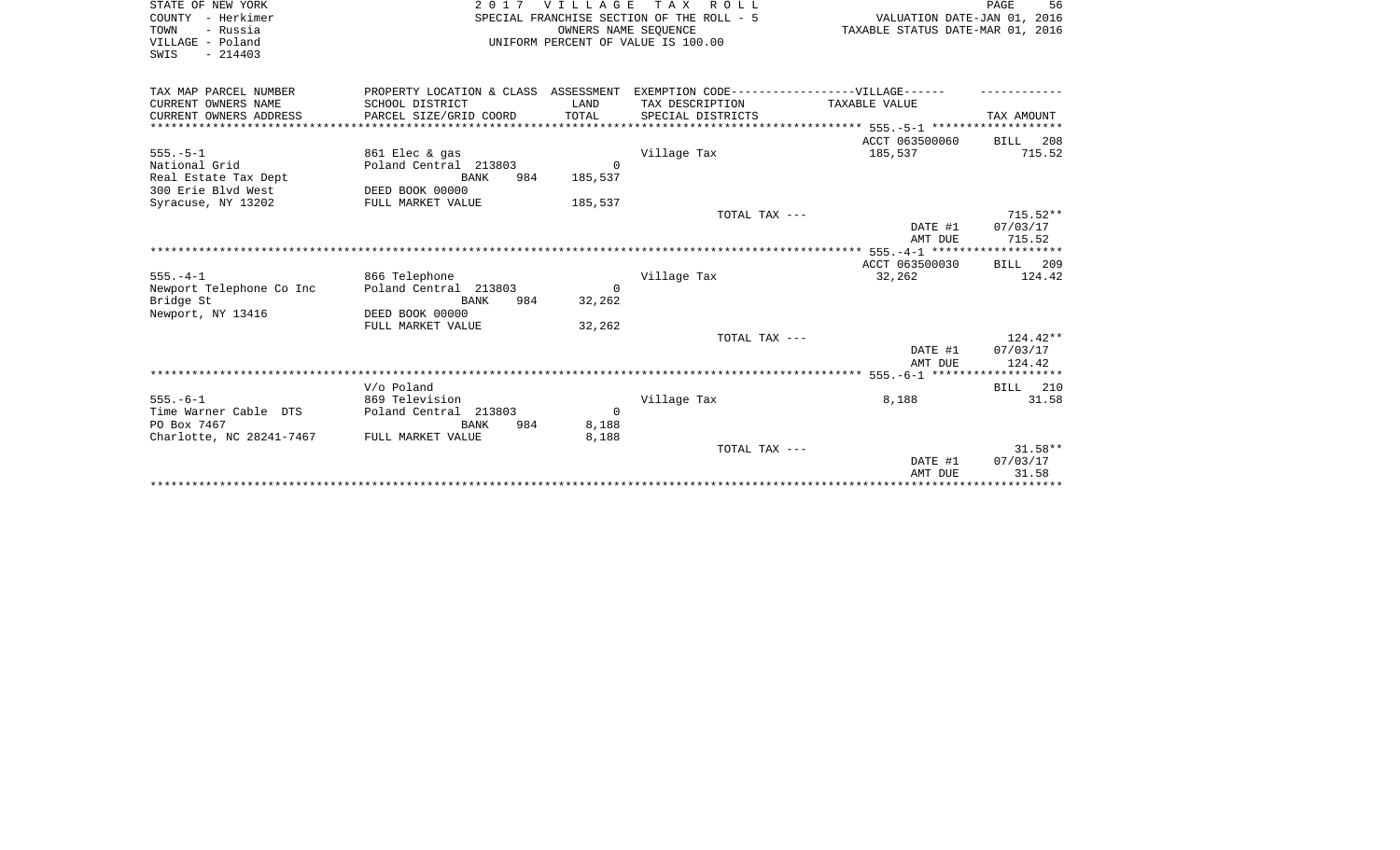| STATE OF NEW YORK<br>COUNTY - Herkimer<br>TOWN<br>- Russia<br>VILLAGE - Poland<br>SWIS<br>$-214403$ |                                                                                                                                | OWNERS NAME SEQUENCE             | 2017 VILLAGE TAX ROLL<br>SPECIAL FRANCHISE SECTION OF THE ROLL - 5<br>UNIFORM PERCENT OF VALUE IS 100.00 | VALUATION DATE-JAN 01, 2016<br>TAXABLE STATUS DATE-MAR 01, 2016 | PAGE<br>56                       |
|-----------------------------------------------------------------------------------------------------|--------------------------------------------------------------------------------------------------------------------------------|----------------------------------|----------------------------------------------------------------------------------------------------------|-----------------------------------------------------------------|----------------------------------|
| TAX MAP PARCEL NUMBER<br>CURRENT OWNERS NAME<br>CURRENT OWNERS ADDRESS                              | PROPERTY LOCATION & CLASS ASSESSMENT EXEMPTION CODE-----------------VILLAGE------<br>SCHOOL DISTRICT<br>PARCEL SIZE/GRID COORD | LAND<br>TOTAL                    | TAX DESCRIPTION<br>SPECIAL DISTRICTS                                                                     | TAXABLE VALUE                                                   | TAX AMOUNT                       |
| $555. - 5 - 1$<br>National Grid<br>Real Estate Tax Dept<br>300 Erie Blyd West<br>Syracuse, NY 13202 | 861 Elec & gas<br>Poland Central 213803<br>BANK<br>984<br>DEED BOOK 00000<br>FULL MARKET VALUE                                 | $\Omega$<br>185,537<br>185,537   | Village Tax                                                                                              | ACCT 063500060<br>185,537                                       | BILL 208<br>715.52               |
|                                                                                                     |                                                                                                                                |                                  | TOTAL TAX ---                                                                                            | DATE #1<br>AMT DUE                                              | $715.52**$<br>07/03/17<br>715.52 |
| $555. - 4 - 1$<br>Newport Telephone Co Inc<br>Bridge St<br>Newport, NY 13416                        | 866 Telephone<br>Poland Central 213803<br>BANK<br>984<br>DEED BOOK 00000                                                       | $\Omega$<br>32,262               | Village Tax                                                                                              | ACCT 063500030<br>32,262                                        | BILL 209<br>124.42               |
|                                                                                                     | FULL MARKET VALUE                                                                                                              | 32,262                           | TOTAL TAX ---                                                                                            | DATE #1<br>AMT DUE                                              | $124.42**$<br>07/03/17<br>124.42 |
| $555. - 6 - 1$<br>Time Warner Cable DTS<br>PO Box 7467<br>Charlotte, NC 28241-7467                  | V/o Poland<br>869 Television<br>Poland Central 213803<br>BANK<br>984<br>FULL MARKET VALUE                                      | $\overline{0}$<br>8,188<br>8,188 | Village Tax                                                                                              | 8,188                                                           | BILL 210<br>31.58                |
|                                                                                                     |                                                                                                                                |                                  | TOTAL TAX ---                                                                                            | DATE #1<br>AMT DUE                                              | $31.58**$<br>07/03/17<br>31.58   |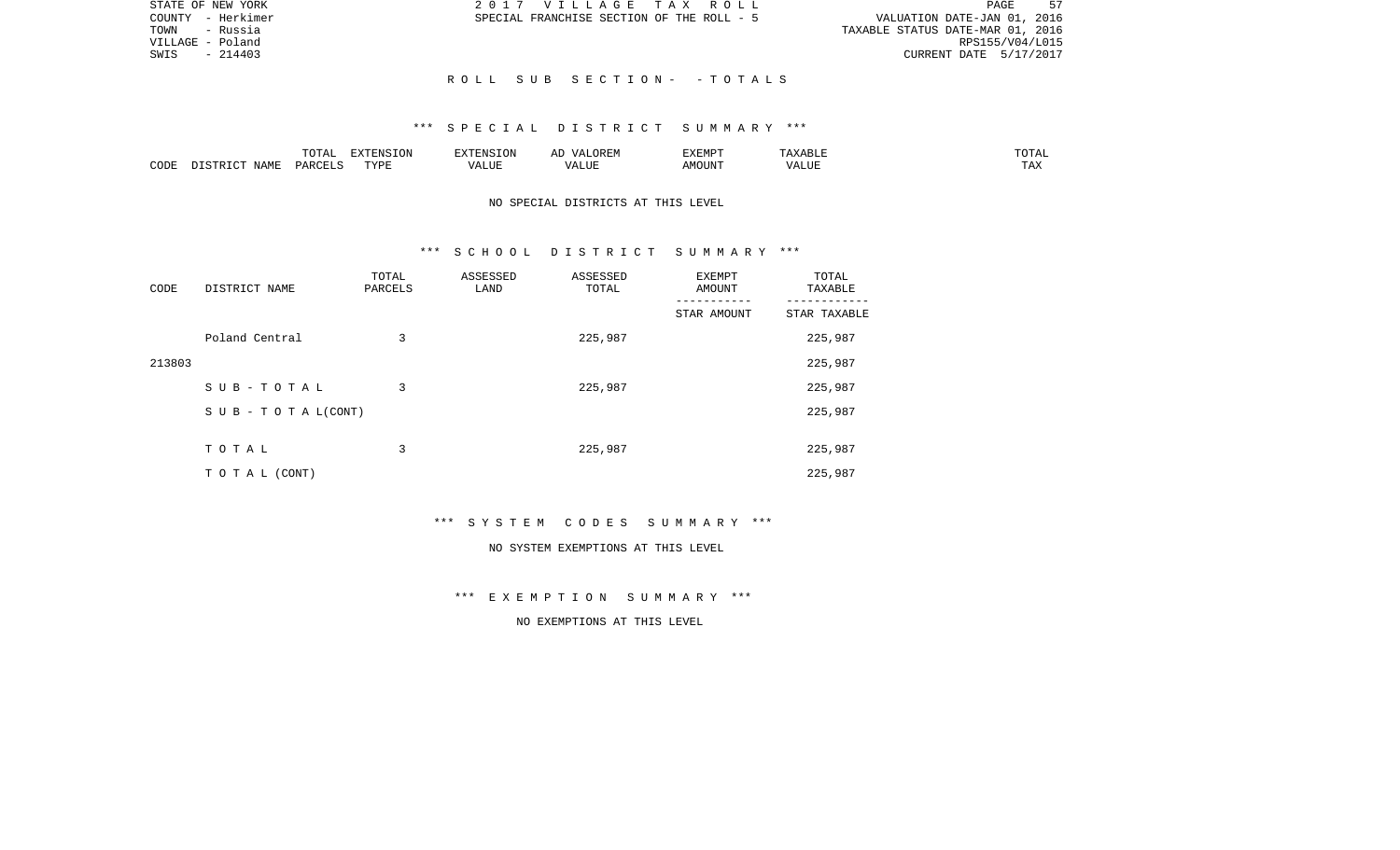| STATE OF NEW YORK | 2017 VILLAGE TAX ROLL                     | PAGE<br>57                       |
|-------------------|-------------------------------------------|----------------------------------|
| COUNTY - Herkimer | SPECIAL FRANCHISE SECTION OF THE ROLL - 5 | VALUATION DATE-JAN 01, 2016      |
| - Russia<br>TOWN  |                                           | TAXABLE STATUS DATE-MAR 01, 2016 |
| VILLAGE - Poland  |                                           | RPS155/V04/L015                  |
| $-214403$<br>SWIS |                                           | CURRENT DATE 5/17/2017           |
|                   |                                           |                                  |
|                   | ROLL SUB SECTION- -TOTALS                 |                                  |

|      |                            | .∪⊥⊓⊥         | $\blacksquare$<br>11 L<br>LUIN |               |            | EXEMPT       | ABL.                  | $m \wedge m$<br>. |
|------|----------------------------|---------------|--------------------------------|---------------|------------|--------------|-----------------------|-------------------|
| CODE | <b>ABST</b><br>. .<br>NAMP | <b>DARCFT</b> | TVDT                           | $\mathcal{L}$ | ,,,<br>שחד | OUN".<br>۱M۲ | $- - - - - -$<br>ALUI | $- - -$<br>. Ал   |

# NO SPECIAL DISTRICTS AT THIS LEVEL

#### \*\*\* S C H O O L D I S T R I C T S U M M A R Y \*\*\*

| CODE   | DISTRICT NAME             | TOTAL<br>PARCELS | ASSESSED<br>LAND | ASSESSED<br>TOTAL | EXEMPT<br>AMOUNT | TOTAL<br>TAXABLE |
|--------|---------------------------|------------------|------------------|-------------------|------------------|------------------|
|        |                           |                  |                  |                   | STAR AMOUNT      | STAR TAXABLE     |
|        | Poland Central            | 3                |                  | 225,987           |                  | 225,987          |
| 213803 |                           |                  |                  |                   |                  | 225,987          |
|        | SUB-TOTAL                 | 3                |                  | 225,987           |                  | 225,987          |
|        | S U B - T O T A $L(CONT)$ |                  |                  |                   |                  | 225,987          |
|        |                           |                  |                  |                   |                  |                  |
|        | TOTAL                     | 3                |                  | 225,987           |                  | 225,987          |
|        | T O T A L (CONT)          |                  |                  |                   |                  | 225,987          |

\*\*\* S Y S T E M C O D E S S U M M A R Y \*\*\*

#### NO SYSTEM EXEMPTIONS AT THIS LEVEL

\*\*\* E X E M P T I O N S U M M A R Y \*\*\*

# NO EXEMPTIONS AT THIS LEVEL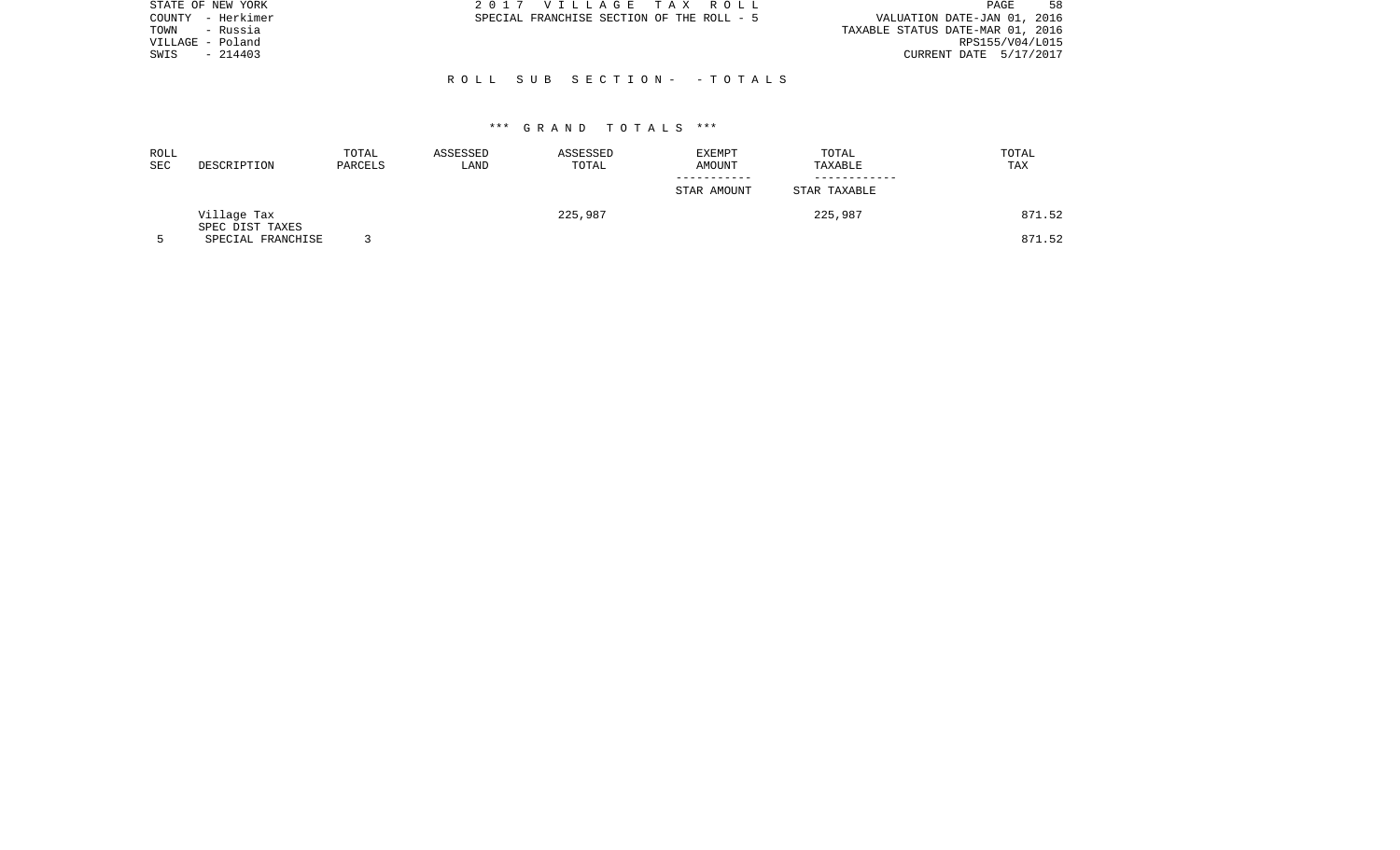| STATE OF NEW YORK | 2017 VILLAGE TAX ROLL                     | 58<br><b>PAGE</b>                |
|-------------------|-------------------------------------------|----------------------------------|
| COUNTY - Herkimer | SPECIAL FRANCHISE SECTION OF THE ROLL - 5 | VALUATION DATE-JAN 01, 2016      |
| - Russia<br>TOWN  |                                           | TAXABLE STATUS DATE-MAR 01, 2016 |
| VILLAGE - Poland  |                                           | RPS155/V04/L015                  |
| $-214403$<br>SWIS |                                           | CURRENT DATE 5/17/2017           |
|                   |                                           |                                  |
|                   | ROLL SUB SECTION- -TOTALS                 |                                  |

| ROLL<br><b>SEC</b> | DESCRIPTION                    | TOTAL<br>PARCELS | ASSESSED<br>LAND | ASSESSED<br>TOTAL | EXEMPT<br>AMOUNT | TOTAL<br>TAXABLE | TOTAL<br>TAX |
|--------------------|--------------------------------|------------------|------------------|-------------------|------------------|------------------|--------------|
|                    |                                |                  |                  |                   | STAR AMOUNT      | STAR TAXABLE     |              |
|                    | Village Tax<br>SPEC DIST TAXES |                  |                  | 225,987           |                  | 225,987          | 871.52       |
|                    | SPECIAL FRANCHISE              |                  |                  |                   |                  |                  | 871.52       |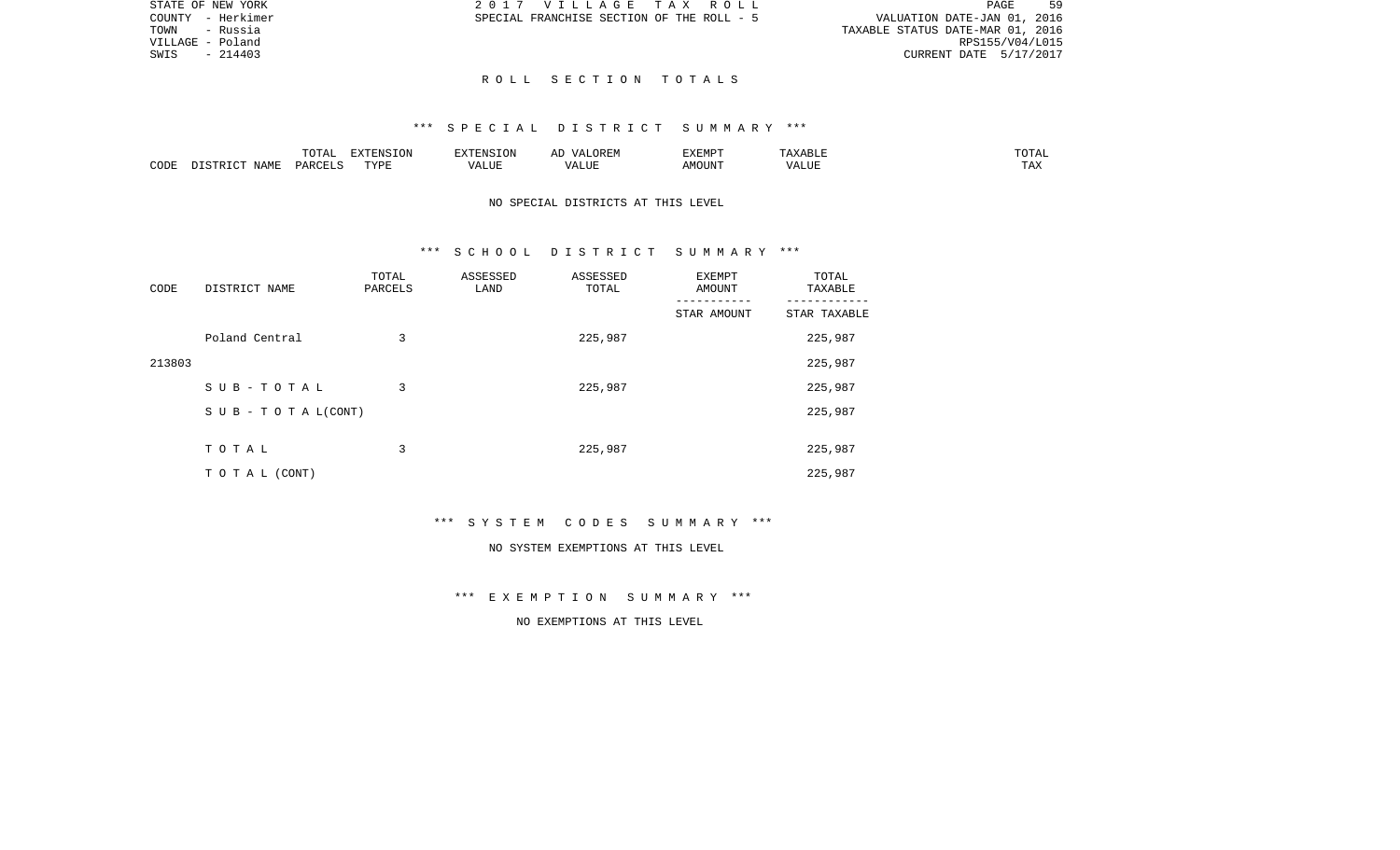| PAGE | 59                                                                                                           |
|------|--------------------------------------------------------------------------------------------------------------|
|      |                                                                                                              |
|      |                                                                                                              |
|      |                                                                                                              |
|      |                                                                                                              |
|      |                                                                                                              |
|      | VALUATION DATE-JAN 01, 2016<br>TAXABLE STATUS DATE-MAR 01, 2016<br>RPS155/V04/L015<br>CURRENT DATE 5/17/2017 |

# R O L L S E C T I O N T O T A L S

#### \*\*\* S P E C I A L D I S T R I C T S U M M A R Y \*\*\*

|      |           | $\neg$ דר $\neg$<br>⊥∪⊥⊓⊥ | EXTENSION | ENS.  | OREM<br>$V_{A}$<br>$^{\prime\prime}$ 1 | EXEMPT  | $max$ and $n +$<br>ахавык | TOTAL                 |
|------|-----------|---------------------------|-----------|-------|----------------------------------------|---------|---------------------------|-----------------------|
| CODE | NAMF<br>T | CFT.S<br><b>DAR</b>       | TYPE      | VALUE | * ***<br><u>мд</u><br>الاللطم          | AMOUN'. | $T$ $TT$ .<br>'Alul       | <b>TITLE</b><br>1 A A |

# NO SPECIAL DISTRICTS AT THIS LEVEL

#### \*\*\* S C H O O L D I S T R I C T S U M M A R Y \*\*\*

| CODE   | DISTRICT NAME                    | TOTAL<br>PARCELS | ASSESSED<br>LAND | ASSESSED<br>TOTAL | EXEMPT<br>AMOUNT | TOTAL<br>TAXABLE |
|--------|----------------------------------|------------------|------------------|-------------------|------------------|------------------|
|        |                                  |                  |                  |                   | STAR AMOUNT      | STAR TAXABLE     |
|        | Poland Central                   | 3                |                  | 225,987           |                  | 225,987          |
| 213803 |                                  |                  |                  |                   |                  | 225,987          |
|        | SUB-TOTAL                        | 3                |                  | 225,987           |                  | 225,987          |
|        | $S \cup B - T \cup T A L (CONT)$ |                  |                  |                   |                  | 225,987          |
|        |                                  |                  |                  |                   |                  |                  |
|        | TOTAL                            | 3                |                  | 225,987           |                  | 225,987          |
|        | TO TAL (CONT)                    |                  |                  |                   |                  | 225,987          |

\*\*\* S Y S T E M C O D E S S U M M A R Y \*\*\*

#### NO SYSTEM EXEMPTIONS AT THIS LEVEL

\*\*\* E X E M P T I O N S U M M A R Y \*\*\*

NO EXEMPTIONS AT THIS LEVEL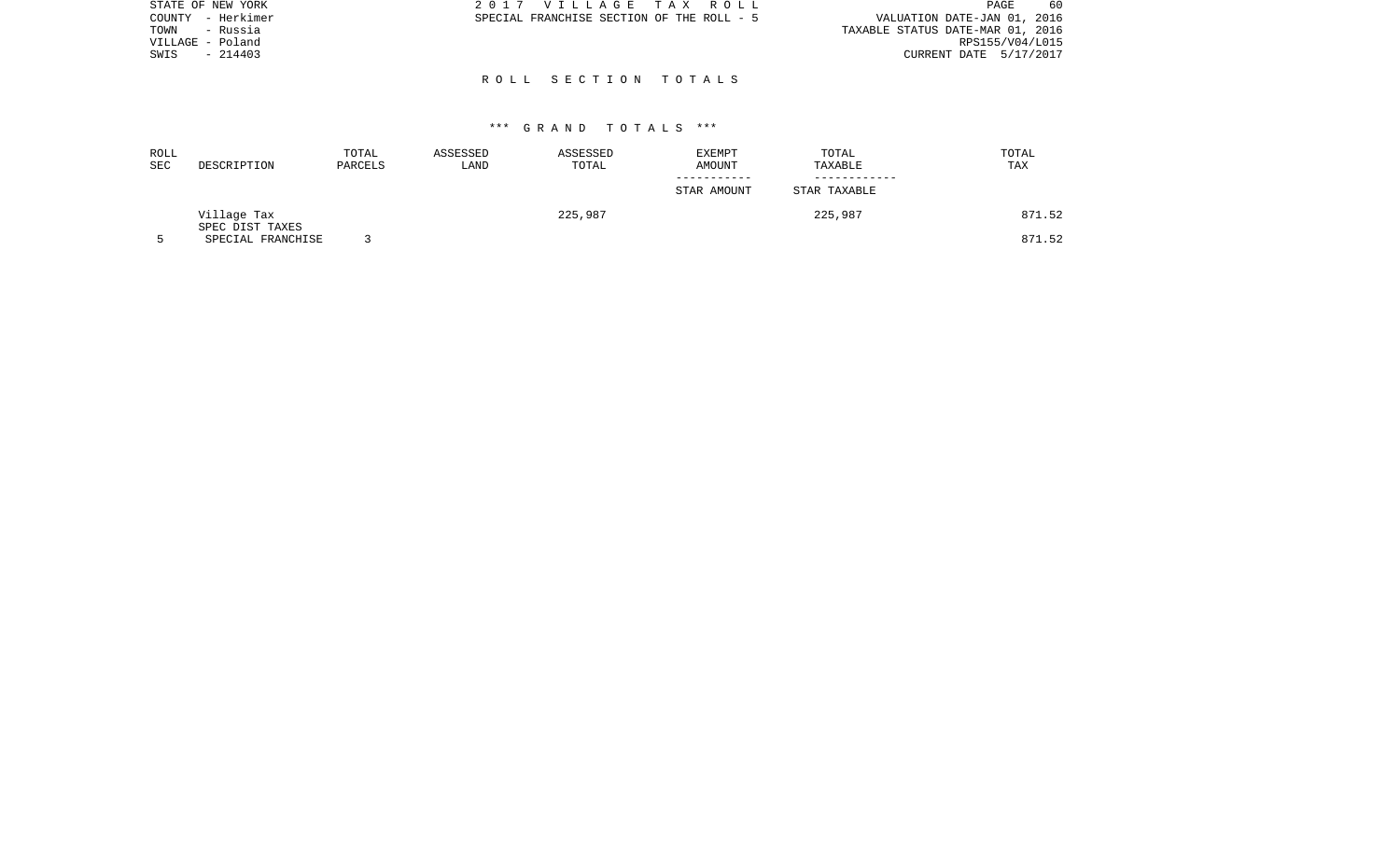| STATE OF NEW YORK | 2017 VILLAGE TAX ROLL                     | -60<br><b>PAGE</b>               |
|-------------------|-------------------------------------------|----------------------------------|
| COUNTY - Herkimer | SPECIAL FRANCHISE SECTION OF THE ROLL - 5 | VALUATION DATE-JAN 01, 2016      |
| TOWN<br>- Russia  |                                           | TAXABLE STATUS DATE-MAR 01, 2016 |
| VILLAGE - Poland  |                                           | RPS155/V04/L015                  |
| $-214403$<br>SWIS |                                           | CURRENT DATE 5/17/2017           |
|                   |                                           |                                  |

R O L L S E C T I O N T O T A L S

| ROLL<br>SEC | DESCRIPTION                    | TOTAL<br>PARCELS | ASSESSED<br>LAND | ASSESSED<br>TOTAL | EXEMPT<br>AMOUNT | TOTAL<br>TAXABLE | TOTAL<br>TAX |
|-------------|--------------------------------|------------------|------------------|-------------------|------------------|------------------|--------------|
|             |                                |                  |                  |                   | STAR AMOUNT      | STAR TAXABLE     |              |
|             | Village Tax<br>SPEC DIST TAXES |                  |                  | 225,987           |                  | 225,987          | 871.52       |
|             | SPECIAL FRANCHISE              |                  |                  |                   |                  |                  | 871.52       |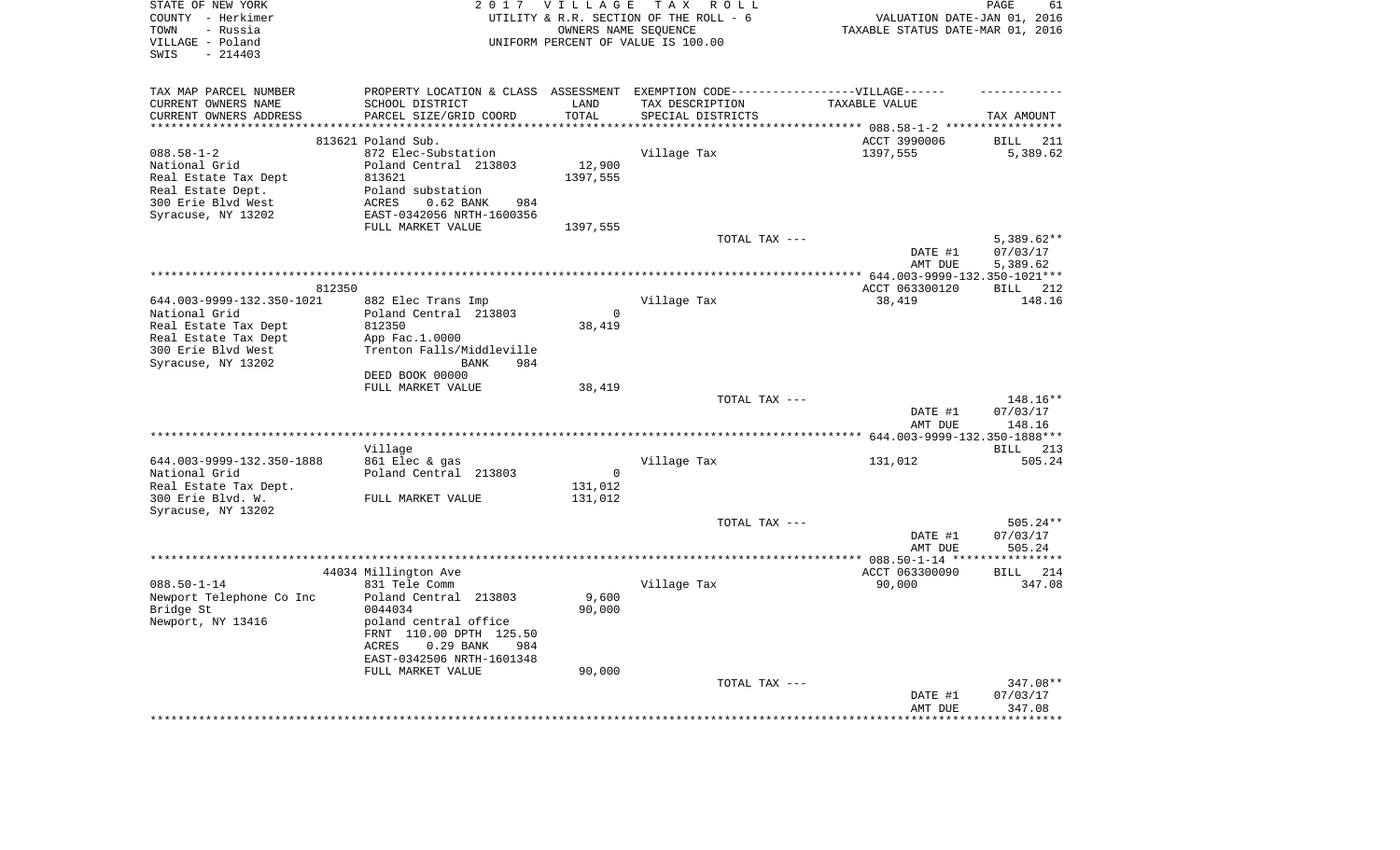| STATE OF NEW YORK<br>COUNTY - Herkimer<br>- Russia<br>TOWN<br>VILLAGE - Poland |                                                                                   | 2017 VILLAGE             | TAX ROLL<br>UTILITY & R.R. SECTION OF THE ROLL - 6<br>OWNERS NAME SEQUENCE<br>UNIFORM PERCENT OF VALUE IS 100.00 | VALUATION DATE-JAN 01, 2016<br>TAXABLE STATUS DATE-MAR 01, 2016 | PAGE<br>61                    |
|--------------------------------------------------------------------------------|-----------------------------------------------------------------------------------|--------------------------|------------------------------------------------------------------------------------------------------------------|-----------------------------------------------------------------|-------------------------------|
| $-214403$<br>SWIS                                                              |                                                                                   |                          |                                                                                                                  |                                                                 |                               |
| TAX MAP PARCEL NUMBER                                                          | PROPERTY LOCATION & CLASS ASSESSMENT EXEMPTION CODE-----------------VILLAGE------ |                          |                                                                                                                  |                                                                 |                               |
| CURRENT OWNERS NAME                                                            | SCHOOL DISTRICT                                                                   | LAND                     | TAX DESCRIPTION                                                                                                  | TAXABLE VALUE                                                   |                               |
| CURRENT OWNERS ADDRESS<br>**********************                               | PARCEL SIZE/GRID COORD<br>*****************************                           | TOTAL<br>*************** | SPECIAL DISTRICTS                                                                                                |                                                                 | TAX AMOUNT                    |
|                                                                                | 813621 Poland Sub.                                                                |                          |                                                                                                                  | ACCT 3990006                                                    | BILL<br>211                   |
| $088.58 - 1 - 2$                                                               | 872 Elec-Substation                                                               |                          | Village Tax                                                                                                      | 1397,555                                                        | 5,389.62                      |
| National Grid                                                                  | Poland Central 213803                                                             | 12,900                   |                                                                                                                  |                                                                 |                               |
| Real Estate Tax Dept                                                           | 813621                                                                            | 1397,555                 |                                                                                                                  |                                                                 |                               |
| Real Estate Dept.                                                              | Poland substation                                                                 |                          |                                                                                                                  |                                                                 |                               |
| 300 Erie Blvd West                                                             | ACRES<br>$0.62$ BANK<br>984                                                       |                          |                                                                                                                  |                                                                 |                               |
| Syracuse, NY 13202                                                             | EAST-0342056 NRTH-1600356                                                         |                          |                                                                                                                  |                                                                 |                               |
|                                                                                | FULL MARKET VALUE                                                                 | 1397,555                 |                                                                                                                  |                                                                 |                               |
|                                                                                |                                                                                   |                          | TOTAL TAX ---                                                                                                    |                                                                 | $5,389.62**$                  |
|                                                                                |                                                                                   |                          |                                                                                                                  | DATE #1                                                         | 07/03/17                      |
|                                                                                |                                                                                   |                          |                                                                                                                  | AMT DUE                                                         | 5,389.62                      |
|                                                                                |                                                                                   |                          |                                                                                                                  | ******* 644.003-9999-132.350-1021***                            |                               |
| 812350                                                                         |                                                                                   |                          |                                                                                                                  | ACCT 063300120                                                  | <b>BILL</b><br>212            |
| 644.003-9999-132.350-1021                                                      | 882 Elec Trans Imp                                                                |                          | Village Tax                                                                                                      | 38,419                                                          | 148.16                        |
| National Grid                                                                  | Poland Central 213803                                                             | $\mathbf 0$              |                                                                                                                  |                                                                 |                               |
| Real Estate Tax Dept                                                           | 812350                                                                            | 38,419                   |                                                                                                                  |                                                                 |                               |
| Real Estate Tax Dept                                                           | App Fac.1.0000                                                                    |                          |                                                                                                                  |                                                                 |                               |
| 300 Erie Blvd West                                                             | Trenton Falls/Middleville<br><b>BANK</b><br>984                                   |                          |                                                                                                                  |                                                                 |                               |
| Syracuse, NY 13202                                                             | DEED BOOK 00000                                                                   |                          |                                                                                                                  |                                                                 |                               |
|                                                                                | FULL MARKET VALUE                                                                 | 38,419                   |                                                                                                                  |                                                                 |                               |
|                                                                                |                                                                                   |                          | TOTAL TAX ---                                                                                                    |                                                                 | 148.16**                      |
|                                                                                |                                                                                   |                          |                                                                                                                  | DATE #1                                                         | 07/03/17                      |
|                                                                                |                                                                                   |                          |                                                                                                                  | AMT DUE                                                         | 148.16                        |
|                                                                                |                                                                                   |                          |                                                                                                                  |                                                                 |                               |
|                                                                                | Village                                                                           |                          |                                                                                                                  |                                                                 | BILL 213                      |
| 644.003-9999-132.350-1888                                                      | 861 Elec & gas                                                                    |                          | Village Tax                                                                                                      | 131,012                                                         | 505.24                        |
| National Grid                                                                  | Poland Central 213803                                                             | $\mathbf 0$              |                                                                                                                  |                                                                 |                               |
| Real Estate Tax Dept.                                                          |                                                                                   | 131,012                  |                                                                                                                  |                                                                 |                               |
| 300 Erie Blvd. W.                                                              | FULL MARKET VALUE                                                                 | 131,012                  |                                                                                                                  |                                                                 |                               |
| Syracuse, NY 13202                                                             |                                                                                   |                          |                                                                                                                  |                                                                 |                               |
|                                                                                |                                                                                   |                          | TOTAL TAX ---                                                                                                    |                                                                 | $505.24**$                    |
|                                                                                |                                                                                   |                          |                                                                                                                  | DATE #1                                                         | 07/03/17                      |
|                                                                                |                                                                                   |                          |                                                                                                                  | AMT DUE                                                         | 505.24<br>* * * * * * * * * * |
|                                                                                |                                                                                   |                          |                                                                                                                  | ***** 088.50-1-14 **<br>ACCT 063300090                          | BILL 214                      |
| $088.50 - 1 - 14$                                                              | 44034 Millington Ave<br>831 Tele Comm                                             |                          | Village Tax                                                                                                      | 90,000                                                          | 347.08                        |
| Newport Telephone Co Inc                                                       | Poland Central 213803                                                             | 9,600                    |                                                                                                                  |                                                                 |                               |
| Bridge St                                                                      | 0044034                                                                           | 90,000                   |                                                                                                                  |                                                                 |                               |
| Newport, NY 13416                                                              | poland central office                                                             |                          |                                                                                                                  |                                                                 |                               |
|                                                                                | FRNT 110.00 DPTH 125.50                                                           |                          |                                                                                                                  |                                                                 |                               |
|                                                                                | ACRES<br>$0.29$ BANK<br>984                                                       |                          |                                                                                                                  |                                                                 |                               |
|                                                                                | EAST-0342506 NRTH-1601348                                                         |                          |                                                                                                                  |                                                                 |                               |
|                                                                                | FULL MARKET VALUE                                                                 | 90,000                   |                                                                                                                  |                                                                 |                               |
|                                                                                |                                                                                   |                          | TOTAL TAX ---                                                                                                    |                                                                 | 347.08**                      |
|                                                                                |                                                                                   |                          |                                                                                                                  | DATE #1                                                         | 07/03/17                      |
|                                                                                |                                                                                   |                          |                                                                                                                  | AMT DUE                                                         | 347.08                        |
|                                                                                |                                                                                   |                          |                                                                                                                  |                                                                 | ********                      |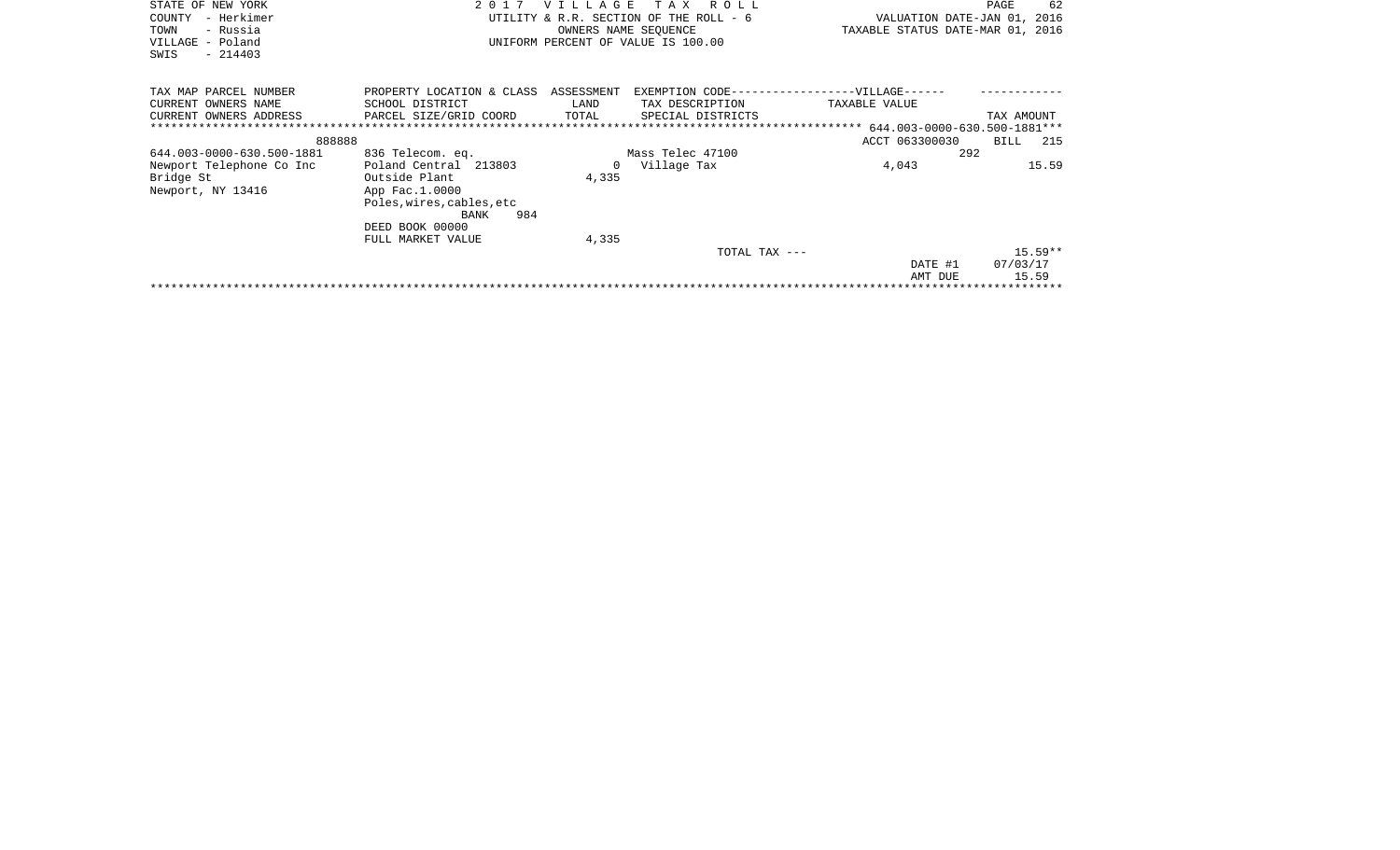| STATE OF NEW YORK          | 2 0 1 7                              | <b>VILLAGE</b> | T A X<br>R O L L                              |                                  | 62<br>PAGE         |
|----------------------------|--------------------------------------|----------------|-----------------------------------------------|----------------------------------|--------------------|
| – Herkimer<br>COUNTY       |                                      |                | UTILITY & R.R. SECTION OF THE ROLL - 6        | VALUATION DATE-JAN 01, 2016      |                    |
| TOWN<br>- Russia           |                                      |                | OWNERS NAME SEOUENCE                          | TAXABLE STATUS DATE-MAR 01, 2016 |                    |
| VILLAGE - Poland           |                                      |                | UNIFORM PERCENT OF VALUE IS 100.00            |                                  |                    |
| $-214403$<br>SWIS          |                                      |                |                                               |                                  |                    |
|                            |                                      |                |                                               |                                  |                    |
|                            |                                      |                |                                               |                                  |                    |
| TAX MAP PARCEL NUMBER      | PROPERTY LOCATION & CLASS ASSESSMENT |                | EXEMPTION CODE------------------VILLAGE------ |                                  |                    |
| CURRENT OWNERS NAME        | SCHOOL DISTRICT                      | LAND           | TAX DESCRIPTION                               | TAXABLE VALUE                    |                    |
| CURRENT OWNERS ADDRESS     | PARCEL SIZE/GRID COORD               | TOTAL          | SPECIAL DISTRICTS                             |                                  | TAX AMOUNT         |
| ************************** |                                      |                |                                               |                                  |                    |
| 888888                     |                                      |                |                                               | ACCT 063300030                   | <b>BILL</b><br>215 |
| 644.003-0000-630.500-1881  | 836 Telecom. eq.                     |                | Mass Telec 47100                              | 292                              |                    |
| Newport Telephone Co Inc   | Poland Central 213803                | $\Omega$       | Village Tax                                   | 4,043                            | 15.59              |
| Bridge St                  | Outside Plant                        | 4,335          |                                               |                                  |                    |
| Newport, NY 13416          | App Fac.1.0000                       |                |                                               |                                  |                    |
|                            | Poles, wires, cables, etc            |                |                                               |                                  |                    |
|                            | 984<br>BANK                          |                |                                               |                                  |                    |
|                            | DEED BOOK 00000                      |                |                                               |                                  |                    |
|                            | FULL MARKET VALUE                    | 4,335          |                                               |                                  |                    |
|                            |                                      |                | TOTAL TAX ---                                 |                                  | $15.59**$          |
|                            |                                      |                |                                               | DATE #1                          | 07/03/17           |
|                            |                                      |                |                                               | AMT DUE                          | 15.59              |
|                            |                                      |                |                                               |                                  |                    |
|                            |                                      |                |                                               |                                  |                    |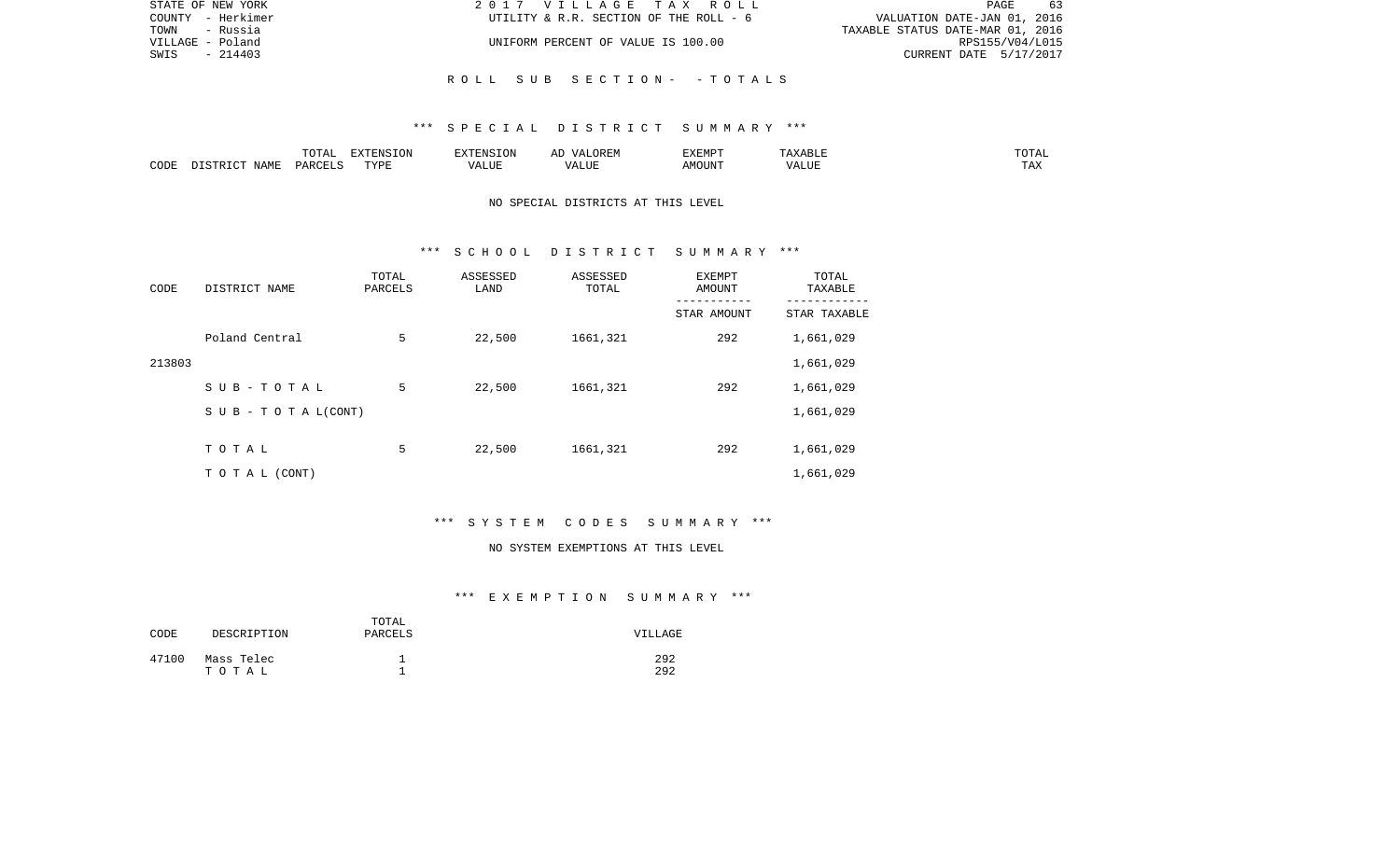| STATE OF NEW YORK | 2017 VILLAGE TAX ROLL                  | 63<br>PAGE                       |
|-------------------|----------------------------------------|----------------------------------|
| COUNTY - Herkimer | UTILITY & R.R. SECTION OF THE ROLL - 6 | VALUATION DATE-JAN 01, 2016      |
| TOWN - Russia     |                                        | TAXABLE STATUS DATE-MAR 01, 2016 |
| VILLAGE - Poland  | UNIFORM PERCENT OF VALUE IS 100.00     | RPS155/V04/L015                  |
| - 214403<br>SWIS  |                                        | CURRENT DATE 5/17/2017           |
|                   |                                        |                                  |
|                   | ROLL SUB SECTION- -TOTALS              |                                  |

|      |             |               | $\blacksquare$<br>11 L<br>. ON |     | EXEMPT       | ABL.           | $m \wedge m$<br>$  -$ |
|------|-------------|---------------|--------------------------------|-----|--------------|----------------|-----------------------|
| CODE | NAME<br>. . | <b>DARCET</b> | TVDI                           | ,,, | 'תוזכ<br>∆M∩ | . <del>.</del> | $- - -$<br>.AZ        |

# NO SPECIAL DISTRICTS AT THIS LEVEL

#### \*\*\* S C H O O L D I S T R I C T S U M M A R Y \*\*\*

| CODE   | DISTRICT NAME                    | TOTAL<br>PARCELS | ASSESSED<br>LAND | ASSESSED<br>TOTAL | EXEMPT<br><b>AMOUNT</b> | TOTAL<br>TAXABLE |
|--------|----------------------------------|------------------|------------------|-------------------|-------------------------|------------------|
|        |                                  |                  |                  |                   | STAR AMOUNT             | STAR TAXABLE     |
|        | Poland Central                   | 5                | 22,500           | 1661,321          | 292                     | 1,661,029        |
| 213803 |                                  |                  |                  |                   |                         | 1,661,029        |
|        | SUB-TOTAL                        | 5                | 22,500           | 1661,321          | 292                     | 1,661,029        |
|        | $S \cup B - T \cup T A L (CONT)$ |                  |                  |                   |                         | 1,661,029        |
|        |                                  |                  |                  |                   |                         |                  |
|        | TOTAL                            | 5                | 22,500           | 1661,321          | 292                     | 1,661,029        |
|        | T O T A L (CONT)                 |                  |                  |                   |                         | 1,661,029        |

# \*\*\* S Y S T E M C O D E S S U M M A R Y \*\*\*

#### NO SYSTEM EXEMPTIONS AT THIS LEVEL

| CODE  | DESCRIPTION | TOTAL<br>PARCELS | VILLAGE |
|-------|-------------|------------------|---------|
| 47100 | Mass Telec  |                  | 292     |
|       | тотаь       | ᅩ                | 292     |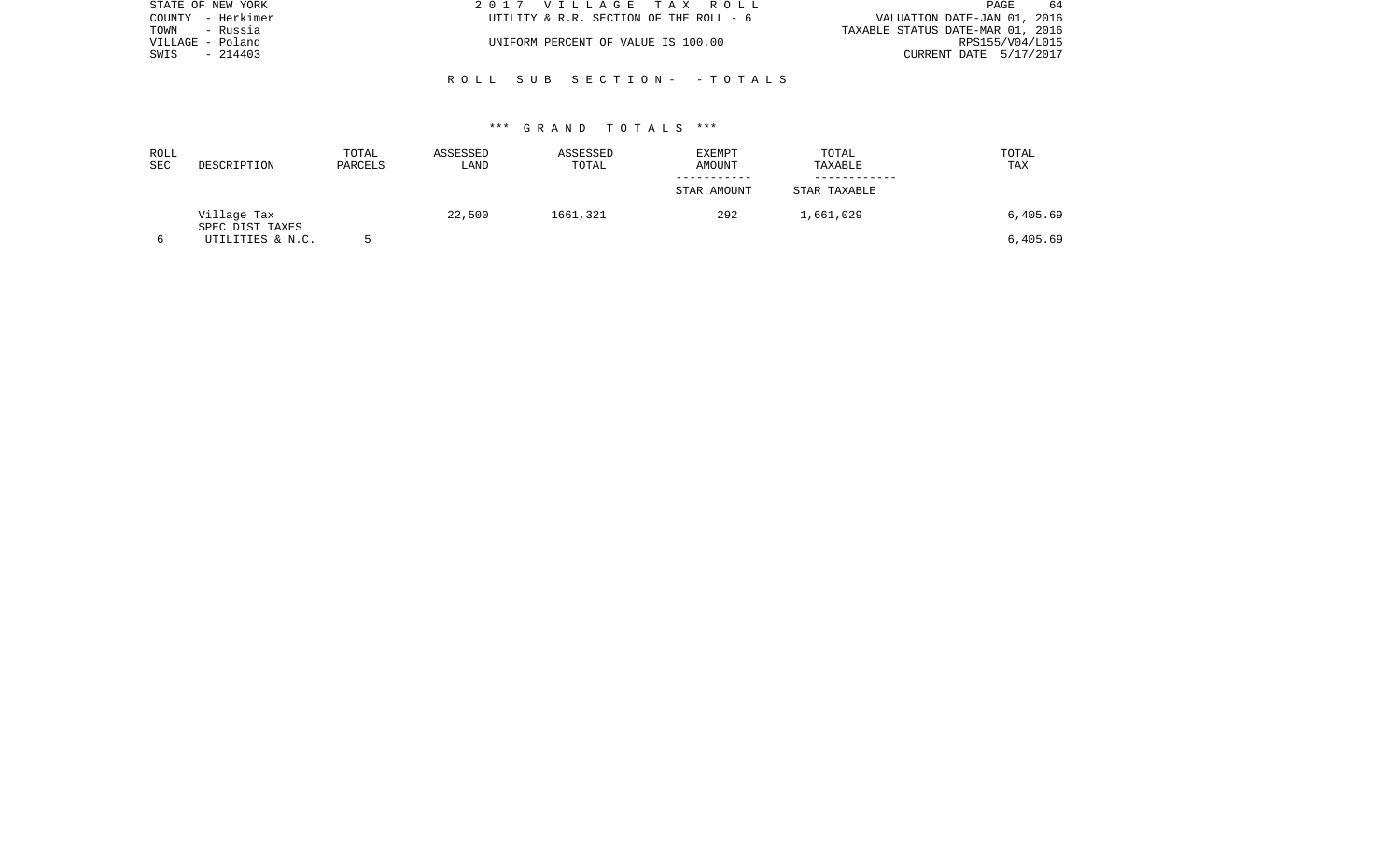| STATE OF NEW YORK | 2017 VILLAGE TAX ROLL                  | -64<br>PAGE                      |
|-------------------|----------------------------------------|----------------------------------|
| COUNTY - Herkimer | UTILITY & R.R. SECTION OF THE ROLL - 6 | VALUATION DATE-JAN 01, 2016      |
| TOWN - Russia     |                                        | TAXABLE STATUS DATE-MAR 01, 2016 |
| VILLAGE - Poland  | UNIFORM PERCENT OF VALUE IS 100.00     | RPS155/V04/L015                  |
| $-214403$<br>SWIS |                                        | CURRENT DATE 5/17/2017           |
|                   |                                        |                                  |
|                   | ROLL SUB SECTION- - TOTALS             |                                  |

| ROLL<br><b>SEC</b> | DESCRIPTION                    | TOTAL<br>PARCELS | ASSESSED<br>LAND | ASSESSED<br>TOTAL | <b>EXEMPT</b><br>AMOUNT | TOTAL<br>TAXABLE | TOTAL<br>TAX |
|--------------------|--------------------------------|------------------|------------------|-------------------|-------------------------|------------------|--------------|
|                    |                                |                  |                  |                   |                         |                  |              |
|                    |                                |                  |                  |                   | STAR AMOUNT             | STAR TAXABLE     |              |
|                    | Village Tax<br>SPEC DIST TAXES |                  | 22,500           | 1661,321          | 292                     | 1,661,029        | 6,405.69     |
|                    | UTILITIES & N.C.               |                  |                  |                   |                         |                  | 6,405.69     |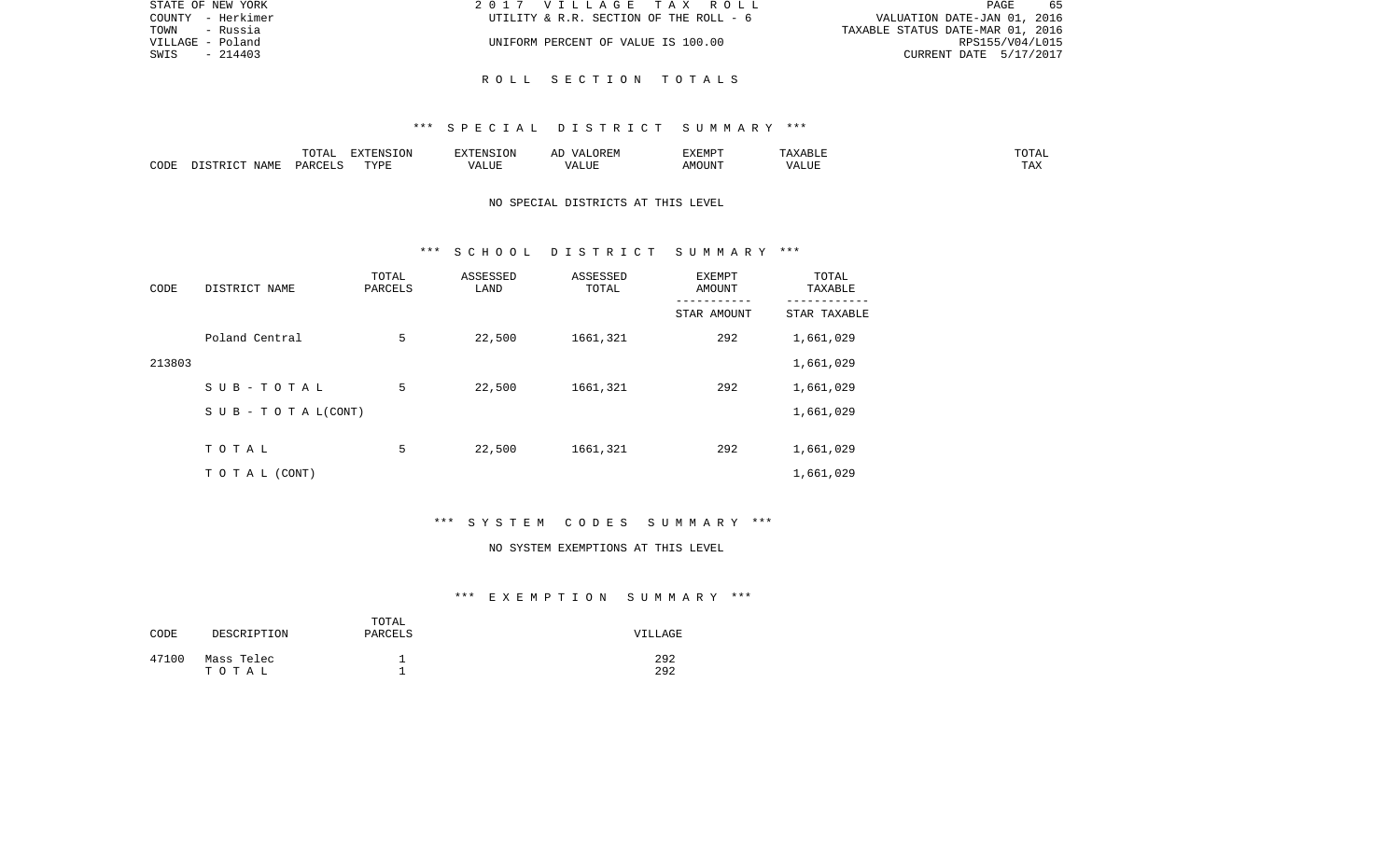| STATE OF NEW YORK | 2017 VILLAGE TAX ROLL                  | 65<br>PAGE                       |
|-------------------|----------------------------------------|----------------------------------|
| COUNTY - Herkimer | UTILITY & R.R. SECTION OF THE ROLL - 6 | VALUATION DATE-JAN 01, 2016      |
| TOWN<br>- Russia  |                                        | TAXABLE STATUS DATE-MAR 01, 2016 |
| VILLAGE - Poland  | UNIFORM PERCENT OF VALUE IS 100.00     | RPS155/V04/L015                  |
| - 214403<br>SWIS  |                                        | CURRENT DATE 5/17/2017           |
|                   |                                        |                                  |

R O L L S E C T I O N T O T A L S

|      |      | $\Box \land \Box \Box$<br>TOTAL | EXTENSION | $  -$ | $H^{\prime}$ H $^{\prime}$ M $^{\prime}$<br>A | EXEMP' | ABLE                 | ---        |
|------|------|---------------------------------|-----------|-------|-----------------------------------------------|--------|----------------------|------------|
| CODE | NAMF | ، جمہوری                        | TVDF<br>. |       | TTT.                                          |        | <b>T TTT</b><br>ALUI | max<br>was |

# NO SPECIAL DISTRICTS AT THIS LEVEL

#### \*\*\* S C H O O L D I S T R I C T S U M M A R Y \*\*\*

| CODE   | DISTRICT NAME                    | TOTAL<br>PARCELS | ASSESSED<br>LAND | ASSESSED<br>TOTAL | <b>EXEMPT</b><br>AMOUNT | TOTAL<br>TAXABLE |
|--------|----------------------------------|------------------|------------------|-------------------|-------------------------|------------------|
|        |                                  |                  |                  |                   | STAR AMOUNT             | STAR TAXABLE     |
|        | Poland Central                   | 5                | 22,500           | 1661,321          | 292                     | 1,661,029        |
| 213803 |                                  |                  |                  |                   |                         | 1,661,029        |
|        | SUB-TOTAL                        | 5                | 22,500           | 1661,321          | 292                     | 1,661,029        |
|        | $S \cup B - T \cup T A L (CONT)$ |                  |                  |                   |                         | 1,661,029        |
|        |                                  |                  |                  |                   |                         |                  |
|        | TOTAL                            | 5                | 22,500           | 1661,321          | 292                     | 1,661,029        |
|        | T O T A L (CONT)                 |                  |                  |                   |                         | 1,661,029        |

# \*\*\* S Y S T E M C O D E S S U M M A R Y \*\*\*

#### NO SYSTEM EXEMPTIONS AT THIS LEVEL

| CODE  | DESCRIPTION         | TOTAL<br>PARCELS | VILLAGE    |
|-------|---------------------|------------------|------------|
| 47100 | Mass Telec<br>тотаь |                  | 292<br>292 |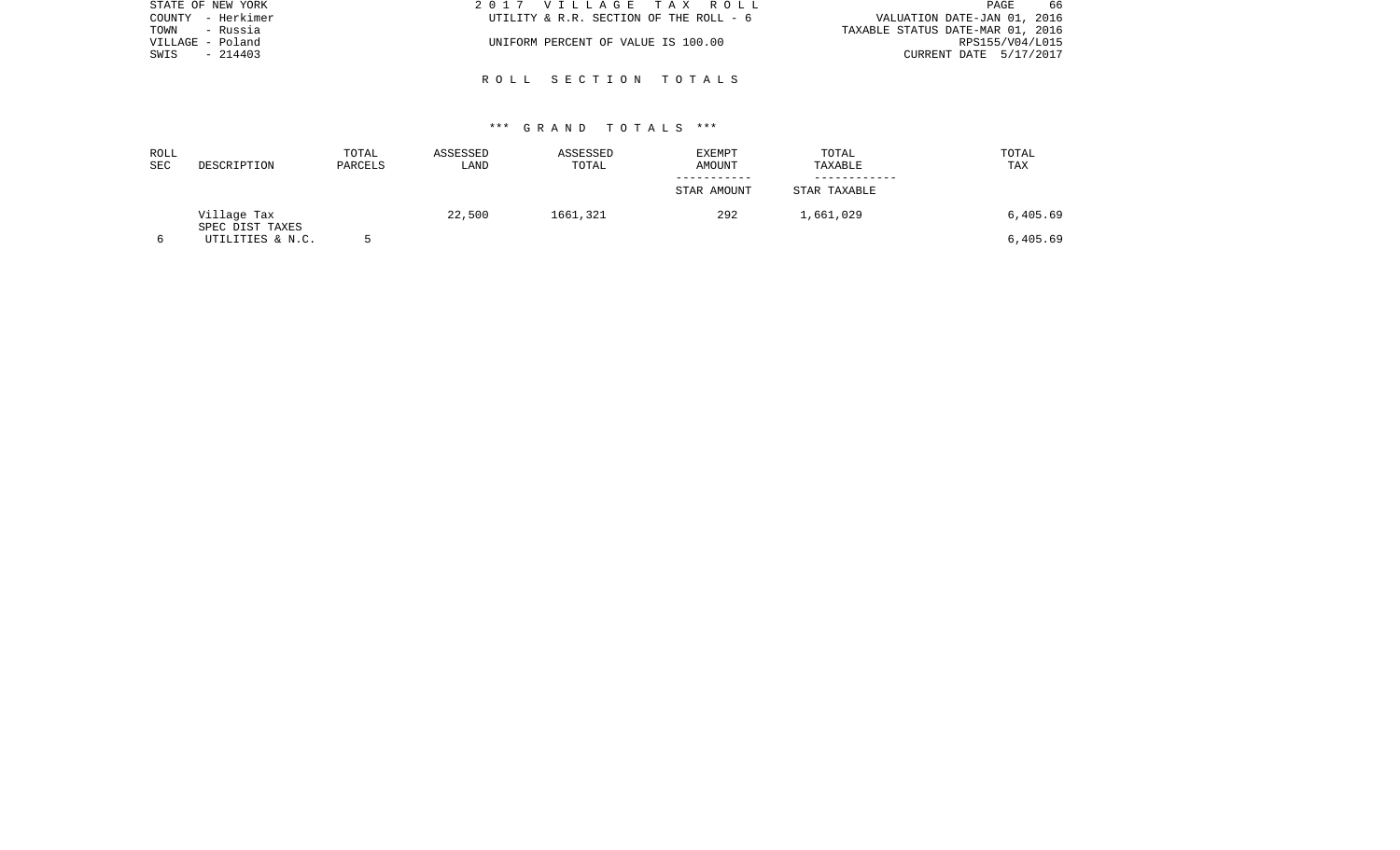| STATE OF NEW YORK | 2017 VILLAGE TAX ROLL                  | 66<br>PAGE                       |
|-------------------|----------------------------------------|----------------------------------|
| COUNTY - Herkimer | UTILITY & R.R. SECTION OF THE ROLL - 6 | VALUATION DATE-JAN 01, 2016      |
| - Russia<br>TOWN  |                                        | TAXABLE STATUS DATE-MAR 01, 2016 |
| VILLAGE - Poland  | UNIFORM PERCENT OF VALUE IS 100.00     | RPS155/V04/L015                  |
| $-214403$<br>SWIS |                                        | CURRENT DATE 5/17/2017           |
|                   |                                        |                                  |
|                   | ROLL SECTION TOTALS                    |                                  |

| ROLL<br><b>SEC</b> | DESCRIPTION                    | TOTAL<br>PARCELS | ASSESSED<br>LAND | ASSESSED<br>TOTAL | <b>EXEMPT</b><br>AMOUNT | TOTAL<br>TAXABLE | TOTAL<br>TAX |
|--------------------|--------------------------------|------------------|------------------|-------------------|-------------------------|------------------|--------------|
|                    |                                |                  |                  |                   | STAR AMOUNT             | STAR TAXABLE     |              |
|                    | Village Tax<br>SPEC DIST TAXES |                  | 22,500           | 1661,321          | 292                     | 1,661,029        | 6,405.69     |
|                    | UTILITIES & N.C.               |                  |                  |                   |                         |                  | 6,405.69     |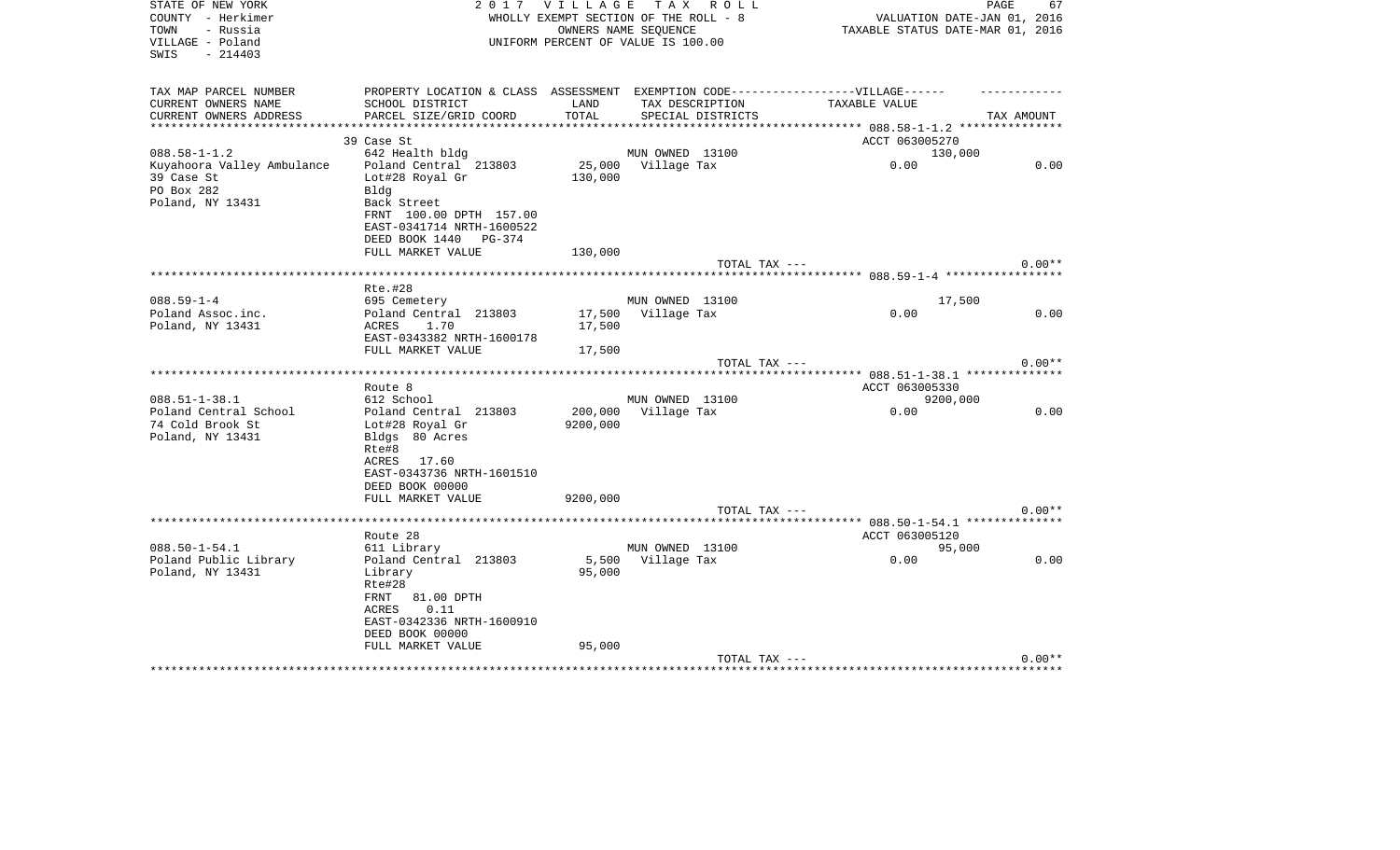| STATE OF NEW YORK<br>COUNTY - Herkimer<br>TOWN<br>- Russia<br>VILLAGE - Poland<br>$-214403$<br>SWIS |                                                                                                                                                                       |                  | 2017 VILLAGE TAX ROLL<br>WHOLLY EXEMPT SECTION OF THE ROLL - 8<br>OWNERS NAME SEQUENCE<br>UNIFORM PERCENT OF VALUE IS 100.00 | PAGE<br>VALUATION DATE-JAN 01, 2016<br>TAXABLE STATUS DATE-MAR 01, 2016 | 67         |
|-----------------------------------------------------------------------------------------------------|-----------------------------------------------------------------------------------------------------------------------------------------------------------------------|------------------|------------------------------------------------------------------------------------------------------------------------------|-------------------------------------------------------------------------|------------|
| TAX MAP PARCEL NUMBER<br>CURRENT OWNERS NAME<br>CURRENT OWNERS ADDRESS                              | PROPERTY LOCATION & CLASS ASSESSMENT EXEMPTION CODE-----------------VILLAGE------<br>SCHOOL DISTRICT<br>PARCEL SIZE/GRID COORD                                        | LAND<br>TOTAL    | TAX DESCRIPTION<br>SPECIAL DISTRICTS                                                                                         | TAXABLE VALUE                                                           | TAX AMOUNT |
|                                                                                                     | 39 Case St                                                                                                                                                            |                  |                                                                                                                              | ACCT 063005270                                                          |            |
| $088.58 - 1 - 1.2$<br>Kuyahoora Valley Ambulance<br>39 Case St<br>PO Box 282<br>Poland, NY 13431    | 642 Health bldg<br>Poland Central 213803<br>Lot#28 Royal Gr<br>Blda<br>Back Street<br>FRNT 100.00 DPTH 157.00<br>EAST-0341714 NRTH-1600522                            | 130,000          | MUN OWNED 13100<br>25,000 Village Tax                                                                                        | 130,000<br>0.00                                                         | 0.00       |
|                                                                                                     | DEED BOOK 1440 PG-374                                                                                                                                                 |                  |                                                                                                                              |                                                                         |            |
|                                                                                                     | FULL MARKET VALUE                                                                                                                                                     | 130,000          | TOTAL TAX ---                                                                                                                |                                                                         | $0.00**$   |
|                                                                                                     |                                                                                                                                                                       |                  |                                                                                                                              |                                                                         |            |
| $088.59 - 1 - 4$<br>Poland Assoc.inc.<br>Poland, NY 13431                                           | <b>Rte.#28</b><br>695 Cemetery<br>Poland Central 213803<br>ACRES<br>1.70<br>EAST-0343382 NRTH-1600178                                                                 | 17,500           | MUN OWNED 13100<br>17,500 Village Tax                                                                                        | 17,500<br>0.00                                                          | 0.00       |
|                                                                                                     | FULL MARKET VALUE                                                                                                                                                     | 17,500           |                                                                                                                              |                                                                         | $0.00**$   |
|                                                                                                     |                                                                                                                                                                       |                  | TOTAL TAX ---                                                                                                                |                                                                         |            |
|                                                                                                     | Route 8                                                                                                                                                               |                  |                                                                                                                              | ACCT 063005330                                                          |            |
| $088.51 - 1 - 38.1$                                                                                 | 612 School                                                                                                                                                            |                  | MUN OWNED 13100                                                                                                              | 9200,000                                                                |            |
| Poland Central School<br>74 Cold Brook St<br>Poland, NY 13431                                       | Poland Central 213803<br>Lot#28 Royal Gr<br>Bldgs 80 Acres<br>Rte#8<br>ACRES 17.60<br>EAST-0343736 NRTH-1601510<br>DEED BOOK 00000                                    | 9200,000         | 200,000 Village Tax                                                                                                          | 0.00                                                                    | 0.00       |
|                                                                                                     | FULL MARKET VALUE                                                                                                                                                     | 9200,000         |                                                                                                                              |                                                                         |            |
|                                                                                                     | Route 28                                                                                                                                                              |                  | TOTAL TAX ---                                                                                                                | ACCT 063005120                                                          | $0.00**$   |
| $088.50 - 1 - 54.1$<br>Poland Public Library<br>Poland, NY 13431                                    | 611 Library<br>Poland Central 213803<br>Library<br>Rte#28<br>FRNT<br>81.00 DPTH<br>0.11<br>ACRES<br>EAST-0342336 NRTH-1600910<br>DEED BOOK 00000<br>FULL MARKET VALUE | 95,000<br>95,000 | MUN OWNED 13100<br>5,500 Village Tax                                                                                         | 95,000<br>0.00                                                          | 0.00       |
|                                                                                                     | *****************************                                                                                                                                         |                  | TOTAL TAX ---                                                                                                                |                                                                         | $0.00**$   |
|                                                                                                     |                                                                                                                                                                       |                  |                                                                                                                              | **********************************                                      |            |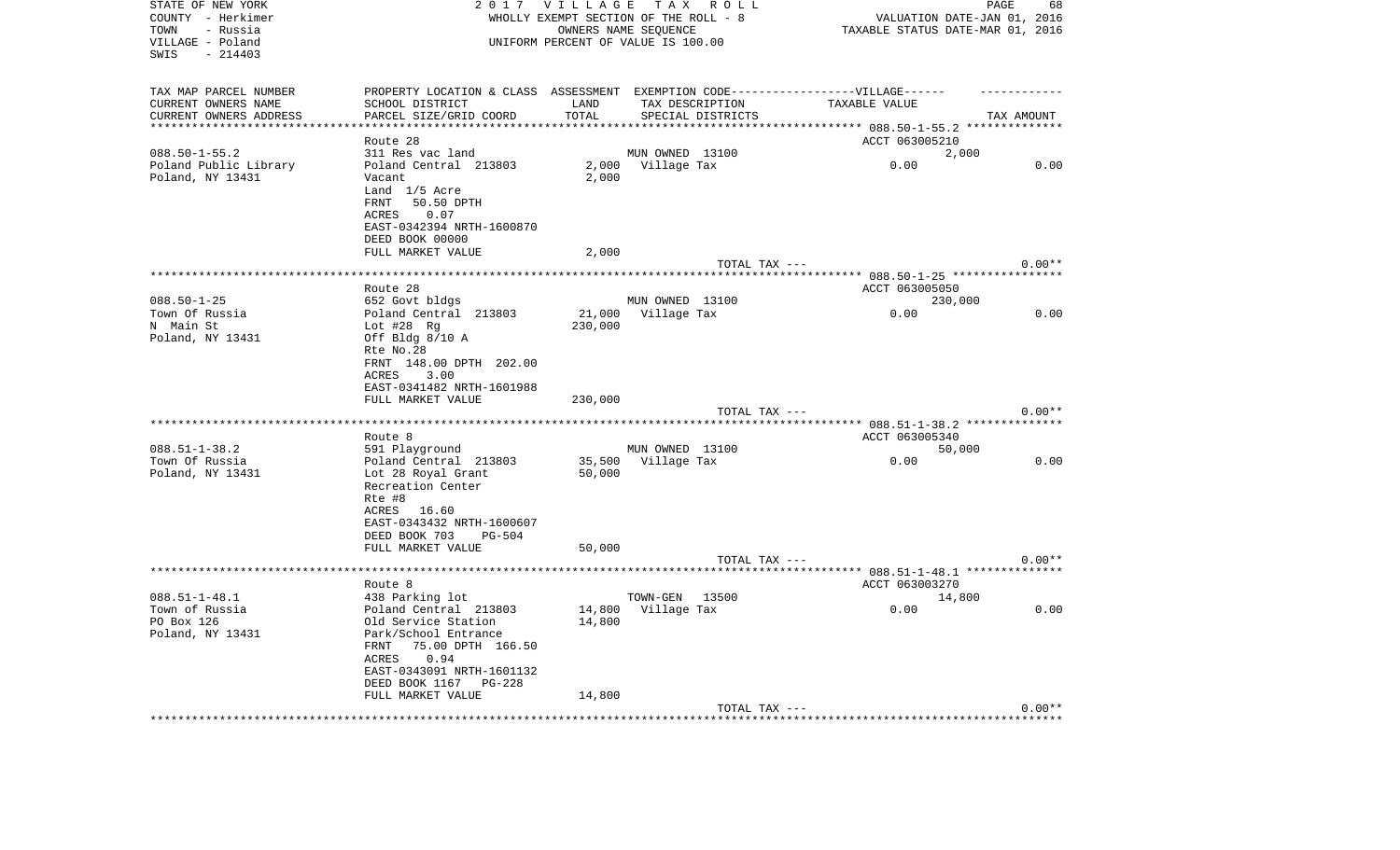| STATE OF NEW YORK           | 2017                                                                             | <b>VILLAGE</b> | TAX ROLL                              |               |                                                  | PAGE                        | 68       |
|-----------------------------|----------------------------------------------------------------------------------|----------------|---------------------------------------|---------------|--------------------------------------------------|-----------------------------|----------|
| COUNTY - Herkimer           |                                                                                  |                | WHOLLY EXEMPT SECTION OF THE ROLL - 8 |               |                                                  | VALUATION DATE-JAN 01, 2016 |          |
| TOWN<br>- Russia            |                                                                                  |                | OWNERS NAME SEOUENCE                  |               | TAXABLE STATUS DATE-MAR 01, 2016                 |                             |          |
| VILLAGE - Poland            |                                                                                  |                | UNIFORM PERCENT OF VALUE IS 100.00    |               |                                                  |                             |          |
| - 214403<br>SWIS            |                                                                                  |                |                                       |               |                                                  |                             |          |
|                             |                                                                                  |                |                                       |               |                                                  |                             |          |
| TAX MAP PARCEL NUMBER       | PROPERTY LOCATION & CLASS ASSESSMENT EXEMPTION CODE----------------VILLAGE------ |                |                                       |               |                                                  |                             |          |
| CURRENT OWNERS NAME         | SCHOOL DISTRICT                                                                  | LAND           | TAX DESCRIPTION                       |               | TAXABLE VALUE                                    |                             |          |
| CURRENT OWNERS ADDRESS      | PARCEL SIZE/GRID COORD                                                           | TOTAL          | SPECIAL DISTRICTS                     |               |                                                  | TAX AMOUNT                  |          |
|                             |                                                                                  |                |                                       |               | ****** 088.50-1-55.2 ***************             |                             |          |
|                             | Route 28                                                                         |                |                                       |               | ACCT 063005210                                   |                             |          |
| $088.50 - 1 - 55.2$         | 311 Res vac land                                                                 |                | MUN OWNED 13100                       |               |                                                  | 2,000                       |          |
| Poland Public Library       | Poland Central 213803                                                            | 2,000          | Village Tax                           |               | 0.00                                             |                             | 0.00     |
| Poland, NY 13431            | Vacant                                                                           | 2,000          |                                       |               |                                                  |                             |          |
|                             | Land 1/5 Acre                                                                    |                |                                       |               |                                                  |                             |          |
|                             | FRNT<br>50.50 DPTH                                                               |                |                                       |               |                                                  |                             |          |
|                             | ACRES<br>0.07                                                                    |                |                                       |               |                                                  |                             |          |
|                             | EAST-0342394 NRTH-1600870                                                        |                |                                       |               |                                                  |                             |          |
|                             | DEED BOOK 00000                                                                  |                |                                       |               |                                                  |                             |          |
|                             | FULL MARKET VALUE                                                                | 2,000          |                                       |               |                                                  |                             |          |
|                             |                                                                                  |                |                                       | TOTAL TAX --- |                                                  |                             | $0.00**$ |
|                             |                                                                                  |                |                                       |               | ***** 088.50-1-25 *************                  |                             |          |
|                             | Route 28                                                                         |                |                                       |               | ACCT 063005050                                   |                             |          |
| $088.50 - 1 - 25$           | 652 Govt bldgs                                                                   |                | MUN OWNED 13100                       |               |                                                  | 230,000                     |          |
| Town Of Russia              | Poland Central 213803                                                            | 21,000         | Village Tax                           |               | 0.00                                             |                             | 0.00     |
| N Main St                   | Lot $#28$ Rg                                                                     | 230,000        |                                       |               |                                                  |                             |          |
| Poland, NY 13431            | Off Bldg 8/10 A                                                                  |                |                                       |               |                                                  |                             |          |
|                             | Rte No.28                                                                        |                |                                       |               |                                                  |                             |          |
|                             | FRNT 148.00 DPTH 202.00                                                          |                |                                       |               |                                                  |                             |          |
|                             | ACRES<br>3.00                                                                    |                |                                       |               |                                                  |                             |          |
|                             | EAST-0341482 NRTH-1601988                                                        |                |                                       |               |                                                  |                             |          |
|                             | FULL MARKET VALUE                                                                | 230,000        |                                       |               |                                                  |                             |          |
|                             |                                                                                  |                |                                       | TOTAL TAX --- |                                                  |                             | $0.00**$ |
| *************************** |                                                                                  |                |                                       |               |                                                  |                             |          |
|                             | Route 8                                                                          |                |                                       |               | ACCT 063005340                                   |                             |          |
| $088.51 - 1 - 38.2$         | 591 Playground                                                                   |                | MUN OWNED 13100                       |               |                                                  | 50,000                      |          |
| Town Of Russia              | Poland Central 213803                                                            | 35,500         | Village Tax                           |               | 0.00                                             |                             | 0.00     |
| Poland, NY 13431            | Lot 28 Royal Grant                                                               | 50,000         |                                       |               |                                                  |                             |          |
|                             | Recreation Center                                                                |                |                                       |               |                                                  |                             |          |
|                             | Rte #8                                                                           |                |                                       |               |                                                  |                             |          |
|                             | ACRES 16.60                                                                      |                |                                       |               |                                                  |                             |          |
|                             | EAST-0343432 NRTH-1600607                                                        |                |                                       |               |                                                  |                             |          |
|                             | DEED BOOK 703<br>$PG-504$                                                        |                |                                       |               |                                                  |                             |          |
|                             | FULL MARKET VALUE                                                                | 50,000         |                                       |               |                                                  |                             |          |
|                             |                                                                                  |                |                                       | TOTAL TAX --- |                                                  |                             | $0.00**$ |
|                             | ******************                                                               |                |                                       |               | ******************* 088.51-1-48.1 ************** |                             |          |
|                             | Route 8                                                                          |                |                                       |               | ACCT 063003270                                   |                             |          |
| $088.51 - 1 - 48.1$         | 438 Parking lot                                                                  |                | TOWN-GEN                              | 13500         |                                                  | 14,800                      |          |
| Town of Russia              | Poland Central 213803                                                            | 14,800         | Village Tax                           |               | 0.00                                             |                             | 0.00     |
| PO Box 126                  | Old Service Station                                                              | 14,800         |                                       |               |                                                  |                             |          |
| Poland, NY 13431            | Park/School Entrance                                                             |                |                                       |               |                                                  |                             |          |
|                             | FRNT<br>75.00 DPTH 166.50                                                        |                |                                       |               |                                                  |                             |          |
|                             | 0.94<br>ACRES                                                                    |                |                                       |               |                                                  |                             |          |
|                             | EAST-0343091 NRTH-1601132                                                        |                |                                       |               |                                                  |                             |          |
|                             | DEED BOOK 1167<br><b>PG-228</b>                                                  |                |                                       |               |                                                  |                             |          |
|                             | FULL MARKET VALUE                                                                | 14,800         |                                       |               |                                                  |                             |          |
|                             |                                                                                  |                |                                       | TOTAL TAX --- |                                                  |                             | $0.00**$ |
|                             |                                                                                  |                |                                       |               |                                                  |                             |          |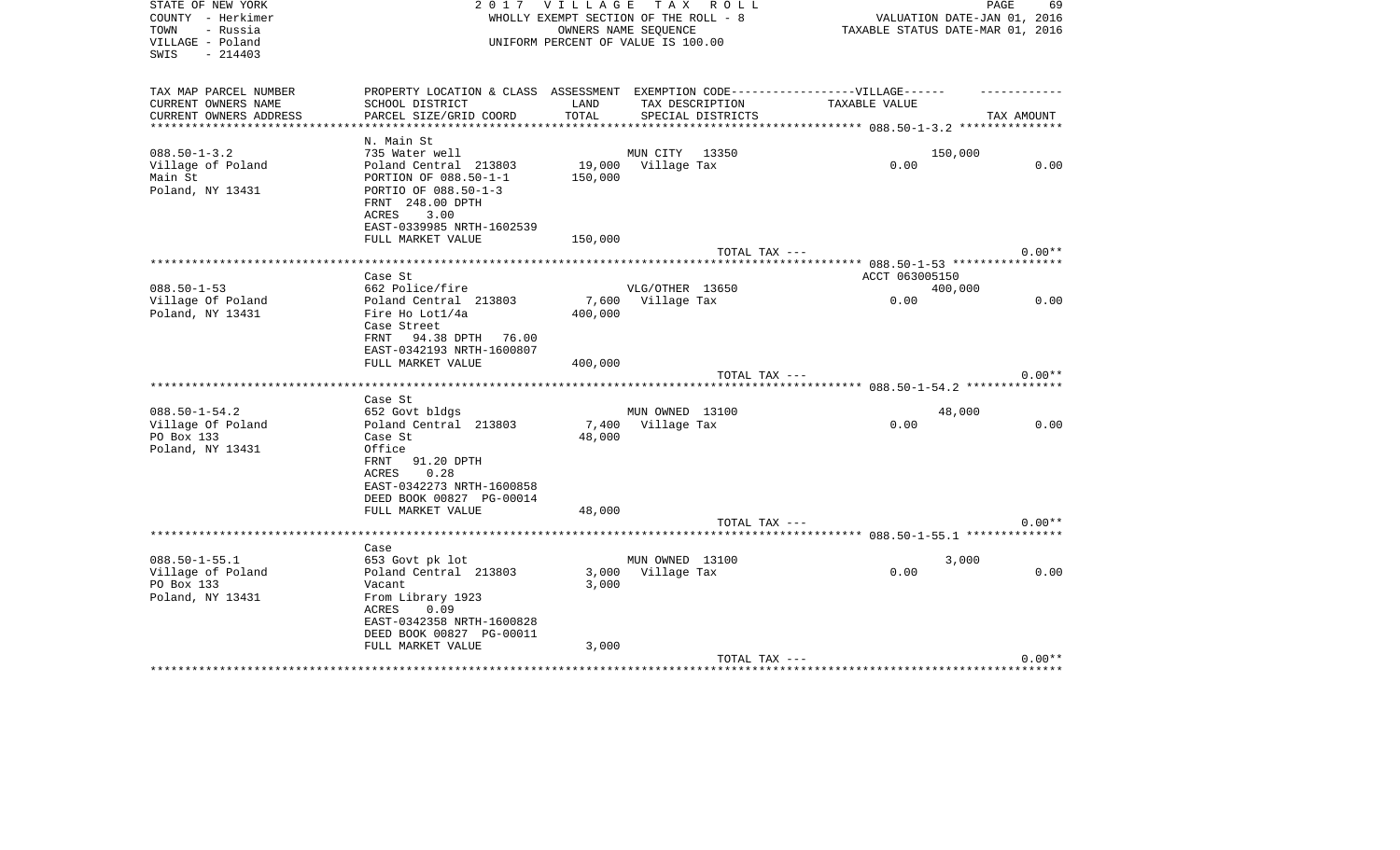| STATE OF NEW YORK<br>COUNTY - Herkimer<br>TOWN<br>- Russia<br>VILLAGE - Poland<br>$-214403$<br>SWIS |                                                                                  | 2017 VILLAGE TAX ROLL<br>WHOLLY EXEMPT SECTION OF THE ROLL - 8<br>UNIFORM PERCENT OF VALUE IS 100.00 | OWNERS NAME SEQUENCE |                   | VALUATION DATE-JAN 01, 2016<br>TAXABLE STATUS DATE-MAR 01, 2016 | PAGE<br>69 |
|-----------------------------------------------------------------------------------------------------|----------------------------------------------------------------------------------|------------------------------------------------------------------------------------------------------|----------------------|-------------------|-----------------------------------------------------------------|------------|
| TAX MAP PARCEL NUMBER                                                                               | PROPERTY LOCATION & CLASS ASSESSMENT EXEMPTION CODE----------------VILLAGE------ |                                                                                                      |                      |                   |                                                                 |            |
| CURRENT OWNERS NAME                                                                                 | SCHOOL DISTRICT                                                                  | LAND                                                                                                 | TAX DESCRIPTION      |                   | TAXABLE VALUE                                                   |            |
| CURRENT OWNERS ADDRESS<br>***********************                                                   | PARCEL SIZE/GRID COORD                                                           | TOTAL                                                                                                |                      | SPECIAL DISTRICTS |                                                                 | TAX AMOUNT |
|                                                                                                     | N. Main St                                                                       |                                                                                                      |                      |                   |                                                                 |            |
| $088.50 - 1 - 3.2$                                                                                  | 735 Water well                                                                   |                                                                                                      | MUN CITY 13350       |                   | 150,000                                                         |            |
| Village of Poland                                                                                   | Poland Central 213803                                                            | 19,000                                                                                               | Village Tax          |                   | 0.00                                                            | 0.00       |
| Main St                                                                                             | PORTION OF 088.50-1-1                                                            | 150,000                                                                                              |                      |                   |                                                                 |            |
| Poland, NY 13431                                                                                    | PORTIO OF 088.50-1-3<br>FRNT 248.00 DPTH                                         |                                                                                                      |                      |                   |                                                                 |            |
|                                                                                                     | 3.00<br>ACRES                                                                    |                                                                                                      |                      |                   |                                                                 |            |
|                                                                                                     | EAST-0339985 NRTH-1602539<br>FULL MARKET VALUE                                   | 150,000                                                                                              |                      |                   |                                                                 |            |
|                                                                                                     |                                                                                  |                                                                                                      |                      | TOTAL TAX ---     |                                                                 | $0.00**$   |
|                                                                                                     |                                                                                  |                                                                                                      |                      |                   |                                                                 |            |
|                                                                                                     | Case St                                                                          |                                                                                                      |                      |                   | ACCT 063005150                                                  |            |
| $088.50 - 1 - 53$                                                                                   | 662 Police/fire                                                                  |                                                                                                      | VLG/OTHER 13650      |                   | 400,000                                                         |            |
| Village Of Poland                                                                                   | Poland Central 213803                                                            | 7,600                                                                                                | Village Tax          |                   | 0.00                                                            | 0.00       |
| Poland, NY 13431                                                                                    | Fire Ho Lot1/4a<br>Case Street                                                   | 400,000                                                                                              |                      |                   |                                                                 |            |
|                                                                                                     | 94.38 DPTH 76.00<br>FRNT                                                         |                                                                                                      |                      |                   |                                                                 |            |
|                                                                                                     | EAST-0342193 NRTH-1600807                                                        |                                                                                                      |                      |                   |                                                                 |            |
|                                                                                                     | FULL MARKET VALUE                                                                | 400,000                                                                                              |                      |                   |                                                                 |            |
|                                                                                                     |                                                                                  |                                                                                                      |                      | TOTAL TAX ---     |                                                                 | $0.00**$   |
|                                                                                                     |                                                                                  |                                                                                                      |                      |                   |                                                                 |            |
|                                                                                                     | Case St                                                                          |                                                                                                      |                      |                   |                                                                 |            |
| $088.50 - 1 - 54.2$                                                                                 | 652 Govt bldgs<br>Poland Central 213803                                          |                                                                                                      | MUN OWNED 13100      |                   | 48,000<br>0.00                                                  | 0.00       |
| Village Of Poland<br>PO Box 133                                                                     | Case St                                                                          | 48,000                                                                                               | 7,400 Village Tax    |                   |                                                                 |            |
| Poland, NY 13431                                                                                    | Office                                                                           |                                                                                                      |                      |                   |                                                                 |            |
|                                                                                                     | 91.20 DPTH<br>FRNT                                                               |                                                                                                      |                      |                   |                                                                 |            |
|                                                                                                     | 0.28<br>ACRES                                                                    |                                                                                                      |                      |                   |                                                                 |            |
|                                                                                                     | EAST-0342273 NRTH-1600858                                                        |                                                                                                      |                      |                   |                                                                 |            |
|                                                                                                     | DEED BOOK 00827 PG-00014                                                         |                                                                                                      |                      |                   |                                                                 |            |
|                                                                                                     | FULL MARKET VALUE                                                                | 48,000                                                                                               |                      |                   |                                                                 |            |
|                                                                                                     |                                                                                  |                                                                                                      |                      | TOTAL TAX ---     | *************************** 088.50-1-55.1 *************         | $0.00**$   |
|                                                                                                     | Case                                                                             |                                                                                                      |                      |                   |                                                                 |            |
| $088.50 - 1 - 55.1$                                                                                 | 653 Govt pk lot                                                                  |                                                                                                      | MUN OWNED 13100      |                   | 3,000                                                           |            |
| Village of Poland                                                                                   | Poland Central 213803                                                            | 3,000                                                                                                | Village Tax          |                   | 0.00                                                            | 0.00       |
| PO Box 133                                                                                          | Vacant                                                                           | 3,000                                                                                                |                      |                   |                                                                 |            |
| Poland, NY 13431                                                                                    | From Library 1923                                                                |                                                                                                      |                      |                   |                                                                 |            |
|                                                                                                     | 0.09<br>ACRES                                                                    |                                                                                                      |                      |                   |                                                                 |            |
|                                                                                                     | EAST-0342358 NRTH-1600828                                                        |                                                                                                      |                      |                   |                                                                 |            |
|                                                                                                     | DEED BOOK 00827 PG-00011<br>FULL MARKET VALUE                                    | 3,000                                                                                                |                      |                   |                                                                 |            |
|                                                                                                     |                                                                                  |                                                                                                      |                      | TOTAL TAX ---     |                                                                 | $0.00**$   |
|                                                                                                     |                                                                                  |                                                                                                      |                      |                   |                                                                 |            |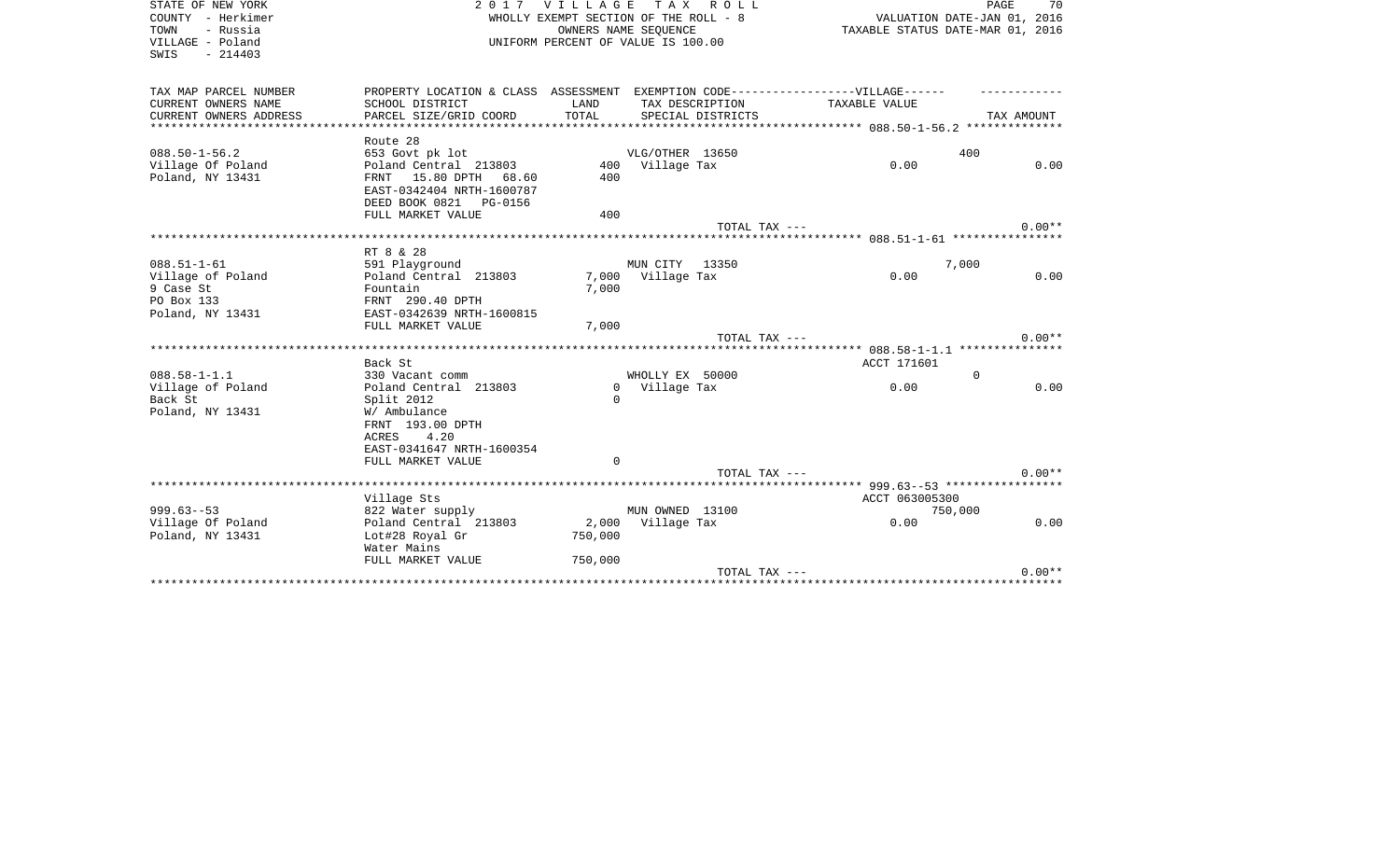| STATE OF NEW YORK<br>COUNTY - Herkimer<br>TOWN<br>- Russia<br>VILLAGE - Poland<br>SWIS<br>$-214403$ |                                                                                                                                            |                                  | 2017 VILLAGE TAX ROLL<br>WHOLLY EXEMPT SECTION OF THE ROLL - 8<br>OWNERS NAME SEOUENCE<br>UNIFORM PERCENT OF VALUE IS 100.00 |                                                                                   | PAGE<br>70<br>VALUATION DATE-JAN 01, 2016<br>TAXABLE STATUS DATE-MAR 01, 2016 |
|-----------------------------------------------------------------------------------------------------|--------------------------------------------------------------------------------------------------------------------------------------------|----------------------------------|------------------------------------------------------------------------------------------------------------------------------|-----------------------------------------------------------------------------------|-------------------------------------------------------------------------------|
| TAX MAP PARCEL NUMBER                                                                               |                                                                                                                                            |                                  |                                                                                                                              | PROPERTY LOCATION & CLASS ASSESSMENT EXEMPTION CODE-----------------VILLAGE------ |                                                                               |
| CURRENT OWNERS NAME<br>CURRENT OWNERS ADDRESS                                                       | SCHOOL DISTRICT<br>PARCEL SIZE/GRID COORD                                                                                                  | LAND<br>TOTAL                    | TAX DESCRIPTION<br>SPECIAL DISTRICTS                                                                                         | TAXABLE VALUE                                                                     | TAX AMOUNT                                                                    |
| *********************                                                                               |                                                                                                                                            |                                  |                                                                                                                              |                                                                                   |                                                                               |
|                                                                                                     | Route 28                                                                                                                                   |                                  |                                                                                                                              |                                                                                   |                                                                               |
| $088.50 - 1 - 56.2$                                                                                 | 653 Govt pk lot                                                                                                                            |                                  | VLG/OTHER 13650                                                                                                              |                                                                                   | 400                                                                           |
| Village Of Poland<br>Poland, NY 13431                                                               | Poland Central 213803<br>FRNT 15.80 DPTH 68.60<br>EAST-0342404 NRTH-1600787<br>DEED BOOK 0821 PG-0156                                      | 400                              | 400 Village Tax                                                                                                              | 0.00                                                                              | 0.00                                                                          |
|                                                                                                     | FULL MARKET VALUE                                                                                                                          | 400                              |                                                                                                                              |                                                                                   |                                                                               |
|                                                                                                     |                                                                                                                                            |                                  |                                                                                                                              | TOTAL TAX ---                                                                     | $0.00**$                                                                      |
|                                                                                                     | RT 8 & 28                                                                                                                                  |                                  |                                                                                                                              |                                                                                   |                                                                               |
| $088.51 - 1 - 61$                                                                                   | 591 Playground                                                                                                                             |                                  | MUN CITY<br>13350                                                                                                            |                                                                                   | 7,000                                                                         |
| Village of Poland<br>9 Case St<br>PO Box 133<br>Poland, NY 13431                                    | Poland Central 213803<br>Fountain<br>FRNT 290.40 DPTH<br>EAST-0342639 NRTH-1600815                                                         | 7,000<br>7,000                   | Village Tax                                                                                                                  | 0.00                                                                              | 0.00                                                                          |
|                                                                                                     | FULL MARKET VALUE                                                                                                                          | 7,000                            |                                                                                                                              |                                                                                   |                                                                               |
|                                                                                                     |                                                                                                                                            |                                  |                                                                                                                              | TOTAL TAX ---                                                                     | $0.00**$                                                                      |
|                                                                                                     | Back St                                                                                                                                    |                                  |                                                                                                                              | ACCT 171601                                                                       |                                                                               |
| $088.58 - 1 - 1.1$                                                                                  | 330 Vacant comm                                                                                                                            |                                  | WHOLLY EX 50000                                                                                                              |                                                                                   | $\Omega$                                                                      |
| Village of Poland<br>Back St<br>Poland, NY 13431                                                    | Poland Central 213803<br>Split 2012<br>W/ Ambulance<br>FRNT 193.00 DPTH<br>4.20<br>ACRES<br>EAST-0341647 NRTH-1600354<br>FULL MARKET VALUE | $\Omega$<br>$\Omega$<br>$\Omega$ | Village Tax                                                                                                                  | 0.00                                                                              | 0.00                                                                          |
|                                                                                                     |                                                                                                                                            |                                  |                                                                                                                              | TOTAL TAX ---                                                                     | $0.00**$                                                                      |
|                                                                                                     |                                                                                                                                            |                                  |                                                                                                                              |                                                                                   |                                                                               |
| $999.63 - 53$                                                                                       | Village Sts<br>822 Water supply                                                                                                            |                                  | MUN OWNED 13100                                                                                                              | ACCT 063005300                                                                    | 750,000                                                                       |
| Village Of Poland<br>Poland, NY 13431                                                               | Poland Central 213803<br>Lot#28 Royal Gr<br>Water Mains                                                                                    | 2,000<br>750,000                 | Village Tax                                                                                                                  | 0.00                                                                              | 0.00                                                                          |
|                                                                                                     | FULL MARKET VALUE                                                                                                                          | 750,000                          |                                                                                                                              |                                                                                   |                                                                               |
|                                                                                                     | ***************************                                                                                                                |                                  |                                                                                                                              | TOTAL TAX ---<br>**********************************                               | $0.00**$                                                                      |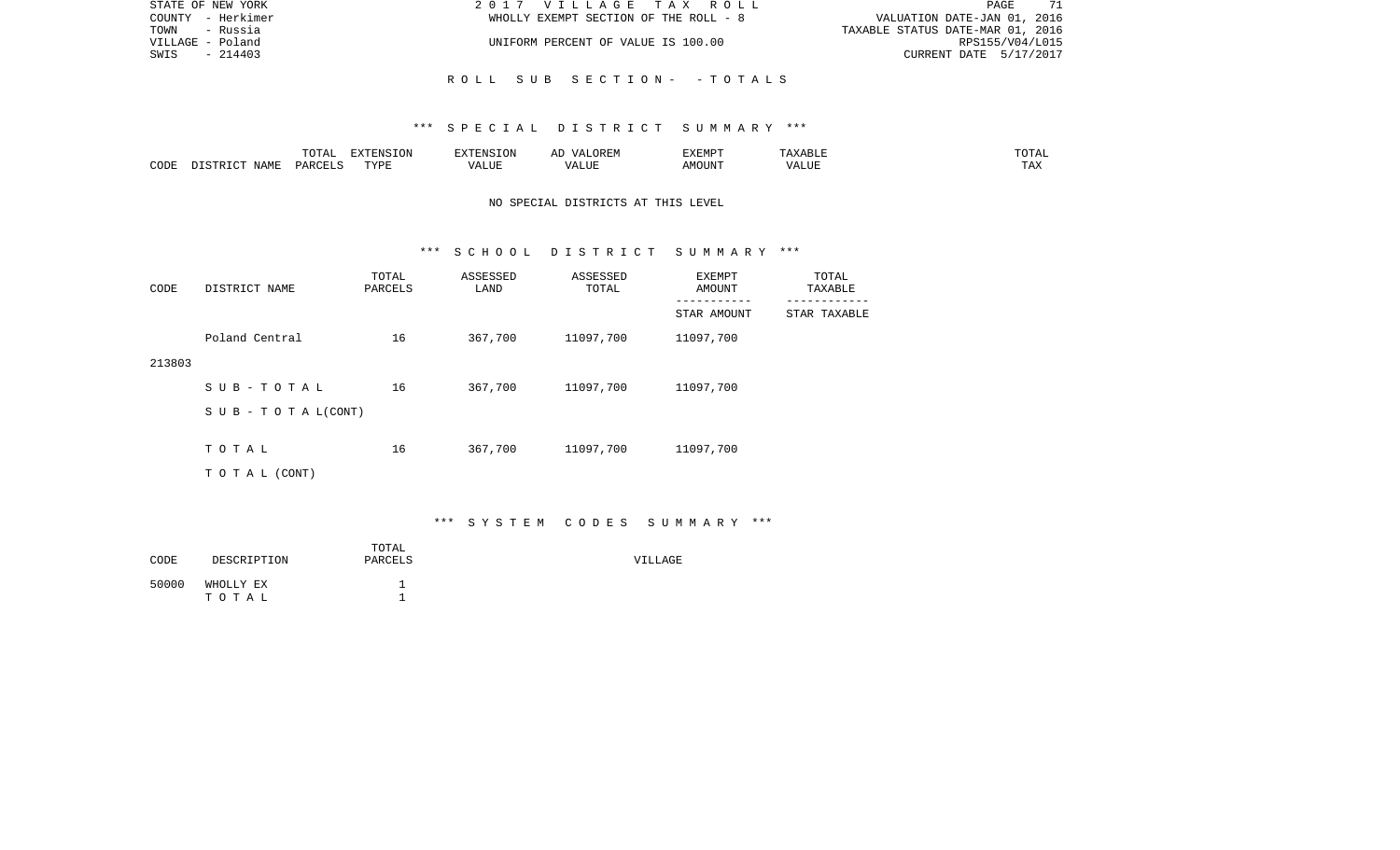| STATE OF NEW YORK | 2017 VILLAGE TAX ROLL                 | 71<br>PAGE                       |
|-------------------|---------------------------------------|----------------------------------|
| COUNTY - Herkimer | WHOLLY EXEMPT SECTION OF THE ROLL - 8 | VALUATION DATE-JAN 01, 2016      |
| TOWN<br>- Russia  |                                       | TAXABLE STATUS DATE-MAR 01, 2016 |
| VILLAGE - Poland  | UNIFORM PERCENT OF VALUE IS 100.00    | RPS155/V04/L015                  |
| - 214403<br>SWIS  |                                       | CURRENT DATE 5/17/2017           |
|                   |                                       |                                  |
|                   | ROLL SUB SECTION- -TOTALS             |                                  |

|      |             |               | $\blacksquare$<br>11 L<br>. ON |     | EXEMPT       | ABL.           | $m \wedge m$<br>$  -$ |
|------|-------------|---------------|--------------------------------|-----|--------------|----------------|-----------------------|
| CODE | NAME<br>. . | <b>DARCET</b> | TVDI                           | ,,, | 'תוזכ<br>∆M∩ | . <del>.</del> | $- - -$<br>.AZ        |

# NO SPECIAL DISTRICTS AT THIS LEVEL

#### \*\*\* S C H O O L D I S T R I C T S U M M A R Y \*\*\*

| CODE   | DISTRICT NAME             | TOTAL<br>PARCELS | ASSESSED<br>LAND | ASSESSED<br>TOTAL | EXEMPT<br>AMOUNT | TOTAL<br>TAXABLE |
|--------|---------------------------|------------------|------------------|-------------------|------------------|------------------|
|        |                           |                  |                  |                   | STAR AMOUNT      | STAR TAXABLE     |
|        | Poland Central            | 16               | 367,700          | 11097,700         | 11097,700        |                  |
| 213803 |                           |                  |                  |                   |                  |                  |
|        | SUB-TOTAL                 | 16               | 367,700          | 11097,700         | 11097,700        |                  |
|        | S U B - T O T A $L(CONT)$ |                  |                  |                   |                  |                  |
|        |                           |                  |                  |                   |                  |                  |
|        | TOTAL                     | 16               | 367,700          | 11097,700         | 11097,700        |                  |
|        | T O T A L (CONT)          |                  |                  |                   |                  |                  |

# \*\*\* S Y S T E M C O D E S S U M M A R Y \*\*\*

| CODE  | DESCRIPTION        | TOTAL<br>PARCELS | VILLAGE |
|-------|--------------------|------------------|---------|
| 50000 | WHOLLY EX<br>тотаь |                  |         |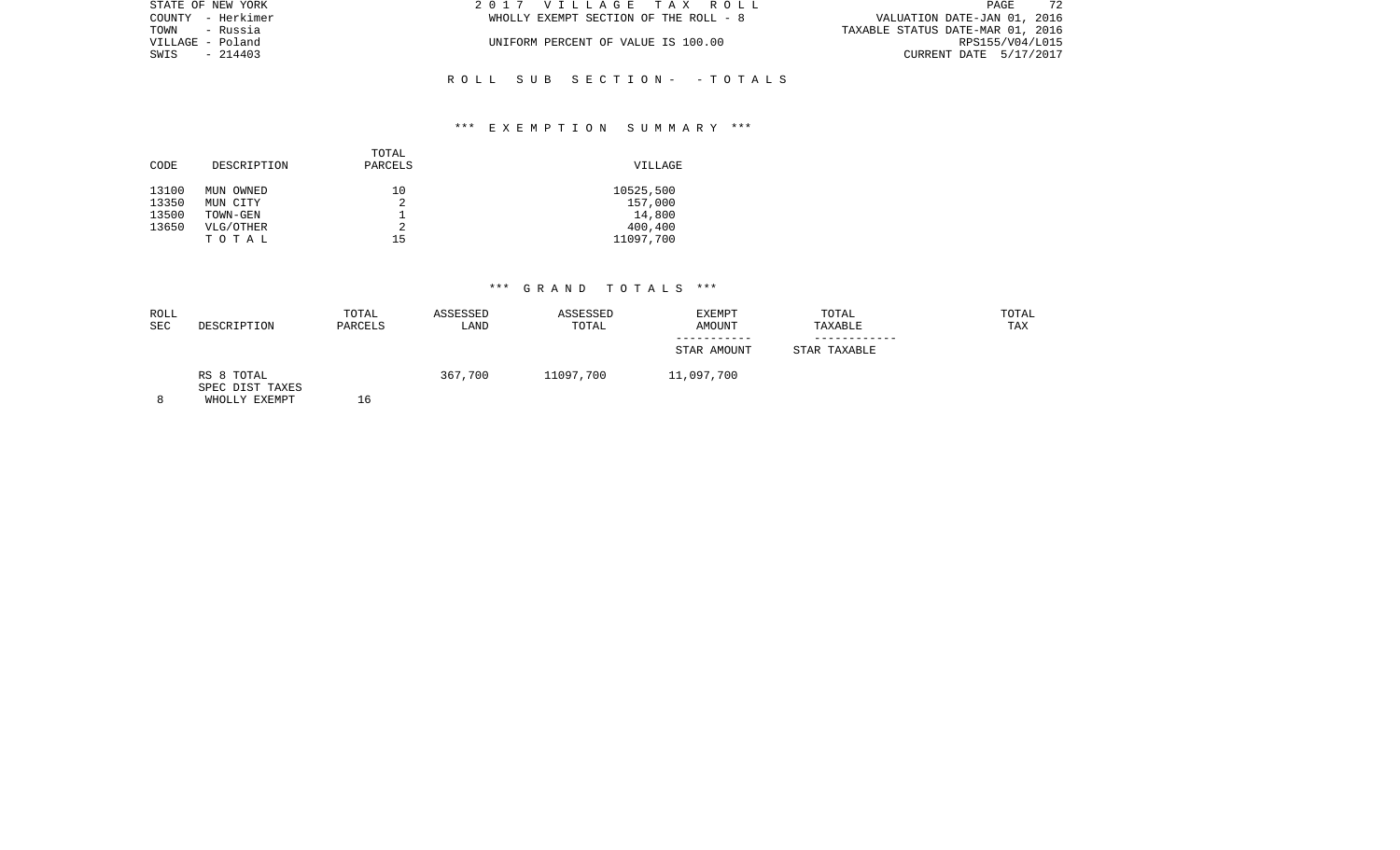| STATE OF NEW YORK | 2017 VILLAGE TAX ROLL                 | 72<br>PAGE                       |
|-------------------|---------------------------------------|----------------------------------|
| COUNTY - Herkimer | WHOLLY EXEMPT SECTION OF THE ROLL - 8 | VALUATION DATE-JAN 01, 2016      |
| TOWN - Russia     |                                       | TAXABLE STATUS DATE-MAR 01, 2016 |
| VILLAGE - Poland  | UNIFORM PERCENT OF VALUE IS 100.00    | RPS155/V04/L015                  |
| SWIS - 214403     |                                       | CURRENT DATE 5/17/2017           |
|                   |                                       |                                  |
|                   |                                       |                                  |

### \*\*\* E X E M P T I O N S U M M A R Y \*\*\*

R O L L S U B S E C T I O N - - T O T A L S

| CODE  | DESCRIPTION | TOTAL<br>PARCELS | VILLAGE   |
|-------|-------------|------------------|-----------|
| 13100 | MUN OWNED   | 10               | 10525,500 |
| 13350 | MUN CITY    |                  | 157,000   |
| 13500 | TOWN-GEN    |                  | 14,800    |
| 13650 | VLG/OTHER   | 2                | 400,400   |
|       | TOTAL       | 15               | 11097,700 |
|       |             |                  |           |

## \*\*\* G R A N D T O T A L S \*\*\*

| ROLL<br><b>SEC</b> | DESCRIPTION                                    | TOTAL<br>PARCELS | ASSESSED<br>LAND | ASSESSED<br>TOTAL | EXEMPT<br>AMOUNT | TOTAL<br>TAXABLE | TOTAL<br>TAX |
|--------------------|------------------------------------------------|------------------|------------------|-------------------|------------------|------------------|--------------|
|                    |                                                |                  |                  |                   | STAR AMOUNT      | STAR TAXABLE     |              |
| Ω                  | RS 8 TOTAL<br>SPEC DIST TAXES<br>WHOLLY FYFMOT | $\epsilon$       | 367,700          | 11097,700         | 11,097,700       |                  |              |

8 WHOLLY EXEMPT 16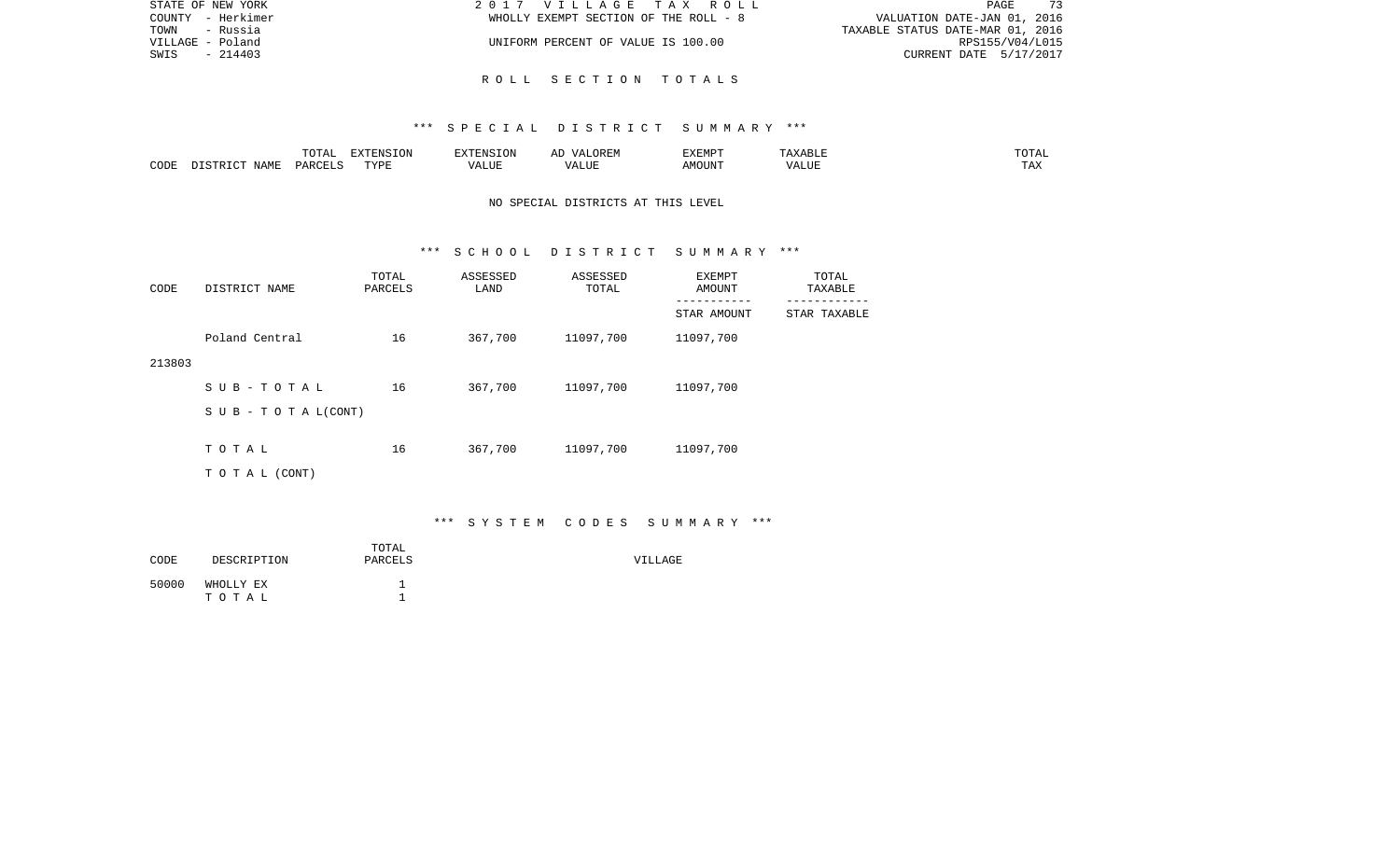| STATE OF NEW YORK | 2017 VILLAGE TAX ROLL                 | 73<br>PAGE                       |
|-------------------|---------------------------------------|----------------------------------|
| COUNTY - Herkimer | WHOLLY EXEMPT SECTION OF THE ROLL - 8 | VALUATION DATE-JAN 01, 2016      |
| TOWN<br>- Russia  |                                       | TAXABLE STATUS DATE-MAR 01, 2016 |
| VILLAGE - Poland  | UNIFORM PERCENT OF VALUE IS 100.00    | RPS155/V04/L015                  |
| $-214403$<br>SWIS |                                       | CURRENT DATE 5/17/2017           |
|                   |                                       |                                  |

### R O L L S E C T I O N T O T A L S

### \*\*\* S P E C I A L D I S T R I C T S U M M A R Y \*\*\*

|      |                                 | '∩Ͳ∆<br>. U 1 1 1 1             | EXTENSION |                 | .)REM<br>$\mathcal{M}$ $\Delta$ . | EXEMPT  |               | ית מ             |
|------|---------------------------------|---------------------------------|-----------|-----------------|-----------------------------------|---------|---------------|------------------|
| CODE | $\Lambda \Delta M$ <sup>T</sup> | $\cap$ TT (<br>DAD <sub>1</sub> | TVDF<br>. | דד דו<br>1.1177 | $\sqrt{ }$<br>.                   | `^OUN'i | T T T<br>ט בר | $- - - -$<br>⊥⇔∧ |

## NO SPECIAL DISTRICTS AT THIS LEVEL

#### \*\*\* S C H O O L D I S T R I C T S U M M A R Y \*\*\*

| CODE   | DISTRICT NAME                    | TOTAL<br>PARCELS | ASSESSED<br>LAND | ASSESSED<br>TOTAL | EXEMPT<br>AMOUNT<br>-------- | TOTAL<br>TAXABLE |
|--------|----------------------------------|------------------|------------------|-------------------|------------------------------|------------------|
|        |                                  |                  |                  |                   | STAR AMOUNT                  | STAR TAXABLE     |
|        | Poland Central                   | 16               | 367,700          | 11097,700         | 11097,700                    |                  |
| 213803 |                                  |                  |                  |                   |                              |                  |
|        | SUB-TOTAL                        | 16               | 367,700          | 11097,700         | 11097,700                    |                  |
|        | $S \cup B - T \cup T A L (CONT)$ |                  |                  |                   |                              |                  |
|        |                                  |                  |                  |                   |                              |                  |
|        | TOTAL                            | 16               | 367,700          | 11097,700         | 11097,700                    |                  |
|        | TO TAL (CONT)                    |                  |                  |                   |                              |                  |

## \*\*\* S Y S T E M C O D E S S U M M A R Y \*\*\*

| CODE  | DESCRIPTION        | TOTAL<br>PARCELS | VILLAGE |
|-------|--------------------|------------------|---------|
| 50000 | WHOLLY EX<br>TOTAL |                  |         |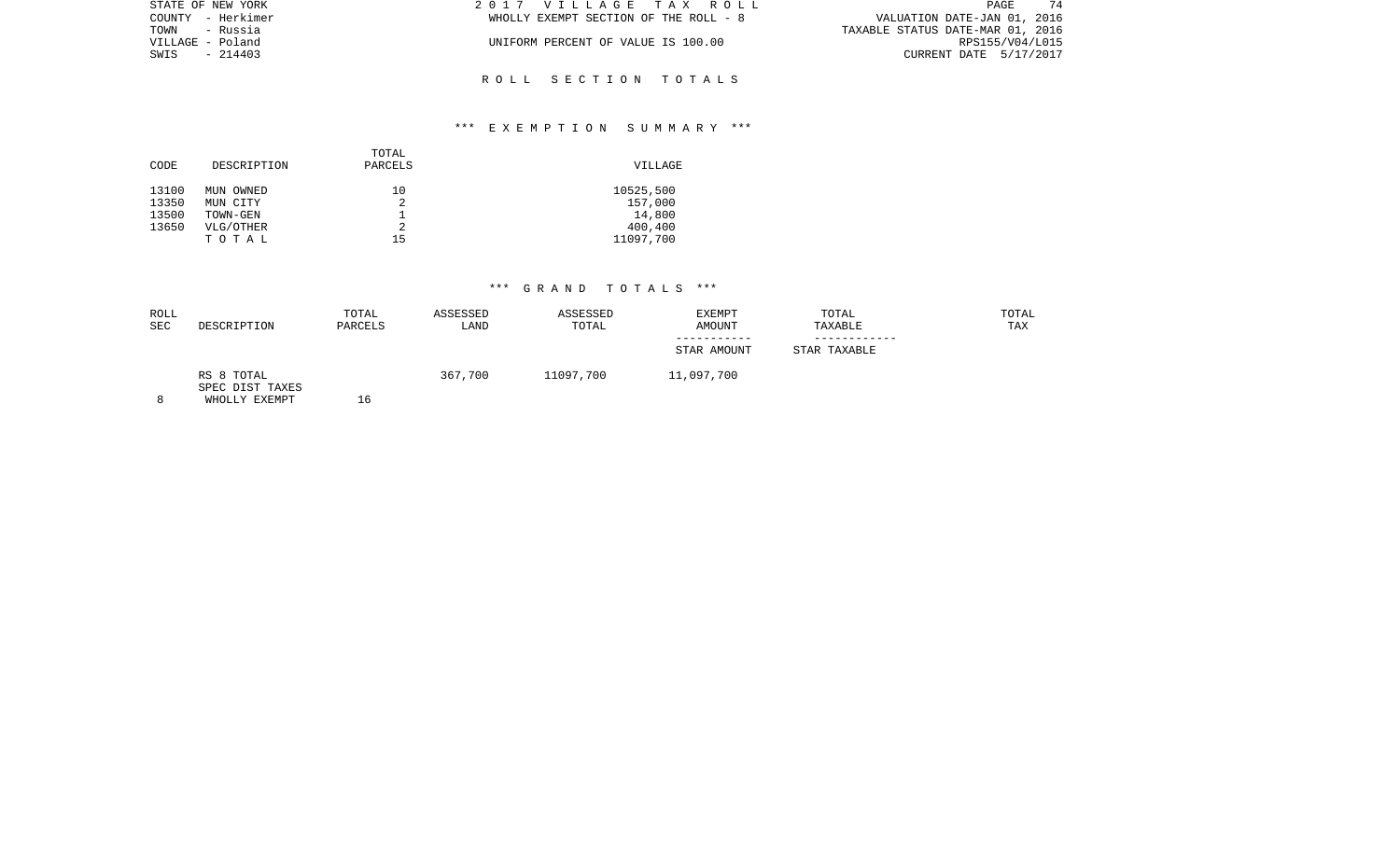| STATE OF NEW YORK | 2017 VILLAGE TAX ROLL                 | 74<br>PAGE                       |
|-------------------|---------------------------------------|----------------------------------|
| COUNTY - Herkimer | WHOLLY EXEMPT SECTION OF THE ROLL - 8 | VALUATION DATE-JAN 01, 2016      |
| TOWN<br>- Russia  |                                       | TAXABLE STATUS DATE-MAR 01, 2016 |
| VILLAGE - Poland  | UNIFORM PERCENT OF VALUE IS 100.00    | RPS155/V04/L015                  |
| SWIS<br>$-214403$ |                                       | CURRENT DATE 5/17/2017           |
|                   |                                       |                                  |

R O L L S E C T I O N T O T A L S

### \*\*\* E X E M P T I O N S U M M A R Y \*\*\*

| DESCRIPTION<br>CODE                                                                         | PARCELS       | VILLAGE                                                |
|---------------------------------------------------------------------------------------------|---------------|--------------------------------------------------------|
| 13100<br>MUN OWNED<br>13350<br>MUN CITY<br>13500<br>TOWN-GEN<br>13650<br>VLG/OTHER<br>TOTAL | 10<br>2<br>15 | 10525,500<br>157,000<br>14,800<br>400,400<br>11097,700 |

# \*\*\* G R A N D T O T A L S \*\*\*

| ROLL<br><b>SEC</b> | DESCRIPTION                                    | TOTAL<br>PARCELS | ASSESSED<br>LAND | ASSESSED<br>TOTAL | EXEMPT<br>AMOUNT | TOTAL<br>TAXABLE | TOTAL<br>TAX |
|--------------------|------------------------------------------------|------------------|------------------|-------------------|------------------|------------------|--------------|
|                    |                                                |                  |                  |                   | STAR AMOUNT      | STAR TAXABLE     |              |
|                    | RS 8 TOTAL<br>SPEC DIST TAXES<br>WHOLLY FYFMDT | 16               | 367,700          | 11097,700         | 11,097,700       |                  |              |

8 WHOLLY EXEMPT 16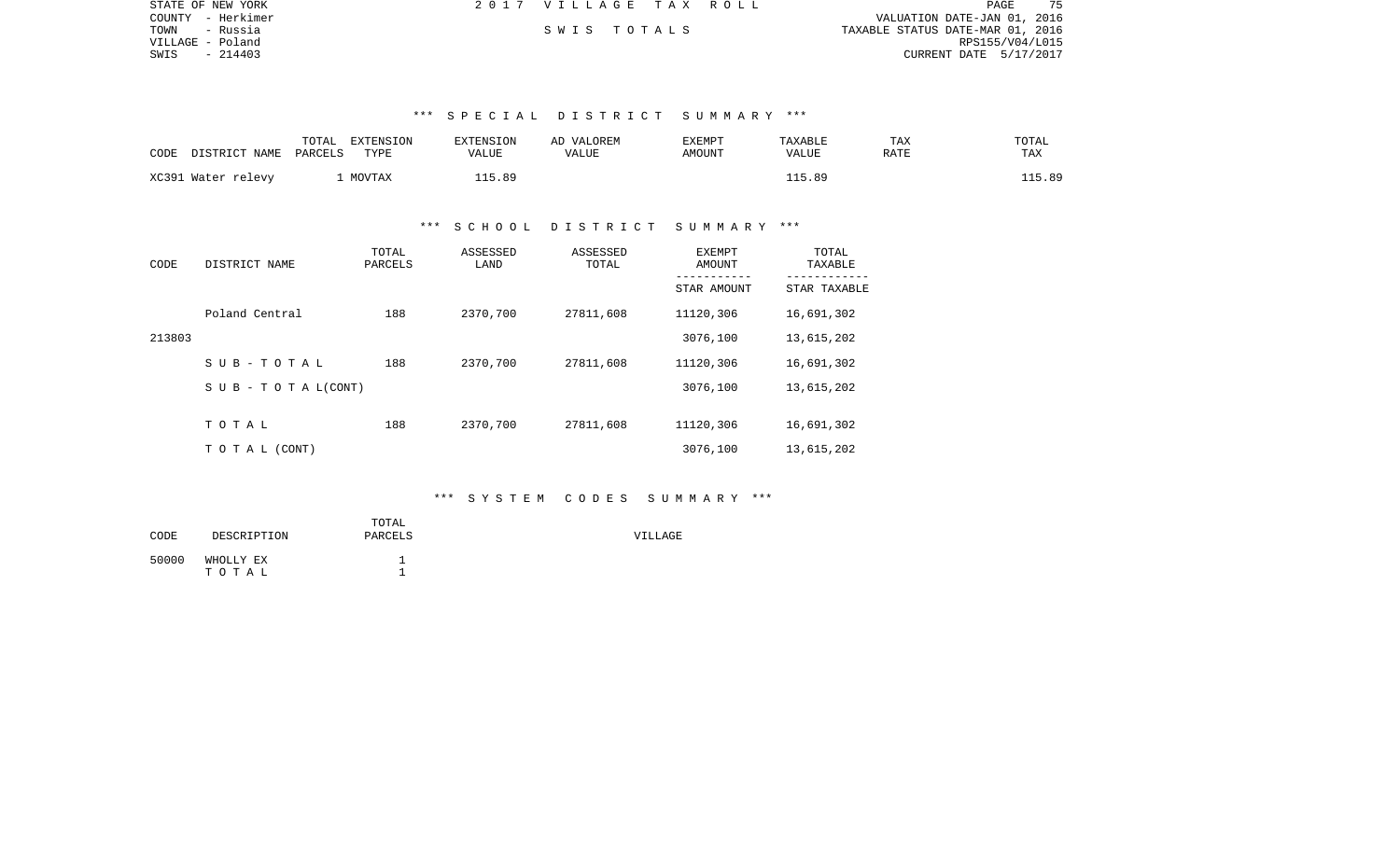| STATE OF NEW YORK | 2017 VILLAGE TAX ROLL |  |                                  | <b>PAGE</b>     |  |
|-------------------|-----------------------|--|----------------------------------|-----------------|--|
| COUNTY - Herkimer |                       |  | VALUATION DATE-JAN 01, 2016      |                 |  |
| TOWN<br>- Russia  | SWIS TOTALS           |  | TAXABLE STATUS DATE-MAR 01, 2016 |                 |  |
| VILLAGE - Poland  |                       |  |                                  | RPS155/V04/L015 |  |
| SWIS<br>- 214403  |                       |  | CURRENT DATE 5/17/2017           |                 |  |

### \*\*\* S P E C I A L D I S T R I C T S U M M A R Y \*\*\*

| CODE | DISTRICT NAME      | TOTAL<br>PARCELS | EXTENSION<br>TYPE | <b>EXTENSION</b><br>VALUE | VALOREM<br>AD<br>VALUE | <b>EXEMPT</b><br><b>AMOUNT</b> | TAXABLE<br>VALUE | TAX<br>RATE | TOTAL<br>TAX |
|------|--------------------|------------------|-------------------|---------------------------|------------------------|--------------------------------|------------------|-------------|--------------|
|      | XC391 Water relevy |                  | MOVTAX            | 15.89                     |                        |                                | .5.89            |             | 115.89       |

### \*\*\* S C H O O L D I S T R I C T S U M M A R Y \*\*\*

| CODE   | DISTRICT NAME                    | TOTAL<br>PARCELS | ASSESSED<br>LAND | ASSESSED<br>TOTAL | <b>EXEMPT</b><br>AMOUNT | TOTAL<br>TAXABLE |  |
|--------|----------------------------------|------------------|------------------|-------------------|-------------------------|------------------|--|
|        |                                  |                  |                  |                   | STAR AMOUNT             | STAR TAXABLE     |  |
|        | Poland Central                   | 188              | 2370,700         | 27811,608         | 11120,306               | 16,691,302       |  |
| 213803 |                                  |                  |                  |                   | 3076,100                | 13,615,202       |  |
|        | SUB-TOTAL                        | 188              | 2370,700         | 27811,608         | 11120,306               | 16,691,302       |  |
|        | $S \cup B - T \cup T A L (CONT)$ |                  |                  |                   | 3076,100                | 13,615,202       |  |
|        | TOTAL                            | 188              | 2370,700         | 27811,608         | 11120,306               | 16,691,302       |  |
|        | TO TAL (CONT)                    |                  |                  |                   | 3076,100                | 13,615,202       |  |

### \*\*\* S Y S T E M C O D E S S U M M A R Y \*\*\*

| CODE  | DESCRIPTION        | TOTAL<br>PARCELS | VILLAGE |
|-------|--------------------|------------------|---------|
| 50000 | WHOLLY EX<br>тотаь |                  |         |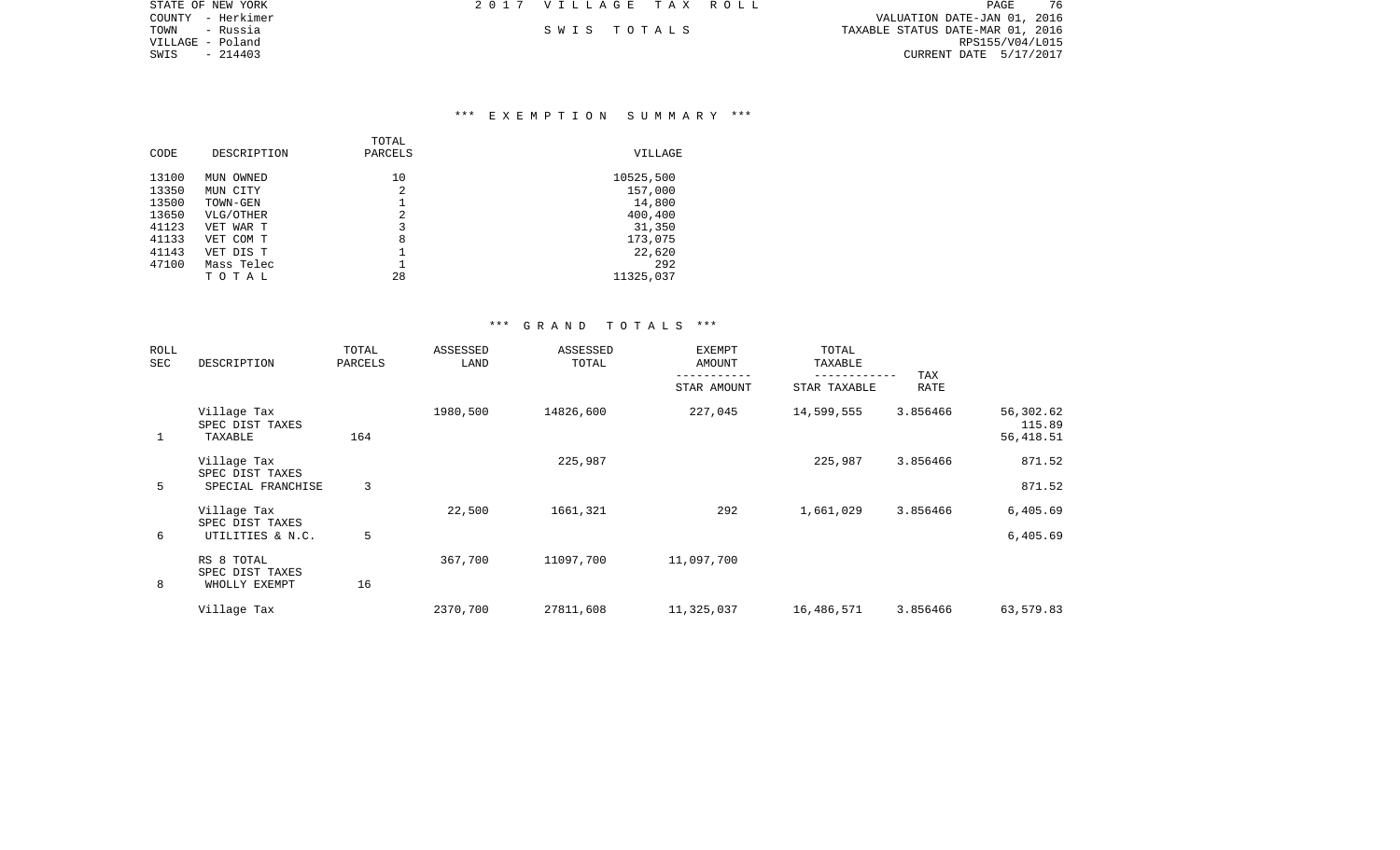| STATE OF NEW YORK | 2017 VILLAGE TAX ROLL | PAGE                             | 76 |
|-------------------|-----------------------|----------------------------------|----|
| COUNTY - Herkimer |                       | VALUATION DATE-JAN 01, 2016      |    |
| TOWN<br>- Russia  | SWIS TOTALS           | TAXABLE STATUS DATE-MAR 01, 2016 |    |
| VILLAGE - Poland  |                       | RPS155/V04/L015                  |    |
| SWIS<br>- 214403  |                       | CURRENT DATE 5/17/2017           |    |

### \*\*\* E X E M P T I O N S U M M A R Y \*\*\*

| CODE  | DESCRIPTION | TOTAL<br>PARCELS | VILLAGE   |
|-------|-------------|------------------|-----------|
| 13100 | MUN OWNED   | 10               | 10525,500 |
| 13350 | MUN CITY    | 2                | 157,000   |
| 13500 | TOWN-GEN    |                  | 14,800    |
| 13650 | VLG/OTHER   | 2                | 400,400   |
| 41123 | VET WAR T   | 3                | 31,350    |
| 41133 | VET COM T   | 8                | 173,075   |
| 41143 | VET DIS T   |                  | 22,620    |
| 47100 | Mass Telec  |                  | 292       |
|       | тотаь       | 28               | 11325,037 |

### \*\*\* G R A N D T O T A L S \*\*\*

| ROLL<br>SEC | DESCRIPTION                               | TOTAL<br>PARCELS | ASSESSED<br>LAND | ASSESSED<br>TOTAL | <b>EXEMPT</b><br>AMOUNT | TOTAL<br>TAXABLE |             |                                  |
|-------------|-------------------------------------------|------------------|------------------|-------------------|-------------------------|------------------|-------------|----------------------------------|
|             |                                           |                  |                  |                   | STAR AMOUNT             | STAR TAXABLE     | TAX<br>RATE |                                  |
|             | Village Tax<br>SPEC DIST TAXES<br>TAXABLE | 164              | 1980,500         | 14826,600         | 227,045                 | 14,599,555       | 3.856466    | 56,302.62<br>115.89<br>56,418.51 |
|             | Village Tax<br>SPEC DIST TAXES            |                  |                  | 225,987           |                         | 225,987          | 3.856466    | 871.52                           |
| 5           | SPECIAL FRANCHISE                         | 3                |                  |                   |                         |                  |             | 871.52                           |
|             | Village Tax<br>SPEC DIST TAXES            |                  | 22,500           | 1661,321          | 292                     | 1,661,029        | 3.856466    | 6,405.69                         |
| 6           | UTILITIES & N.C.                          | 5                |                  |                   |                         |                  |             | 6,405.69                         |
|             | RS 8 TOTAL<br>SPEC DIST TAXES             |                  | 367,700          | 11097,700         | 11,097,700              |                  |             |                                  |
| 8           | WHOLLY EXEMPT                             | 16               |                  |                   |                         |                  |             |                                  |
|             | Village Tax                               |                  | 2370,700         | 27811,608         | 11,325,037              | 16,486,571       | 3.856466    | 63,579.83                        |